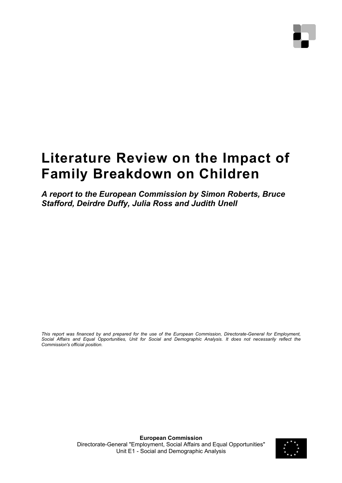# **Literature Review on the Impact of Family Breakdown on Children**

*A report to the European Commission by Simon Roberts, Bruce Stafford, Deirdre Duffy, Julia Ross and Judith Unell* 

*This report was financed by and prepared for the use of the European Commission, Directorate-General for Employment, Social Affairs and Equal Opportunities, Unit for Social and Demographic Analysis. It does not necessarily reflect the Commission's official position.* 

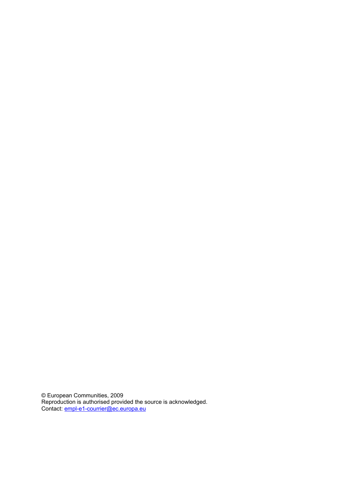© European Communities, 2009 Reproduction is authorised provided the source is acknowledged. Contact: **empl-e1-courrier@ec.europa.eu**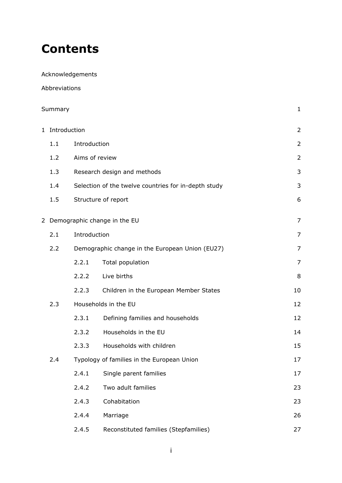# **Contents**

Acknowledgements

Abbreviations

| Summary |                                |                                                 | $\mathbf{1}$                                         |                |
|---------|--------------------------------|-------------------------------------------------|------------------------------------------------------|----------------|
|         | 1 Introduction                 |                                                 |                                                      | $\overline{2}$ |
|         | 1.1                            | Introduction                                    |                                                      | $\overline{2}$ |
|         | 1.2                            | Aims of review                                  |                                                      | $\overline{2}$ |
|         | 1.3                            |                                                 | Research design and methods                          | 3              |
|         | 1.4                            |                                                 | Selection of the twelve countries for in-depth study | 3              |
|         | 1.5                            |                                                 | Structure of report                                  | 6              |
|         | 2 Demographic change in the EU |                                                 | $\overline{7}$                                       |                |
|         | 2.1                            | Introduction                                    |                                                      | 7              |
|         | 2.2                            | Demographic change in the European Union (EU27) |                                                      | 7              |
|         |                                | 2.2.1                                           | Total population                                     | 7              |
|         |                                | 2.2.2                                           | Live births                                          | 8              |
|         |                                | 2.2.3                                           | Children in the European Member States               | 10             |
|         | 2.3                            | Households in the EU                            |                                                      | 12             |
|         |                                | 2.3.1                                           | Defining families and households                     | 12             |
|         |                                | 2.3.2                                           | Households in the EU                                 | 14             |
|         |                                | 2.3.3                                           | Households with children                             | 15             |
|         | 2.4                            |                                                 | Typology of families in the European Union           | 17             |
|         |                                | 2.4.1                                           | Single parent families                               | 17             |
|         |                                | 2.4.2                                           | Two adult families                                   | 23             |
|         |                                | 2.4.3                                           | Cohabitation                                         | 23             |
|         |                                | 2.4.4                                           | Marriage                                             | 26             |
|         |                                | 2.4.5                                           | Reconstituted families (Stepfamilies)                | 27             |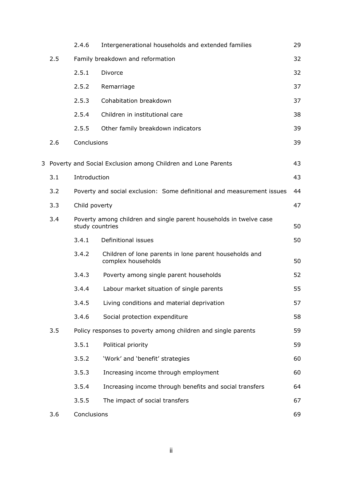|     | 2.4.6                            | Intergenerational households and extended families                                    | 29 |
|-----|----------------------------------|---------------------------------------------------------------------------------------|----|
| 2.5 | Family breakdown and reformation |                                                                                       | 32 |
|     | 2.5.1                            | Divorce                                                                               | 32 |
|     | 2.5.2                            | Remarriage                                                                            | 37 |
|     | 2.5.3                            | Cohabitation breakdown                                                                | 37 |
|     | 2.5.4                            | Children in institutional care                                                        | 38 |
|     | 2.5.5                            | Other family breakdown indicators                                                     | 39 |
| 2.6 | Conclusions                      |                                                                                       | 39 |
|     |                                  | 3 Poverty and Social Exclusion among Children and Lone Parents                        | 43 |
| 3.1 | Introduction                     |                                                                                       | 43 |
| 3.2 |                                  | Poverty and social exclusion: Some definitional and measurement issues                | 44 |
| 3.3 | Child poverty                    |                                                                                       | 47 |
| 3.4 |                                  | Poverty among children and single parent households in twelve case<br>study countries |    |
|     | 3.4.1                            | Definitional issues                                                                   | 50 |
|     | 3.4.2                            | Children of lone parents in lone parent households and<br>complex households          | 50 |
|     | 3.4.3                            | Poverty among single parent households                                                | 52 |
|     | 3.4.4                            | Labour market situation of single parents                                             | 55 |
|     | 3.4.5                            | Living conditions and material deprivation                                            | 57 |
|     | 3.4.6                            | Social protection expenditure                                                         | 58 |
| 3.5 |                                  | Policy responses to poverty among children and single parents                         | 59 |
|     | 3.5.1                            | Political priority                                                                    | 59 |
|     | 3.5.2                            | 'Work' and 'benefit' strategies                                                       | 60 |
|     | 3.5.3                            | Increasing income through employment                                                  | 60 |
|     | 3.5.4                            | Increasing income through benefits and social transfers                               | 64 |
|     | 3.5.5                            | The impact of social transfers                                                        | 67 |
| 3.6 | Conclusions                      |                                                                                       | 69 |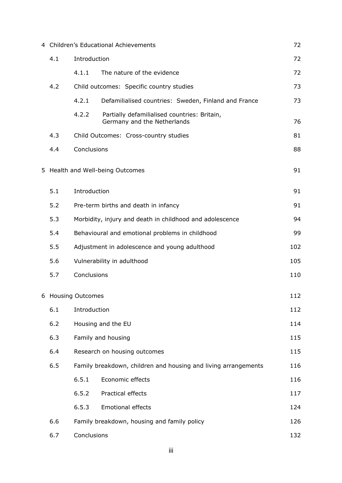|                           | 4 Children's Educational Achievements                                                                                     |              | 72                                                                          |     |
|---------------------------|---------------------------------------------------------------------------------------------------------------------------|--------------|-----------------------------------------------------------------------------|-----|
|                           | 4.1<br>Introduction                                                                                                       |              | 72                                                                          |     |
|                           |                                                                                                                           | 4.1.1        | The nature of the evidence                                                  | 72  |
|                           | 4.2                                                                                                                       |              | Child outcomes: Specific country studies                                    | 73  |
|                           |                                                                                                                           | 4.2.1        | Defamilialised countries: Sweden, Finland and France                        | 73  |
|                           |                                                                                                                           | 4.2.2        | Partially defamilialised countries: Britain,<br>Germany and the Netherlands | 76  |
|                           | 4.3                                                                                                                       |              | Child Outcomes: Cross-country studies                                       | 81  |
|                           | 4.4                                                                                                                       | Conclusions  |                                                                             | 88  |
|                           |                                                                                                                           |              | 5 Health and Well-being Outcomes                                            | 91  |
|                           | 5.1                                                                                                                       | Introduction |                                                                             | 91  |
|                           | 5.2                                                                                                                       |              | Pre-term births and death in infancy                                        | 91  |
|                           | 5.3<br>Morbidity, injury and death in childhood and adolescence<br>5.4<br>Behavioural and emotional problems in childhood |              | 94                                                                          |     |
|                           |                                                                                                                           |              | 99                                                                          |     |
|                           | 5.5                                                                                                                       |              | Adjustment in adolescence and young adulthood                               | 102 |
|                           | 5.6                                                                                                                       |              | Vulnerability in adulthood                                                  | 105 |
|                           | 5.7                                                                                                                       | Conclusions  |                                                                             | 110 |
|                           | 6 Housing Outcomes<br>6.1<br>Introduction                                                                                 |              | 112                                                                         |     |
|                           |                                                                                                                           |              | 112                                                                         |     |
| 6.2<br>Housing and the EU |                                                                                                                           |              |                                                                             | 114 |
|                           | 6.3                                                                                                                       |              | Family and housing                                                          | 115 |
|                           | 6.4                                                                                                                       |              | Research on housing outcomes                                                | 115 |
|                           | 6.5                                                                                                                       |              | Family breakdown, children and housing and living arrangements              | 116 |
|                           |                                                                                                                           | 6.5.1        | Economic effects                                                            | 116 |
|                           |                                                                                                                           | 6.5.2        | Practical effects                                                           | 117 |
|                           |                                                                                                                           | 6.5.3        | <b>Emotional effects</b>                                                    | 124 |
|                           | 6.6                                                                                                                       |              | Family breakdown, housing and family policy                                 | 126 |
|                           | Conclusions<br>6.7                                                                                                        |              |                                                                             | 132 |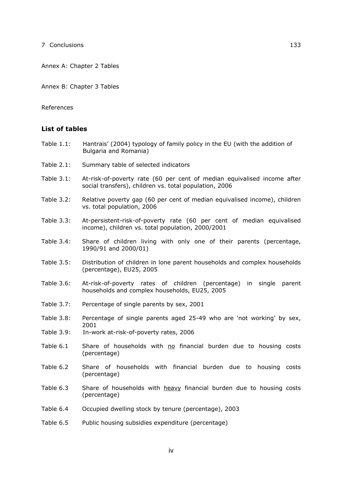Annex A: Chapter 2 Tables

Annex B: Chapter 3 Tables

References

#### **List of tables**

- Table 1.1: Hantrais' (2004) typology of family policy in the EU (with the addition of Bulgaria and Romania)
- Table 2.1: Summary table of selected indicators
- Table 3.1: At-risk-of-poverty rate (60 per cent of median equivalised income after social transfers), children vs. total population, 2006
- Table 3.2: Relative poverty gap (60 per cent of median equivalised income), children vs. total population, 2006
- Table 3.3: At-persistent-risk-of-poverty rate (60 per cent of median equivalised income), children vs. total population, 2000/2001
- Table 3.4: Share of children living with only one of their parents (percentage, 1990/91 and 2000/01)
- Table 3.5: Distribution of children in lone parent households and complex households (percentage), EU25, 2005
- Table 3.6: At-risk-of-poverty rates of children (percentage) in single parent households and complex households, EU25, 2005
- Table 3.7: Percentage of single parents by sex, 2001
- Table 3.8: Percentage of single parents aged 25-49 who are 'not working' by sex, 2001
- Table 3.9: In-work at-risk-of-poverty rates, 2006
- Table  $6.1$  Share of households with  $\underline{no}$  financial burden due to housing costs (percentage)
- Table 6.2 Share of households with financial burden due to housing costs (percentage)
- Table 6.3 Share of households with heavy financial burden due to housing costs (percentage)
- Table 6.4 Occupied dwelling stock by tenure (percentage), 2003
- Table 6.5 Public housing subsidies expenditure (percentage)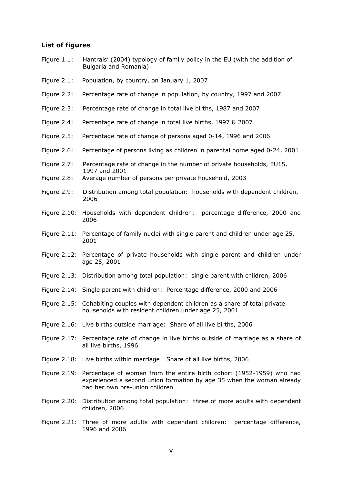#### **List of figures**

- Figure 1.1: Hantrais' (2004) typology of family policy in the EU (with the addition of Bulgaria and Romania)
- Figure 2.1: Population, by country, on January 1, 2007
- Figure 2.2: Percentage rate of change in population, by country, 1997 and 2007
- Figure 2.3: Percentage rate of change in total live births, 1987 and 2007
- Figure 2.4: Percentage rate of change in total live births, 1997 & 2007
- Figure 2.5: Percentage rate of change of persons aged 0-14, 1996 and 2006
- Figure 2.6: Percentage of persons living as children in parental home aged 0-24, 2001
- Figure 2.7: Percentage rate of change in the number of private households, EU15, 1997 and 2001
- Figure 2.8: Average number of persons per private household, 2003
- Figure 2.9: Distribution among total population: households with dependent children, 2006
- Figure 2.10: Households with dependent children: percentage difference, 2000 and 2006
- Figure 2.11: Percentage of family nuclei with single parent and children under age 25, 2001
- Figure 2.12: Percentage of private households with single parent and children under age 25, 2001
- Figure 2.13: Distribution among total population: single parent with children, 2006
- Figure 2.14: Single parent with children: Percentage difference, 2000 and 2006
- Figure 2.15: Cohabiting couples with dependent children as a share of total private households with resident children under age 25, 2001
- Figure 2.16: Live births outside marriage: Share of all live births, 2006
- Figure 2.17: Percentage rate of change in live births outside of marriage as a share of all live births, 1996
- Figure 2.18: Live births within marriage: Share of all live births, 2006
- Figure 2.19: Percentage of women from the entire birth cohort (1952-1959) who had experienced a second union formation by age 35 when the woman already had her own pre-union children
- Figure 2.20: Distribution among total population: three of more adults with dependent children, 2006
- Figure 2.21: Three of more adults with dependent children: percentage difference, 1996 and 2006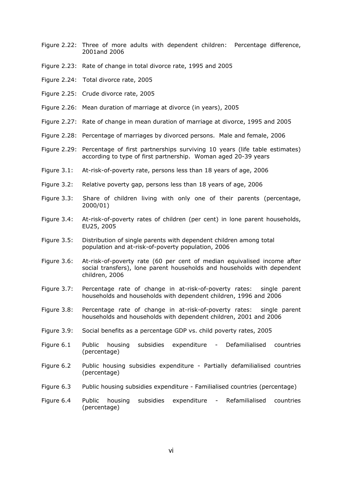- Figure 2.22: Three of more adults with dependent children: Percentage difference, 2001and 2006
- Figure 2.23: Rate of change in total divorce rate, 1995 and 2005
- Figure 2.24: Total divorce rate, 2005
- Figure 2.25: Crude divorce rate, 2005
- Figure 2.26: Mean duration of marriage at divorce (in years), 2005
- Figure 2.27: Rate of change in mean duration of marriage at divorce, 1995 and 2005
- Figure 2.28: Percentage of marriages by divorced persons. Male and female, 2006
- Figure 2.29: Percentage of first partnerships surviving 10 years (life table estimates) according to type of first partnership. Woman aged 20-39 years
- Figure 3.1: At-risk-of-poverty rate, persons less than 18 years of age, 2006
- Figure 3.2: Relative poverty gap, persons less than 18 years of age, 2006
- Figure 3.3: Share of children living with only one of their parents (percentage, 2000/01)
- Figure 3.4: At-risk-of-poverty rates of children (per cent) in lone parent households, EU25, 2005
- Figure 3.5: Distribution of single parents with dependent children among total population and at-risk-of-poverty population, 2006
- Figure 3.6: At-risk-of-poverty rate (60 per cent of median equivalised income after social transfers), lone parent households and households with dependent children, 2006
- Figure 3.7: Percentage rate of change in at-risk-of-poverty rates: single parent households and households with dependent children, 1996 and 2006
- Figure 3.8: Percentage rate of change in at-risk-of-poverty rates: single parent households and households with dependent children, 2001 and 2006
- Figure 3.9: Social benefits as a percentage GDP vs. child poverty rates, 2005
- Figure 6.1 Public housing subsidies expenditure Defamilialised countries (percentage)
- Figure 6.2 Public housing subsidies expenditure Partially defamilialised countries (percentage)
- Figure 6.3 Public housing subsidies expenditure Familialised countries (percentage)
- Figure 6.4 Public housing subsidies expenditure Refamilialised countries (percentage)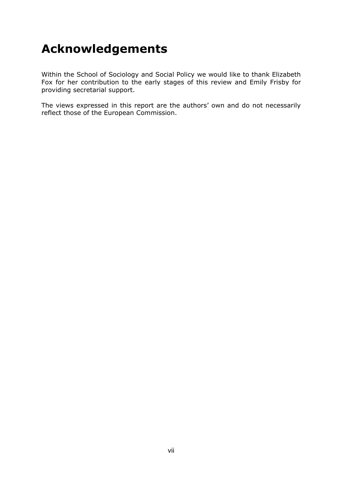# **Acknowledgements**

Within the School of Sociology and Social Policy we would like to thank Elizabeth Fox for her contribution to the early stages of this review and Emily Frisby for providing secretarial support.

The views expressed in this report are the authors' own and do not necessarily reflect those of the European Commission.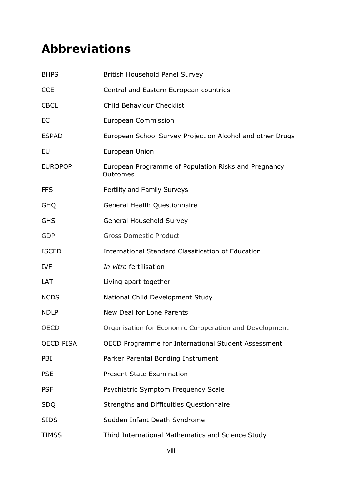# **Abbreviations**

| <b>BHPS</b>      | British Household Panel Survey                                   |
|------------------|------------------------------------------------------------------|
| <b>CCE</b>       | Central and Eastern European countries                           |
| <b>CBCL</b>      | <b>Child Behaviour Checklist</b>                                 |
| EC               | <b>European Commission</b>                                       |
| <b>ESPAD</b>     | European School Survey Project on Alcohol and other Drugs        |
| EU               | European Union                                                   |
| <b>EUROPOP</b>   | European Programme of Population Risks and Pregnancy<br>Outcomes |
| <b>FFS</b>       | <b>Fertility and Family Surveys</b>                              |
| <b>GHQ</b>       | General Health Questionnaire                                     |
| <b>GHS</b>       | General Household Survey                                         |
| <b>GDP</b>       | <b>Gross Domestic Product</b>                                    |
| <b>ISCED</b>     | International Standard Classification of Education               |
| <b>IVF</b>       | In vitro fertilisation                                           |
| LAT              | Living apart together                                            |
| <b>NCDS</b>      | National Child Development Study                                 |
| <b>NDLP</b>      | New Deal for Lone Parents                                        |
| <b>OECD</b>      | Organisation for Economic Co-operation and Development           |
| <b>OECD PISA</b> | OECD Programme for International Student Assessment              |
| PBI              | Parker Parental Bonding Instrument                               |
| <b>PSE</b>       | <b>Present State Examination</b>                                 |
| <b>PSF</b>       | Psychiatric Symptom Frequency Scale                              |
| <b>SDQ</b>       | Strengths and Difficulties Questionnaire                         |
| <b>SIDS</b>      | Sudden Infant Death Syndrome                                     |
| <b>TIMSS</b>     | Third International Mathematics and Science Study                |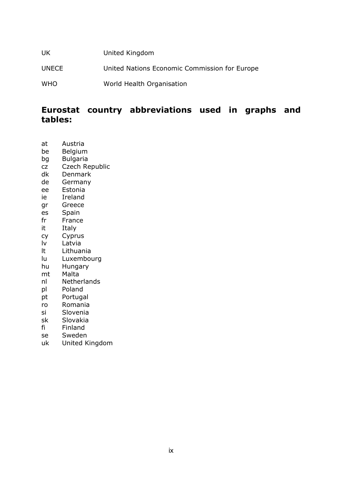| UK.          | United Kingdom                                |
|--------------|-----------------------------------------------|
| <b>UNECE</b> | United Nations Economic Commission for Europe |
| <b>WHO</b>   | World Health Organisation                     |

## **Eurostat country abbreviations used in graphs and tables:**

- at Austria
- be Belgium
- bg Bulgaria
- cz Czech Republic dk Denmark
- de Germany
- ee Estonia
- ie Ireland
- gr Greece
- es Spain
- fr France
- it Italy
- cy Cyprus
- lv Latvia
- lt Lithuania
- lu Luxembourg
- hu Hungary
- mt Malta
- nl Netherlands
- pl Poland
- pt Portugal
- ro Romania
- si Slovenia
- sk Slovakia
- fi Finland
- se Sweden
- uk United Kingdom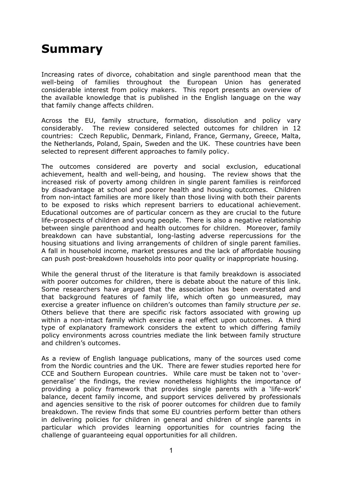# **Summary**

Increasing rates of divorce, cohabitation and single parenthood mean that the well-being of families throughout the European Union has generated considerable interest from policy makers. This report presents an overview of the available knowledge that is published in the English language on the way that family change affects children.

Across the EU, family structure, formation, dissolution and policy vary considerably. The review considered selected outcomes for children in 12 countries: Czech Republic, Denmark, Finland, France, Germany, Greece, Malta, the Netherlands, Poland, Spain, Sweden and the UK. These countries have been selected to represent different approaches to family policy.

The outcomes considered are poverty and social exclusion, educational achievement, health and well-being, and housing. The review shows that the increased risk of poverty among children in single parent families is reinforced by disadvantage at school and poorer health and housing outcomes. Children from non-intact families are more likely than those living with both their parents to be exposed to risks which represent barriers to educational achievement. Educational outcomes are of particular concern as they are crucial to the future life-prospects of children and young people. There is also a negative relationship between single parenthood and health outcomes for children. Moreover, family breakdown can have substantial, long-lasting adverse repercussions for the housing situations and living arrangements of children of single parent families. A fall in household income, market pressures and the lack of affordable housing can push post-breakdown households into poor quality or inappropriate housing.

While the general thrust of the literature is that family breakdown is associated with poorer outcomes for children, there is debate about the nature of this link. Some researchers have argued that the association has been overstated and that background features of family life, which often go unmeasured, may exercise a greater influence on children's outcomes than family structure *per se*. Others believe that there are specific risk factors associated with growing up within a non-intact family which exercise a real effect upon outcomes. A third type of explanatory framework considers the extent to which differing family policy environments across countries mediate the link between family structure and children's outcomes.

As a review of English language publications, many of the sources used come from the Nordic countries and the UK. There are fewer studies reported here for CCE and Southern European countries. While care must be taken not to 'overgeneralise' the findings, the review nonetheless highlights the importance of providing a policy framework that provides single parents with a 'life-work' balance, decent family income, and support services delivered by professionals and agencies sensitive to the risk of poorer outcomes for children due to family breakdown. The review finds that some EU countries perform better than others in delivering policies for children in general and children of single parents in particular which provides learning opportunities for countries facing the challenge of guaranteeing equal opportunities for all children.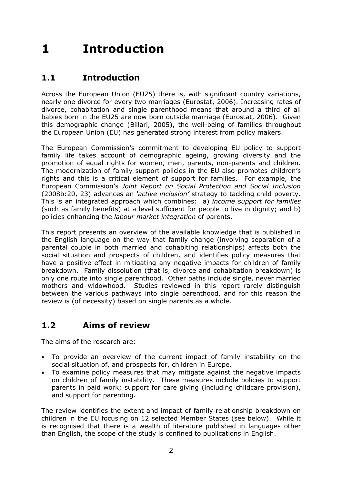# **1 Introduction**

## **1.1 Introduction**

Across the European Union (EU25) there is, with significant country variations, nearly one divorce for every two marriages (Eurostat, 2006). Increasing rates of divorce, cohabitation and single parenthood means that around a third of all babies born in the EU25 are now born outside marriage (Eurostat, 2006). Given this demographic change (Billari, 2005), the well-being of families throughout the European Union (EU) has generated strong interest from policy makers.

The European Commission's commitment to developing EU policy to support family life takes account of demographic ageing, growing diversity and the promotion of equal rights for women, men, parents, non-parents and children. The modernization of family support policies in the EU also promotes children's rights and this is a critical element of support for families. For example, the European Commission's *Joint Report on Social Protection and Social Inclusion* (2008b:20, 23) advances an *'active inclusion'* strategy to tackling child poverty. This is an integrated approach which combines: a) *income support for families* (such as family benefits) at a level sufficient for people to live in dignity; and b) policies enhancing the *labour market integration* of parents.

This report presents an overview of the available knowledge that is published in the English language on the way that family change (involving separation of a parental couple in both married and cohabiting relationships) affects both the social situation and prospects of children, and identifies policy measures that have a positive effect in mitigating any negative impacts for children of family breakdown. Family dissolution (that is, divorce and cohabitation breakdown) is only one route into single parenthood. Other paths include single, never married mothers and widowhood. Studies reviewed in this report rarely distinguish between the various pathways into single parenthood, and for this reason the review is (of necessity) based on single parents as a whole.

## **1.2 Aims of review**

The aims of the research are:

- To provide an overview of the current impact of family instability on the social situation of, and prospects for, children in Europe.
- To examine policy measures that may mitigate against the negative impacts on children of family instability. These measures include policies to support parents in paid work; support for care giving (including childcare provision), and support for parenting.

The review identifies the extent and impact of family relationship breakdown on children in the EU focusing on 12 selected Member States (see below). While it is recognised that there is a wealth of literature published in languages other than English, the scope of the study is confined to publications in English.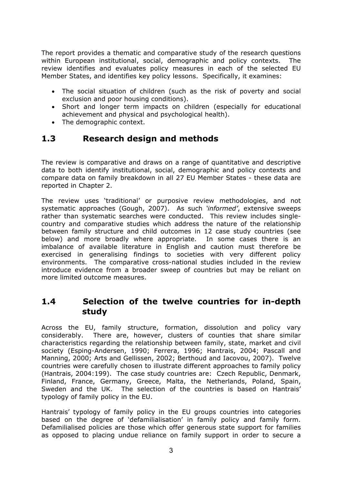The report provides a thematic and comparative study of the research questions within European institutional, social, demographic and policy contexts. The review identifies and evaluates policy measures in each of the selected EU Member States, and identifies key policy lessons. Specifically, it examines:

- The social situation of children (such as the risk of poverty and social exclusion and poor housing conditions).
- Short and longer term impacts on children (especially for educational achievement and physical and psychological health).
- The demographic context.

## **1.3 Research design and methods**

The review is comparative and draws on a range of quantitative and descriptive data to both identify institutional, social, demographic and policy contexts and compare data on family breakdown in all 27 EU Member States - these data are reported in Chapter 2.

The review uses 'traditional' or purposive review methodologies, and not systematic approaches (Gough, 2007). As such *'informed'*, extensive sweeps rather than systematic searches were conducted. This review includes singlecountry and comparative studies which address the nature of the relationship between family structure and child outcomes in 12 case study countries (see below) and more broadly where appropriate. In some cases there is an imbalance of available literature in English and caution must therefore be exercised in generalising findings to societies with very different policy environments. The comparative cross-national studies included in the review introduce evidence from a broader sweep of countries but may be reliant on more limited outcome measures.

### **1.4 Selection of the twelve countries for in-depth study**

Across the EU, family structure, formation, dissolution and policy vary considerably. There are, however, clusters of counties that share similar characteristics regarding the relationship between family, state, market and civil society (Esping-Andersen, 1990; Ferrera, 1996; Hantrais, 2004; Pascall and Manning, 2000; Arts and Gellissen, 2002; Berthoud and Iacovou, 2007). Twelve countries were carefully chosen to illustrate different approaches to family policy (Hantrais, 2004:199). The case study countries are: Czech Republic, Denmark, Finland, France, Germany, Greece, Malta, the Netherlands, Poland, Spain, Sweden and the UK. The selection of the countries is based on Hantrais' typology of family policy in the EU.

Hantrais' typology of family policy in the EU groups countries into categories based on the degree of 'defamilialisation' in family policy and family form. Defamilialised policies are those which offer generous state support for families as opposed to placing undue reliance on family support in order to secure a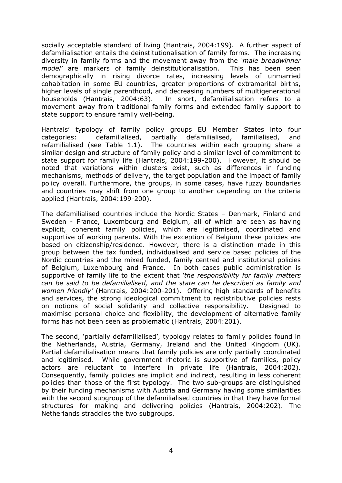socially acceptable standard of living (Hantrais, 2004:199). A further aspect of defamilialisation entails the deinstitutionalisation of family forms. The increasing diversity in family forms and the movement away from the *'male breadwinner model'* are markers of family deinstitutionalisation. This has been seen demographically in rising divorce rates, increasing levels of unmarried cohabitation in some EU countries, greater proportions of extramarital births, higher levels of single parenthood, and decreasing numbers of multigenerational households (Hantrais, 2004:63). In short, defamilialisation refers to a movement away from traditional family forms and extended family support to state support to ensure family well-being.

Hantrais' typology of family policy groups EU Member States into four categories: defamilialised, partially defamilialised, familialised, and refamilialised (see Table 1.1). The countries within each grouping share a similar design and structure of family policy and a similar level of commitment to state support for family life (Hantrais, 2004:199-200). However, it should be noted that variations within clusters exist, such as differences in funding mechanisms, methods of delivery, the target population and the impact of family policy overall. Furthermore, the groups, in some cases, have fuzzy boundaries and countries may shift from one group to another depending on the criteria applied (Hantrais, 2004:199-200).

The defamilialised countries include the Nordic States – Denmark, Finland and Sweden - France, Luxembourg and Belgium, all of which are seen as having explicit, coherent family policies, which are legitimised, coordinated and supportive of working parents. With the exception of Belgium these policies are based on citizenship/residence. However, there is a distinction made in this group between the tax funded, individualised and service based policies of the Nordic countries and the mixed funded, family centred and institutional policies of Belgium, Luxembourg and France. In both cases public administration is supportive of family life to the extent that *'the responsibility for family matters can be said to be defamilialised, and the state can be described as family and women friendly'* (Hantrais, 2004:200-201). Offering high standards of benefits and services, the strong ideological commitment to redistributive policies rests on notions of social solidarity and collective responsibility. Designed to maximise personal choice and flexibility, the development of alternative family forms has not been seen as problematic (Hantrais, 2004:201).

The second, 'partially defamilialised', typology relates to family policies found in the Netherlands, Austria, Germany, Ireland and the United Kingdom (UK). Partial defamilialisation means that family policies are only partially coordinated and legitimised. While government rhetoric is supportive of families, policy actors are reluctant to interfere in private life (Hantrais, 2004:202). Consequently, family policies are implicit and indirect, resulting in less coherent policies than those of the first typology. The two sub-groups are distinguished by their funding mechanisms with Austria and Germany having some similarities with the second subgroup of the defamilialised countries in that they have formal structures for making and delivering policies (Hantrais, 2004:202). The Netherlands straddles the two subgroups.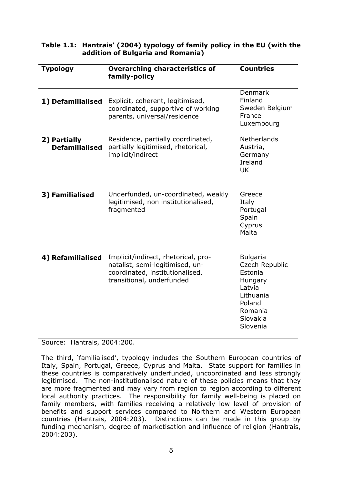| <b>Typology</b>                       | <b>Overarching characteristics of</b><br>family-policy                                                                                 | <b>Countries</b>                                                                                                            |
|---------------------------------------|----------------------------------------------------------------------------------------------------------------------------------------|-----------------------------------------------------------------------------------------------------------------------------|
| 1) Defamilialised                     | Explicit, coherent, legitimised,<br>coordinated, supportive of working<br>parents, universal/residence                                 | Denmark<br>Finland<br>Sweden Belgium<br>France<br>Luxembourg                                                                |
| 2) Partially<br><b>Defamilialised</b> | Residence, partially coordinated,<br>partially legitimised, rhetorical,<br>implicit/indirect                                           | Netherlands<br>Austria,<br>Germany<br>Ireland<br><b>UK</b>                                                                  |
| 3) Familialised                       | Underfunded, un-coordinated, weakly<br>legitimised, non institutionalised,<br>fragmented                                               | Greece<br>Italy<br>Portugal<br>Spain<br>Cyprus<br>Malta                                                                     |
| 4) Refamilialised                     | Implicit/indirect, rhetorical, pro-<br>natalist, semi-legitimised, un-<br>coordinated, institutionalised,<br>transitional, underfunded | <b>Bulgaria</b><br>Czech Republic<br>Estonia<br>Hungary<br>Latvia<br>Lithuania<br>Poland<br>Romania<br>Slovakia<br>Slovenia |

#### **Table 1.1: Hantrais' (2004) typology of family policy in the EU (with the addition of Bulgaria and Romania)**

Source: Hantrais, 2004:200.

The third, 'familialised', typology includes the Southern European countries of Italy, Spain, Portugal, Greece, Cyprus and Malta. State support for families in these countries is comparatively underfunded, uncoordinated and less strongly legitimised. The non-institutionalised nature of these policies means that they are more fragmented and may vary from region to region according to different local authority practices. The responsibility for family well-being is placed on family members, with families receiving a relatively low level of provision of benefits and support services compared to Northern and Western European countries (Hantrais, 2004:203). Distinctions can be made in this group by funding mechanism, degree of marketisation and influence of religion (Hantrais, 2004:203).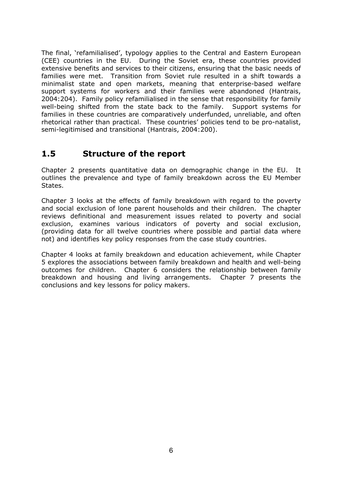The final, 'refamilialised', typology applies to the Central and Eastern European (CEE) countries in the EU. During the Soviet era, these countries provided extensive benefits and services to their citizens, ensuring that the basic needs of families were met. Transition from Soviet rule resulted in a shift towards a minimalist state and open markets, meaning that enterprise-based welfare support systems for workers and their families were abandoned (Hantrais, 2004:204). Family policy refamilialised in the sense that responsibility for family well-being shifted from the state back to the family. Support systems for families in these countries are comparatively underfunded, unreliable, and often rhetorical rather than practical. These countries' policies tend to be pro-natalist, semi-legitimised and transitional (Hantrais, 2004:200).

### **1.5 Structure of the report**

Chapter 2 presents quantitative data on demographic change in the EU. It outlines the prevalence and type of family breakdown across the EU Member States.

Chapter 3 looks at the effects of family breakdown with regard to the poverty and social exclusion of lone parent households and their children. The chapter reviews definitional and measurement issues related to poverty and social exclusion, examines various indicators of poverty and social exclusion, (providing data for all twelve countries where possible and partial data where not) and identifies key policy responses from the case study countries.

Chapter 4 looks at family breakdown and education achievement, while Chapter 5 explores the associations between family breakdown and health and well-being outcomes for children. Chapter 6 considers the relationship between family breakdown and housing and living arrangements. Chapter 7 presents the conclusions and key lessons for policy makers.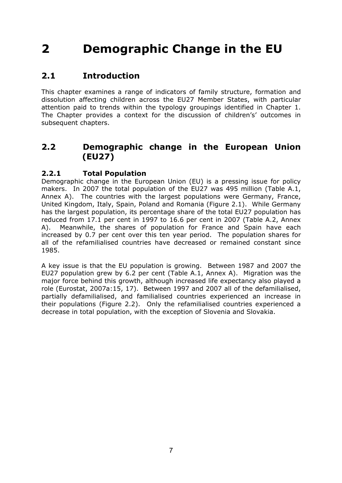# **2 Demographic Change in the EU**

## **2.1 Introduction**

This chapter examines a range of indicators of family structure, formation and dissolution affecting children across the EU27 Member States, with particular attention paid to trends within the typology groupings identified in Chapter 1. The Chapter provides a context for the discussion of children's' outcomes in subsequent chapters.

## **2.2 Demographic change in the European Union (EU27)**

#### **2.2.1 Total Population**

Demographic change in the European Union (EU) is a pressing issue for policy makers. In 2007 the total population of the EU27 was 495 million (Table A.1, Annex A). The countries with the largest populations were Germany, France, United Kingdom, Italy, Spain, Poland and Romania (Figure 2.1). While Germany has the largest population, its percentage share of the total EU27 population has reduced from 17.1 per cent in 1997 to 16.6 per cent in 2007 (Table A.2, Annex A). Meanwhile, the shares of population for France and Spain have each increased by 0.7 per cent over this ten year period. The population shares for all of the refamilialised countries have decreased or remained constant since 1985.

A key issue is that the EU population is growing. Between 1987 and 2007 the EU27 population grew by 6.2 per cent (Table A.1, Annex A). Migration was the major force behind this growth, although increased life expectancy also played a role (Eurostat, 2007a:15, 17). Between 1997 and 2007 all of the defamilialised, partially defamilialised, and familialised countries experienced an increase in their populations (Figure 2.2). Only the refamilialised countries experienced a decrease in total population, with the exception of Slovenia and Slovakia.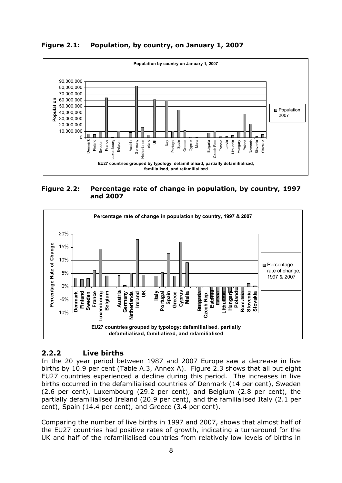**Figure 2.1: Population, by country, on January 1, 2007** 



**Figure 2.2: Percentage rate of change in population, by country, 1997 and 2007** 



### **2.2.2 Live births**

In the 20 year period between 1987 and 2007 Europe saw a decrease in live births by 10.9 per cent (Table A.3, Annex A). Figure 2.3 shows that all but eight EU27 countries experienced a decline during this period. The increases in live births occurred in the defamilialised countries of Denmark (14 per cent), Sweden (2.6 per cent), Luxembourg (29.2 per cent), and Belgium (2.8 per cent), the partially defamilialised Ireland (20.9 per cent), and the familialised Italy (2.1 per cent), Spain (14.4 per cent), and Greece (3.4 per cent).

Comparing the number of live births in 1997 and 2007, shows that almost half of the EU27 countries had positive rates of growth, indicating a turnaround for the UK and half of the refamilialised countries from relatively low levels of births in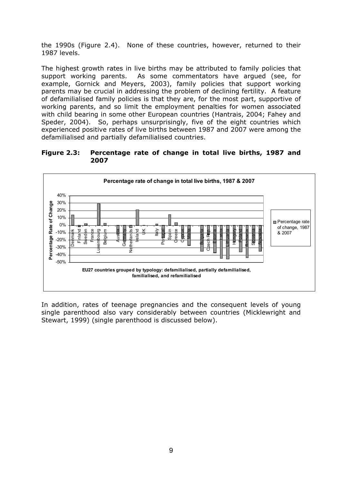the 1990s (Figure 2.4). None of these countries, however, returned to their 1987 levels.

The highest growth rates in live births may be attributed to family policies that support working parents. As some commentators have argued (see, for example, Gornick and Meyers, 2003), family policies that support working parents may be crucial in addressing the problem of declining fertility. A feature of defamilialised family policies is that they are, for the most part, supportive of working parents, and so limit the employment penalties for women associated with child bearing in some other European countries (Hantrais, 2004; Fahey and Speder, 2004). So, perhaps unsurprisingly, five of the eight countries which experienced positive rates of live births between 1987 and 2007 were among the defamilialised and partially defamilialised countries.

**Figure 2.3: Percentage rate of change in total live births, 1987 and 2007** 



In addition, rates of teenage pregnancies and the consequent levels of young single parenthood also vary considerably between countries (Micklewright and Stewart, 1999) (single parenthood is discussed below).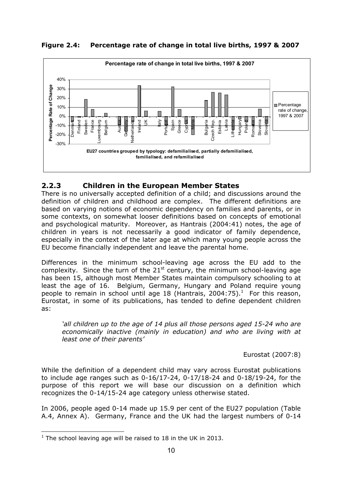**Figure 2.4: Percentage rate of change in total live births, 1997 & 2007** 



### **2.2.3 Children in the European Member States**

There is no universally accepted definition of a child; and discussions around the definition of children and childhood are complex. The different definitions are based on varying notions of economic dependency on families and parents, or in some contexts, on somewhat looser definitions based on concepts of emotional and psychological maturity. Moreover, as Hantrais (2004:41) notes, the age of children in years is not necessarily a good indicator of family dependence, especially in the context of the later age at which many young people across the EU become financially independent and leave the parental home.

Differences in the minimum school-leaving age across the EU add to the complexity. Since the turn of the  $21<sup>st</sup>$  century, the minimum school-leaving age has been 15, although most Member States maintain compulsory schooling to at least the age of 16. Belgium, Germany, Hungary and Poland require young people to remain in school until age 18 (Hantrais, 2004:75).<sup>1</sup> For this reason, Eurostat, in some of its publications, has tended to define dependent children as:

*'all children up to the age of 14 plus all those persons aged 15-24 who are economically inactive (mainly in education) and who are living with at least one of their parents'* 

Eurostat (2007:8)

While the definition of a dependent child may vary across Eurostat publications to include age ranges such as 0-16/17-24, 0-17/18-24 and 0-18/19-24, for the purpose of this report we will base our discussion on a definition which recognizes the 0-14/15-24 age category unless otherwise stated.

In 2006, people aged 0-14 made up 15.9 per cent of the EU27 population (Table A.4, Annex A). Germany, France and the UK had the largest numbers of 0-14

 $\overline{a}$  $1$  The school leaving age will be raised to 18 in the UK in 2013.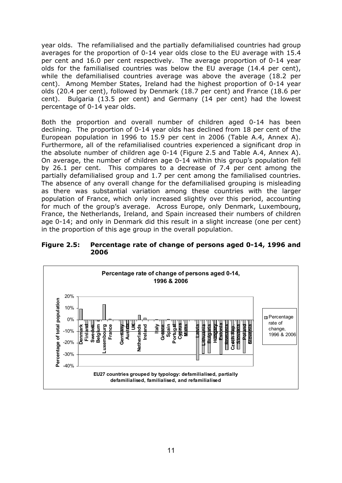year olds. The refamilialised and the partially defamilialised countries had group averages for the proportion of 0-14 year olds close to the EU average with 15.4 per cent and 16.0 per cent respectively. The average proportion of 0-14 year olds for the familialised countries was below the EU average (14.4 per cent), while the defamilialised countries average was above the average (18.2 per cent). Among Member States, Ireland had the highest proportion of 0-14 year olds (20.4 per cent), followed by Denmark (18.7 per cent) and France (18.6 per cent). Bulgaria (13.5 per cent) and Germany (14 per cent) had the lowest percentage of 0-14 year olds.

Both the proportion and overall number of children aged 0-14 has been declining. The proportion of 0-14 year olds has declined from 18 per cent of the European population in 1996 to 15.9 per cent in 2006 (Table A.4, Annex A). Furthermore, all of the refamilialised countries experienced a significant drop in the absolute number of children age 0-14 (Figure 2.5 and Table A.4, Annex A). On average, the number of children age 0-14 within this group's population fell by 26.1 per cent. This compares to a decrease of 7.4 per cent among the partially defamilialised group and 1.7 per cent among the familialised countries. The absence of any overall change for the defamilialised grouping is misleading as there was substantial variation among these countries with the larger population of France, which only increased slightly over this period, accounting for much of the group's average. Across Europe, only Denmark, Luxembourg, France, the Netherlands, Ireland, and Spain increased their numbers of children age 0-14; and only in Denmark did this result in a slight increase (one per cent) in the proportion of this age group in the overall population.

**Figure 2.5: Percentage rate of change of persons aged 0-14, 1996 and 2006** 

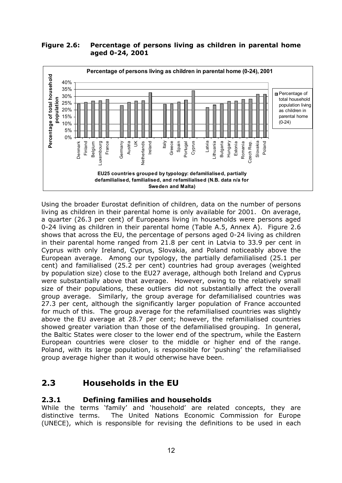#### **Figure 2.6: Percentage of persons living as children in parental home aged 0-24, 2001**



Using the broader Eurostat definition of children, data on the number of persons living as children in their parental home is only available for 2001. On average, a quarter (26.3 per cent) of Europeans living in households were persons aged 0-24 living as children in their parental home (Table A.5, Annex A). Figure 2.6 shows that across the EU, the percentage of persons aged 0-24 living as children in their parental home ranged from 21.8 per cent in Latvia to 33.9 per cent in Cyprus with only Ireland, Cyprus, Slovakia, and Poland noticeably above the European average. Among our typology, the partially defamilialised (25.1 per cent) and familialised (25.2 per cent) countries had group averages (weighted by population size) close to the EU27 average, although both Ireland and Cyprus were substantially above that average. However, owing to the relatively small size of their populations, these outliers did not substantially affect the overall group average. Similarly, the group average for defamilialised countries was 27.3 per cent, although the significantly larger population of France accounted for much of this. The group average for the refamilialised countries was slightly above the EU average at 28.7 per cent; however, the refamilialised countries showed greater variation than those of the defamilialised grouping. In general, the Baltic States were closer to the lower end of the spectrum, while the Eastern European countries were closer to the middle or higher end of the range. Poland, with its large population, is responsible for 'pushing' the refamilialised group average higher than it would otherwise have been.

## **2.3 Households in the EU**

### **2.3.1 Defining families and households**

While the terms 'family' and 'household' are related concepts, they are distinctive terms. The United Nations Economic Commission for Europe (UNECE), which is responsible for revising the definitions to be used in each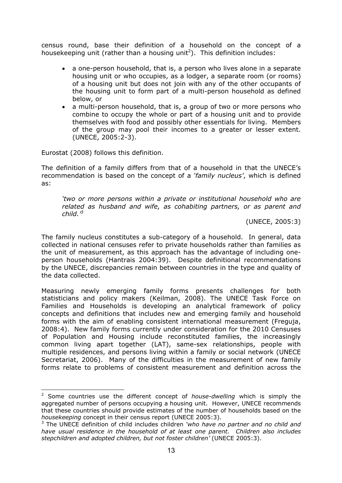census round, base their definition of a household on the concept of a housekeeping unit (rather than a housing unit<sup>2</sup>). This definition includes:

- a one-person household, that is, a person who lives alone in a separate housing unit or who occupies, as a lodger, a separate room (or rooms) of a housing unit but does not join with any of the other occupants of the housing unit to form part of a multi-person household as defined below, or
- a multi-person household, that is, a group of two or more persons who combine to occupy the whole or part of a housing unit and to provide themselves with food and possibly other essentials for living. Members of the group may pool their incomes to a greater or lesser extent. (UNECE, 2005:2-3).

Eurostat (2008) follows this definition.

 $\overline{a}$ 

The definition of a family differs from that of a household in that the UNECE's recommendation is based on the concept of a *'family nucleus'*, which is defined as:

*'two or more persons within a private or institutional household who are related as husband and wife, as cohabiting partners, or as parent and child.'<sup>3</sup>*

(UNECE, 2005:3)

The family nucleus constitutes a sub-category of a household. In general, data collected in national censuses refer to private households rather than families as the unit of measurement, as this approach has the advantage of including oneperson households (Hantrais 2004:39). Despite definitional recommendations by the UNECE, discrepancies remain between countries in the type and quality of the data collected.

Measuring newly emerging family forms presents challenges for both statisticians and policy makers (Keilman, 2008). The UNECE Task Force on Families and Households is developing an analytical framework of policy concepts and definitions that includes new and emerging family and household forms with the aim of enabling consistent international measurement (Freguja, 2008:4). New family forms currently under consideration for the 2010 Censuses of Population and Housing include reconstituted families, the increasingly common living apart together (LAT), same-sex relationships, people with multiple residences, and persons living within a family or social network (UNECE Secretariat, 2006). Many of the difficulties in the measurement of new family forms relate to problems of consistent measurement and definition across the

<sup>2</sup> Some countries use the different concept of *house-dwelling* which is simply the aggregated number of persons occupying a housing unit. However, UNECE recommends that these countries should provide estimates of the number of households based on the *housekeeping* concept in their census report (UNECE 2005:3).

<sup>3</sup> The UNECE definition of child includes children *'who have no partner and no child and have usual residence in the household of at least one parent. Children also includes stepchildren and adopted children, but not foster children'* (UNECE 2005:3).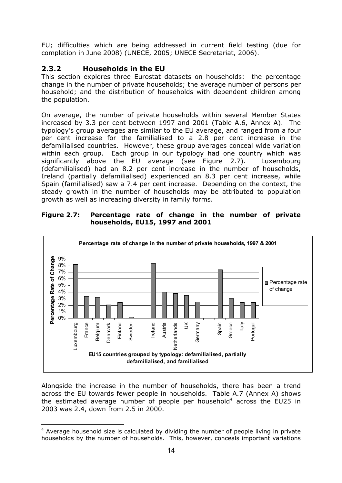EU; difficulties which are being addressed in current field testing (due for completion in June 2008) (UNECE, 2005; UNECE Secretariat, 2006).

### **2.3.2 Households in the EU**

This section explores three Eurostat datasets on households: the percentage change in the number of private households; the average number of persons per household; and the distribution of households with dependent children among the population.

On average, the number of private households within several Member States increased by 3.3 per cent between 1997 and 2001 (Table A.6, Annex A). The typology's group averages are similar to the EU average, and ranged from a four per cent increase for the familialised to a 2.8 per cent increase in the defamilialised countries. However, these group averages conceal wide variation within each group. Each group in our typology had one country which was significantly above the EU average (see Figure 2.7). Luxembourg (defamilialised) had an 8.2 per cent increase in the number of households, Ireland (partially defamilialised) experienced an 8.3 per cent increase, while Spain (familialised) saw a 7.4 per cent increase. Depending on the context, the steady growth in the number of households may be attributed to population growth as well as increasing diversity in family forms.

**Figure 2.7: Percentage rate of change in the number of private households, EU15, 1997 and 2001** 



Alongside the increase in the number of households, there has been a trend across the EU towards fewer people in households. Table A.7 (Annex A) shows the estimated average number of people per household<sup>4</sup> across the EU25 in 2003 was 2.4, down from 2.5 in 2000.

 $\overline{a}$ <sup>4</sup> Average household size is calculated by dividing the number of people living in private households by the number of households. This, however, conceals important variations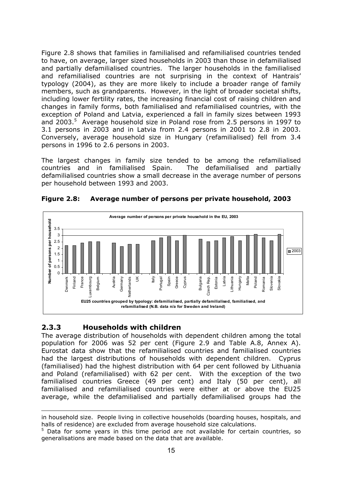Figure 2.8 shows that families in familialised and refamilialised countries tended to have, on average, larger sized households in 2003 than those in defamilialised and partially defamilialised countries. The larger households in the familialised and refamilialised countries are not surprising in the context of Hantrais' typology (2004), as they are more likely to include a broader range of family members, such as grandparents. However, in the light of broader societal shifts, including lower fertility rates, the increasing financial cost of raising children and changes in family forms, both familialised and refamilialised countries, with the exception of Poland and Latvia, experienced a fall in family sizes between 1993 and 2003.<sup>5</sup> Average household size in Poland rose from 2.5 persons in 1997 to 3.1 persons in 2003 and in Latvia from 2.4 persons in 2001 to 2.8 in 2003. Conversely, average household size in Hungary (refamilialised) fell from 3.4 persons in 1996 to 2.6 persons in 2003.

The largest changes in family size tended to be among the refamilialised countries and in familialised Spain. The defamilialised and partially defamilialised countries show a small decrease in the average number of persons per household between 1993 and 2003.



**Figure 2.8: Average number of persons per private household, 2003** 

#### **2.3.3 Households with children**

 $\overline{a}$ 

The average distribution of households with dependent children among the total population for 2006 was 52 per cent (Figure 2.9 and Table A.8, Annex A). Eurostat data show that the refamilialised countries and familialised countries had the largest distributions of households with dependent children. Cyprus (familialised) had the highest distribution with 64 per cent followed by Lithuania and Poland (refamilialised) with 62 per cent. With the exception of the two familialised countries Greece (49 per cent) and Italy (50 per cent), all familialised and refamilialised countries were either at or above the EU25 average, while the defamilialised and partially defamilialised groups had the

in household size. People living in collective households (boarding houses, hospitals, and halls of residence) are excluded from average household size calculations.

<sup>&</sup>lt;sup>5</sup> Data for some years in this time period are not available for certain countries, so generalisations are made based on the data that are available.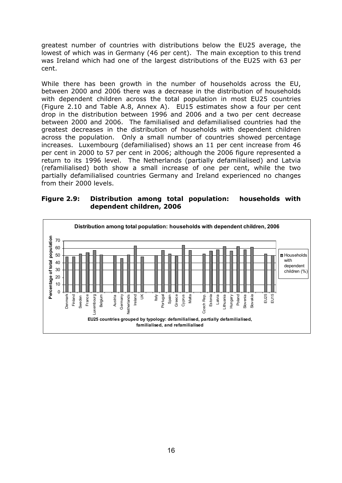greatest number of countries with distributions below the EU25 average, the lowest of which was in Germany (46 per cent). The main exception to this trend was Ireland which had one of the largest distributions of the EU25 with 63 per cent.

While there has been growth in the number of households across the EU, between 2000 and 2006 there was a decrease in the distribution of households with dependent children across the total population in most EU25 countries (Figure 2.10 and Table A.8, Annex A). EU15 estimates show a four per cent drop in the distribution between 1996 and 2006 and a two per cent decrease between 2000 and 2006. The familialised and defamilialised countries had the greatest decreases in the distribution of households with dependent children across the population. Only a small number of countries showed percentage increases. Luxembourg (defamilialised) shows an 11 per cent increase from 46 per cent in 2000 to 57 per cent in 2006; although the 2006 figure represented a return to its 1996 level. The Netherlands (partially defamilialised) and Latvia (refamilialised) both show a small increase of one per cent, while the two partially defamilialised countries Germany and Ireland experienced no changes from their 2000 levels.

**Figure 2.9: Distribution among total population: households with dependent children, 2006** 

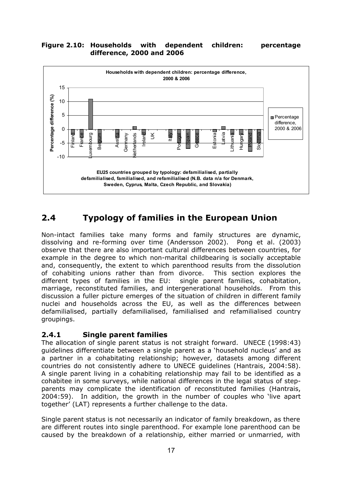#### **Figure 2.10: Households with dependent children: percentage difference, 2000 and 2006**



## **2.4 Typology of families in the European Union**

Non-intact families take many forms and family structures are dynamic, dissolving and re-forming over time (Andersson 2002). Pong et al. (2003) observe that there are also important cultural differences between countries, for example in the degree to which non-marital childbearing is socially acceptable and, consequently, the extent to which parenthood results from the dissolution of cohabiting unions rather than from divorce. This section explores the different types of families in the EU: single parent families, cohabitation, marriage, reconstituted families, and intergenerational households. From this discussion a fuller picture emerges of the situation of children in different family nuclei and households across the EU, as well as the differences between defamilialised, partially defamilialised, familialised and refamilialised country groupings.

#### **2.4.1 Single parent families**

The allocation of single parent status is not straight forward. UNECE (1998:43) guidelines differentiate between a single parent as a 'household nucleus' and as a partner in a cohabitating relationship; however, datasets among different countries do not consistently adhere to UNECE guidelines (Hantrais, 2004:58). A single parent living in a cohabiting relationship may fail to be identified as a cohabitee in some surveys, while national differences in the legal status of stepparents may complicate the identification of reconstituted families (Hantrais, 2004:59). In addition, the growth in the number of couples who 'live apart together' (LAT) represents a further challenge to the data.

Single parent status is not necessarily an indicator of family breakdown, as there are different routes into single parenthood. For example lone parenthood can be caused by the breakdown of a relationship, either married or unmarried, with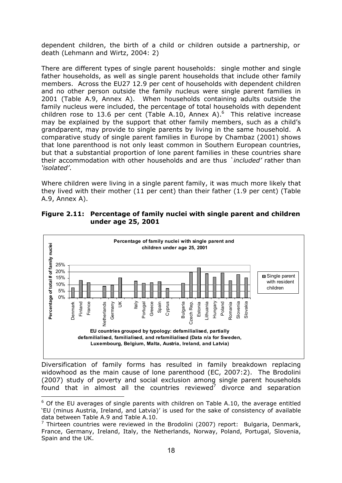dependent children, the birth of a child or children outside a partnership, or death (Lehmann and Wirtz, 2004: 2)

There are different types of single parent households: single mother and single father households, as well as single parent households that include other family members. Across the EU27 12.9 per cent of households with dependent children and no other person outside the family nucleus were single parent families in 2001 (Table A.9, Annex A). When households containing adults outside the family nucleus were included, the percentage of total households with dependent children rose to 13.6 per cent (Table A.10, Annex A).<sup>6</sup> This relative increase may be explained by the support that other family members, such as a child's grandparent, may provide to single parents by living in the same household. A comparative study of single parent families in Europe by Chambaz (2001) shows that lone parenthood is not only least common in Southern European countries, but that a substantial proportion of lone parent families in these countries share their accommodation with other households and are thus *`included'* rather than *'isolated'*.

Where children were living in a single parent family, it was much more likely that they lived with their mother (11 per cent) than their father (1.9 per cent) (Table A.9, Annex A).

| Figure 2.11: Percentage of family nuclei with single parent and children |
|--------------------------------------------------------------------------|
| under age 25, 2001                                                       |



Diversification of family forms has resulted in family breakdown replacing widowhood as the main cause of lone parenthood (EC, 2007:2). The Brodolini (2007) study of poverty and social exclusion among single parent households found that in almost all the countries reviewed<sup>7</sup> divorce and separation

 $\overline{a}$ 

 $6$  Of the EU averages of single parents with children on Table A.10, the average entitled 'EU (minus Austria, Ireland, and Latvia)' is used for the sake of consistency of available data between Table A.9 and Table A.10.

<sup>&</sup>lt;sup>7</sup> Thirteen countries were reviewed in the Brodolini (2007) report: Bulgaria, Denmark, France, Germany, Ireland, Italy, the Netherlands, Norway, Poland, Portugal, Slovenia, Spain and the UK.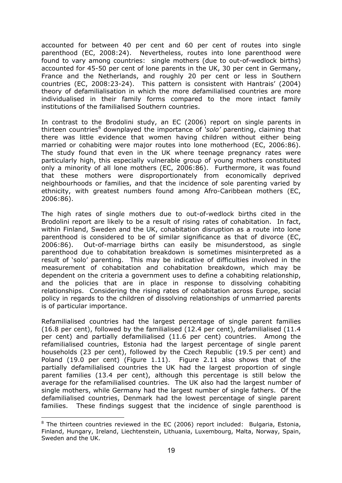accounted for between 40 per cent and 60 per cent of routes into single parenthood (EC, 2008:24). Nevertheless, routes into lone parenthood were found to vary among countries: single mothers (due to out-of-wedlock births) accounted for 45-50 per cent of lone parents in the UK, 30 per cent in Germany, France and the Netherlands, and roughly 20 per cent or less in Southern countries (EC, 2008:23-24). This pattern is consistent with Hantrais' (2004) theory of defamilialisation in which the more defamilialised countries are more individualised in their family forms compared to the more intact family institutions of the familialised Southern countries.

In contrast to the Brodolini study, an EC (2006) report on single parents in thirteen countries<sup>8</sup> downplayed the importance of *'solo'* parenting, claiming that there was little evidence that women having children without either being married or cohabiting were major routes into lone motherhood (EC, 2006:86). The study found that even in the UK where teenage pregnancy rates were particularly high, this especially vulnerable group of young mothers constituted only a minority of all lone mothers (EC, 2006:86). Furthermore, it was found that these mothers were disproportionately from economically deprived neighbourhoods or families, and that the incidence of sole parenting varied by ethnicity, with greatest numbers found among Afro-Caribbean mothers (EC, 2006:86).

The high rates of single mothers due to out-of-wedlock births cited in the Brodolini report are likely to be a result of rising rates of cohabitation. In fact, within Finland, Sweden and the UK, cohabitation disruption as a route into lone parenthood is considered to be of similar significance as that of divorce (EC, 2006:86). Out-of-marriage births can easily be misunderstood, as single parenthood due to cohabitation breakdown is sometimes misinterpreted as a result of 'solo' parenting. This may be indicative of difficulties involved in the measurement of cohabitation and cohabitation breakdown, which may be dependent on the criteria a government uses to define a cohabiting relationship, and the policies that are in place in response to dissolving cohabiting relationships. Considering the rising rates of cohabitation across Europe, social policy in regards to the children of dissolving relationships of unmarried parents is of particular importance.

Refamilialised countries had the largest percentage of single parent families (16.8 per cent), followed by the familialised (12.4 per cent), defamilialised (11.4 per cent) and partially defamilialised (11.6 per cent) countries. Among the refamilialised countries, Estonia had the largest percentage of single parent households (23 per cent), followed by the Czech Republic (19.5 per cent) and Poland (19.0 per cent) (Figure 1.11). Figure 2.11 also shows that of the partially defamilialised countries the UK had the largest proportion of single parent families (13.4 per cent), although this percentage is still below the average for the refamilialised countries. The UK also had the largest number of single mothers, while Germany had the largest number of single fathers. Of the defamilialised countries, Denmark had the lowest percentage of single parent families. These findings suggest that the incidence of single parenthood is

 $\overline{a}$ 

 $8$  The thirteen countries reviewed in the EC (2006) report included: Bulgaria, Estonia, Finland, Hungary, Ireland, Liechtenstein, Lithuania, Luxembourg, Malta, Norway, Spain, Sweden and the UK.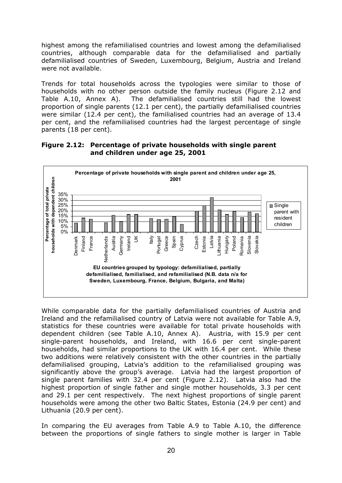highest among the refamilialised countries and lowest among the defamilialised countries, although comparable data for the defamilialised and partially defamilialised countries of Sweden, Luxembourg, Belgium, Austria and Ireland were not available.

Trends for total households across the typologies were similar to those of households with no other person outside the family nucleus (Figure 2.12 and Table A.10, Annex A). The defamilialised countries still had the lowest proportion of single parents (12.1 per cent), the partially defamilialised countries were similar (12.4 per cent), the familialised countries had an average of 13.4 per cent, and the refamilialised countries had the largest percentage of single parents (18 per cent).

**Figure 2.12: Percentage of private households with single parent and children under age 25, 2001** 



While comparable data for the partially defamilialised countries of Austria and Ireland and the refamilialised country of Latvia were not available for Table A.9, statistics for these countries were available for total private households with dependent children (see Table A.10, Annex A). Austria, with 15.9 per cent single-parent households, and Ireland, with 16.6 per cent single-parent households, had similar proportions to the UK with 16.4 per cent. While these two additions were relatively consistent with the other countries in the partially defamilialised grouping, Latvia's addition to the refamilialised grouping was significantly above the group's average. Latvia had the largest proportion of single parent families with 32.4 per cent (Figure 2.12). Latvia also had the highest proportion of single father and single mother households, 3.3 per cent and 29.1 per cent respectively. The next highest proportions of single parent households were among the other two Baltic States, Estonia (24.9 per cent) and Lithuania (20.9 per cent).

In comparing the EU averages from Table A.9 to Table A.10, the difference between the proportions of single fathers to single mother is larger in Table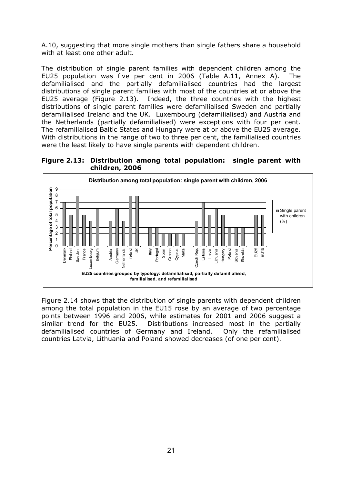A.10, suggesting that more single mothers than single fathers share a household with at least one other adult.

The distribution of single parent families with dependent children among the EU25 population was five per cent in 2006 (Table A.11, Annex A). The defamilialised and the partially defamilialised countries had the largest distributions of single parent families with most of the countries at or above the EU25 average (Figure 2.13). Indeed, the three countries with the highest distributions of single parent families were defamilialised Sweden and partially defamilialised Ireland and the UK. Luxembourg (defamilialised) and Austria and the Netherlands (partially defamilialised) were exceptions with four per cent. The refamilialised Baltic States and Hungary were at or above the EU25 average. With distributions in the range of two to three per cent, the familialised countries were the least likely to have single parents with dependent children.

**Figure 2.13: Distribution among total population: single parent with children, 2006** 



Figure 2.14 shows that the distribution of single parents with dependent children among the total population in the EU15 rose by an average of two percentage points between 1996 and 2006, while estimates for 2001 and 2006 suggest a similar trend for the EU25. Distributions increased most in the partially defamilialised countries of Germany and Ireland. Only the refamilialised countries Latvia, Lithuania and Poland showed decreases (of one per cent).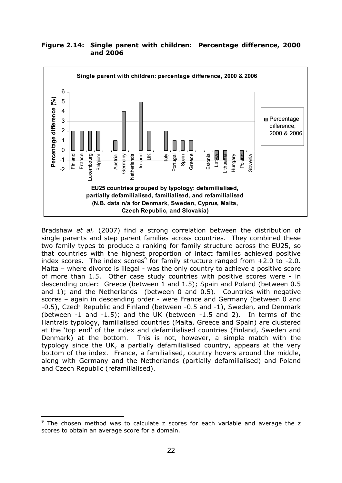#### **Figure 2.14: Single parent with children: Percentage difference, 2000 and 2006**



Bradshaw *et al.* (2007) find a strong correlation between the distribution of single parents and step parent families across countries. They combined these two family types to produce a ranking for family structure across the EU25, so that countries with the highest proportion of intact families achieved positive index scores. The index scores<sup>9</sup> for family structure ranged from  $+2.0$  to -2.0. Malta – where divorce is illegal - was the only country to achieve a positive score of more than 1.5. Other case study countries with positive scores were - in descending order: Greece (between 1 and 1.5); Spain and Poland (between 0.5 and 1); and the Netherlands (between 0 and 0.5). Countries with negative scores – again in descending order - were France and Germany (between 0 and -0.5), Czech Republic and Finland (between -0.5 and -1), Sweden, and Denmark (between -1 and -1.5); and the UK (between -1.5 and 2). In terms of the Hantrais typology, familialised countries (Malta, Greece and Spain) are clustered at the 'top end' of the index and defamilialised countries (Finland, Sweden and Denmark) at the bottom. This is not, however, a simple match with the typology since the UK, a partially defamilialised country, appears at the very bottom of the index. France, a familialised, country hovers around the middle, along with Germany and the Netherlands (partially defamilialised) and Poland and Czech Republic (refamilialised).

 $\overline{a}$ <sup>9</sup> The chosen method was to calculate z scores for each variable and average the z scores to obtain an average score for a domain.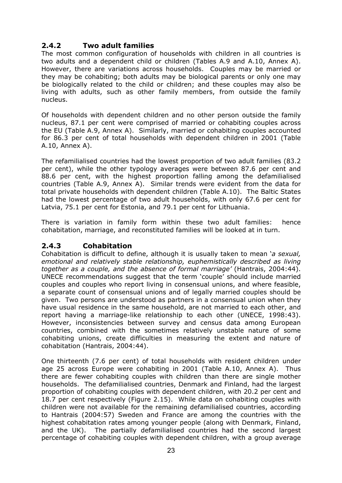### **2.4.2 Two adult families**

The most common configuration of households with children in all countries is two adults and a dependent child or children (Tables A.9 and A.10, Annex A). However, there are variations across households. Couples may be married or they may be cohabiting; both adults may be biological parents or only one may be biologically related to the child or children; and these couples may also be living with adults, such as other family members, from outside the family nucleus.

Of households with dependent children and no other person outside the family nucleus, 87.1 per cent were comprised of married or cohabiting couples across the EU (Table A.9, Annex A). Similarly, married or cohabiting couples accounted for 86.3 per cent of total households with dependent children in 2001 (Table A.10, Annex A).

The refamilialised countries had the lowest proportion of two adult families (83.2 per cent), while the other typology averages were between 87.6 per cent and 88.6 per cent, with the highest proportion falling among the defamilialised countries (Table A.9, Annex A). Similar trends were evident from the data for total private households with dependent children (Table A.10). The Baltic States had the lowest percentage of two adult households, with only 67.6 per cent for Latvia, 75.1 per cent for Estonia, and 79.1 per cent for Lithuania.

There is variation in family form within these two adult families: hence cohabitation, marriage, and reconstituted families will be looked at in turn.

### **2.4.3 Cohabitation**

Cohabitation is difficult to define, although it is usually taken to mean '*a sexual, emotional and relatively stable relationship, euphemistically described as living together as a couple, and the absence of formal marriage'* (Hantrais, 2004:44). UNECE recommendations suggest that the term 'couple' should include married couples and couples who report living in consensual unions, and where feasible, a separate count of consensual unions and of legally married couples should be given. Two persons are understood as partners in a consensual union when they have usual residence in the same household, are not married to each other, and report having a marriage-like relationship to each other (UNECE, 1998:43). However, inconsistencies between survey and census data among European countries, combined with the sometimes relatively unstable nature of some cohabiting unions, create difficulties in measuring the extent and nature of cohabitation (Hantrais, 2004:44).

One thirteenth (7.6 per cent) of total households with resident children under age 25 across Europe were cohabiting in 2001 (Table A.10, Annex A). Thus there are fewer cohabiting couples with children than there are single mother households. The defamilialised countries, Denmark and Finland, had the largest proportion of cohabiting couples with dependent children, with 20.2 per cent and 18.7 per cent respectively (Figure 2.15). While data on cohabiting couples with children were not available for the remaining defamilialised countries, according to Hantrais (2004:57) Sweden and France are among the countries with the highest cohabitation rates among younger people (along with Denmark, Finland, and the UK). The partially defamilialised countries had the second largest percentage of cohabiting couples with dependent children, with a group average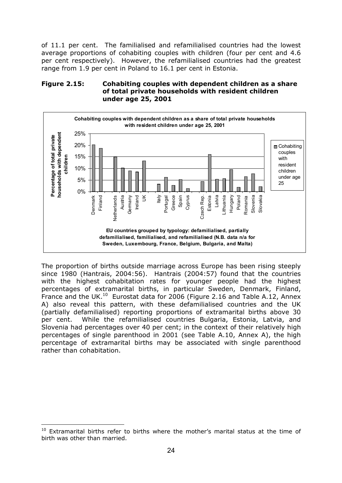of 11.1 per cent. The familialised and refamilialised countries had the lowest average proportions of cohabiting couples with children (four per cent and 4.6 per cent respectively). However, the refamilialised countries had the greatest range from 1.9 per cent in Poland to 16.1 per cent in Estonia.

#### **Figure 2.15: Cohabiting couples with dependent children as a share of total private households with resident children under age 25, 2001**



The proportion of births outside marriage across Europe has been rising steeply since 1980 (Hantrais, 2004:56). Hantrais (2004:57) found that the countries with the highest cohabitation rates for younger people had the highest percentages of extramarital births, in particular Sweden, Denmark, Finland, France and the UK.<sup>10</sup> Eurostat data for 2006 (Figure 2.16 and Table A.12, Annex A) also reveal this pattern, with these defamilialised countries and the UK (partially defamilialised) reporting proportions of extramarital births above 30 per cent. While the refamilialised countries Bulgaria, Estonia, Latvia, and Slovenia had percentages over 40 per cent; in the context of their relatively high percentages of single parenthood in 2001 (see Table A.10, Annex A), the high percentage of extramarital births may be associated with single parenthood rather than cohabitation.

 $\overline{a}$  $10$  Extramarital births refer to births where the mother's marital status at the time of birth was other than married.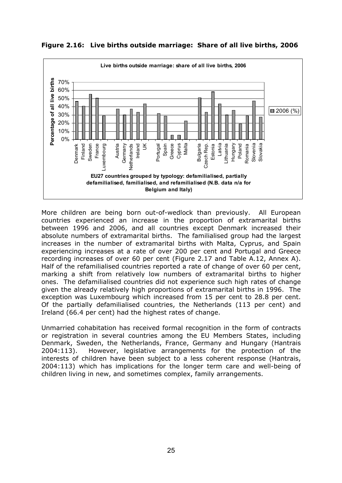**Figure 2.16: Live births outside marriage: Share of all live births, 2006** 



More children are being born out-of-wedlock than previously. All European countries experienced an increase in the proportion of extramarital births between 1996 and 2006, and all countries except Denmark increased their absolute numbers of extramarital births. The familialised group had the largest increases in the number of extramarital births with Malta, Cyprus, and Spain experiencing increases at a rate of over 200 per cent and Portugal and Greece recording increases of over 60 per cent (Figure 2.17 and Table A.12, Annex A). Half of the refamilialised countries reported a rate of change of over 60 per cent, marking a shift from relatively low numbers of extramarital births to higher ones. The defamilialised countries did not experience such high rates of change given the already relatively high proportions of extramarital births in 1996. The exception was Luxembourg which increased from 15 per cent to 28.8 per cent. Of the partially defamilialised countries, the Netherlands (113 per cent) and Ireland (66.4 per cent) had the highest rates of change.

Unmarried cohabitation has received formal recognition in the form of contracts or registration in several countries among the EU Members States, including Denmark, Sweden, the Netherlands, France, Germany and Hungary (Hantrais 2004:113). However, legislative arrangements for the protection of the interests of children have been subject to a less coherent response (Hantrais, 2004:113) which has implications for the longer term care and well-being of children living in new, and sometimes complex, family arrangements.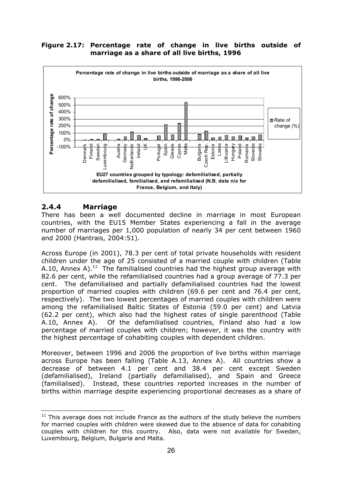

#### **Figure 2.17: Percentage rate of change in live births outside of marriage as a share of all live births, 1996**

# **2.4.4 Marriage**

 $\overline{a}$ 

There has been a well documented decline in marriage in most European countries, with the EU15 Member States experiencing a fall in the average number of marriages per 1,000 population of nearly 34 per cent between 1960 and 2000 (Hantrais, 2004:51).

Across Europe (in 2001), 78.3 per cent of total private households with resident children under the age of 25 consisted of a married couple with children (Table A.10, Annex A).<sup>11</sup> The familialised countries had the highest group average with 82.6 per cent, while the refamilialised countries had a group average of 77.3 per cent. The defamilialised and partially defamilialised countries had the lowest proportion of married couples with children (69.6 per cent and 76.4 per cent, respectively). The two lowest percentages of married couples with children were among the refamilialised Baltic States of Estonia (59.0 per cent) and Latvia (62.2 per cent), which also had the highest rates of single parenthood (Table A.10, Annex A). Of the defamilialised countries, Finland also had a low percentage of married couples with children; however, it was the country with the highest percentage of cohabiting couples with dependent children.

Moreover, between 1996 and 2006 the proportion of live births within marriage across Europe has been falling (Table A.13, Annex A). All countries show a decrease of between 4.1 per cent and 38.4 per cent except Sweden (defamilialised), Ireland (partially defamilialised), and Spain and Greece (familialised). Instead, these countries reported increases in the number of births within marriage despite experiencing proportional decreases as a share of

 $11$  This average does not include France as the authors of the study believe the numbers for married couples with children were skewed due to the absence of data for cohabiting couples with children for this country. Also, data were not available for Sweden, Luxembourg, Belgium, Bulgaria and Malta.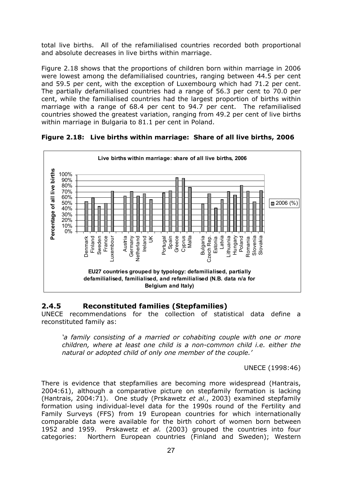total live births. All of the refamilialised countries recorded both proportional and absolute decreases in live births within marriage.

Figure 2.18 shows that the proportions of children born within marriage in 2006 were lowest among the defamilialised countries, ranging between 44.5 per cent and 59.5 per cent, with the exception of Luxembourg which had 71.2 per cent. The partially defamilialised countries had a range of 56.3 per cent to 70.0 per cent, while the familialised countries had the largest proportion of births within marriage with a range of 68.4 per cent to 94.7 per cent. The refamilialised countries showed the greatest variation, ranging from 49.2 per cent of live births within marriage in Bulgaria to 81.1 per cent in Poland.

**Live births within marriage: share of all live births, 2006** births **Percentage of all live births** 100% 90% 80% all live 70% 60%  $2006$  (%) 50% Percentage of 40% 30% 20% 10%  $0%$ Czech Rep.<br>Estonia Latvia France uxembour Malta Poland Sweden Bulgaria ithuania Hungary Slovenia Finland Romania Slovakia Jenmark Luxembour Austria Germany Ireland UK Greece Cyprus Czech Rep. Denmark Netherland Portugal Spain Lithuania Romania **EU27 countries grouped by typology: defamilialised, partially defamilialised, familialised, and refamilialised (N.B. data n/a for Belgium and Italy)**

**Figure 2.18: Live births within marriage: Share of all live births, 2006** 

### **2.4.5 Reconstituted families (Stepfamilies)**

UNECE recommendations for the collection of statistical data define a reconstituted family as:

*'a family consisting of a married or cohabiting couple with one or more children, where at least one child is a non-common child i.e. either the natural or adopted child of only one member of the couple.'*

UNECE (1998:46)

There is evidence that stepfamilies are becoming more widespread (Hantrais, 2004:61), although a comparative picture on stepfamily formation is lacking (Hantrais, 2004:71). One study (Prskawetz *et al.*, 2003) examined stepfamily formation using individual-level data for the 1990s round of the Fertility and Family Surveys (FFS) from 19 European countries for which internationally comparable data were available for the birth cohort of women born between 1952 and 1959. Prskawetz *et al.* (2003) grouped the countries into four categories: Northern European countries (Finland and Sweden); Western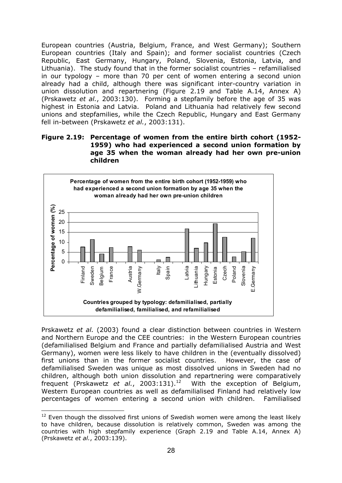European countries (Austria, Belgium, France, and West Germany); Southern European countries (Italy and Spain); and former socialist countries (Czech Republic, East Germany, Hungary, Poland, Slovenia, Estonia, Latvia, and Lithuania). The study found that in the former socialist countries – refamilialised in our typology – more than 70 per cent of women entering a second union already had a child, although there was significant inter-country variation in union dissolution and repartnering (Figure 2.19 and Table A.14, Annex A) (Prskawetz *et al.*, 2003:130). Forming a stepfamily before the age of 35 was highest in Estonia and Latvia. Poland and Lithuania had relatively few second unions and stepfamilies, while the Czech Republic, Hungary and East Germany fell in-between (Prskawetz *et al.*, 2003:131).

#### **Figure 2.19: Percentage of women from the entire birth cohort (1952- 1959) who had experienced a second union formation by age 35 when the woman already had her own pre-union children**



Prskawetz *et al.* (2003) found a clear distinction between countries in Western and Northern Europe and the CEE countries: in the Western European countries (defamilialised Belgium and France and partially defamilialised Austria and West Germany), women were less likely to have children in the (eventually dissolved) first unions than in the former socialist countries. However, the case of defamilialised Sweden was unique as most dissolved unions in Sweden had no children, although both union dissolution and repartnering were comparatively frequent (Prskawetz et al., 2003:131).<sup>12</sup> With the exception of Belgium, Western European countries as well as defamilialised Finland had relatively low percentages of women entering a second union with children. Familialised

 $\overline{a}$ 

<sup>&</sup>lt;sup>12</sup> Even though the dissolved first unions of Swedish women were among the least likely to have children, because dissolution is relatively common, Sweden was among the countries with high stepfamily experience (Graph 2.19 and Table A.14, Annex A) (Prskawetz *et al.*, 2003:139).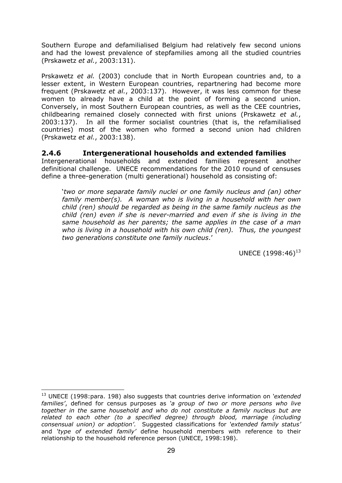Southern Europe and defamilialised Belgium had relatively few second unions and had the lowest prevalence of stepfamilies among all the studied countries (Prskawetz *et al.*, 2003:131).

Prskawetz *et al.* (2003) conclude that in North European countries and, to a lesser extent, in Western European countries, repartnering had become more frequent (Prskawetz *et al.*, 2003:137). However, it was less common for these women to already have a child at the point of forming a second union. Conversely, in most Southern European countries, as well as the CEE countries, childbearing remained closely connected with first unions (Prskawetz *et al.*, 2003:137). In all the former socialist countries (that is, the refamilialised countries) most of the women who formed a second union had children (Prskawetz *et al.*, 2003:138).

### **2.4.6 Intergenerational households and extended families**

Intergenerational households and extended families represent another definitional challenge. UNECE recommendations for the 2010 round of censuses define a three-generation (multi generational) household as consisting of:

'*two or more separate family nuclei or one family nucleus and (an) other family member(s). A woman who is living in a household with her own child (ren) should be regarded as being in the same family nucleus as the child (ren) even if she is never-married and even if she is living in the same household as her parents; the same applies in the case of a man who is living in a household with his own child (ren). Thus, the youngest two generations constitute one family nucleus*.'

UNECE  $(1998:46)^{13}$ 

 $\overline{a}$ 

<sup>13</sup> UNECE (1998:para. 198) also suggests that countries derive information on *'extended families'*, defined for census purposes as *'a group of two or more persons who live together in the same household and who do not constitute a family nucleus but are related to each other (to a specified degree) through blood, marriage (including consensual union) or adoption'*. Suggested classifications for *'extended family status'* and *'type of extended family'* define household members with reference to their relationship to the household reference person (UNECE, 1998:198).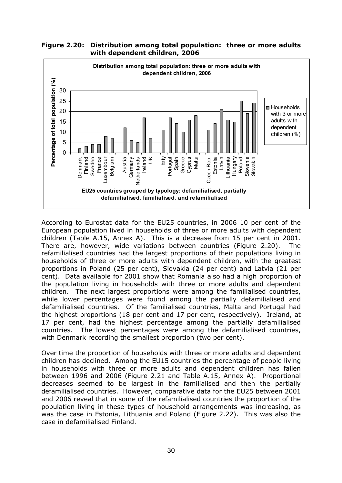

**Figure 2.20: Distribution among total population: three or more adults with dependent children, 2006** 

According to Eurostat data for the EU25 countries, in 2006 10 per cent of the European population lived in households of three or more adults with dependent children (Table A.15, Annex A). This is a decrease from 15 per cent in 2001. There are, however, wide variations between countries (Figure 2.20). The refamilialised countries had the largest proportions of their populations living in households of three or more adults with dependent children, with the greatest proportions in Poland (25 per cent), Slovakia (24 per cent) and Latvia (21 per cent). Data available for 2001 show that Romania also had a high proportion of the population living in households with three or more adults and dependent children. The next largest proportions were among the familialised countries, while lower percentages were found among the partially defamilialised and defamilialised countries. Of the familialised countries, Malta and Portugal had the highest proportions (18 per cent and 17 per cent, respectively). Ireland, at 17 per cent, had the highest percentage among the partially defamilialised countries. The lowest percentages were among the defamilialised countries, with Denmark recording the smallest proportion (two per cent).

Over time the proportion of households with three or more adults and dependent children has declined. Among the EU15 countries the percentage of people living in households with three or more adults and dependent children has fallen between 1996 and 2006 (Figure 2.21 and Table A.15, Annex A). Proportional decreases seemed to be largest in the familialised and then the partially defamilialised countries. However, comparative data for the EU25 between 2001 and 2006 reveal that in some of the refamilialised countries the proportion of the population living in these types of household arrangements was increasing, as was the case in Estonia, Lithuania and Poland (Figure 2.22). This was also the case in defamilialised Finland.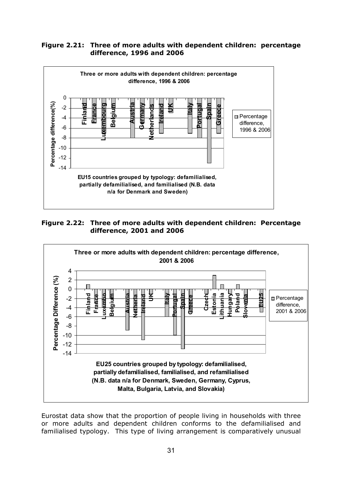#### **Figure 2.21: Three of more adults with dependent children: percentage difference, 1996 and 2006**



**Figure 2.22: Three of more adults with dependent children: Percentage difference, 2001 and 2006** 



Eurostat data show that the proportion of people living in households with three or more adults and dependent children conforms to the defamilialised and familialised typology. This type of living arrangement is comparatively unusual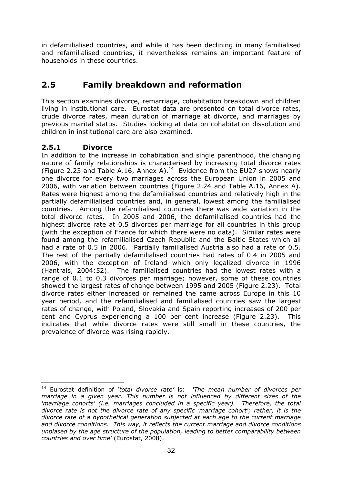in defamilialised countries, and while it has been declining in many familialised and refamilialised countries, it nevertheless remains an important feature of households in these countries.

# **2.5 Family breakdown and reformation**

This section examines divorce, remarriage, cohabitation breakdown and children living in institutional care. Eurostat data are presented on total divorce rates, crude divorce rates, mean duration of marriage at divorce, and marriages by previous marital status. Studies looking at data on cohabitation dissolution and children in institutional care are also examined.

# **2.5.1 Divorce**

 $\overline{a}$ 

In addition to the increase in cohabitation and single parenthood, the changing nature of family relationships is characterised by increasing total divorce rates (Figure 2.23 and Table A.16, Annex A).<sup>14</sup> Evidence from the EU27 shows nearly one divorce for every two marriages across the European Union in 2005 and 2006, with variation between countries (Figure 2.24 and Table A.16, Annex A). Rates were highest among the defamilialised countries and relatively high in the partially defamilialised countries and, in general, lowest among the familialised countries. Among the refamilialised countries there was wide variation in the total divorce rates. In 2005 and 2006, the defamilialised countries had the highest divorce rate at 0.5 divorces per marriage for all countries in this group (with the exception of France for which there were no data). Similar rates were found among the refamilialised Czech Republic and the Baltic States which all had a rate of 0.5 in 2006. Partially familialised Austria also had a rate of 0.5. The rest of the partially defamilialised countries had rates of 0.4 in 2005 and 2006, with the exception of Ireland which only legalized divorce in 1996 (Hantrais, 2004:52). The familialised countries had the lowest rates with a range of 0.1 to 0.3 divorces per marriage; however, some of these countries showed the largest rates of change between 1995 and 2005 (Figure 2.23). Total divorce rates either increased or remained the same across Europe in this 10 year period, and the refamilialised and familialised countries saw the largest rates of change, with Poland, Slovakia and Spain reporting increases of 200 per cent and Cyprus experiencing a 100 per cent increase (Figure 2.23). This indicates that while divorce rates were still small in these countries, the prevalence of divorce was rising rapidly.

<sup>14</sup> Eurostat definition of *'total divorce rate'* is: *'The mean number of divorces per marriage in a given year. This number is not influenced by different sizes of the 'marriage cohorts' (i.e. marriages concluded in a specific year). Therefore, the total divorce rate is not the divorce rate of any specific 'marriage cohort'; rather, it is the divorce rate of a hypothetical generation subjected at each age to the current marriage and divorce conditions. This way, it reflects the current marriage and divorce conditions unbiased by the age structure of the population, leading to better comparability between countries and over time'* (Eurostat, 2008).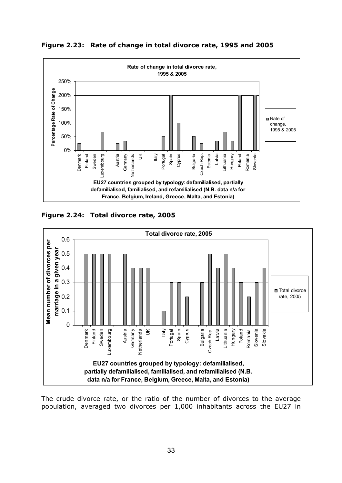

**Figure 2.23: Rate of change in total divorce rate, 1995 and 2005** 

**Figure 2.24: Total divorce rate, 2005** 



The crude divorce rate, or the ratio of the number of divorces to the average population, averaged two divorces per 1,000 inhabitants across the EU27 in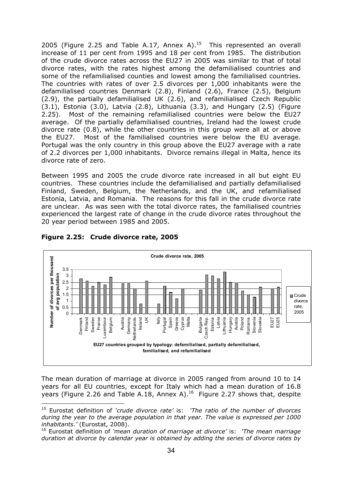2005 (Figure 2.25 and Table A.17, Annex A).<sup>15</sup> This represented an overall increase of 11 per cent from 1995 and 18 per cent from 1985. The distribution of the crude divorce rates across the EU27 in 2005 was similar to that of total divorce rates, with the rates highest among the defamilialised countries and some of the refamilialised counties and lowest among the familialised countries. The countries with rates of over 2.5 divorces per 1,000 inhabitants were the defamilialised countries Denmark (2.8), Finland (2.6), France (2.5), Belgium (2.9), the partially defamilialised UK (2.6), and refamilialised Czech Republic (3.1), Estonia (3.0), Latvia (2.8), Lithuania (3.3), and Hungary (2.5) (Figure 2.25). Most of the remaining refamilialised countries were below the EU27 average. Of the partially defamilialised countries, Ireland had the lowest crude divorce rate (0.8), while the other countries in this group were all at or above the EU27. Most of the familialised countries were below the EU average. Portugal was the only country in this group above the EU27 average with a rate of 2.2 divorces per 1,000 inhabitants. Divorce remains illegal in Malta, hence its divorce rate of zero.

Between 1995 and 2005 the crude divorce rate increased in all but eight EU countries. These countries include the defamilialised and partially defamilialised Finland, Sweden, Belgium, the Netherlands, and the UK, and refamilialised Estonia, Latvia, and Romania. The reasons for this fall in the crude divorce rate are unclear. As was seen with the total divorce rates, the familialised countries experienced the largest rate of change in the crude divorce rates throughout the 20 year period between 1985 and 2005.



#### **Figure 2.25: Crude divorce rate, 2005**

The mean duration of marriage at divorce in 2005 ranged from around 10 to 14 years for all EU countries, except for Italy which had a mean duration of 16.8 years (Figure 2.26 and Table A.18, Annex A).<sup>16</sup> Figure 2.27 shows that, despite

 $\overline{a}$ 15 Eurostat definition of *'crude divorce rate'* is: *'The ratio of the number of divorces during the year to the average population in that year. The value is expressed per 1000 inhabitants.'* (Eurostat, 2008).

<sup>16</sup> Eurostat definition of *'mean duration of marriage at divorce'* is: *'The mean marriage duration at divorce by calendar year is obtained by adding the series of divorce rates by*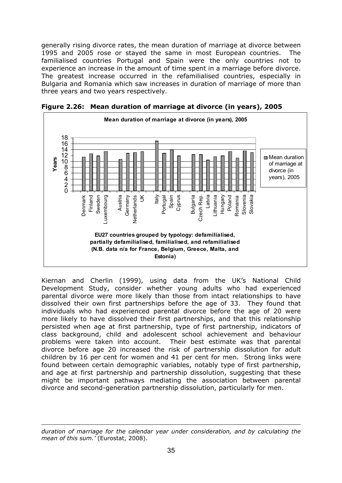generally rising divorce rates, the mean duration of marriage at divorce between 1995 and 2005 rose or stayed the same in most European countries. The familialised countries Portugal and Spain were the only countries not to experience an increase in the amount of time spent in a marriage before divorce. The greatest increase occurred in the refamilialised countries, especially in Bulgaria and Romania which saw increases in duration of marriage of more than three years and two years respectively.



**Figure 2.26: Mean duration of marriage at divorce (in years), 2005** 

Kiernan and Cherlin (1999), using data from the UK's National Child Development Study, consider whether young adults who had experienced parental divorce were more likely than those from intact relationships to have dissolved their own first partnerships before the age of 33. They found that individuals who had experienced parental divorce before the age of 20 were more likely to have dissolved their first partnerships, and that this relationship persisted when age at first partnership, type of first partnership, indicators of class background, child and adolescent school achievement and behaviour problems were taken into account. Their best estimate was that parental divorce before age 20 increased the risk of partnership dissolution for adult children by 16 per cent for women and 41 per cent for men. Strong links were found between certain demographic variables, notably type of first partnership, and age at first partnership and partnership dissolution, suggesting that these might be important pathways mediating the association between parental divorce and second-generation partnership dissolution, particularly for men.

 $\overline{a}$ 

*duration of marriage for the calendar year under consideration, and by calculating the mean of this sum.'* (Eurostat, 2008).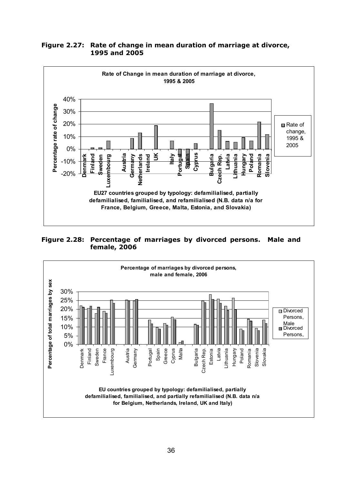

**Figure 2.27: Rate of change in mean duration of marriage at divorce, 1995 and 2005** 

**Figure 2.28: Percentage of marriages by divorced persons. Male and female, 2006** 

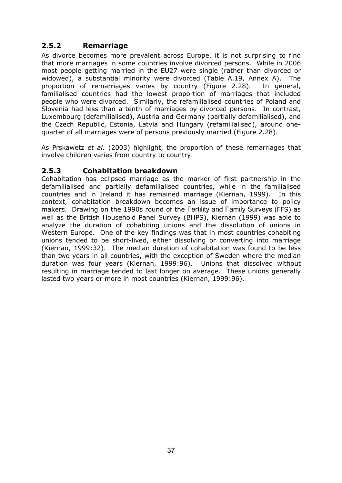# **2.5.2 Remarriage**

As divorce becomes more prevalent across Europe, it is not surprising to find that more marriages in some countries involve divorced persons. While in 2006 most people getting married in the EU27 were single (rather than divorced or widowed), a substantial minority were divorced (Table A.19, Annex A). The proportion of remarriages varies by country (Figure 2.28). In general, familialised countries had the lowest proportion of marriages that included people who were divorced. Similarly, the refamilialised countries of Poland and Slovenia had less than a tenth of marriages by divorced persons. In contrast, Luxembourg (defamilialised), Austria and Germany (partially defamilialised), and the Czech Republic, Estonia, Latvia and Hungary (refamilialised), around onequarter of all marriages were of persons previously married (Figure 2.28).

As Prskawetz *et al.* (2003) highlight, the proportion of these remarriages that involve children varies from country to country.

### **2.5.3 Cohabitation breakdown**

Cohabitation has eclipsed marriage as the marker of first partnership in the defamilialised and partially defamilialised countries, while in the familialised countries and in Ireland it has remained marriage (Kiernan, 1999). In this context, cohabitation breakdown becomes an issue of importance to policy makers. Drawing on the 1990s round of the Fertility and Family Surveys (FFS) as well as the British Household Panel Survey (BHPS), Kiernan (1999) was able to analyze the duration of cohabiting unions and the dissolution of unions in Western Europe. One of the key findings was that in most countries cohabiting unions tended to be short-lived, either dissolving or converting into marriage (Kiernan, 1999:32). The median duration of cohabitation was found to be less than two years in all countries, with the exception of Sweden where the median duration was four years (Kiernan, 1999:96). Unions that dissolved without resulting in marriage tended to last longer on average. These unions generally lasted two years or more in most countries (Kiernan, 1999:96).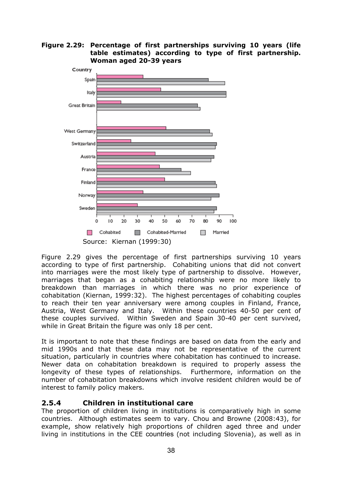**Figure 2.29: Percentage of first partnerships surviving 10 years (life table estimates) according to type of first partnership. Woman aged 20-39 years** 



Figure 2.29 gives the percentage of first partnerships surviving 10 years according to type of first partnership. Cohabiting unions that did not convert into marriages were the most likely type of partnership to dissolve. However, marriages that began as a cohabiting relationship were no more likely to breakdown than marriages in which there was no prior experience of cohabitation (Kiernan, 1999:32). The highest percentages of cohabiting couples to reach their ten year anniversary were among couples in Finland, France, Austria, West Germany and Italy. Within these countries 40-50 per cent of these couples survived. Within Sweden and Spain 30-40 per cent survived, while in Great Britain the figure was only 18 per cent.

It is important to note that these findings are based on data from the early and mid 1990s and that these data may not be representative of the current situation, particularly in countries where cohabitation has continued to increase. Newer data on cohabitation breakdown is required to properly assess the longevity of these types of relationships. Furthermore, information on the number of cohabitation breakdowns which involve resident children would be of interest to family policy makers.

### **2.5.4 Children in institutional care**

The proportion of children living in institutions is comparatively high in some countries. Although estimates seem to vary. Chou and Browne (2008:43), for example, show relatively high proportions of children aged three and under living in institutions in the CEE countries (not including Slovenia), as well as in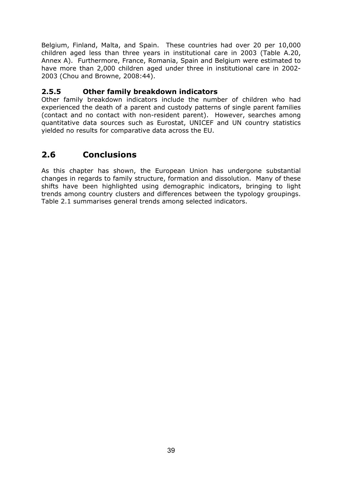Belgium, Finland, Malta, and Spain. These countries had over 20 per 10,000 children aged less than three years in institutional care in 2003 (Table A.20, Annex A). Furthermore, France, Romania, Spain and Belgium were estimated to have more than 2,000 children aged under three in institutional care in 2002- 2003 (Chou and Browne, 2008:44).

# **2.5.5 Other family breakdown indicators**

Other family breakdown indicators include the number of children who had experienced the death of a parent and custody patterns of single parent families (contact and no contact with non-resident parent). However, searches among quantitative data sources such as Eurostat, UNICEF and UN country statistics yielded no results for comparative data across the EU.

# **2.6 Conclusions**

As this chapter has shown, the European Union has undergone substantial changes in regards to family structure, formation and dissolution. Many of these shifts have been highlighted using demographic indicators, bringing to light trends among country clusters and differences between the typology groupings. Table 2.1 summarises general trends among selected indicators.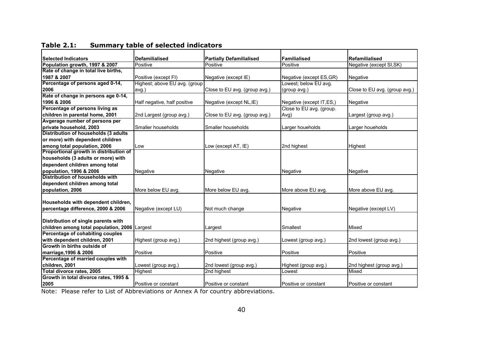| <b>Selected Indicators</b>                    | <b>Defamilialised</b>         | <b>Partially Defamilialised</b> | <b>Familialised</b>       | <b>Refamilialised</b>         |
|-----------------------------------------------|-------------------------------|---------------------------------|---------------------------|-------------------------------|
| Population growth, 1997 & 2007                | Positive                      | Positive                        | Positive                  | Negative (except SI, SK)      |
| Rate of change in total live births,          |                               |                                 |                           |                               |
| 1987 & 2007                                   | Positive (except FI)          | Negative (except IE)            | Negative (except ES, GR)  | Negative                      |
| Percentage of persons aged 0-14,              | Highest; above EU avg. (group |                                 | Lowest; below EU avg.     |                               |
| 2006                                          | avg.)                         | Close to EU avg. (group avg.)   | (group avg.)              | Close to EU avg. (group avg.) |
| Rate of change in persons age 0-14,           |                               |                                 |                           |                               |
| 1996 & 2006                                   | Half negative, half positive  | Negative (except NL, IE)        | Negative (except IT, ES,) | Negative                      |
| Percentage of persons living as               |                               |                                 | Close to EU avg. (group.  |                               |
| children in parental home, 2001               | 2nd Largest (group avg.)      | Close to EU avg. (group avg.)   | Avg)                      | Largest (group avg.)          |
| Avgerage number of persons per                |                               |                                 |                           |                               |
| private household, 2003                       | Smaller households            | Smaller households              | Larger houeholds          | Larger houeholds              |
| Distribution of households (3 adults          |                               |                                 |                           |                               |
| or more) with dependent children              |                               |                                 |                           |                               |
| among total population, 2006                  | Low                           | Low (except AT, IE)             | 2nd highest               | <b>Highest</b>                |
| Proportional growth in distribution of        |                               |                                 |                           |                               |
| households (3 adults or more) with            |                               |                                 |                           |                               |
| dependent children among total                |                               |                                 |                           |                               |
| population, 1996 & 2006                       | Negative                      | Negative                        | Negative                  | Negative                      |
| Distribution of households with               |                               |                                 |                           |                               |
| dependent children among total                |                               |                                 |                           |                               |
| population, 2006                              | More below EU avg.            | More below EU avg.              | More above EU avg.        | More above EU avg.            |
|                                               |                               |                                 |                           |                               |
| Households with dependent children,           |                               |                                 |                           |                               |
| percentage difference, 2000 & 2006            | Negative (except LU)          | Not much change                 | Negative                  | Negative (except LV)          |
|                                               |                               |                                 |                           |                               |
| Distribution of single parents with           |                               |                                 |                           |                               |
| children among total population, 2006 Largest |                               | Largest                         | Smallest                  | Mixed                         |
| Percentage of cohabiting couples              |                               |                                 |                           |                               |
| with dependent children, 2001                 | Highest (group avg.)          | 2nd highest (group avg.)        | Lowest (group avg.)       | 2nd lowest (group avg.)       |
| Growth in births outside of                   |                               |                                 |                           |                               |
| marriage, 1996 & 2006                         | Positive                      | Positive                        | Positive                  | Positive                      |
| Percentage of married couples with            |                               |                                 |                           |                               |
| children. 2001                                | Lowest (group avg.)           | 2nd lowest (group avg.)         | Highest (group avg.)      | 2nd highest (group avg.)      |
| Total divorce rates, 2005                     | Highest                       | 2nd highest                     | Lowest                    | Mixed                         |
| Growth in total divorce rates, 1995 &         |                               |                                 |                           |                               |
| 2005                                          | Positive or constant          | Positive or constant            | Positive or constant      | Positive or constant          |

**Table 2.1: Summary table of selected indicators** 

Note: Please refer to List of Abbreviations or Annex A for country abbreviations.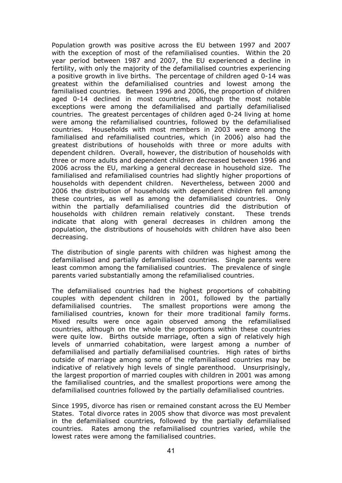Population growth was positive across the EU between 1997 and 2007 with the exception of most of the refamilialised counties. Within the 20 year period between 1987 and 2007, the EU experienced a decline in fertility, with only the majority of the defamilialised countries experiencing a positive growth in live births. The percentage of children aged 0-14 was greatest within the defamilialised countries and lowest among the familialised countries. Between 1996 and 2006, the proportion of children aged 0-14 declined in most countries, although the most notable exceptions were among the defamilialised and partially defamilialised countries. The greatest percentages of children aged 0-24 living at home were among the refamilialised countries, followed by the defamilialised countries. Households with most members in 2003 were among the familialised and refamilialised countries, which (in 2006) also had the greatest distributions of households with three or more adults with dependent children. Overall, however, the distribution of households with three or more adults and dependent children decreased between 1996 and 2006 across the EU, marking a general decrease in household size. The familialised and refamilialised countries had slightly higher proportions of households with dependent children. Nevertheless, between 2000 and 2006 the distribution of households with dependent children fell among these countries, as well as among the defamilialised countries. Only within the partially defamilialised countries did the distribution of households with children remain relatively constant. These trends indicate that along with general decreases in children among the population, the distributions of households with children have also been decreasing.

The distribution of single parents with children was highest among the defamilialised and partially defamilialised countries. Single parents were least common among the familialised countries. The prevalence of single parents varied substantially among the refamilialised countries.

The defamilialised countries had the highest proportions of cohabiting couples with dependent children in 2001, followed by the partially defamilialised countries. The smallest proportions were among the familialised countries, known for their more traditional family forms. Mixed results were once again observed among the refamilialised countries, although on the whole the proportions within these countries were quite low. Births outside marriage, often a sign of relatively high levels of unmarried cohabitation, were largest among a number of defamilialised and partially defamilialised countries. High rates of births outside of marriage among some of the refamilialised countries may be indicative of relatively high levels of single parenthood. Unsurprisingly, the largest proportion of married couples with children in 2001 was among the familialised countries, and the smallest proportions were among the defamilialised countries followed by the partially defamilialised countries.

Since 1995, divorce has risen or remained constant across the EU Member States. Total divorce rates in 2005 show that divorce was most prevalent in the defamilialised countries, followed by the partially defamilialised countries. Rates among the refamilialised countries varied, while the lowest rates were among the familialised countries.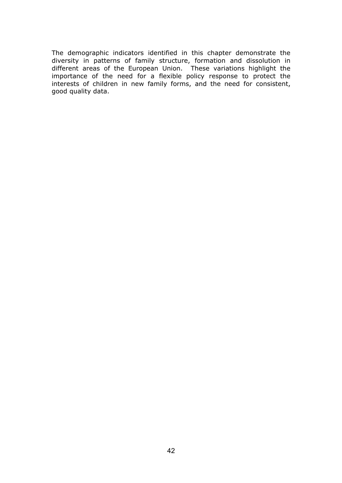The demographic indicators identified in this chapter demonstrate the diversity in patterns of family structure, formation and dissolution in different areas of the European Union. These variations highlight the importance of the need for a flexible policy response to protect the interests of children in new family forms, and the need for consistent, good quality data.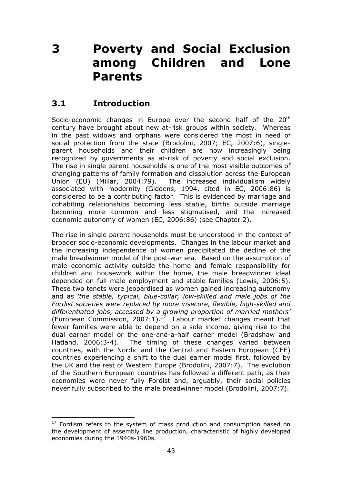# **3 Poverty and Social Exclusion among Children and Lone Parents**

# **3.1 Introduction**

Socio-economic changes in Europe over the second half of the 20<sup>th</sup> century have brought about new at-risk groups within society. Whereas in the past widows and orphans were considered the most in need of social protection from the state (Brodolini, 2007; EC, 2007:6), singleparent households and their children are now increasingly being recognized by governments as at-risk of poverty and social exclusion. The rise in single parent households is one of the most visible outcomes of changing patterns of family formation and dissolution across the European Union (EU) (Millar, 2004:79). The increased individualism widely associated with modernity (Giddens, 1994, cited in EC, 2006:86) is considered to be a contributing factor. This is evidenced by marriage and cohabiting relationships becoming less stable, births outside marriage becoming more common and less stigmatised, and the increased economic autonomy of women (EC, 2006:86) (see Chapter 2).

The rise in single parent households must be understood in the context of broader socio-economic developments. Changes in the labour market and the increasing independence of women precipitated the decline of the male breadwinner model of the post-war era. Based on the assumption of male economic activity outside the home and female responsibility for children and housework within the home, the male breadwinner ideal depended on full male employment and stable families (Lewis, 2006:5). These two tenets were jeopardised as women gained increasing autonomy and as *'the stable, typical, blue-collar, low-skilled and male jobs of the Fordist societies were replaced by more insecure, flexible, high-skilled and differentiated jobs, accessed by a growing proportion of married mothers'*  (European Commission, 2007:1).*<sup>17</sup>* Labour market changes meant that fewer families were able to depend on a sole income, giving rise to the dual earner model or the one-and-a-half earner model (Bradshaw and Hatland, 2006:3-4). The timing of these changes varied between countries, with the Nordic and the Central and Eastern European (CEE) countries experiencing a shift to the dual earner model first, followed by the UK and the rest of Western Europe (Brodolini, 2007:7). The evolution of the Southern European countries has followed a different path, as their economies were never fully Fordist and, arguably, their social policies never fully subscribed to the male breadwinner model (Brodolini, 2007:7).

 $\overline{a}$  $17$  Fordism refers to the system of mass production and consumption based on the development of assembly line production, characteristic of highly developed economies during the 1940s-1960s.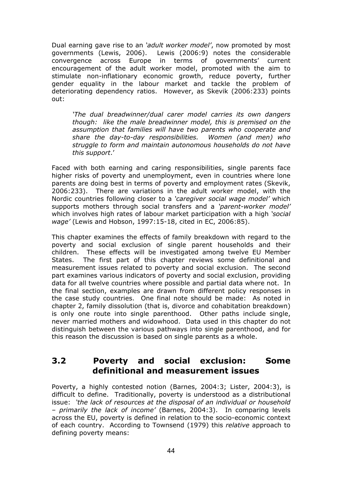Dual earning gave rise to an *'adult worker model'*, now promoted by most governments (Lewis, 2006). Lewis (2006:9) notes the considerable convergence across Europe in terms of governments' current encouragement of the adult worker model, promoted with the aim to stimulate non-inflationary economic growth, reduce poverty, further gender equality in the labour market and tackle the problem of deteriorating dependency ratios. However, as Skevik (2006:233) points out:

*'The dual breadwinner/dual carer model carries its own dangers though: like the male breadwinner model, this is premised on the assumption that families will have two parents who cooperate and share the day-to-day responsibilities. Women (and men) who struggle to form and maintain autonomous households do not have this support*.'

Faced with both earning and caring responsibilities, single parents face higher risks of poverty and unemployment, even in countries where lone parents are doing best in terms of poverty and employment rates (Skevik, 2006:233). There are variations in the adult worker model, with the Nordic countries following closer to a *'caregiver social wage model'* which supports mothers through social transfers and a *'parent-worker model'* which involves high rates of labour market participation with a high *'social wage'* (Lewis and Hobson, 1997:15-18, cited in EC, 2006:85).

This chapter examines the effects of family breakdown with regard to the poverty and social exclusion of single parent households and their children. These effects will be investigated among twelve EU Member States. The first part of this chapter reviews some definitional and measurement issues related to poverty and social exclusion. The second part examines various indicators of poverty and social exclusion, providing data for all twelve countries where possible and partial data where not. In the final section, examples are drawn from different policy responses in the case study countries. One final note should be made: As noted in chapter 2, family dissolution (that is, divorce and cohabitation breakdown) is only one route into single parenthood. Other paths include single, never married mothers and widowhood. Data used in this chapter do not distinguish between the various pathways into single parenthood, and for this reason the discussion is based on single parents as a whole.

# **3.2 Poverty and social exclusion: Some definitional and measurement issues**

Poverty, a highly contested notion (Barnes, 2004:3; Lister, 2004:3), is difficult to define. Traditionally, poverty is understood as a distributional issue: *'the lack of resources at the disposal of an individual or household – primarily the lack of income'* (Barnes, 2004:3). In comparing levels across the EU, poverty is defined in relation to the socio-economic context of each country. According to Townsend (1979) this *relative* approach to defining poverty means: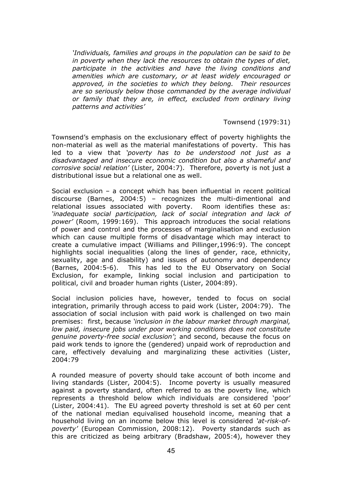*'Individuals, families and groups in the population can be said to be in poverty when they lack the resources to obtain the types of diet, participate in the activities and have the living conditions and amenities which are customary, or at least widely encouraged or approved, in the societies to which they belong. Their resources are so seriously below those commanded by the average individual or family that they are, in effect, excluded from ordinary living patterns and activities'* 

#### Townsend (1979:31)

Townsend's emphasis on the exclusionary effect of poverty highlights the non-material as well as the material manifestations of poverty. This has led to a view that *'poverty has to be understood not just as a disadvantaged and insecure economic condition but also a shameful and corrosive social relation'* (Lister, 2004:7). Therefore, poverty is not just a distributional issue but a relational one as well.

Social exclusion – a concept which has been influential in recent political discourse (Barnes, 2004:5) – recognizes the multi-dimentional and relational issues associated with poverty. Room identifies these as: *'inadequate social participation, lack of social integration and lack of power'* (Room, 1999:169). This approach introduces the social relations of power and control and the processes of marginalisation and exclusion which can cause multiple forms of disadvantage which may interact to create a cumulative impact (Williams and Pillinger,1996:9). The concept highlights social inequalities (along the lines of gender, race, ethnicity, sexuality, age and disability) and issues of autonomy and dependency (Barnes, 2004:5-6). This has led to the EU Observatory on Social Exclusion, for example, linking social inclusion and participation to political, civil and broader human rights (Lister, 2004:89).

Social inclusion policies have, however, tended to focus on social integration, primarily through access to paid work (Lister, 2004:79). The association of social inclusion with paid work is challenged on two main premises: first, because *'inclusion in the labour market through marginal, low paid, insecure jobs under poor working conditions does not constitute genuine poverty-free social exclusion'*; and second, because the focus on paid work tends to ignore the (gendered) unpaid work of reproduction and care, effectively devaluing and marginalizing these activities (Lister, 2004:79

A rounded measure of poverty should take account of both income and living standards (Lister, 2004:5). Income poverty is usually measured against a poverty standard, often referred to as the poverty line, which represents a threshold below which individuals are considered 'poor' (Lister, 2004:41). The EU agreed poverty threshold is set at 60 per cent of the national median equivalised household income, meaning that a household living on an income below this level is considered *'at-risk-ofpoverty'* (European Commission, 2008:12). Poverty standards such as this are criticized as being arbitrary (Bradshaw, 2005:4), however they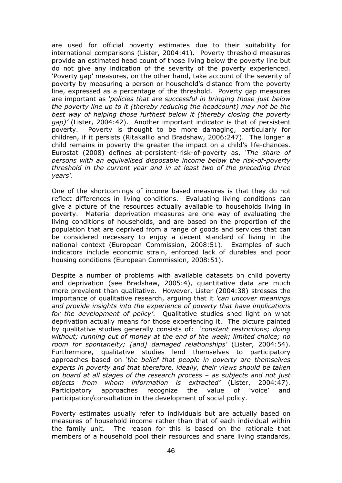are used for official poverty estimates due to their suitability for international comparisons (Lister, 2004:41). Poverty threshold measures provide an estimated head count of those living below the poverty line but do not give any indication of the severity of the poverty experienced. 'Poverty gap' measures, on the other hand, take account of the severity of poverty by measuring a person or household's distance from the poverty line, expressed as a percentage of the threshold. Poverty gap measures are important as *'policies that are successful in bringing those just below the poverty line up to it (thereby reducing the headcount) may not be the best way of helping those furthest below it (thereby closing the poverty gap)'* (Lister, 2004:42). Another important indicator is that of persistent poverty. Poverty is thought to be more damaging, particularly for children, if it persists (Ritakallio and Bradshaw, 2006:247). The longer a child remains in poverty the greater the impact on a child's life-chances. Eurostat (2008) defines at-persistent-risk-of-poverty as, *'The share of persons with an equivalised disposable income below the risk-of-poverty threshold in the current year and in at least two of the preceding three years'*.

One of the shortcomings of income based measures is that they do not reflect differences in living conditions. Evaluating living conditions can give a picture of the resources actually available to households living in poverty. Material deprivation measures are one way of evaluating the living conditions of households, and are based on the proportion of the population that are deprived from a range of goods and services that can be considered necessary to enjoy a decent standard of living in the national context (European Commission, 2008:51). Examples of such indicators include economic strain, enforced lack of durables and poor housing conditions (European Commission, 2008:51).

Despite a number of problems with available datasets on child poverty and deprivation (see Bradshaw, 2005:4), quantitative data are much more prevalent than qualitative. However, Lister (2004:38) stresses the importance of qualitative research, arguing that it *'can uncover meanings and provide insights into the experience of poverty that have implications for the development of policy'*. Qualitative studies shed light on what deprivation actually means for those experiencing it. The picture painted by qualitative studies generally consists of: *'constant restrictions; doing without; running out of money at the end of the week; limited choice; no room for spontaneity; [and] damaged relationships'* (Lister, 2004:54). Furthermore, qualitative studies lend themselves to participatory approaches based on *'the belief that people in poverty are themselves experts in poverty and that therefore, ideally, their views should be taken on board at all stages of the research process – as subjects and not just objects from whom information is extracted'* (Lister, 2004:47). Participatory approaches recognize the value of 'voice' and participation/consultation in the development of social policy.

Poverty estimates usually refer to individuals but are actually based on measures of household income rather than that of each individual within the family unit. The reason for this is based on the rationale that members of a household pool their resources and share living standards,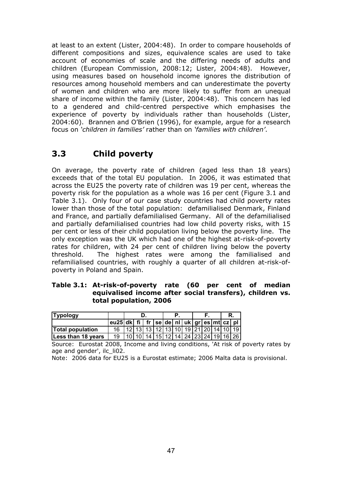at least to an extent (Lister, 2004:48). In order to compare households of different compositions and sizes, equivalence scales are used to take account of economies of scale and the differing needs of adults and children (European Commission, 2008:12; Lister, 2004:48). However, using measures based on household income ignores the distribution of resources among household members and can underestimate the poverty of women and children who are more likely to suffer from an unequal share of income within the family (Lister, 2004:48). This concern has led to a gendered and child-centred perspective which emphasises the experience of poverty by individuals rather than households (Lister, 2004:60). Brannen and O'Brien (1996), for example, argue for a research focus on *'children in families'* rather than on *'families with children'*.

# **3.3 Child poverty**

On average, the poverty rate of children (aged less than 18 years) exceeds that of the total EU population. In 2006, it was estimated that across the EU25 the poverty rate of children was 19 per cent, whereas the poverty risk for the population as a whole was 16 per cent (Figure 3.1 and Table 3.1). Only four of our case study countries had child poverty rates lower than those of the total population: defamilialised Denmark, Finland and France, and partially defamilialised Germany. All of the defamilialised and partially defamilialised countries had low child poverty risks, with 15 per cent or less of their child population living below the poverty line. The only exception was the UK which had one of the highest at-risk-of-poverty rates for children, with 24 per cent of children living below the poverty threshold. The highest rates were among the familialised and refamilialised countries, with roughly a quarter of all children at-risk-ofpoverty in Poland and Spain.

#### **Table 3.1: At-risk-of-poverty rate (60 per cent of median equivalised income after social transfers), children vs. total population, 2006**

| <b>Typology</b>         |                                                              |  |  |  |                                                           |  | R. |                                     |
|-------------------------|--------------------------------------------------------------|--|--|--|-----------------------------------------------------------|--|----|-------------------------------------|
|                         | eu25 dk fi   fr   se   de   nl   uk   gr   es   mt   cz   pl |  |  |  |                                                           |  |    |                                     |
| <b>Total population</b> |                                                              |  |  |  | 12   13   13   12   13   10   19   21   20   14   10   19 |  |    |                                     |
| Less than 18 years      | 19                                                           |  |  |  |                                                           |  |    | 10 10 14 15 12 14 24 23 24 19 16 26 |

Source: Eurostat 2008, Income and living conditions, 'At risk of poverty rates by age and gender', ilc\_li02.

Note: 2006 data for EU25 is a Eurostat estimate; 2006 Malta data is provisional.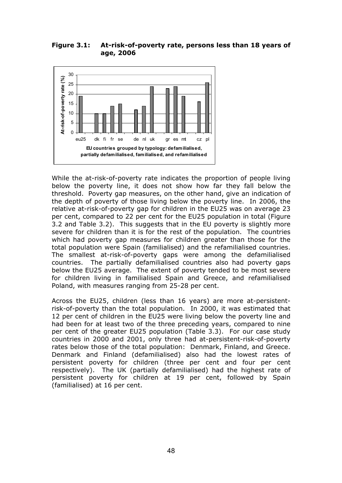**Figure 3.1: At-risk-of-poverty rate, persons less than 18 years of age, 2006** 



While the at-risk-of-poverty rate indicates the proportion of people living below the poverty line, it does not show how far they fall below the threshold. Poverty gap measures, on the other hand, give an indication of the depth of poverty of those living below the poverty line. In 2006, the relative at-risk-of-poverty gap for children in the EU25 was on average 23 per cent, compared to 22 per cent for the EU25 population in total (Figure 3.2 and Table 3.2). This suggests that in the EU poverty is slightly more severe for children than it is for the rest of the population. The countries which had poverty gap measures for children greater than those for the total population were Spain (familialised) and the refamilialised countries. The smallest at-risk-of-poverty gaps were among the defamilialised countries. The partially defamilialised countries also had poverty gaps below the EU25 average. The extent of poverty tended to be most severe for children living in familialised Spain and Greece, and refamilialised Poland, with measures ranging from 25-28 per cent.

Across the EU25, children (less than 16 years) are more at-persistentrisk-of-poverty than the total population. In 2000, it was estimated that 12 per cent of children in the EU25 were living below the poverty line and had been for at least two of the three preceding years, compared to nine per cent of the greater EU25 population (Table 3.3). For our case study countries in 2000 and 2001, only three had at-persistent-risk-of-poverty rates below those of the total population: Denmark, Finland, and Greece. Denmark and Finland (defamilialised) also had the lowest rates of persistent poverty for children (three per cent and four per cent respectively). The UK (partially defamilialised) had the highest rate of persistent poverty for children at 19 per cent, followed by Spain (familialised) at 16 per cent.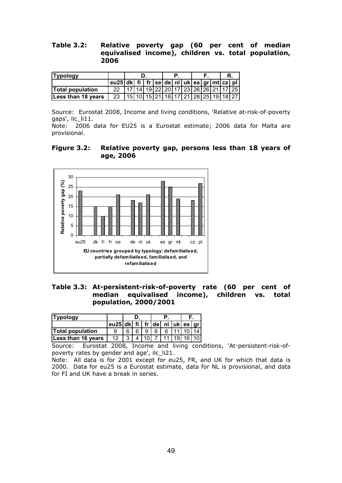**Table 3.2: Relative poverty gap (60 per cent of median equivalised income), children vs. total population, 2006** 

| <b>Typology</b>            |    | eu25 dk  fi   fr  se de  nl   uk  es  gr mt  cz  pl  <br>17 14 19 22 20 17 23 26 26 21 17 25 |  |  |  |  |  |                                     |  |  |  |  |
|----------------------------|----|----------------------------------------------------------------------------------------------|--|--|--|--|--|-------------------------------------|--|--|--|--|
|                            |    |                                                                                              |  |  |  |  |  |                                     |  |  |  |  |
| <b>Total population</b>    |    |                                                                                              |  |  |  |  |  |                                     |  |  |  |  |
| <b>ILess than 18 years</b> | 23 |                                                                                              |  |  |  |  |  | 15 10 15 21 18 17 21 28 25 19 18 27 |  |  |  |  |

Source: Eurostat 2008, Income and living conditions, 'Relative at-risk-of-poverty gaps', ilc\_li11.

Note: 2006 data for EU25 is a Eurostat estimate; 2006 data for Malta are provisional.

**Figure 3.2: Relative poverty gap, persons less than 18 years of age, 2006** 



**Table 3.3: At-persistent-risk-of-poverty rate (60 per cent of median equivalised income), children vs. total population, 2000/2001** 

| eu25 dk fi   fr de   nl   uk es   gr | <b>Typology</b>         |    |   |  |  |  |  |  |
|--------------------------------------|-------------------------|----|---|--|--|--|--|--|
|                                      |                         |    |   |  |  |  |  |  |
|                                      | <b>Total population</b> |    |   |  |  |  |  |  |
| 7111119116110                        | Less than 16 years      | 12 | Δ |  |  |  |  |  |

Source: Eurostat 2008, Income and living conditions, 'At-persistent-risk-ofpoverty rates by gender and age', ilc\_li21.

Note: All data is for 2001 except for eu25, FR, and UK for which that data is 2000. Data for eu25 is a Eurostat estimate, data for NL is provisional, and data for FI and UK have a break in series.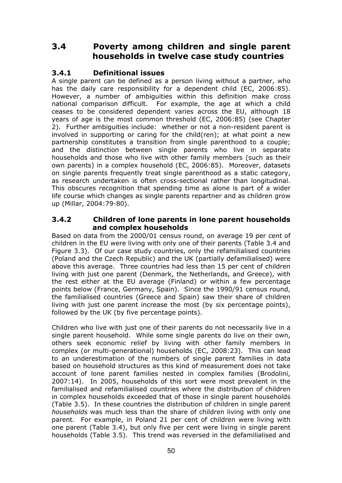# **3.4 Poverty among children and single parent households in twelve case study countries**

# **3.4.1 Definitional issues**

A single parent can be defined as a person living without a partner, who has the daily care responsibility for a dependent child (EC, 2006:85). However, a number of ambiguities within this definition make cross national comparison difficult. For example, the age at which a child ceases to be considered dependent varies across the EU, although 18 years of age is the most common threshold (EC, 2006:85) (see Chapter 2). Further ambiguities include: whether or not a non-resident parent is involved in supporting or caring for the child(ren); at what point a new partnership constitutes a transition from single parenthood to a couple; and the distinction between single parents who live in separate households and those who live with other family members (such as their own parents) in a complex household (EC, 2006:85). Moreover, datasets on single parents frequently treat single parenthood as a static category, as research undertaken is often cross-sectional rather than longitudinal. This obscures recognition that spending time as alone is part of a wider life course which changes as single parents repartner and as children grow up (Millar, 2004:79-80).

#### **3.4.2 Children of lone parents in lone parent households and complex households**

Based on data from the 2000/01 census round, on average 19 per cent of children in the EU were living with only one of their parents (Table 3.4 and Figure 3.3). Of our case study countries, only the refamilialised countries (Poland and the Czech Republic) and the UK (partially defamilialised) were above this average. Three countries had less than 15 per cent of children living with just one parent (Denmark, the Netherlands, and Greece), with the rest either at the EU average (Finland) or within a few percentage points below (France, Germany, Spain). Since the 1990/91 census round, the familialised countries (Greece and Spain) saw their share of children living with just one parent increase the most (by six percentage points), followed by the UK (by five percentage points).

Children who live with just one of their parents do not necessarily live in a single parent household. While some single parents do live on their own, others seek economic relief by living with other family members in complex (or multi-generational) households (EC, 2008:23). This can lead to an underestimation of the numbers of single parent families in data based on household structures as this kind of measurement does not take account of lone parent families nested in complex families (Brodolini, 2007:14). In 2005, households of this sort were most prevalent in the familialised and refamilialised countries where the distribution of children in complex households exceeded that of those in single parent households (Table 3.5). In these countries the distribution of children in single parent *households* was much less than the share of children living with only one parent. For example, in Poland 21 per cent of children were living with one parent (Table 3.4), but only five per cent were living in single parent households (Table 3.5). This trend was reversed in the defamilialised and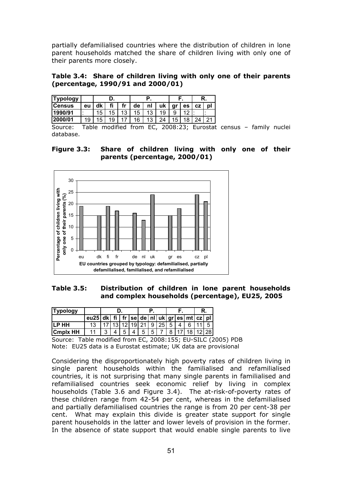partially defamilialised countries where the distribution of children in lone parent households matched the share of children living with only one of their parents more closely.

**Table 3.4: Share of children living with only one of their parents (percentage, 1990/91 and 2000/01)** 

| <b>Typology</b> |           |    |    |         |    |         |    |    |           | R. |    |  |
|-----------------|-----------|----|----|---------|----|---------|----|----|-----------|----|----|--|
| <b>ICensus</b>  | eu        | dk | fi | fr      | de | nl      | uk | gr | es        | СZ | υı |  |
| 1990/91         | $\bullet$ | 15 | 15 | 12<br>J | 5  | 12<br>J | 19 | 9  | $\Lambda$ |    |    |  |
| 000/01<br>l2(   | 19        | 5  | 19 |         | 6  | 12<br>N | つん | 15 |           | ີ  |    |  |

Source: Table modified from EC, 2008:23; Eurostat census – family nuclei database.

**Figure 3.3: Share of children living with only one of their parents (percentage, 2000/01)** 



**Table 3.5: Distribution of children in lone parent households and complex households (percentage), EU25, 2005** 

| <b>Typology</b> |  | eu25   dk   fi   fr   se   de   nl   uk   gr   es   mt   cz   pl  <br>  17   13   12   19   21   9   25   5   4 |  |  |  |  |                                           |  |  |
|-----------------|--|-----------------------------------------------------------------------------------------------------------------|--|--|--|--|-------------------------------------------|--|--|
|                 |  |                                                                                                                 |  |  |  |  |                                           |  |  |
| ILP HH          |  |                                                                                                                 |  |  |  |  | 61115                                     |  |  |
| <b>Cmplx HH</b> |  |                                                                                                                 |  |  |  |  | 5   4   5   5   7   8   17   18   12   28 |  |  |

Source: Table modified from EC, 2008:155; EU-SILC (2005) PDB Note: EU25 data is a Eurostat estimate; UK data are provisional

Considering the disproportionately high poverty rates of children living in single parent households within the familialised and refamilialised countries, it is not surprising that many single parents in familialised and refamilialised countries seek economic relief by living in complex households (Table 3.6 and Figure 3.4). The at-risk-of-poverty rates of these children range from 42-54 per cent, whereas in the defamilialised and partially defamilialised countries the range is from 20 per cent-38 per cent. What may explain this divide is greater state support for single parent households in the latter and lower levels of provision in the former. In the absence of state support that would enable single parents to live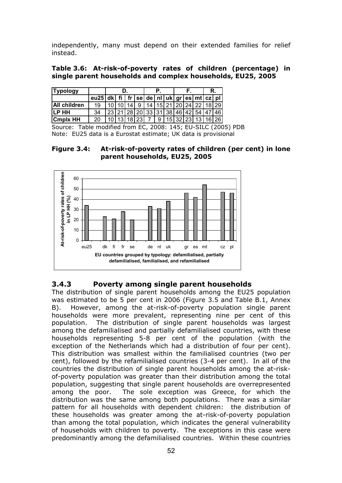independently, many must depend on their extended families for relief instead.

#### **Table 3.6: At-risk-of-poverty rates of children (percentage) in single parent households and complex households, EU25, 2005**

| <b>Typology</b>     |                                                                          |  |  |  |  |                                                           | R. |  |
|---------------------|--------------------------------------------------------------------------|--|--|--|--|-----------------------------------------------------------|----|--|
|                     | $\overline{eu25 dk fi }$ fr   se   de   nI   uk   gr   es   mt   cz   pI |  |  |  |  |                                                           |    |  |
| <b>All children</b> | 19                                                                       |  |  |  |  | 10 10 14 9 14 15 21 20 24 22 18 29                        |    |  |
| <b>ILP HH</b>       | 34                                                                       |  |  |  |  | 23   21   28   20   33   31   38   46   42   54   47   46 |    |  |
| <b>Cmplx HH</b>     |                                                                          |  |  |  |  | 10 13 18 23 7 9 15 32 23 13 16 26                         |    |  |

Source: Table modified from EC, 2008: 145; EU-SILC (2005) PDB Note: EU25 data is a Eurostat estimate; UK data is provisional

**Figure 3.4: At-risk-of-poverty rates of children (per cent) in lone parent households, EU25, 2005** 



#### **3.4.3 Poverty among single parent households**

The distribution of single parent households among the EU25 population was estimated to be 5 per cent in 2006 (Figure 3.5 and Table B.1, Annex B). However, among the at-risk-of-poverty population single parent households were more prevalent, representing nine per cent of this population. The distribution of single parent households was largest among the defamilialised and partially defamilialised countries, with these households representing 5-8 per cent of the population (with the exception of the Netherlands which had a distribution of four per cent). This distribution was smallest within the familialised countries (two per cent), followed by the refamilialised countries (3-4 per cent). In all of the countries the distribution of single parent households among the at-riskof-poverty population was greater than their distribution among the total population, suggesting that single parent households are overrepresented among the poor. The sole exception was Greece, for which the distribution was the same among both populations. There was a similar pattern for all households with dependent children: the distribution of these households was greater among the at-risk-of-poverty population than among the total population, which indicates the general vulnerability of households with children to poverty. The exceptions in this case were predominantly among the defamilialised countries. Within these countries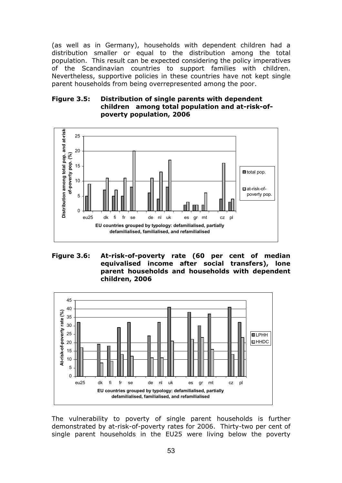(as well as in Germany), households with dependent children had a distribution smaller or equal to the distribution among the total population. This result can be expected considering the policy imperatives of the Scandinavian countries to support families with children. Nevertheless, supportive policies in these countries have not kept single parent households from being overrepresented among the poor.

#### **Figure 3.5: Distribution of single parents with dependent children among total population and at-risk-ofpoverty population, 2006**



**Figure 3.6: At-risk-of-poverty rate (60 per cent of median equivalised income after social transfers), lone parent households and households with dependent children, 2006** 



The vulnerability to poverty of single parent households is further demonstrated by at-risk-of-poverty rates for 2006. Thirty-two per cent of single parent households in the EU25 were living below the poverty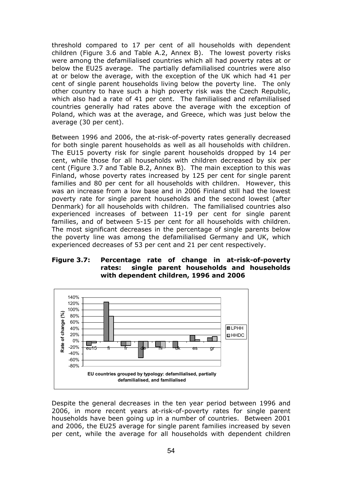threshold compared to 17 per cent of all households with dependent children (Figure 3.6 and Table A.2, Annex B). The lowest poverty risks were among the defamilialised countries which all had poverty rates at or below the EU25 average. The partially defamilialised countries were also at or below the average, with the exception of the UK which had 41 per cent of single parent households living below the poverty line. The only other country to have such a high poverty risk was the Czech Republic, which also had a rate of 41 per cent. The familialised and refamilialised countries generally had rates above the average with the exception of Poland, which was at the average, and Greece, which was just below the average (30 per cent).

Between 1996 and 2006, the at-risk-of-poverty rates generally decreased for both single parent households as well as all households with children. The EU15 poverty risk for single parent households dropped by 14 per cent, while those for all households with children decreased by six per cent (Figure 3.7 and Table B.2, Annex B). The main exception to this was Finland, whose poverty rates increased by 125 per cent for single parent families and 80 per cent for all households with children. However, this was an increase from a low base and in 2006 Finland still had the lowest poverty rate for single parent households and the second lowest (after Denmark) for all households with children. The familialised countries also experienced increases of between 11-19 per cent for single parent families, and of between 5-15 per cent for all households with children. The most significant decreases in the percentage of single parents below the poverty line was among the defamilialised Germany and UK, which experienced decreases of 53 per cent and 21 per cent respectively.

#### **Figure 3.7: Percentage rate of change in at-risk-of-poverty rates: single parent households and households with dependent children, 1996 and 2006**



Despite the general decreases in the ten year period between 1996 and 2006, in more recent years at-risk-of-poverty rates for single parent households have been going up in a number of countries. Between 2001 and 2006, the EU25 average for single parent families increased by seven per cent, while the average for all households with dependent children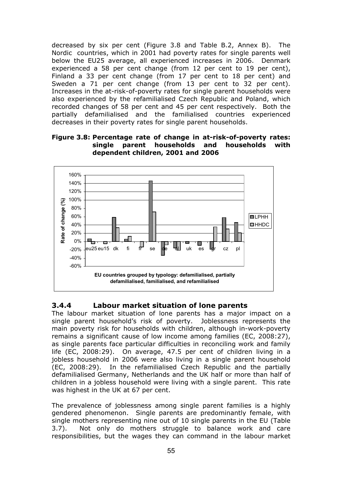decreased by six per cent (Figure 3.8 and Table B.2, Annex B). The Nordic countries, which in 2001 had poverty rates for single parents well below the EU25 average, all experienced increases in 2006. Denmark experienced a 58 per cent change (from 12 per cent to 19 per cent), Finland a 33 per cent change (from 17 per cent to 18 per cent) and Sweden a 71 per cent change (from 13 per cent to 32 per cent). Increases in the at-risk-of-poverty rates for single parent households were also experienced by the refamilialised Czech Republic and Poland, which recorded changes of 58 per cent and 45 per cent respectively. Both the partially defamilialised and the familialised countries experienced decreases in their poverty rates for single parent households.

#### **Figure 3.8: Percentage rate of change in at-risk-of-poverty rates: single parent households and households with dependent children, 2001 and 2006**



# **3.4.4 Labour market situation of lone parents**

The labour market situation of lone parents has a major impact on a single parent household's risk of poverty. Joblessness represents the main poverty risk for households with children, although in-work-poverty remains a significant cause of low income among families (EC, 2008:27), as single parents face particular difficulties in reconciling work and family life (EC, 2008:29). On average, 47.5 per cent of children living in a jobless household in 2006 were also living in a single parent household (EC, 2008:29). In the refamilialised Czech Republic and the partially defamilialised Germany, Netherlands and the UK half or more than half of children in a jobless household were living with a single parent. This rate was highest in the UK at 67 per cent.

The prevalence of joblessness among single parent families is a highly gendered phenomenon. Single parents are predominantly female, with single mothers representing nine out of 10 single parents in the EU (Table 3.7). Not only do mothers struggle to balance work and care responsibilities, but the wages they can command in the labour market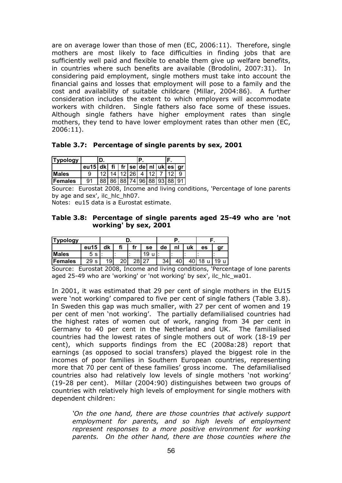are on average lower than those of men (EC, 2006:11). Therefore, single mothers are most likely to face difficulties in finding jobs that are sufficiently well paid and flexible to enable them give up welfare benefits, in countries where such benefits are available (Brodolini, 2007:31). In considering paid employment, single mothers must take into account the financial gains and losses that employment will pose to a family and the cost and availability of suitable childcare (Millar, 2004:86). A further consideration includes the extent to which employers will accommodate workers with children. Single fathers also face some of these issues. Although single fathers have higher employment rates than single mothers, they tend to have lower employment rates than other men (EC, 2006:11).

**Table 3.7: Percentage of single parents by sex, 2001** 

| Typology     |                                                   |                            |  |  |  |  |  |
|--------------|---------------------------------------------------|----------------------------|--|--|--|--|--|
|              | eu15   dk   fi   fr   se   de   nl   uk   es   gr |                            |  |  |  |  |  |
| <b>Males</b> |                                                   | $12$ 14 12 26 4 12 7 12    |  |  |  |  |  |
| Females      | 91                                                | 88 86 88 74 96 88 93 88 91 |  |  |  |  |  |

Source: Eurostat 2008, Income and living conditions, 'Percentage of lone parents by age and sex', ilc\_hlc\_hh07.

Notes: eu15 data is a Eurostat estimate.

#### **Table 3.8: Percentage of single parents aged 25-49 who are 'not working' by sex, 2001**

| <b>Typology</b> |                    |    |    |    |    |    |    |    |         |    |
|-----------------|--------------------|----|----|----|----|----|----|----|---------|----|
|                 | eu15               | dk | fi | fr | se | de | nl | uk | es      | gr |
| <b>Males</b>    | -S<br><sub>5</sub> |    |    |    | 19 |    |    |    |         |    |
| <b>IFemales</b> | 29<br>c            | 19 | 20 | 28 |    | 34 | 40 |    | $\circ$ |    |

Source: Eurostat 2008, Income and living conditions, 'Percentage of lone parents aged 25-49 who are 'working' or 'not working' by sex', ilc\_hlc\_wa01.

In 2001, it was estimated that 29 per cent of single mothers in the EU15 were 'not working' compared to five per cent of single fathers (Table 3.8). In Sweden this gap was much smaller, with 27 per cent of women and 19 per cent of men 'not working'. The partially defamilialised countries had the highest rates of women out of work, ranging from 34 per cent in Germany to 40 per cent in the Netherland and UK. The familialised countries had the lowest rates of single mothers out of work (18-19 per cent), which supports findings from the EC (2008a:28) report that earnings (as opposed to social transfers) played the biggest role in the incomes of poor families in Southern European countries, representing more that 70 per cent of these families' gross income. The defamilialised countries also had relatively low levels of single mothers 'not working' (19-28 per cent). Millar (2004:90) distinguishes between two groups of countries with relatively high levels of employment for single mothers with dependent children:

'On the one hand, there are those countries that actively support *employment for parents, and so high levels of employment represent responses to a more positive environment for working parents. On the other hand, there are those counties where the*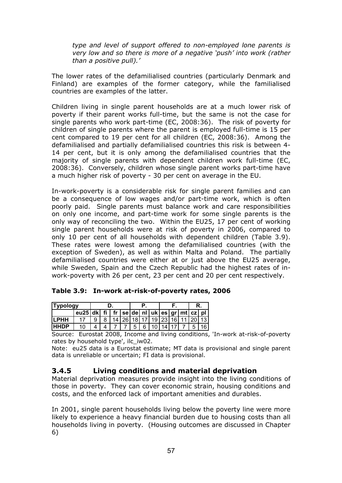*type and level of support offered to non-employed lone parents is very low and so there is more of a negative 'push' into work (rather than a positive pull).'* 

The lower rates of the defamilialised countries (particularly Denmark and Finland) are examples of the former category, while the familialised countries are examples of the latter.

Children living in single parent households are at a much lower risk of poverty if their parent works full-time, but the same is not the case for single parents who work part-time (EC, 2008:36). The risk of poverty for children of single parents where the parent is employed full-time is 15 per cent compared to 19 per cent for all children (EC, 2008:36). Among the defamilialised and partially defamilialised countries this risk is between 4- 14 per cent, but it is only among the defamilialised countries that the majority of single parents with dependent children work full-time (EC, 2008:36). Conversely, children whose single parent works part-time have a much higher risk of poverty - 30 per cent on average in the EU.

In-work-poverty is a considerable risk for single parent families and can be a consequence of low wages and/or part-time work, which is often poorly paid. Single parents must balance work and care responsibilities on only one income, and part-time work for some single parents is the only way of reconciling the two. Within the EU25, 17 per cent of working single parent households were at risk of poverty in 2006, compared to only 10 per cent of all households with dependent children (Table 3.9). These rates were lowest among the defamilialised countries (with the exception of Sweden), as well as within Malta and Poland. The partially defamilialised countries were either at or just above the EU25 average, while Sweden, Spain and the Czech Republic had the highest rates of inwork-poverty with 26 per cent, 23 per cent and 20 per cent respectively.

| <b>Tvpology</b> |                                            |   |  |  |  |  |  |                                                 |  |      |
|-----------------|--------------------------------------------|---|--|--|--|--|--|-------------------------------------------------|--|------|
|                 | $eu25$ dk fi fr se de nl uk es gr mt cz pl |   |  |  |  |  |  |                                                 |  |      |
| <b>ILPHH</b>    |                                            | 8 |  |  |  |  |  | 14   26   18   17   19   23   16   11   20   13 |  |      |
| <b>IHHDP</b>    |                                            |   |  |  |  |  |  | 5 6 10 14 17 7                                  |  | 5 16 |

**Table 3.9: In-work at-risk-of-poverty rates, 2006** 

Source: Eurostat 2008, Income and living conditions, 'In-work at-risk-of-poverty rates by household type', ilc iw02.

Note: eu25 data is a Eurostat estimate; MT data is provisional and single parent data is unreliable or uncertain; FI data is provisional.

# **3.4.5 Living conditions and material deprivation**

Material deprivation measures provide insight into the living conditions of those in poverty. They can cover economic strain, housing conditions and costs, and the enforced lack of important amenities and durables.

In 2001, single parent households living below the poverty line were more likely to experience a heavy financial burden due to housing costs than all households living in poverty. (Housing outcomes are discussed in Chapter 6)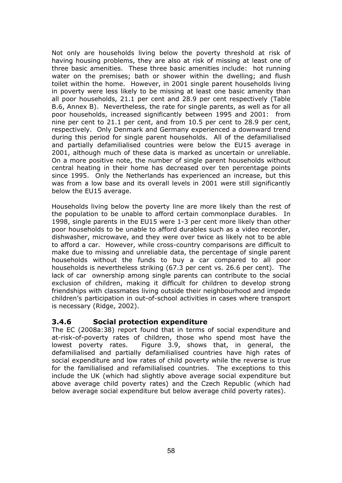Not only are households living below the poverty threshold at risk of having housing problems, they are also at risk of missing at least one of three basic amenities. These three basic amenities include: hot running water on the premises; bath or shower within the dwelling; and flush toilet within the home. However, in 2001 single parent households living in poverty were less likely to be missing at least one basic amenity than all poor households, 21.1 per cent and 28.9 per cent respectively (Table B.6, Annex B). Nevertheless, the rate for single parents, as well as for all poor households, increased significantly between 1995 and 2001: from nine per cent to 21.1 per cent, and from 10.5 per cent to 28.9 per cent, respectively. Only Denmark and Germany experienced a downward trend during this period for single parent households. All of the defamilialised and partially defamilialised countries were below the EU15 average in 2001, although much of these data is marked as uncertain or unreliable. On a more positive note, the number of single parent households without central heating in their home has decreased over ten percentage points since 1995. Only the Netherlands has experienced an increase, but this was from a low base and its overall levels in 2001 were still significantly below the EU15 average.

Households living below the poverty line are more likely than the rest of the population to be unable to afford certain commonplace durables. In 1998, single parents in the EU15 were 1-3 per cent more likely than other poor households to be unable to afford durables such as a video recorder, dishwasher, microwave, and they were over twice as likely not to be able to afford a car. However, while cross-country comparisons are difficult to make due to missing and unreliable data, the percentage of single parent households without the funds to buy a car compared to all poor households is nevertheless striking (67.3 per cent vs. 26.6 per cent). The lack of car ownership among single parents can contribute to the social exclusion of children, making it difficult for children to develop strong friendships with classmates living outside their neighbourhood and impede children's participation in out-of-school activities in cases where transport is necessary (Ridge, 2002).

### **3.4.6 Social protection expenditure**

The EC (2008a:38) report found that in terms of social expenditure and at-risk-of-poverty rates of children, those who spend most have the lowest poverty rates. Figure 3.9, shows that, in general, the defamilialised and partially defamilialised countries have high rates of social expenditure and low rates of child poverty while the reverse is true for the familialised and refamilialised countries. The exceptions to this include the UK (which had slightly above average social expenditure but above average child poverty rates) and the Czech Republic (which had below average social expenditure but below average child poverty rates).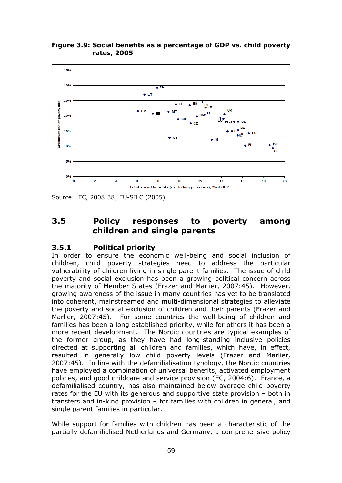



Source: EC, 2008:38; EU-SILC (2005)

# **3.5 Policy responses to poverty among children and single parents**

#### **3.5.1 Political priority**

In order to ensure the economic well-being and social inclusion of children, child poverty strategies need to address the particular vulnerability of children living in single parent families. The issue of child poverty and social exclusion has been a growing political concern across the majority of Member States (Frazer and Marlier, 2007:45). However, growing awareness of the issue in many countries has yet to be translated into coherent, mainstreamed and multi-dimensional strategies to alleviate the poverty and social exclusion of children and their parents (Frazer and Marlier, 2007:45). For some countries the well-being of children and families has been a long established priority, while for others it has been a more recent development. The Nordic countries are typical examples of the former group, as they have had long-standing inclusive policies directed at supporting all children and families, which have, in effect, resulted in generally low child poverty levels (Frazer and Marlier, 2007:45). In line with the defamilialisation typology, the Nordic countries have employed a combination of universal benefits, activated employment policies, and good childcare and service provision (EC, 2004:6). France, a defamilialised country, has also maintained below average child poverty rates for the EU with its generous and supportive state provision – both in transfers and in-kind provision – for families with children in general, and single parent families in particular.

While support for families with children has been a characteristic of the partially defamilialised Netherlands and Germany, a comprehensive policy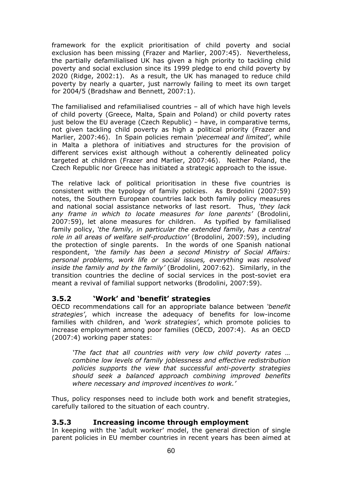framework for the explicit prioritisation of child poverty and social exclusion has been missing (Frazer and Marlier, 2007:45). Nevertheless, the partially defamilialised UK has given a high priority to tackling child poverty and social exclusion since its 1999 pledge to end child poverty by 2020 (Ridge, 2002:1). As a result, the UK has managed to reduce child poverty by nearly a quarter, just narrowly failing to meet its own target for 2004/5 (Bradshaw and Bennett, 2007:1).

The familialised and refamilialised countries – all of which have high levels of child poverty (Greece, Malta, Spain and Poland) or child poverty rates just below the EU average (Czech Republic) – have, in comparative terms, not given tackling child poverty as high a political priority (Frazer and Marlier, 2007:46). In Spain policies remain *'piecemeal and limited'*, while in Malta a plethora of initiatives and structures for the provision of different services exist although without a coherently delineated policy targeted at children (Frazer and Marlier, 2007:46). Neither Poland, the Czech Republic nor Greece has initiated a strategic approach to the issue.

The relative lack of political prioritisation in these five countries is consistent with the typology of family policies. As Brodolini (2007:59) notes, the Southern European countries lack both family policy measures and national social assistance networks of last resort. Thus, *'they lack any frame in which to locate measures for lone parents'* (Brodolini, 2007:59), let alone measures for children. As typified by familialised family policy, *'the family, in particular the extended family, has a central role in all areas of welfare self-production'* (Brodolini, 2007:59), including the protection of single parents. In the words of one Spanish national respondent, *'the family has been a second Ministry of Social Affairs: personal problems, work life or social issues, everything was resolved inside the family and by the family'* (Brodolini, 2007:62). Similarly, in the transition countries the decline of social services in the post-soviet era meant a revival of familial support networks (Brodolini, 2007:59).

# **3.5.2 'Work' and 'benefit' strategies**

OECD recommendations call for an appropriate balance between *'benefit strategies'*, which increase the adequacy of benefits for low-income families with children, and *'work strategies'*, which promote policies to increase employment among poor families (OECD, 2007:4). As an OECD (2007:4) working paper states:

*'The fact that all countries with very low child poverty rates … combine low levels of family joblessness and effective redistribution policies supports the view that successful anti-poverty strategies should seek a balanced approach combining improved benefits where necessary and improved incentives to work.'* 

Thus, policy responses need to include both work and benefit strategies, carefully tailored to the situation of each country.

### **3.5.3 Increasing income through employment**

In keeping with the 'adult worker' model, the general direction of single parent policies in EU member countries in recent years has been aimed at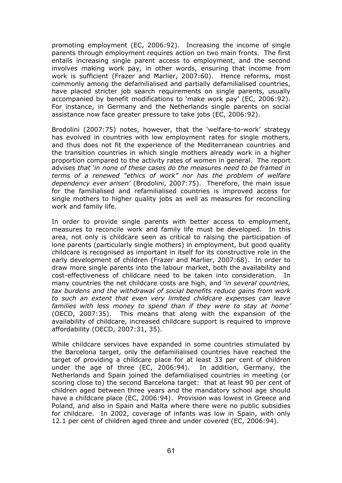promoting employment (EC, 2006:92). Increasing the income of single parents through employment requires action on two main fronts. The first entails increasing single parent access to employment, and the second involves making work pay, in other words, ensuring that income from work is sufficient (Frazer and Marlier, 2007:60). Hence reforms, most commonly among the defamilialised and partially defamilialised countries, have placed stricter job search requirements on single parents, usually accompanied by benefit modifications to 'make work pay' (EC, 2006:92). For instance, in Germany and the Netherlands single parents on social assistance now face greater pressure to take jobs (EC, 2006:92).

Brodolini (2007:75) notes, however, that the 'welfare-to-work' strategy has evolved in countries with low employment rates for single mothers, and thus does not fit the experience of the Mediterranean countries and the transition countries in which single mothers already work in a higher proportion compared to the activity rates of women in general. The report advises *that 'in none of these cases do the measures need to be framed in terms of a renewed "ethics of work" nor has the problem of welfare dependency ever arisen'* (Brodolini, 2007:75). Therefore, the main issue for the familialised and refamilialised countries is improved access for single mothers to higher quality jobs as well as measures for reconciling work and family life.

In order to provide single parents with better access to employment, measures to reconcile work and family life must be developed. In this area, not only is childcare seen as critical to raising the participation of lone parents (particularly single mothers) in employment, but good quality childcare is recognised as important in itself for its constructive role in the early development of children (Frazer and Marlier, 2007:68). In order to draw more single parents into the labour market, both the availability and cost-effectiveness of childcare need to be taken into consideration. In many countries the net childcare costs are high, and *'in several countries, tax burdens and the withdrawal of social benefits reduce gains from work to such an extent that even very limited childcare expenses can leave families with less money to spend than if they were to stay at home'*  (OECD, 2007:35). This means that along with the expansion of the availability of childcare, increased childcare support is required to improve affordability (OECD, 2007:31, 35).

While childcare services have expanded in some countries stimulated by the Barcelona target, only the defamilialised countries have reached the target of providing a childcare place for at least 33 per cent of children under the age of three (EC, 2006:94). In addition, Germany, the Netherlands and Spain joined the defamilialised countries in meeting (or scoring close to) the second Barcelona target: that at least 90 per cent of children aged between three years and the mandatory school age should have a childcare place (EC, 2006:94). Provision was lowest in Greece and Poland, and also in Spain and Malta where there were no public subsidies for childcare. In 2002, coverage of infants was low in Spain, with only 12.1 per cent of children aged three and under covered (EC, 2006:94).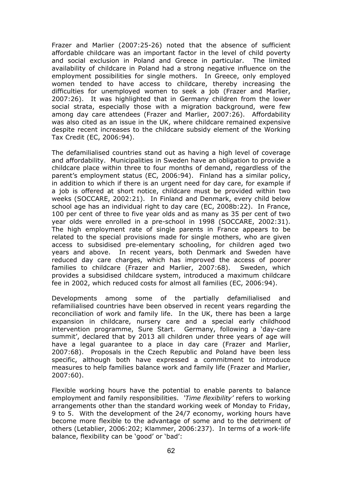Frazer and Marlier (2007:25-26) noted that the absence of sufficient affordable childcare was an important factor in the level of child poverty and social exclusion in Poland and Greece in particular. The limited availability of childcare in Poland had a strong negative influence on the employment possibilities for single mothers. In Greece, only employed women tended to have access to childcare, thereby increasing the difficulties for unemployed women to seek a job (Frazer and Marlier, 2007:26). It was highlighted that in Germany children from the lower social strata, especially those with a migration background, were few among day care attendees (Frazer and Marlier, 2007:26). Affordability was also cited as an issue in the UK, where childcare remained expensive despite recent increases to the childcare subsidy element of the Working Tax Credit (EC, 2006:94).

The defamilialised countries stand out as having a high level of coverage and affordability. Municipalities in Sweden have an obligation to provide a childcare place within three to four months of demand, regardless of the parent's employment status (EC, 2006:94). Finland has a similar policy, in addition to which if there is an urgent need for day care, for example if a job is offered at short notice, childcare must be provided within two weeks (SOCCARE, 2002:21). In Finland and Denmark, every child below school age has an individual right to day care (EC, 2008b:22). In France, 100 per cent of three to five year olds and as many as 35 per cent of two year olds were enrolled in a pre-school in 1998 (SOCCARE, 2002:31). The high employment rate of single parents in France appears to be related to the special provisions made for single mothers, who are given access to subsidised pre-elementary schooling, for children aged two years and above. In recent years, both Denmark and Sweden have reduced day care charges, which has improved the access of poorer families to childcare (Frazer and Marlier, 2007:68). Sweden, which provides a subsidised childcare system, introduced a maximum childcare fee in 2002, which reduced costs for almost all families (EC, 2006:94).

Developments among some of the partially defamilialised and refamilialised countries have been observed in recent years regarding the reconciliation of work and family life. In the UK, there has been a large expansion in childcare, nursery care and a special early childhood intervention programme, Sure Start. Germany, following a 'day-care summit', declared that by 2013 all children under three years of age will have a legal guarantee to a place in day care (Frazer and Marlier, 2007:68). Proposals in the Czech Republic and Poland have been less specific, although both have expressed a commitment to introduce measures to help families balance work and family life (Frazer and Marlier, 2007:60).

Flexible working hours have the potential to enable parents to balance employment and family responsibilities. *'Time flexibility'* refers to working arrangements other than the standard working week of Monday to Friday, 9 to 5. With the development of the 24/7 economy, working hours have become more flexible to the advantage of some and to the detriment of others (Letablier, 2006:202; Klammer, 2006:237). In terms of a work-life balance, flexibility can be 'good' or 'bad':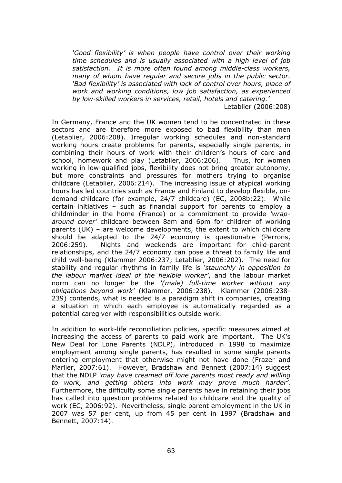*'Good flexibility' is when people have control over their working time schedules and is usually associated with a high level of job satisfaction. It is more often found among middle-class workers, many of whom have regular and secure jobs in the public sector. 'Bad flexibility' is associated with lack of control over hours, place of work and working conditions, low job satisfaction, as experienced by low-skilled workers in services, retail, hotels and catering.'* 

Letablier (2006:208)

In Germany, France and the UK women tend to be concentrated in these sectors and are therefore more exposed to bad flexibility than men (Letablier, 2006:208). Irregular working schedules and non-standard working hours create problems for parents, especially single parents, in combining their hours of work with their children's hours of care and school, homework and play (Letablier, 2006:206). Thus, for women working in low-qualified jobs, flexibility does not bring greater autonomy, but more constraints and pressures for mothers trying to organise childcare (Letablier, 2006:214). The increasing issue of atypical working hours has led countries such as France and Finland to develop flexible, ondemand childcare (for example, 24/7 childcare) (EC, 2008b:22). While certain initiatives – such as financial support for parents to employ a childminder in the home (France) or a commitment to provide *'wraparound cover'* childcare between 8am and 6pm for children of working parents (UK) – are welcome developments, the extent to which childcare should be adapted to the 24/7 economy is questionable (Perrons, 2006:259). Nights and weekends are important for child-parent relationships, and the 24/7 economy can pose a threat to family life and child well-being (Klammer 2006:237; Letablier, 2006:202). The need for stability and regular rhythms in family life is *'staunchly in opposition to the labour market ideal of the flexible worker'*, and the labour market norm can no longer be the *'(male) full-time worker without any obligations beyond work'* (Klammer, 2006:238). Klammer (2006:238- 239) contends, what is needed is a paradigm shift in companies, creating a situation in which each employee is automatically regarded as a potential caregiver with responsibilities outside work.

In addition to work-life reconciliation policies, specific measures aimed at increasing the access of parents to paid work are important. The UK's New Deal for Lone Parents (NDLP), introduced in 1998 to maximize employment among single parents, has resulted in some single parents entering employment that otherwise might not have done (Frazer and Marlier, 2007:61). However, Bradshaw and Bennett (2007:14) suggest that the NDLP *'may have creamed off lone parents most ready and willing to work, and getting others into work may prove much harder'*. Furthermore, the difficulty some single parents have in retaining their jobs has called into question problems related to childcare and the quality of work (EC, 2006:92). Nevertheless, single parent employment in the UK in 2007 was 57 per cent, up from 45 per cent in 1997 (Bradshaw and Bennett, 2007:14).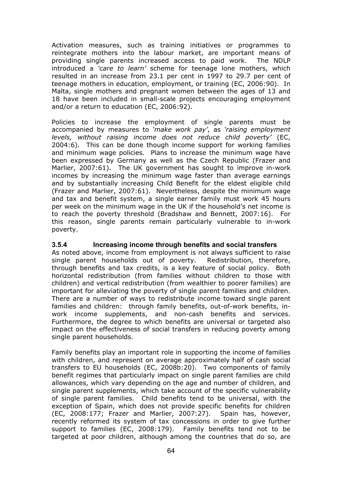Activation measures, such as training initiatives or programmes to reintegrate mothers into the labour market, are important means of providing single parents increased access to paid work. The NDLP introduced a *'care to learn'* scheme for teenage lone mothers, which resulted in an increase from 23.1 per cent in 1997 to 29.7 per cent of teenage mothers in education, employment, or training (EC, 2006:90). In Malta, single mothers and pregnant women between the ages of 13 and 18 have been included in small-scale projects encouraging employment and/or a return to education (EC, 2006:92).

Policies to increase the employment of single parents must be accompanied by measures to *'make work pay'*, as *'raising employment levels, without raising income does not reduce child poverty'* (EC, 2004:6). This can be done though income support for working families and minimum wage policies. Plans to increase the minimum wage have been expressed by Germany as well as the Czech Republic (Frazer and Marlier, 2007:61). The UK government has sought to improve in-work incomes by increasing the minimum wage faster than average earnings and by substantially increasing Child Benefit for the eldest eligible child (Frazer and Marlier, 2007:61). Nevertheless, despite the minimum wage and tax and benefit system, a single earner family must work 45 hours per week on the minimum wage in the UK if the household's net income is to reach the poverty threshold (Bradshaw and Bennett, 2007:16). For this reason, single parents remain particularly vulnerable to in-work poverty.

#### **3.5.4 Increasing income through benefits and social transfers**

As noted above, income from employment is not always sufficient to raise single parent households out of poverty. Redistribution, therefore, through benefits and tax credits, is a key feature of social policy. Both horizontal redistribution (from families without children to those with children) and vertical redistribution (from wealthier to poorer families) are important for alleviating the poverty of single parent families and children. There are a number of ways to redistribute income toward single parent families and children: through family benefits, out-of-work benefits, inwork income supplements, and non-cash benefits and services. Furthermore, the degree to which benefits are universal or targeted also impact on the effectiveness of social transfers in reducing poverty among single parent households.

Family benefits play an important role in supporting the income of families with children, and represent on average approximately half of cash social transfers to EU households (EC, 2008b:20). Two components of family benefit regimes that particularly impact on single parent families are child allowances, which vary depending on the age and number of children, and single parent supplements, which take account of the specific vulnerability of single parent families. Child benefits tend to be universal, with the exception of Spain, which does not provide specific benefits for children (EC, 2008:177; Frazer and Marlier, 2007:27). Spain has, however, recently reformed its system of tax concessions in order to give further support to families (EC, 2008:179). Family benefits tend not to be targeted at poor children, although among the countries that do so, are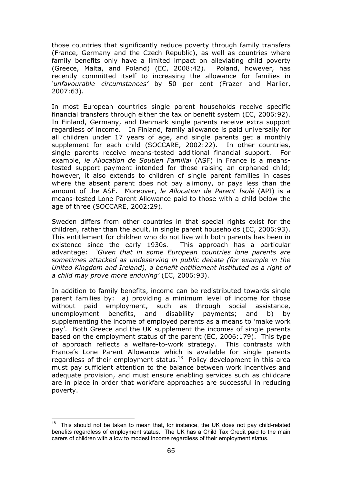those countries that significantly reduce poverty through family transfers (France, Germany and the Czech Republic), as well as countries where family benefits only have a limited impact on alleviating child poverty (Greece, Malta, and Poland) (EC, 2008:42). Poland, however, has recently committed itself to increasing the allowance for families in *'unfavourable circumstances'* by 50 per cent (Frazer and Marlier, 2007:63).

In most European countries single parent households receive specific financial transfers through either the tax or benefit system (EC, 2006:92). In Finland, Germany, and Denmark single parents receive extra support regardless of income. In Finland, family allowance is paid universally for all children under 17 years of age, and single parents get a monthly supplement for each child (SOCCARE, 2002:22). In other countries, single parents receive means-tested additional financial support. For example, *le Allocation de Soutien Familial* (ASF) in France is a meanstested support payment intended for those raising an orphaned child; however, it also extends to children of single parent families in cases where the absent parent does not pay alimony, or pays less than the amount of the ASF. Moreover, *le Allocation de Parent Isolé* (API) is a means-tested Lone Parent Allowance paid to those with a child below the age of three (SOCCARE, 2002:29).

Sweden differs from other countries in that special rights exist for the children, rather than the adult, in single parent households (EC, 2006:93). This entitlement for children who do not live with both parents has been in existence since the early 1930s. This approach has a particular advantage: *'Given that in some European countries lone parents are sometimes attacked as undeserving in public debate (for example in the United Kingdom and Ireland), a benefit entitlement instituted as a right of a child may prove more enduring'* (EC, 2006:93).

In addition to family benefits, income can be redistributed towards single parent families by: a) providing a minimum level of income for those without paid employment, such as through social assistance, unemployment benefits, and disability payments; and b) by supplementing the income of employed parents as a means to 'make work pay'. Both Greece and the UK supplement the incomes of single parents based on the employment status of the parent (EC, 2006:179). This type of approach reflects a welfare-to-work strategy. This contrasts with France's Lone Parent Allowance which is available for single parents regardless of their employment status.<sup>18</sup> Policy development in this area must pay sufficient attention to the balance between work incentives and adequate provision, and must ensure enabling services such as childcare are in place in order that workfare approaches are successful in reducing poverty.

 $\overline{a}$ This should not be taken to mean that, for instance, the UK does not pay child-related benefits regardless of employment status. The UK has a Child Tax Credit paid to the main carers of children with a low to modest income regardless of their employment status.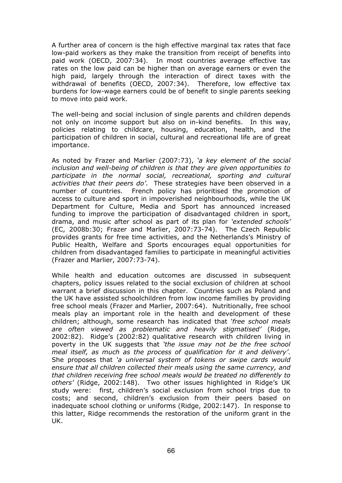A further area of concern is the high effective marginal tax rates that face low-paid workers as they make the transition from receipt of benefits into paid work (OECD, 2007:34). In most countries average effective tax rates on the low paid can be higher than on average earners or even the high paid, largely through the interaction of direct taxes with the withdrawal of benefits (OECD, 2007:34). Therefore, low effective tax burdens for low-wage earners could be of benefit to single parents seeking to move into paid work.

The well-being and social inclusion of single parents and children depends not only on income support but also on in-kind benefits. In this way, policies relating to childcare, housing, education, health, and the participation of children in social, cultural and recreational life are of great importance.

As noted by Frazer and Marlier (2007:73), *'a key element of the social inclusion and well-being of children is that they are given opportunities to participate in the normal social, recreational, sporting and cultural activities that their peers do'*. These strategies have been observed in a number of countries. French policy has prioritised the promotion of access to culture and sport in impoverished neighbourhoods, while the UK Department for Culture, Media and Sport has announced increased funding to improve the participation of disadvantaged children in sport, drama, and music after school as part of its plan for *'extended schools'* (EC, 2008b:30; Frazer and Marlier, 2007:73-74). The Czech Republic provides grants for free time activities, and the Netherlands's Ministry of Public Health, Welfare and Sports encourages equal opportunities for children from disadvantaged families to participate in meaningful activities (Frazer and Marlier, 2007:73-74).

While health and education outcomes are discussed in subsequent chapters, policy issues related to the social exclusion of children at school warrant a brief discussion in this chapter. Countries such as Poland and the UK have assisted schoolchildren from low income families by providing free school meals (Frazer and Marlier, 2007:64). Nutritionally, free school meals play an important role in the health and development of these children; although, some research has indicated that *'free school meals are often viewed as problematic and heavily stigmatised'* (Ridge, 2002:82). Ridge's (2002:82) qualitative research with children living in poverty in the UK suggests that *'the issue may not be the free school meal itself, as much as the process of qualification for it and delivery'*. She proposes that *'a universal system of tokens or swipe cards would ensure that all children collected their meals using the same currency, and that children receiving free school meals would be treated no differently to others'* (Ridge, 2002:148). Two other issues highlighted in Ridge's UK study were: first, children's social exclusion from school trips due to costs; and second, children's exclusion from their peers based on inadequate school clothing or uniforms (Ridge, 2002:147). In response to this latter, Ridge recommends the restoration of the uniform grant in the UK.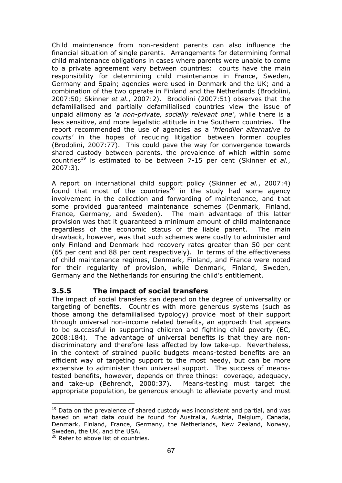Child maintenance from non-resident parents can also influence the financial situation of single parents. Arrangements for determining formal child maintenance obligations in cases where parents were unable to come to a private agreement vary between countries: courts have the main responsibility for determining child maintenance in France, Sweden, Germany and Spain; agencies were used in Denmark and the UK; and a combination of the two operate in Finland and the Netherlands (Brodolini, 2007:50; Skinner *et al.*, 2007:2). Brodolini (2007:51) observes that the defamilialised and partially defamilialised countries view the issue of unpaid alimony as *'a non-private, socially relevant one'*, while there is a less sensitive, and more legalistic attitude in the Southern countries. The report recommended the use of agencies as a *'friendlier alternative to courts'* in the hopes of reducing litigation between former couples (Brodolini, 2007:77). This could pave the way for convergence towards shared custody between parents, the prevalence of which within some countries<sup>19</sup> is estimated to be between 7-15 per cent (Skinner *et al.*, 2007:3).

A report on international child support policy (Skinner *et al.*, 2007:4) found that most of the countries<sup>20</sup> in the study had some agency involvement in the collection and forwarding of maintenance, and that some provided guaranteed maintenance schemes (Denmark, Finland, France, Germany, and Sweden). The main advantage of this latter provision was that it guaranteed a minimum amount of child maintenance regardless of the economic status of the liable parent. The main drawback, however, was that such schemes were costly to administer and only Finland and Denmark had recovery rates greater than 50 per cent (65 per cent and 88 per cent respectively). In terms of the effectiveness of child maintenance regimes, Denmark, Finland, and France were noted for their regularity of provision, while Denmark, Finland, Sweden, Germany and the Netherlands for ensuring the child's entitlement.

#### **3.5.5 The impact of social transfers**

The impact of social transfers can depend on the degree of universality or targeting of benefits. Countries with more generous systems (such as those among the defamilialised typology) provide most of their support through universal non-income related benefits, an approach that appears to be successful in supporting children and fighting child poverty (EC, 2008:184). The advantage of universal benefits is that they are nondiscriminatory and therefore less affected by low take-up. Nevertheless, in the context of strained public budgets means-tested benefits are an efficient way of targeting support to the most needy, but can be more expensive to administer than universal support. The success of meanstested benefits, however, depends on three things: coverage, adequacy, and take-up (Behrendt, 2000:37). Means-testing must target the appropriate population, be generous enough to alleviate poverty and must

 $\overline{a}$ 

 $19$  Data on the prevalence of shared custody was inconsistent and partial, and was based on what data could be found for Australia, Austria, Belgium, Canada, Denmark, Finland, France, Germany, the Netherlands, New Zealand, Norway, Sweden, the UK, and the USA.

<sup>&</sup>lt;sup>20</sup> Refer to above list of countries.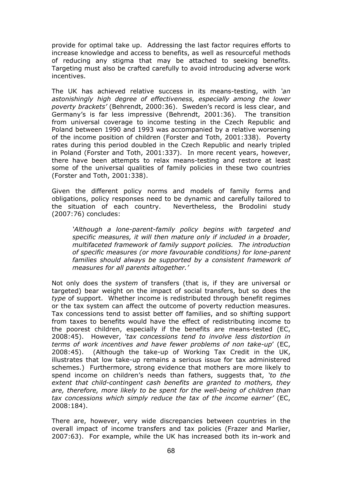provide for optimal take up. Addressing the last factor requires efforts to increase knowledge and access to benefits, as well as resourceful methods of reducing any stigma that may be attached to seeking benefits. Targeting must also be crafted carefully to avoid introducing adverse work incentives.

The UK has achieved relative success in its means-testing, with *'an astonishingly high degree of effectiveness, especially among the lower poverty brackets'* (Behrendt, 2000:36). Sweden's record is less clear, and Germany's is far less impressive (Behrendt, 2001:36). The transition from universal coverage to income testing in the Czech Republic and Poland between 1990 and 1993 was accompanied by a relative worsening of the income position of children (Forster and Toth, 2001:338). Poverty rates during this period doubled in the Czech Republic and nearly tripled in Poland (Forster and Toth, 2001:337). In more recent years, however, there have been attempts to relax means-testing and restore at least some of the universal qualities of family policies in these two countries (Forster and Toth, 2001:338).

Given the different policy norms and models of family forms and obligations, policy responses need to be dynamic and carefully tailored to the situation of each country. Nevertheless, the Brodolini study (2007:76) concludes:

*'Although a lone-parent-family policy begins with targeted and specific measures, it will then mature only if included in a broader, multifaceted framework of family support policies. The introduction of specific measures (or more favourable conditions) for lone-parent families should always be supported by a consistent framework of measures for all parents altogether.'* 

Not only does the *system* of transfers (that is, if they are universal or targeted) bear weight on the impact of social transfers, but so does the *type* of support. Whether income is redistributed through benefit regimes or the tax system can affect the outcome of poverty reduction measures. Tax concessions tend to assist better off families, and so shifting support from taxes to benefits would have the effect of redistributing income to the poorest children, especially if the benefits are means-tested (EC, 2008:45). However, *'tax concessions tend to involve less distortion in terms of work incentives and have fewer problems of non take-up*' (EC, 2008:45). (Although the take-up of Working Tax Credit in the UK, illustrates that low take-up remains a serious issue for tax administered schemes.) Furthermore, strong evidence that mothers are more likely to spend income on children's needs than fathers, suggests that, *'to the extent that child-contingent cash benefits are granted to mothers, they are, therefore, more likely to be spent for the well-being of children than tax concessions which simply reduce the tax of the income earner'* (EC, 2008:184).

There are, however, very wide discrepancies between countries in the overall impact of income transfers and tax policies (Frazer and Marlier, 2007:63). For example, while the UK has increased both its in-work and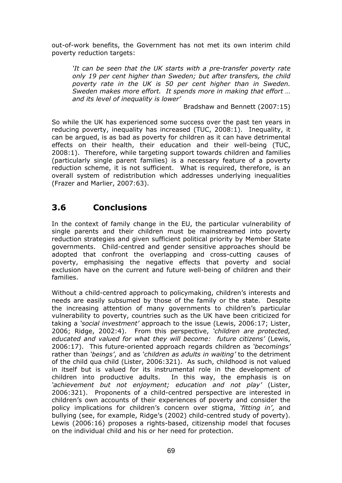out-of-work benefits, the Government has not met its own interim child poverty reduction targets:

*'It can be seen that the UK starts with a pre-transfer poverty rate only 19 per cent higher than Sweden; but after transfers, the child poverty rate in the UK is 50 per cent higher than in Sweden. Sweden makes more effort. It spends more in making that effort … and its level of inequality is lower'* 

Bradshaw and Bennett (2007:15)

So while the UK has experienced some success over the past ten years in reducing poverty, inequality has increased (TUC, 2008:1). Inequality, it can be argued, is as bad as poverty for children as it can have detrimental effects on their health, their education and their well-being (TUC, 2008:1). Therefore, while targeting support towards children and families (particularly single parent families) is a necessary feature of a poverty reduction scheme, it is not sufficient. What is required, therefore, is an overall system of redistribution which addresses underlying inequalities (Frazer and Marlier, 2007:63).

# **3.6 Conclusions**

In the context of family change in the EU, the particular vulnerability of single parents and their children must be mainstreamed into poverty reduction strategies and given sufficient political priority by Member State governments. Child-centred and gender sensitive approaches should be adopted that confront the overlapping and cross-cutting causes of poverty, emphasising the negative effects that poverty and social exclusion have on the current and future well-being of children and their families.

Without a child-centred approach to policymaking, children's interests and needs are easily subsumed by those of the family or the state. Despite the increasing attention of many governments to children's particular vulnerability to poverty, countries such as the UK have been criticized for taking a *'social investment'* approach to the issue (Lewis, 2006:17; Lister, 2006; Ridge, 2002:4). From this perspective, *'children are protected, educated and valued for what they will become: future citizens'* (Lewis, 2006:17). This future-oriented approach regards children as *'becomings'* rather than *'beings'*, and as *'children as adults in waiting'* to the detriment of the child qua child (Lister, 2006:321). As such, childhood is not valued in itself but is valued for its instrumental role in the development of children into productive adults. In this way, the emphasis is on *'achievement but not enjoyment; education and not play'* (Lister, 2006:321). Proponents of a child-centred perspective are interested in children's own accounts of their experiences of poverty and consider the policy implications for children's concern over stigma, *'fitting in'*, and bullying (see, for example, Ridge's (2002) child-centred study of poverty). Lewis (2006:16) proposes a rights-based, citizenship model that focuses on the individual child and his or her need for protection.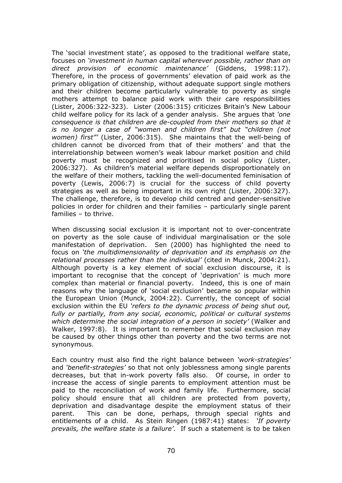The 'social investment state', as opposed to the traditional welfare state, focuses on *'investment in human capital wherever possible, rather than on direct provision of economic maintenance'* (Giddens, 1998:117). Therefore, in the process of governments' elevation of paid work as the primary obligation of citizenship, without adequate support single mothers and their children become particularly vulnerable to poverty as single mothers attempt to balance paid work with their care responsibilities (Lister, 2006:322-323). Lister (2006:315) criticizes Britain's New Labour child welfare policy for its lack of a gender analysis. She argues that *'one consequence is that children are de-coupled from their mothers so that it is no longer a case of "women and children first" but "children (not women) first"'* (Lister, 2006:315). She maintains that the well-being of children cannot be divorced from that of their mothers' and that the interrelationship between women's weak labour market position and child poverty must be recognized and prioritised in social policy (Lister, 2006:327). As children's material welfare depends disproportionately on the welfare of their mothers, tackling the well-documented feminisation of poverty (Lewis, 2006:7) is crucial for the success of child poverty strategies as well as being important in its own right (Lister, 2006:327). The challenge, therefore, is to develop child centred and gender-sensitive policies in order for children and their families – particularly single parent families – to thrive.

When discussing social exclusion it is important not to over-concentrate on poverty as the sole cause of individual marginalisation or the sole manifestation of deprivation. Sen (2000) has highlighted the need to focus on *'the multidimensionality of deprivation and its emphasis on the relational processes rather than the individual'* (cited in Munck, 2004:21). Although poverty is a key element of social exclusion discourse, it is important to recognise that the concept of 'deprivation' is much more complex than material or financial poverty. Indeed, this is one of main reasons why the language of 'social exclusion' became so popular within the European Union (Munck, 2004:22). Currently, the concept of social exclusion within the EU *'refers to the dynamic process of being shut out, fully or partially, from any social, economic, political or cultural systems which determine the social integration of a person in society'* (Walker and Walker, 1997:8). It is important to remember that social exclusion may be caused by other things other than poverty and the two terms are not synonymous.

Each country must also find the right balance between *'work-strategies'* and *'benefit-strategies'* so that not only joblessness among single parents decreases, but that in-work poverty falls also. Of course, in order to increase the access of single parents to employment attention must be paid to the reconciliation of work and family life. Furthermore, social policy should ensure that all children are protected from poverty, deprivation and disadvantage despite the employment status of their parent. This can be done, perhaps, through special rights and entitlements of a child. As Stein Ringen (1987:41) states: *'If poverty prevails, the welfare state is a failure'*. If such a statement is to be taken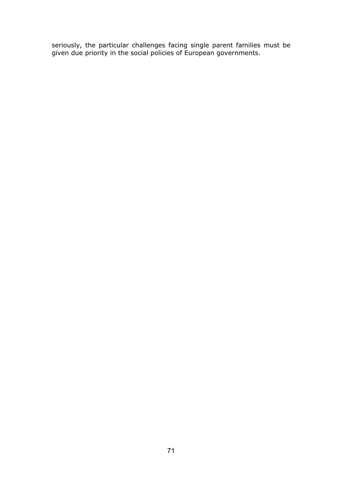seriously, the particular challenges facing single parent families must be given due priority in the social policies of European governments.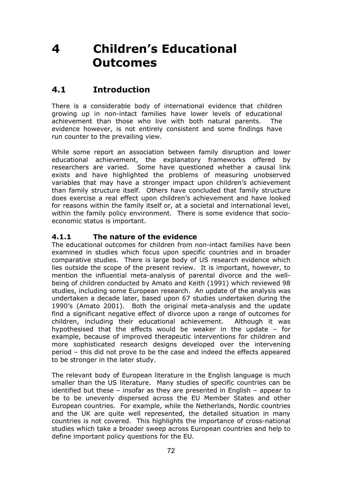# **4 Children's Educational Outcomes**

## **4.1 Introduction**

There is a considerable body of international evidence that children growing up in non-intact families have lower levels of educational achievement than those who live with both natural parents. The evidence however, is not entirely consistent and some findings have run counter to the prevailing view.

While some report an association between family disruption and lower educational achievement, the explanatory frameworks offered by researchers are varied. Some have questioned whether a causal link exists and have highlighted the problems of measuring unobserved variables that may have a stronger impact upon children's achievement than family structure itself. Others have concluded that family structure does exercise a real effect upon children's achievement and have looked for reasons within the family itself or, at a societal and international level, within the family policy environment. There is some evidence that socioeconomic status is important.

#### **4.1.1 The nature of the evidence**

The educational outcomes for children from non-intact families have been examined in studies which focus upon specific countries and in broader comparative studies. There is large body of US research evidence which lies outside the scope of the present review. It is important, however, to mention the influential meta-analysis of parental divorce and the wellbeing of children conducted by Amato and Keith (1991) which reviewed 98 studies, including some European research. An update of the analysis was undertaken a decade later, based upon 67 studies undertaken during the 1990's (Amato 2001). Both the original meta-analysis and the update find a significant negative effect of divorce upon a range of outcomes for children, including their educational achievement. Although it was hypothesised that the effects would be weaker in the update – for example, because of improved therapeutic interventions for children and more sophisticated research designs developed over the intervening period – this did not prove to be the case and indeed the effects appeared to be stronger in the later study.

The relevant body of European literature in the English language is much smaller than the US literature. Many studies of specific countries can be identified but these – insofar as they are presented in English – appear to be to be unevenly dispersed across the EU Member States and other European countries. For example, while the Netherlands, Nordic countries and the UK are quite well represented, the detailed situation in many countries is not covered. This highlights the importance of cross-national studies which take a broader sweep across European countries and help to define important policy questions for the EU.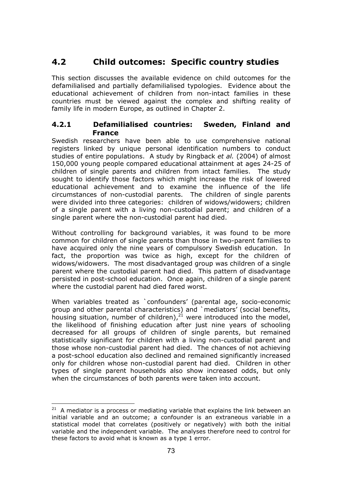## **4.2 Child outcomes: Specific country studies**

This section discusses the available evidence on child outcomes for the defamilialised and partially defamilialised typologies. Evidence about the educational achievement of children from non-intact families in these countries must be viewed against the complex and shifting reality of family life in modern Europe, as outlined in Chapter 2.

#### **4.2.1 Defamilialised countries: Sweden, Finland and France**

Swedish researchers have been able to use comprehensive national registers linked by unique personal identification numbers to conduct studies of entire populations. A study by Ringback *et al.* (2004) of almost 150,000 young people compared educational attainment at ages 24-25 of children of single parents and children from intact families. The study sought to identify those factors which might increase the risk of lowered educational achievement and to examine the influence of the life circumstances of non-custodial parents. The children of single parents were divided into three categories: children of widows/widowers; children of a single parent with a living non-custodial parent; and children of a single parent where the non-custodial parent had died.

Without controlling for background variables, it was found to be more common for children of single parents than those in two-parent families to have acquired only the nine years of compulsory Swedish education. In fact, the proportion was twice as high, except for the children of widows/widowers. The most disadvantaged group was children of a single parent where the custodial parent had died. This pattern of disadvantage persisted in post-school education. Once again, children of a single parent where the custodial parent had died fared worst.

When variables treated as `confounders' (parental age, socio-economic group and other parental characteristics) and `mediators' (social benefits, housing situation, number of children), $2^1$  were introduced into the model, the likelihood of finishing education after just nine years of schooling decreased for all groups of children of single parents, but remained statistically significant for children with a living non-custodial parent and those whose non-custodial parent had died. The chances of not achieving a post-school education also declined and remained significantly increased only for children whose non-custodial parent had died. Children in other types of single parent households also show increased odds, but only when the circumstances of both parents were taken into account.

 $\overline{a}$ 

 $21$  A mediator is a process or mediating variable that explains the link between an initial variable and an outcome; a confounder is an extraneous variable in a statistical model that correlates (positively or negatively) with both the initial variable and the independent variable. The analyses therefore need to control for these factors to avoid what is known as a type 1 error.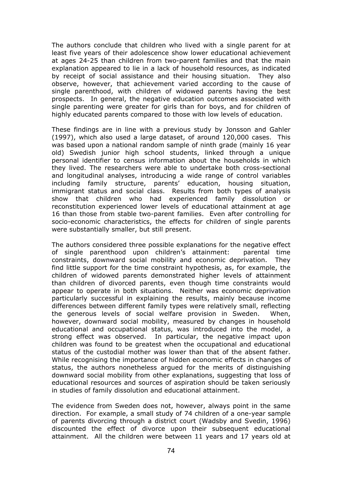The authors conclude that children who lived with a single parent for at least five years of their adolescence show lower educational achievement at ages 24-25 than children from two-parent families and that the main explanation appeared to lie in a lack of household resources, as indicated by receipt of social assistance and their housing situation. They also observe, however, that achievement varied according to the cause of single parenthood, with children of widowed parents having the best prospects. In general, the negative education outcomes associated with single parenting were greater for girls than for boys, and for children of highly educated parents compared to those with low levels of education.

These findings are in line with a previous study by Jonsson and Gahler (1997), which also used a large dataset, of around 120,000 cases. This was based upon a national random sample of ninth grade (mainly 16 year old) Swedish junior high school students, linked through a unique personal identifier to census information about the households in which they lived. The researchers were able to undertake both cross-sectional and longitudinal analyses, introducing a wide range of control variables including family structure, parents' education, housing situation, immigrant status and social class. Results from both types of analysis show that children who had experienced family dissolution or reconstitution experienced lower levels of educational attainment at age 16 than those from stable two-parent families. Even after controlling for socio-economic characteristics, the effects for children of single parents were substantially smaller, but still present.

The authors considered three possible explanations for the negative effect of single parenthood upon children's attainment: parental time constraints, downward social mobility and economic deprivation. They find little support for the time constraint hypothesis, as, for example, the children of widowed parents demonstrated higher levels of attainment than children of divorced parents, even though time constraints would appear to operate in both situations. Neither was economic deprivation particularly successful in explaining the results, mainly because income differences between different family types were relatively small, reflecting the generous levels of social welfare provision in Sweden. When, however, downward social mobility, measured by changes in household educational and occupational status, was introduced into the model, a strong effect was observed. In particular, the negative impact upon children was found to be greatest when the occupational and educational status of the custodial mother was lower than that of the absent father. While recognising the importance of hidden economic effects in changes of status, the authors nonetheless argued for the merits of distinguishing downward social mobility from other explanations, suggesting that loss of educational resources and sources of aspiration should be taken seriously in studies of family dissolution and educational attainment.

The evidence from Sweden does not, however, always point in the same direction. For example, a small study of 74 children of a one-year sample of parents divorcing through a district court (Wadsby and Svedin, 1996) discounted the effect of divorce upon their subsequent educational attainment. All the children were between 11 years and 17 years old at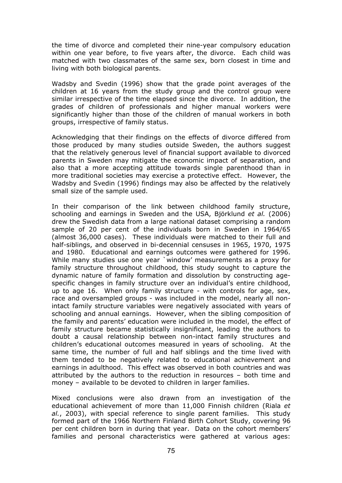the time of divorce and completed their nine-year compulsory education within one year before, to five years after, the divorce. Each child was matched with two classmates of the same sex, born closest in time and living with both biological parents.

Wadsby and Svedin (1996) show that the grade point averages of the children at 16 years from the study group and the control group were similar irrespective of the time elapsed since the divorce. In addition, the grades of children of professionals and higher manual workers were significantly higher than those of the children of manual workers in both groups, irrespective of family status.

Acknowledging that their findings on the effects of divorce differed from those produced by many studies outside Sweden, the authors suggest that the relatively generous level of financial support available to divorced parents in Sweden may mitigate the economic impact of separation, and also that a more accepting attitude towards single parenthood than in more traditional societies may exercise a protective effect. However, the Wadsby and Svedin (1996) findings may also be affected by the relatively small size of the sample used.

In their comparison of the link between childhood family structure, schooling and earnings in Sweden and the USA, Björklund *et al.* (2006) drew the Swedish data from a large national dataset comprising a random sample of 20 per cent of the individuals born in Sweden in 1964/65 (almost 36,000 cases). These individuals were matched to their full and half-siblings, and observed in bi-decennial censuses in 1965, 1970, 1975 and 1980. Educational and earnings outcomes were gathered for 1996. While many studies use one year `window' measurements as a proxy for family structure throughout childhood, this study sought to capture the dynamic nature of family formation and dissolution by constructing agespecific changes in family structure over an individual's entire childhood, up to age 16. When only family structure - with controls for age, sex, race and oversampled groups - was included in the model, nearly all nonintact family structure variables were negatively associated with years of schooling and annual earnings. However, when the sibling composition of the family and parents' education were included in the model, the effect of family structure became statistically insignificant, leading the authors to doubt a causal relationship between non-intact family structures and children's educational outcomes measured in years of schooling. At the same time, the number of full and half siblings and the time lived with them tended to be negatively related to educational achievement and earnings in adulthood. This effect was observed in both countries and was attributed by the authors to the reduction in resources – both time and money – available to be devoted to children in larger families.

Mixed conclusions were also drawn from an investigation of the educational achievement of more than 11,000 Finnish children (Riala *et al.*, 2003), with special reference to single parent families. This study formed part of the 1966 Northern Finland Birth Cohort Study, covering 96 per cent children born in during that year. Data on the cohort members' families and personal characteristics were gathered at various ages: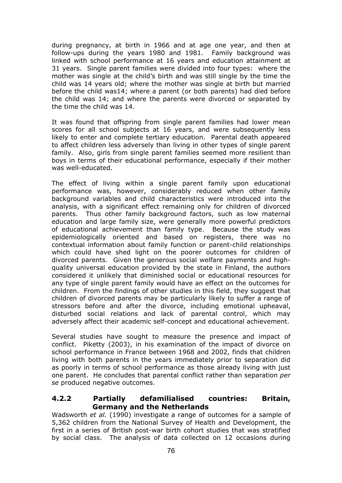during pregnancy, at birth in 1966 and at age one year, and then at follow-ups during the years 1980 and 1981. Family background was linked with school performance at 16 years and education attainment at 31 years. Single parent families were divided into four types: where the mother was single at the child's birth and was still single by the time the child was 14 years old; where the mother was single at birth but married before the child was14; where a parent (or both parents) had died before the child was 14; and where the parents were divorced or separated by the time the child was 14.

It was found that offspring from single parent families had lower mean scores for all school subjects at 16 years, and were subsequently less likely to enter and complete tertiary education. Parental death appeared to affect children less adversely than living in other types of single parent family. Also, girls from single parent families seemed more resilient than boys in terms of their educational performance, especially if their mother was well-educated.

The effect of living within a single parent family upon educational performance was, however, considerably reduced when other family background variables and child characteristics were introduced into the analysis, with a significant effect remaining only for children of divorced parents. Thus other family background factors, such as low maternal education and large family size, were generally more powerful predictors of educational achievement than family type. Because the study was epidemiologically oriented and based on registers, there was no contextual information about family function or parent-child relationships which could have shed light on the poorer outcomes for children of divorced parents. Given the generous social welfare payments and highquality universal education provided by the state in Finland, the authors considered it unlikely that diminished social or educational resources for any type of single parent family would have an effect on the outcomes for children. From the findings of other studies in this field, they suggest that children of divorced parents may be particularly likely to suffer a range of stressors before and after the divorce, including emotional upheaval, disturbed social relations and lack of parental control, which may adversely affect their academic self-concept and educational achievement.

Several studies have sought to measure the presence and impact of conflict. Piketty (2003), in his examination of the impact of divorce on school performance in France between 1968 and 2002, finds that children living with both parents in the years immediately prior to separation did as poorly in terms of school performance as those already living with just one parent. He concludes that parental conflict rather than separation *per se* produced negative outcomes.

#### **4.2.2 Partially defamilialised countries: Britain, Germany and the Netherlands**

Wadsworth *et al.* (1990) investigate a range of outcomes for a sample of 5,362 children from the National Survey of Health and Development, the first in a series of British post-war birth cohort studies that was stratified by social class. The analysis of data collected on 12 occasions during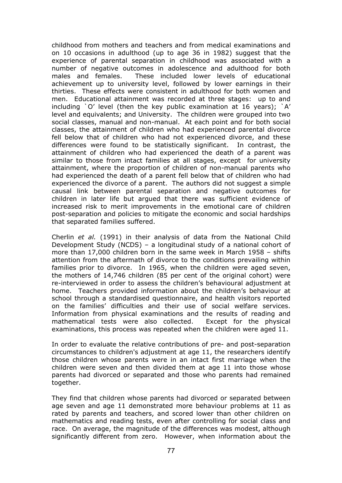childhood from mothers and teachers and from medical examinations and on 10 occasions in adulthood (up to age 36 in 1982) suggest that the experience of parental separation in childhood was associated with a number of negative outcomes in adolescence and adulthood for both males and females. These included lower levels of educational achievement up to university level, followed by lower earnings in their thirties. These effects were consistent in adulthood for both women and men. Educational attainment was recorded at three stages: up to and including `O' level (then the key public examination at 16 years); `A' level and equivalents; and University. The children were grouped into two social classes, manual and non-manual. At each point and for both social classes, the attainment of children who had experienced parental divorce fell below that of children who had not experienced divorce, and these differences were found to be statistically significant. In contrast, the attainment of children who had experienced the death of a parent was similar to those from intact families at all stages, except for university attainment, where the proportion of children of non-manual parents who had experienced the death of a parent fell below that of children who had experienced the divorce of a parent. The authors did not suggest a simple causal link between parental separation and negative outcomes for children in later life but argued that there was sufficient evidence of increased risk to merit improvements in the emotional care of children post-separation and policies to mitigate the economic and social hardships that separated families suffered.

Cherlin *et al.* (1991) in their analysis of data from the National Child Development Study (NCDS) – a longitudinal study of a national cohort of more than 17,000 children born in the same week in March 1958 – shifts attention from the aftermath of divorce to the conditions prevailing within families prior to divorce. In 1965, when the children were aged seven, the mothers of 14,746 children (85 per cent of the original cohort) were re-interviewed in order to assess the children's behavioural adjustment at home. Teachers provided information about the children's behaviour at school through a standardised questionnaire, and health visitors reported on the families' difficulties and their use of social welfare services. Information from physical examinations and the results of reading and mathematical tests were also collected. Except for the physical examinations, this process was repeated when the children were aged 11.

In order to evaluate the relative contributions of pre- and post-separation circumstances to children's adjustment at age 11, the researchers identify those children whose parents were in an intact first marriage when the children were seven and then divided them at age 11 into those whose parents had divorced or separated and those who parents had remained together.

They find that children whose parents had divorced or separated between age seven and age 11 demonstrated more behaviour problems at 11 as rated by parents and teachers, and scored lower than other children on mathematics and reading tests, even after controlling for social class and race. On average, the magnitude of the differences was modest, although significantly different from zero. However, when information about the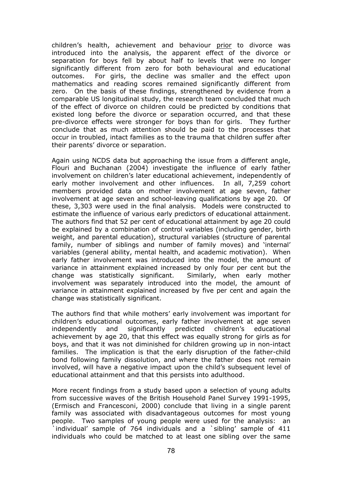children's health, achievement and behaviour prior to divorce was introduced into the analysis, the apparent effect of the divorce or separation for boys fell by about half to levels that were no longer significantly different from zero for both behavioural and educational outcomes. For girls, the decline was smaller and the effect upon mathematics and reading scores remained significantly different from zero. On the basis of these findings, strengthened by evidence from a comparable US longitudinal study, the research team concluded that much of the effect of divorce on children could be predicted by conditions that existed long before the divorce or separation occurred, and that these pre-divorce effects were stronger for boys than for girls. They further conclude that as much attention should be paid to the processes that occur in troubled, intact families as to the trauma that children suffer after their parents' divorce or separation.

Again using NCDS data but approaching the issue from a different angle, Flouri and Buchanan (2004) investigate the influence of early father involvement on children's later educational achievement, independently of early mother involvement and other influences. In all, 7,259 cohort members provided data on mother involvement at age seven, father involvement at age seven and school-leaving qualifications by age 20. Of these, 3,303 were used in the final analysis. Models were constructed to estimate the influence of various early predictors of educational attainment. The authors find that 52 per cent of educational attainment by age 20 could be explained by a combination of control variables (including gender, birth weight, and parental education), structural variables (structure of parental family, number of siblings and number of family moves) and 'internal' variables (general ability, mental health, and academic motivation). When early father involvement was introduced into the model, the amount of variance in attainment explained increased by only four per cent but the change was statistically significant. Similarly, when early mother involvement was separately introduced into the model, the amount of variance in attainment explained increased by five per cent and again the change was statistically significant.

The authors find that while mothers' early involvement was important for children's educational outcomes, early father involvement at age seven independently and significantly predicted children's educational achievement by age 20, that this effect was equally strong for girls as for boys, and that it was not diminished for children growing up in non-intact families. The implication is that the early disruption of the father-child bond following family dissolution, and where the father does not remain involved, will have a negative impact upon the child's subsequent level of educational attainment and that this persists into adulthood.

More recent findings from a study based upon a selection of young adults from successive waves of the British Household Panel Survey 1991-1995, (Ermisch and Francesconi, 2000) conclude that living in a single parent family was associated with disadvantageous outcomes for most young people. Two samples of young people were used for the analysis: an individual' sample of 764 individuals and a `sibling' sample of 411 individuals who could be matched to at least one sibling over the same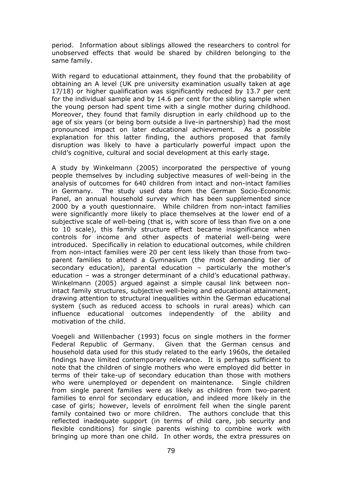period. Information about siblings allowed the researchers to control for unobserved effects that would be shared by children belonging to the same family.

With regard to educational attainment, they found that the probability of obtaining an A level (UK pre university examination usually taken at age 17/18) or higher qualification was significantly reduced by 13.7 per cent for the individual sample and by 14.6 per cent for the sibling sample when the young person had spent time with a single mother during childhood. Moreover, they found that family disruption in early childhood up to the age of six years (or being born outside a live-in partnership) had the most pronounced impact on later educational achievement. As a possible explanation for this latter finding, the authors proposed that family disruption was likely to have a particularly powerful impact upon the child's cognitive, cultural and social development at this early stage.

A study by Winkelmann (2005) incorporated the perspective of young people themselves by including subjective measures of well-being in the analysis of outcomes for 640 children from intact and non-intact families in Germany. The study used data from the German Socio-Economic Panel, an annual household survey which has been supplemented since 2000 by a youth questionnaire. While children from non-intact families were significantly more likely to place themselves at the lower end of a subiective scale of well-being (that is, with score of less than five on a one to 10 scale), this family structure effect became insignificance when controls for income and other aspects of material well-being were introduced. Specifically in relation to educational outcomes, while children from non-intact families were 20 per cent less likely than those from twoparent families to attend a Gymnasium (the most demanding tier of secondary education), parental education – particularly the mother's education – was a stronger determinant of a child's educational pathway. Winkelmann (2005) argued against a simple causal link between nonintact family structures, subjective well-being and educational attainment, drawing attention to structural inequalities within the German educational system (such as reduced access to schools in rural areas) which can influence educational outcomes independently of the ability and motivation of the child.

Voegeli and Willenbacher (1993) focus on single mothers in the former Federal Republic of Germany. Given that the German census and household data used for this study related to the early 1960s, the detailed findings have limited contemporary relevance. It is perhaps sufficient to note that the children of single mothers who were employed did better in terms of their take-up of secondary education than those with mothers who were unemployed or dependent on maintenance. Single children from single parent families were as likely as children from two-parent families to enrol for secondary education, and indeed more likely in the case of girls; however, levels of enrolment fell when the single parent family contained two or more children. The authors conclude that this reflected inadequate support (in terms of child care, job security and flexible conditions) for single parents wishing to combine work with bringing up more than one child. In other words, the extra pressures on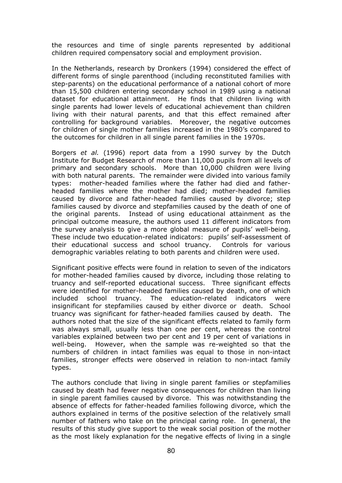the resources and time of single parents represented by additional children required compensatory social and employment provision.

In the Netherlands, research by Dronkers (1994) considered the effect of different forms of single parenthood (including reconstituted families with step-parents) on the educational performance of a national cohort of more than 15,500 children entering secondary school in 1989 using a national dataset for educational attainment. He finds that children living with single parents had lower levels of educational achievement than children living with their natural parents, and that this effect remained after controlling for background variables. Moreover, the negative outcomes for children of single mother families increased in the 1980's compared to the outcomes for children in all single parent families in the 1970s.

Borgers *et al.* (1996) report data from a 1990 survey by the Dutch Institute for Budget Research of more than 11,000 pupils from all levels of primary and secondary schools. More than 10,000 children were living with both natural parents. The remainder were divided into various family types: mother-headed families where the father had died and fatherheaded families where the mother had died; mother-headed families caused by divorce and father-headed families caused by divorce; step families caused by divorce and stepfamilies caused by the death of one of the original parents. Instead of using educational attainment as the principal outcome measure, the authors used 11 different indicators from the survey analysis to give a more global measure of pupils' well-being. These include two education-related indicators: pupils' self-assessment of their educational success and school truancy. Controls for various demographic variables relating to both parents and children were used.

Significant positive effects were found in relation to seven of the indicators for mother-headed families caused by divorce, including those relating to truancy and self-reported educational success. Three significant effects were identified for mother-headed families caused by death, one of which included school truancy. The education-related indicators were insignificant for stepfamilies caused by either divorce or death. School truancy was significant for father-headed families caused by death. The authors noted that the size of the significant effects related to family form was always small, usually less than one per cent, whereas the control variables explained between two per cent and 19 per cent of variations in well-being. However, when the sample was re-weighted so that the numbers of children in intact families was equal to those in non-intact families, stronger effects were observed in relation to non-intact family types.

The authors conclude that living in single parent families or stepfamilies caused by death had fewer negative consequences for children than living in single parent families caused by divorce. This was notwithstanding the absence of effects for father-headed families following divorce, which the authors explained in terms of the positive selection of the relatively small number of fathers who take on the principal caring role. In general, the results of this study give support to the weak social position of the mother as the most likely explanation for the negative effects of living in a single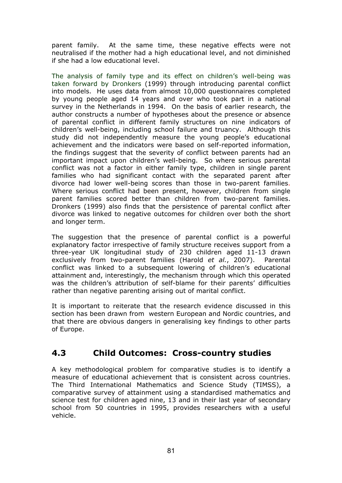parent family. At the same time, these negative effects were not neutralised if the mother had a high educational level, and not diminished if she had a low educational level.

The analysis of family type and its effect on children's well-being was taken forward by Dronkers (1999) through introducing parental conflict into models. He uses data from almost 10,000 questionnaires completed by young people aged 14 years and over who took part in a national survey in the Netherlands in 1994. On the basis of earlier research, the author constructs a number of hypotheses about the presence or absence of parental conflict in different family structures on nine indicators of children's well-being, including school failure and truancy. Although this study did not independently measure the young people's educational achievement and the indicators were based on self-reported information, the findings suggest that the severity of conflict between parents had an important impact upon children's well-being. So where serious parental conflict was not a factor in either family type, children in single parent families who had significant contact with the separated parent after divorce had lower well-being scores than those in two-parent families. Where serious conflict had been present, however, children from single parent families scored better than children from two-parent families. Dronkers (1999) also finds that the persistence of parental conflict after divorce was linked to negative outcomes for children over both the short and longer term.

The suggestion that the presence of parental conflict is a powerful explanatory factor irrespective of family structure receives support from a three-year UK longitudinal study of 230 children aged 11-13 drawn exclusively from two-parent families (Harold *et al.*, 2007). Parental conflict was linked to a subsequent lowering of children's educational attainment and, interestingly, the mechanism through which this operated was the children's attribution of self-blame for their parents' difficulties rather than negative parenting arising out of marital conflict.

It is important to reiterate that the research evidence discussed in this section has been drawn from western European and Nordic countries, and that there are obvious dangers in generalising key findings to other parts of Europe.

### **4.3 Child Outcomes: Cross-country studies**

A key methodological problem for comparative studies is to identify a measure of educational achievement that is consistent across countries. The Third International Mathematics and Science Study (TIMSS), a comparative survey of attainment using a standardised mathematics and science test for children aged nine, 13 and in their last year of secondary school from 50 countries in 1995, provides researchers with a useful vehicle.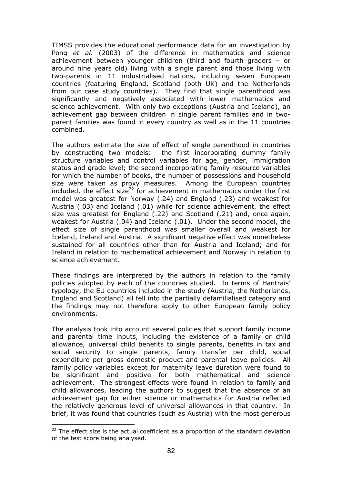TIMSS provides the educational performance data for an investigation by Pong *et al.* (2003) of the difference in mathematics and science achievement between younger children (third and fourth graders – or around nine years old) living with a single parent and those living with two-parents in 11 industrialised nations, including seven European countries (featuring England, Scotland (both UK) and the Netherlands from our case study countries). They find that single parenthood was significantly and negatively associated with lower mathematics and science achievement. With only two exceptions (Austria and Iceland), an achievement gap between children in single parent families and in twoparent families was found in every country as well as in the 11 countries combined.

The authors estimate the size of effect of single parenthood in countries by constructing two models: the first incorporating dummy family structure variables and control variables for age, gender, immigration status and grade level; the second incorporating family resource variables for which the number of books, the number of possessions and household size were taken as proxy measures. Among the European countries included, the effect size<sup>22</sup> for achievement in mathematics under the first model was greatest for Norway (.24) and England (.23) and weakest for Austria (.03) and Iceland (.01) while for science achievement, the effect size was greatest for England (.22) and Scotland (.21) and, once again, weakest for Austria (.04) and Iceland (.01). Under the second model, the effect size of single parenthood was smaller overall and weakest for Iceland, Ireland and Austria. A significant negative effect was nonetheless sustained for all countries other than for Austria and Iceland; and for Ireland in relation to mathematical achievement and Norway in relation to science achievement.

These findings are interpreted by the authors in relation to the family policies adopted by each of the countries studied. In terms of Hantrais' typology, the EU countries included in the study (Austria, the Netherlands, England and Scotland) all fell into the partially defamilialised category and the findings may not therefore apply to other European family policy environments.

The analysis took into account several policies that support family income and parental time inputs, including the existence of a family or child allowance, universal child benefits to single parents, benefits in tax and social security to single parents, family transfer per child, social expenditure per gross domestic product and parental leave policies. All family policy variables except for maternity leave duration were found to be significant and positive for both mathematical and science achievement. The strongest effects were found in relation to family and child allowances, leading the authors to suggest that the absence of an achievement gap for either science or mathematics for Austria reflected the relatively generous level of universal allowances in that country. In brief, it was found that countries (such as Austria) with the most generous

 $\overline{a}$ 

 $22$  The effect size is the actual coefficient as a proportion of the standard deviation of the test score being analysed.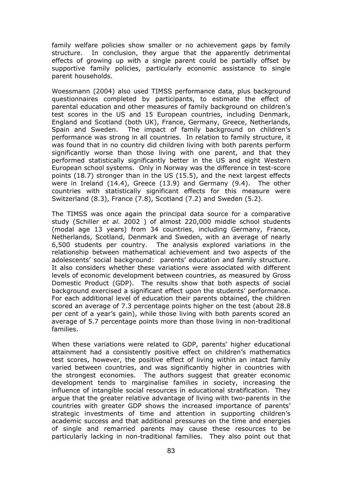family welfare policies show smaller or no achievement gaps by family structure. In conclusion, they argue that the apparently detrimental effects of growing up with a single parent could be partially offset by supportive family policies, particularly economic assistance to single parent households.

Woessmann (2004) also used TIMSS performance data, plus background questionnaires completed by participants, to estimate the effect of parental education and other measures of family background on children's test scores in the US and 15 European countries, including Denmark, England and Scotland (both UK), France, Germany, Greece, Netherlands, Spain and Sweden. The impact of family background on children's performance was strong in all countries. In relation to family structure, it was found that in no country did children living with both parents perform significantly worse than those living with one parent, and that they performed statistically significantly better in the US and eight Western European school systems. Only in Norway was the difference in test-score points (18.7) stronger than in the US (15.5), and the next largest effects were in Ireland (14.4), Greece (13.9) and Germany (9.4). The other countries with statistically significant effects for this measure were Switzerland (8.3), France (7.8), Scotland (7.2) and Sweden (5.2).

The TIMSS was once again the principal data source for a comparative study (Schiller *et al.* 2002 ) of almost 220,000 middle school students (modal age 13 years) from 34 countries, including Germany, France, Netherlands, Scotland, Denmark and Sweden, with an average of nearly 6,500 students per country. The analysis explored variations in the relationship between mathematical achievement and two aspects of the adolescents' social background: parents' education and family structure. It also considers whether these variations were associated with different levels of economic development between countries, as measured by Gross Domestic Product (GDP). The results show that both aspects of social background exercised a significant effect upon the students' performance. For each additional level of education their parents obtained, the children scored an average of 7.3 percentage points higher on the test (about 28.8 per cent of a year's gain), while those living with both parents scored an average of 5.7 percentage points more than those living in non-traditional families.

When these variations were related to GDP, parents' higher educational attainment had a consistently positive effect on children's mathematics test scores, however, the positive effect of living within an intact family varied between countries, and was significantly higher in countries with the strongest economies. The authors suggest that greater economic development tends to marginalise families in society, increasing the influence of intangible social resources in educational stratification. They argue that the greater relative advantage of living with two-parents in the countries with greater GDP shows the increased importance of parents' strategic investments of time and attention in supporting children's academic success and that additional pressures on the time and energies of single and remarried parents may cause these resources to be particularly lacking in non-traditional families. They also point out that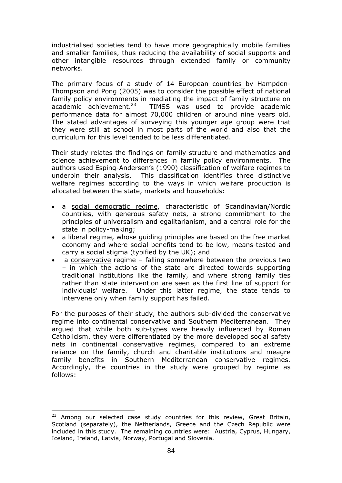industrialised societies tend to have more geographically mobile families and smaller families, thus reducing the availability of social supports and other intangible resources through extended family or community networks.

The primary focus of a study of 14 European countries by Hampden-Thompson and Pong (2005) was to consider the possible effect of national family policy environments in mediating the impact of family structure on academic achievement.<sup>23</sup> TIMSS was used to provide academic TIMSS was used to provide academic performance data for almost 70,000 children of around nine years old. The stated advantages of surveying this younger age group were that they were still at school in most parts of the world and also that the curriculum for this level tended to be less differentiated.

Their study relates the findings on family structure and mathematics and science achievement to differences in family policy environments. The authors used Esping-Andersen's (1990) classification of welfare regimes to underpin their analysis. This classification identifies three distinctive welfare regimes according to the ways in which welfare production is allocated between the state, markets and households:

- a social democratic regime, characteristic of Scandinavian/Nordic countries, with generous safety nets, a strong commitment to the principles of universalism and egalitarianism, and a central role for the state in policy-making;
- a liberal regime, whose guiding principles are based on the free market economy and where social benefits tend to be low, means-tested and carry a social stigma (typified by the UK); and
- a conservative regime falling somewhere between the previous two – in which the actions of the state are directed towards supporting traditional institutions like the family, and where strong family ties rather than state intervention are seen as the first line of support for individuals' welfare. Under this latter regime, the state tends to intervene only when family support has failed.

For the purposes of their study, the authors sub-divided the conservative regime into continental conservative and Southern Mediterranean. They argued that while both sub-types were heavily influenced by Roman Catholicism, they were differentiated by the more developed social safety nets in continental conservative regimes, compared to an extreme reliance on the family, church and charitable institutions and meagre family benefits in Southern Mediterranean conservative regimes. Accordingly, the countries in the study were grouped by regime as follows:

 $\overline{a}$ 

<sup>&</sup>lt;sup>23</sup> Among our selected case study countries for this review, Great Britain, Scotland (separately), the Netherlands, Greece and the Czech Republic were included in this study.The remaining countries were: Austria, Cyprus, Hungary, Iceland, Ireland, Latvia, Norway, Portugal and Slovenia.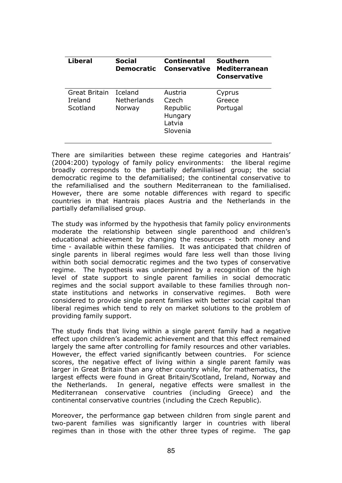| <b>Liberal</b>                       | <b>Social</b><br><b>Democratic</b>      | <b>Continental</b><br><b>Conservative</b>                     | <b>Southern</b><br><b>Mediterranean</b><br><b>Conservative</b> |
|--------------------------------------|-----------------------------------------|---------------------------------------------------------------|----------------------------------------------------------------|
| Great Britain<br>Ireland<br>Scotland | Iceland<br><b>Netherlands</b><br>Norway | Austria<br>Czech<br>Republic<br>Hungary<br>Latvia<br>Slovenia | Cyprus<br>Greece<br>Portugal                                   |

There are similarities between these regime categories and Hantrais' (2004:200) typology of family policy environments: the liberal regime broadly corresponds to the partially defamilialised group; the social democratic regime to the defamilialised; the continental conservative to the refamilialised and the southern Mediterranean to the familialised. However, there are some notable differences with regard to specific countries in that Hantrais places Austria and the Netherlands in the partially defamilialised group.

The study was informed by the hypothesis that family policy environments moderate the relationship between single parenthood and children's educational achievement by changing the resources - both money and time - available within these families. It was anticipated that children of single parents in liberal regimes would fare less well than those living within both social democratic regimes and the two types of conservative regime. The hypothesis was underpinned by a recognition of the high level of state support to single parent families in social democratic regimes and the social support available to these families through nonstate institutions and networks in conservative regimes. Both were considered to provide single parent families with better social capital than liberal regimes which tend to rely on market solutions to the problem of providing family support.

The study finds that living within a single parent family had a negative effect upon children's academic achievement and that this effect remained largely the same after controlling for family resources and other variables. However, the effect varied significantly between countries. For science scores, the negative effect of living within a single parent family was larger in Great Britain than any other country while, for mathematics, the largest effects were found in Great Britain/Scotland, Ireland, Norway and the Netherlands. In general, negative effects were smallest in the Mediterranean conservative countries (including Greece) and the continental conservative countries (including the Czech Republic)*.* 

Moreover, the performance gap between children from single parent and two-parent families was significantly larger in countries with liberal regimes than in those with the other three types of regime. The gap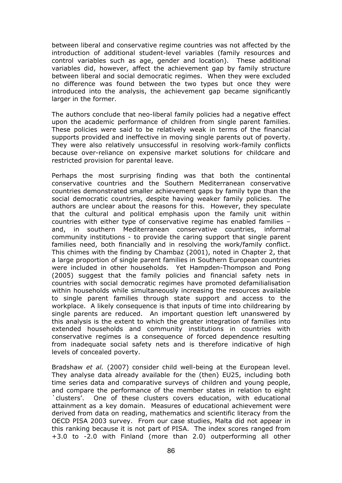between liberal and conservative regime countries was not affected by the introduction of additional student-level variables (family resources and control variables such as age, gender and location). These additional variables did, however, affect the achievement gap by family structure between liberal and social democratic regimes. When they were excluded no difference was found between the two types but once they were introduced into the analysis, the achievement gap became significantly larger in the former.

The authors conclude that neo-liberal family policies had a negative effect upon the academic performance of children from single parent families. These policies were said to be relatively weak in terms of the financial supports provided and ineffective in moving single parents out of poverty. They were also relatively unsuccessful in resolving work-family conflicts because over-reliance on expensive market solutions for childcare and restricted provision for parental leave.

Perhaps the most surprising finding was that both the continental conservative countries and the Southern Mediterranean conservative countries demonstrated smaller achievement gaps by family type than the social democratic countries, despite having weaker family policies. The authors are unclear about the reasons for this. However, they speculate that the cultural and political emphasis upon the family unit within countries with either type of conservative regime has enabled families – and, in southern Mediterranean conservative countries, informal community institutions - to provide the caring support that single parent families need, both financially and in resolving the work/family conflict. This chimes with the finding by Chambaz (2001), noted in Chapter 2, that a large proportion of single parent families in Southern European countries were included in other households. Yet Hampden-Thompson and Pong (2005) suggest that the family policies and financial safety nets in countries with social democratic regimes have promoted defamilialisation within households while simultaneously increasing the resources available to single parent families through state support and access to the workplace. A likely consequence is that inputs of time into childrearing by single parents are reduced. An important question left unanswered by this analysis is the extent to which the greater integration of families into extended households and community institutions in countries with conservative regimes is a consequence of forced dependence resulting from inadequate social safety nets and is therefore indicative of high levels of concealed poverty.

Bradshaw *et al.* (2007) consider child well-being at the European level. They analyse data already available for the (then) EU25, including both time series data and comparative surveys of children and young people, and compare the performance of the member states in relation to eight `clusters'. One of these clusters covers education, with educational attainment as a key domain. Measures of educational achievement were derived from data on reading, mathematics and scientific literacy from the OECD PISA 2003 survey. From our case studies, Malta did not appear in this ranking because it is not part of PISA. The index scores ranged from +3.0 to -2.0 with Finland (more than 2.0) outperforming all other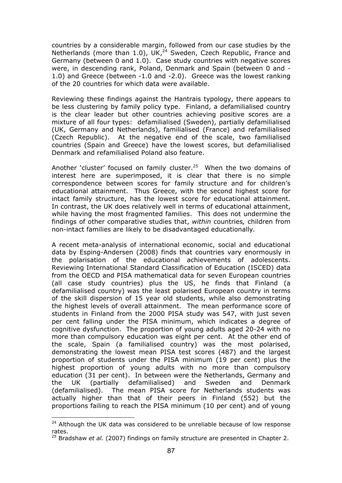countries by a considerable margin, followed from our case studies by the Netherlands (more than 1.0), UK,<sup>24</sup> Sweden, Czech Republic, France and Germany (between 0 and 1.0). Case study countries with negative scores were, in descending rank, Poland, Denmark and Spain (between 0 and - 1.0) and Greece (between -1.0 and -2.0). Greece was the lowest ranking of the 20 countries for which data were available.

Reviewing these findings against the Hantrais typology, there appears to be less clustering by family policy type. Finland, a defamilialised country is the clear leader but other countries achieving positive scores are a mixture of all four types: defamilialised (Sweden), partially defamilialised (UK, Germany and Netherlands), familialised (France) and refamilialised (Czech Republic). At the negative end of the scale, two familialised countries (Spain and Greece) have the lowest scores, but defamilialised Denmark and refamilialised Poland also feature.

Another 'cluster' focused on family cluster. $25$  When the two domains of interest here are superimposed, it is clear that there is no simple correspondence between scores for family structure and for children's educational attainment. Thus Greece, with the second highest score for intact family structure, has the lowest score for educational attainment. In contrast, the UK does relatively well in terms of educational attainment, while having the most fragmented families. This does not undermine the findings of other comparative studies that, *within* countries*,* children from non-intact families are likely to be disadvantaged educationally*.*

A recent meta-analysis of international economic, social and educational data by Esping-Andersen (2008) finds that countries vary enormously in the polarisation of the educational achievements of adolescents. Reviewing International Standard Classification of Education (ISCED) data from the OECD and PISA mathematical data for seven European countries (all case study countries) plus the US, he finds that Finland (a defamilialised country) was the least polarised European country in terms of the skill dispersion of 15 year old students, while also demonstrating the highest levels of overall attainment. The mean performance score of students in Finland from the 2000 PISA study was 547, with just seven per cent falling under the PISA minimum, which indicates a degree of cognitive dysfunction. The proportion of young adults aged 20-24 with no more than compulsory education was eight per cent. At the other end of the scale, Spain (a familialised country) was the most polarised, demonstrating the lowest mean PISA test scores (487) and the largest proportion of students under the PISA minimum (19 per cent) plus the highest proportion of young adults with no more than compulsory education (31 per cent). In between were the Netherlands, Germany and the UK (partially defamilialised) and Sweden and Denmark (defamilialised). The mean PISA score for Netherlands students was actually higher than that of their peers in Finland (552) but the proportions failing to reach the PISA minimum (10 per cent) and of young

 $\overline{a}$ 

 $24$  Although the UK data was considered to be unreliable because of low response rates.

<sup>25</sup> Bradshaw *et al.* (2007) findings on family structure are presented in Chapter 2.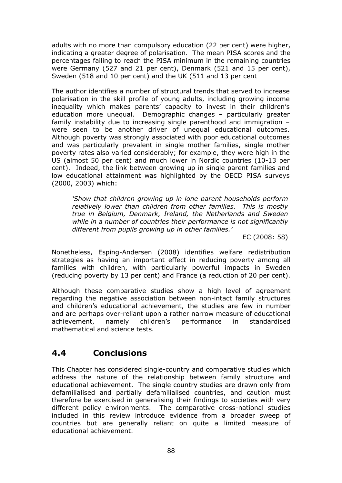adults with no more than compulsory education (22 per cent) were higher, indicating a greater degree of polarisation. The mean PISA scores and the percentages failing to reach the PISA minimum in the remaining countries were Germany (527 and 21 per cent), Denmark (521 and 15 per cent), Sweden (518 and 10 per cent) and the UK (511 and 13 per cent

The author identifies a number of structural trends that served to increase polarisation in the skill profile of young adults, including growing income inequality which makes parents' capacity to invest in their children's education more unequal. Demographic changes – particularly greater family instability due to increasing single parenthood and immigration – were seen to be another driver of unequal educational outcomes. Although poverty was strongly associated with poor educational outcomes and was particularly prevalent in single mother families, single mother poverty rates also varied considerably; for example, they were high in the US (almost 50 per cent) and much lower in Nordic countries (10-13 per cent). Indeed, the link between growing up in single parent families and low educational attainment was highlighted by the OECD PISA surveys (2000, 2003) which:

*'Show that children growing up in lone parent households perform relatively lower than children from other families. This is mostly true in Belgium, Denmark, Ireland, the Netherlands and Sweden while in a number of countries their performance is not significantly different from pupils growing up in other families.'* 

EC (2008: 58)

Nonetheless, Esping-Andersen (2008) identifies welfare redistribution strategies as having an important effect in reducing poverty among all families with children, with particularly powerful impacts in Sweden (reducing poverty by 13 per cent) and France (a reduction of 20 per cent).

Although these comparative studies show a high level of agreement regarding the negative association between non-intact family structures and children's educational achievement, the studies are few in number and are perhaps over-reliant upon a rather narrow measure of educational achievement, namely children's performance in standardised mathematical and science tests.

# **4.4 Conclusions**

This Chapter has considered single-country and comparative studies which address the nature of the relationship between family structure and educational achievement. The single country studies are drawn only from defamilialised and partially defamilialised countries, and caution must therefore be exercised in generalising their findings to societies with very different policy environments. The comparative cross-national studies included in this review introduce evidence from a broader sweep of countries but are generally reliant on quite a limited measure of educational achievement.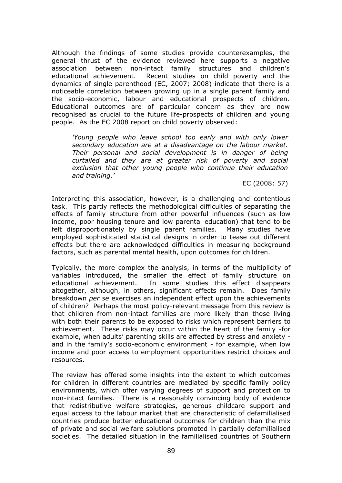Although the findings of some studies provide counterexamples, the general thrust of the evidence reviewed here supports a negative association between non-intact family structures and children's educational achievement. Recent studies on child poverty and the dynamics of single parenthood (EC, 2007; 2008) indicate that there is a noticeable correlation between growing up in a single parent family and the socio-economic, labour and educational prospects of children. Educational outcomes are of particular concern as they are now recognised as crucial to the future life-prospects of children and young people. As the EC 2008 report on child poverty observed:

*'Young people who leave school too early and with only lower secondary education are at a disadvantage on the labour market. Their personal and social development is in danger of being curtailed and they are at greater risk of poverty and social exclusion that other young people who continue their education and training.'* 

EC (2008: 57)

Interpreting this association, however, is a challenging and contentious task. This partly reflects the methodological difficulties of separating the effects of family structure from other powerful influences (such as low income, poor housing tenure and low parental education) that tend to be felt disproportionately by single parent families. Many studies have employed sophisticated statistical designs in order to tease out different effects but there are acknowledged difficulties in measuring background factors, such as parental mental health, upon outcomes for children.

Typically, the more complex the analysis, in terms of the multiplicity of variables introduced, the smaller the effect of family structure on educational achievement. In some studies this effect disappears altogether, although, in others, significant effects remain. Does family breakdown *per se* exercises an independent effect upon the achievements of children? Perhaps the most policy-relevant message from this review is that children from non-intact families are more likely than those living with both their parents to be exposed to risks which represent barriers to achievement. These risks may occur within the heart of the family -for example, when adults' parenting skills are affected by stress and anxiety and in the family's socio-economic environment - for example, when low income and poor access to employment opportunities restrict choices and resources.

The review has offered some insights into the extent to which outcomes for children in different countries are mediated by specific family policy environments, which offer varying degrees of support and protection to non-intact families. There is a reasonably convincing body of evidence that redistributive welfare strategies, generous childcare support and equal access to the labour market that are characteristic of defamilialised countries produce better educational outcomes for children than the mix of private and social welfare solutions promoted in partially defamilialised societies. The detailed situation in the familialised countries of Southern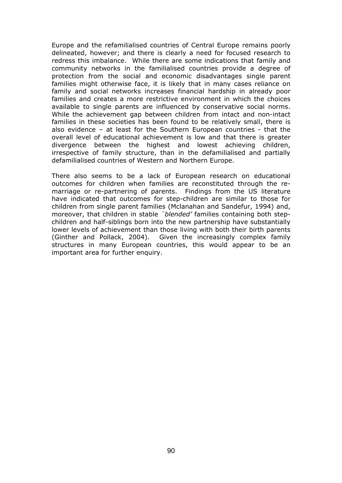Europe and the refamilialised countries of Central Europe remains poorly delineated, however; and there is clearly a need for focused research to redress this imbalance. While there are some indications that family and community networks in the familialised countries provide a degree of protection from the social and economic disadvantages single parent families might otherwise face, it is likely that in many cases reliance on family and social networks increases financial hardship in already poor families and creates a more restrictive environment in which the choices available to single parents are influenced by conservative social norms. While the achievement gap between children from intact and non-intact families in these societies has been found to be relatively small, there is also evidence – at least for the Southern European countries - that the overall level of educational achievement is low and that there is greater divergence between the highest and lowest achieving children, irrespective of family structure, than in the defamilialised and partially defamilialised countries of Western and Northern Europe.

There also seems to be a lack of European research on educational outcomes for children when families are reconstituted through the remarriage or re-partnering of parents. Findings from the US literature have indicated that outcomes for step-children are similar to those for children from single parent families (Mclanahan and Sandefur, 1994) and, moreover, that children in stable *`blended'* families containing both stepchildren and half-siblings born into the new partnership have substantially lower levels of achievement than those living with both their birth parents (Ginther and Pollack, 2004). Given the increasingly complex family structures in many European countries, this would appear to be an important area for further enquiry.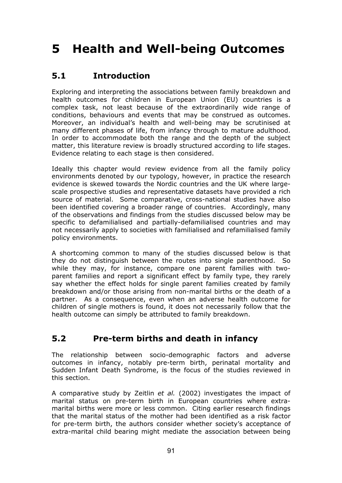# **5 Health and Well-being Outcomes**

# **5.1 Introduction**

Exploring and interpreting the associations between family breakdown and health outcomes for children in European Union (EU) countries is a complex task, not least because of the extraordinarily wide range of conditions, behaviours and events that may be construed as outcomes. Moreover, an individual's health and well-being may be scrutinised at many different phases of life, from infancy through to mature adulthood. In order to accommodate both the range and the depth of the subject matter, this literature review is broadly structured according to life stages. Evidence relating to each stage is then considered.

Ideally this chapter would review evidence from all the family policy environments denoted by our typology, however, in practice the research evidence is skewed towards the Nordic countries and the UK where largescale prospective studies and representative datasets have provided a rich source of material. Some comparative, cross-national studies have also been identified covering a broader range of countries. Accordingly, many of the observations and findings from the studies discussed below may be specific to defamilialised and partially-defamilialised countries and may not necessarily apply to societies with familialised and refamilialised family policy environments.

A shortcoming common to many of the studies discussed below is that they do not distinguish between the routes into single parenthood. So while they may, for instance, compare one parent families with twoparent families and report a significant effect by family type, they rarely say whether the effect holds for single parent families created by family breakdown and/or those arising from non-marital births or the death of a partner. As a consequence, even when an adverse health outcome for children of single mothers is found, it does not necessarily follow that the health outcome can simply be attributed to family breakdown.

# **5.2 Pre-term births and death in infancy**

The relationship between socio-demographic factors and adverse outcomes in infancy, notably pre-term birth, perinatal mortality and Sudden Infant Death Syndrome, is the focus of the studies reviewed in this section.

A comparative study by Zeitlin *et al.* (2002) investigates the impact of marital status on pre-term birth in European countries where extramarital births were more or less common. Citing earlier research findings that the marital status of the mother had been identified as a risk factor for pre-term birth, the authors consider whether society's acceptance of extra-marital child bearing might mediate the association between being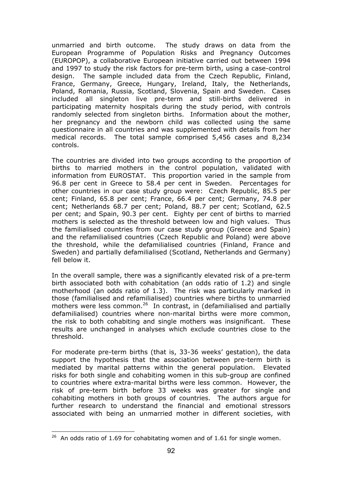unmarried and birth outcome. The study draws on data from the European Programme of Population Risks and Pregnancy Outcomes (EUROPOP), a collaborative European initiative carried out between 1994 and 1997 to study the risk factors for pre-term birth, using a case-control design. The sample included data from the Czech Republic, Finland, France, Germany, Greece, Hungary, Ireland, Italy, the Netherlands, Poland, Romania, Russia, Scotland, Slovenia, Spain and Sweden. Cases included all singleton live pre-term and still-births delivered in participating maternity hospitals during the study period, with controls randomly selected from singleton births. Information about the mother, her pregnancy and the newborn child was collected using the same questionnaire in all countries and was supplemented with details from her medical records. The total sample comprised 5,456 cases and 8,234 controls.

The countries are divided into two groups according to the proportion of births to married mothers in the control population, validated with information from EUROSTAT. This proportion varied in the sample from 96.8 per cent in Greece to 58.4 per cent in Sweden. Percentages for other countries in our case study group were: Czech Republic, 85.5 per cent; Finland, 65.8 per cent; France, 66.4 per cent; Germany, 74.8 per cent; Netherlands 68.7 per cent; Poland, 88.7 per cent; Scotland, 62.5 per cent; and Spain, 90.3 per cent. Eighty per cent of births to married mothers is selected as the threshold between low and high values. Thus the familialised countries from our case study group (Greece and Spain) and the refamilialised countries (Czech Republic and Poland) were above the threshold, while the defamilialised countries (Finland, France and Sweden) and partially defamilialised (Scotland, Netherlands and Germany) fell below it.

In the overall sample, there was a significantly elevated risk of a pre-term birth associated both with cohabitation (an odds ratio of 1.2) and single motherhood (an odds ratio of 1.3). The risk was particularly marked in those (familialised and refamilialised) countries where births to unmarried mothers were less common.<sup>26</sup> In contrast, in (defamilialised and partially defamilialised) countries where non-marital births were more common, the risk to both cohabiting and single mothers was insignificant. These results are unchanged in analyses which exclude countries close to the threshold.

For moderate pre-term births (that is, 33-36 weeks' gestation), the data support the hypothesis that the association between pre-term birth is mediated by marital patterns within the general population. Elevated risks for both single and cohabiting women in this sub-group are confined to countries where extra-marital births were less common. However, the risk of pre-term birth before 33 weeks was greater for single and cohabiting mothers in both groups of countries. The authors argue for further research to understand the financial and emotional stressors associated with being an unmarried mother in different societies, with

 $\overline{a}$ 

 $26$  An odds ratio of 1.69 for cohabitating women and of 1.61 for single women.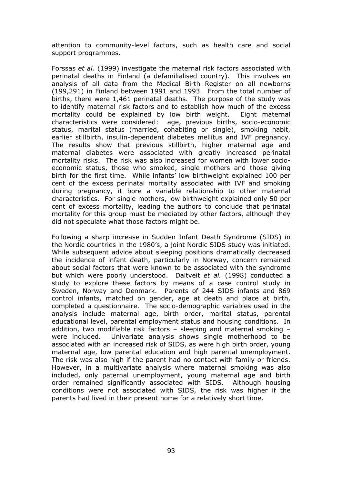attention to community-level factors, such as health care and social support programmes.

Forssas *et al.* (1999) investigate the maternal risk factors associated with perinatal deaths in Finland (a defamilialised country). This involves an analysis of all data from the Medical Birth Register on all newborns (199,291) in Finland between 1991 and 1993. From the total number of births, there were 1,461 perinatal deaths. The purpose of the study was to identify maternal risk factors and to establish how much of the excess mortality could be explained by low birth weight. Eight maternal characteristics were considered: age, previous births, socio-economic status, marital status (married, cohabiting or single), smoking habit, earlier stillbirth, insulin-dependent diabetes mellitus and IVF pregnancy. The results show that previous stillbirth, higher maternal age and maternal diabetes were associated with greatly increased perinatal mortality risks. The risk was also increased for women with lower socioeconomic status, those who smoked, single mothers and those giving birth for the first time. While infants' low birthweight explained 100 per cent of the excess perinatal mortality associated with IVF and smoking during pregnancy, it bore a variable relationship to other maternal characteristics. For single mothers, low birthweight explained only 50 per cent of excess mortality, leading the authors to conclude that perinatal mortality for this group must be mediated by other factors, although they did not speculate what those factors might be.

Following a sharp increase in Sudden Infant Death Syndrome (SIDS) in the Nordic countries in the 1980's, a joint Nordic SIDS study was initiated. While subsequent advice about sleeping positions dramatically decreased the incidence of infant death, particularly in Norway, concern remained about social factors that were known to be associated with the syndrome but which were poorly understood. Daltveit *et al.* (1998) conducted a study to explore these factors by means of a case control study in Sweden, Norway and Denmark. Parents of 244 SIDS infants and 869 control infants, matched on gender, age at death and place at birth, completed a questionnaire. The socio-demographic variables used in the analysis include maternal age, birth order, marital status, parental educational level, parental employment status and housing conditions. In addition, two modifiable risk factors – sleeping and maternal smoking – were included. Univariate analysis shows single motherhood to be associated with an increased risk of SIDS, as were high birth order, young maternal age, low parental education and high parental unemployment. The risk was also high if the parent had no contact with family or friends. However, in a multivariate analysis where maternal smoking was also included, only paternal unemployment, young maternal age and birth order remained significantly associated with SIDS. Although housing conditions were not associated with SIDS, the risk was higher if the parents had lived in their present home for a relatively short time.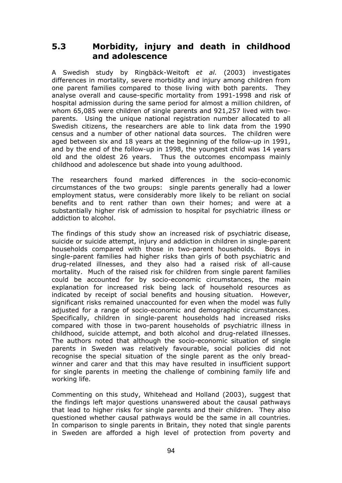### **5.3 Morbidity, injury and death in childhood and adolescence**

A Swedish study by Ringbäck-Weitoft *et al.* (2003) investigates differences in mortality, severe morbidity and injury among children from one parent families compared to those living with both parents. They analyse overall and cause-specific mortality from 1991-1998 and risk of hospital admission during the same period for almost a million children, of whom 65,085 were children of single parents and 921,257 lived with twoparents. Using the unique national registration number allocated to all Swedish citizens, the researchers are able to link data from the 1990 census and a number of other national data sources. The children were aged between six and 18 years at the beginning of the follow-up in 1991, and by the end of the follow-up in 1998, the youngest child was 14 years old and the oldest 26 years. Thus the outcomes encompass mainly childhood and adolescence but shade into young adulthood.

The researchers found marked differences in the socio-economic circumstances of the two groups: single parents generally had a lower employment status, were considerably more likely to be reliant on social benefits and to rent rather than own their homes; and were at a substantially higher risk of admission to hospital for psychiatric illness or addiction to alcohol.

The findings of this study show an increased risk of psychiatric disease, suicide or suicide attempt, injury and addiction in children in single-parent households compared with those in two-parent households. Boys in single-parent families had higher risks than girls of both psychiatric and drug-related illnesses, and they also had a raised risk of all-cause mortality. Much of the raised risk for children from single parent families could be accounted for by socio-economic circumstances, the main explanation for increased risk being lack of household resources as indicated by receipt of social benefits and housing situation. However, significant risks remained unaccounted for even when the model was fully adjusted for a range of socio-economic and demographic circumstances. Specifically, children in single-parent households had increased risks compared with those in two-parent households of psychiatric illness in childhood, suicide attempt, and both alcohol and drug-related illnesses. The authors noted that although the socio-economic situation of single parents in Sweden was relatively favourable, social policies did not recognise the special situation of the single parent as the only breadwinner and carer and that this may have resulted in insufficient support for single parents in meeting the challenge of combining family life and working life.

Commenting on this study, Whitehead and Holland (2003), suggest that the findings left major questions unanswered about the causal pathways that lead to higher risks for single parents and their children. They also questioned whether causal pathways would be the same in all countries. In comparison to single parents in Britain, they noted that single parents in Sweden are afforded a high level of protection from poverty and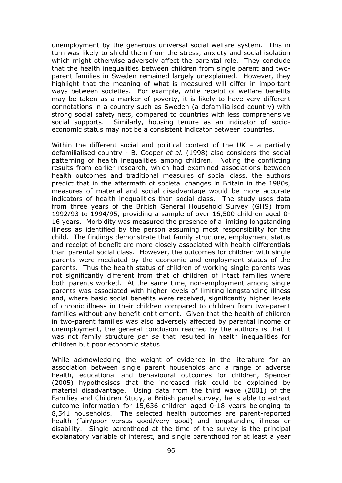unemployment by the generous universal social welfare system. This in turn was likely to shield them from the stress, anxiety and social isolation which might otherwise adversely affect the parental role. They conclude that the health inequalities between children from single parent and twoparent families in Sweden remained largely unexplained. However, they highlight that the meaning of what is measured will differ in important ways between societies. For example, while receipt of welfare benefits may be taken as a marker of poverty, it is likely to have very different connotations in a country such as Sweden (a defamilialised country) with strong social safety nets, compared to countries with less comprehensive social supports. Similarly, housing tenure as an indicator of socioeconomic status may not be a consistent indicator between countries.

Within the different social and political context of the UK – a partially defamilialised country - B, Cooper *et al.* (1998) also considers the social patterning of health inequalities among children. Noting the conflicting results from earlier research, which had examined associations between health outcomes and traditional measures of social class, the authors predict that in the aftermath of societal changes in Britain in the 1980s, measures of material and social disadvantage would be more accurate indicators of health inequalities than social class. The study uses data from three years of the British General Household Survey (GHS) from 1992/93 to 1994/95, providing a sample of over 16,500 children aged 0- 16 years. Morbidity was measured the presence of a limiting longstanding illness as identified by the person assuming most responsibility for the child. The findings demonstrate that family structure, employment status and receipt of benefit are more closely associated with health differentials than parental social class. However, the outcomes for children with single parents were mediated by the economic and employment status of the parents. Thus the health status of children of working single parents was not significantly different from that of children of intact families where both parents worked. At the same time, non-employment among single parents was associated with higher levels of limiting longstanding illness and, where basic social benefits were received, significantly higher levels of chronic illness in their children compared to children from two-parent families without any benefit entitlement. Given that the health of children in two-parent families was also adversely affected by parental income or unemployment, the general conclusion reached by the authors is that it was not family structure *per se* that resulted in health inequalities for children but poor economic status.

While acknowledging the weight of evidence in the literature for an association between single parent households and a range of adverse health, educational and behavioural outcomes for children, Spencer (2005) hypothesises that the increased risk could be explained by material disadvantage. Using data from the third wave (2001) of the Families and Children Study, a British panel survey, he is able to extract outcome information for 15,636 children aged 0-18 years belonging to 8,541 households. The selected health outcomes are parent-reported health (fair/poor versus good/very good) and longstanding illness or disability. Single parenthood at the time of the survey is the principal explanatory variable of interest, and single parenthood for at least a year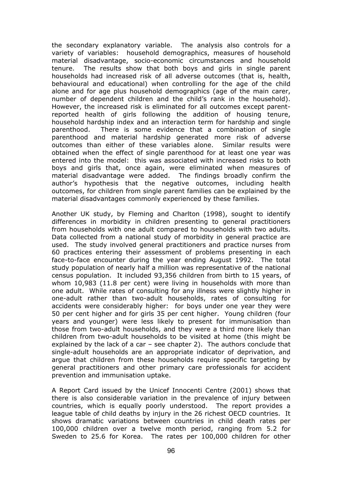the secondary explanatory variable. The analysis also controls for a variety of variables: household demographics, measures of household material disadvantage, socio-economic circumstances and household tenure. The results show that both boys and girls in single parent households had increased risk of all adverse outcomes (that is, health, behavioural and educational) when controlling for the age of the child alone and for age plus household demographics (age of the main carer, number of dependent children and the child's rank in the household). However, the increased risk is eliminated for all outcomes except parentreported health of girls following the addition of housing tenure, household hardship index and an interaction term for hardship and single parenthood. There is some evidence that a combination of single parenthood and material hardship generated more risk of adverse outcomes than either of these variables alone. Similar results were obtained when the effect of single parenthood for at least one year was entered into the model: this was associated with increased risks to both boys and girls that, once again, were eliminated when measures of material disadvantage were added. The findings broadly confirm the author's hypothesis that the negative outcomes, including health outcomes, for children from single parent families can be explained by the material disadvantages commonly experienced by these families.

Another UK study, by Fleming and Charlton (1998), sought to identify differences in morbidity in children presenting to general practitioners from households with one adult compared to households with two adults. Data collected from a national study of morbidity in general practice are used. The study involved general practitioners and practice nurses from 60 practices entering their assessment of problems presenting in each face-to-face encounter during the year ending August 1992. The total study population of nearly half a million was representative of the national census population. It included 93,356 children from birth to 15 years, of whom 10,983 (11.8 per cent) were living in households with more than one adult. While rates of consulting for any illness were slightly higher in one-adult rather than two-adult households, rates of consulting for accidents were considerably higher: for boys under one year they were 50 per cent higher and for girls 35 per cent higher. Young children (four years and younger) were less likely to present for immunisation than those from two-adult households, and they were a third more likely than children from two-adult households to be visited at home (this might be explained by the lack of a car  $-$  see chapter 2). The authors conclude that single-adult households are an appropriate indicator of deprivation, and argue that children from these households require specific targeting by general practitioners and other primary care professionals for accident prevention and immunisation uptake.

A Report Card issued by the Unicef Innocenti Centre (2001) shows that there is also considerable variation in the prevalence of injury between countries, which is equally poorly understood. The report provides a league table of child deaths by injury in the 26 richest OECD countries. It shows dramatic variations between countries in child death rates per 100,000 children over a twelve month period, ranging from 5.2 for Sweden to 25.6 for Korea. The rates per 100,000 children for other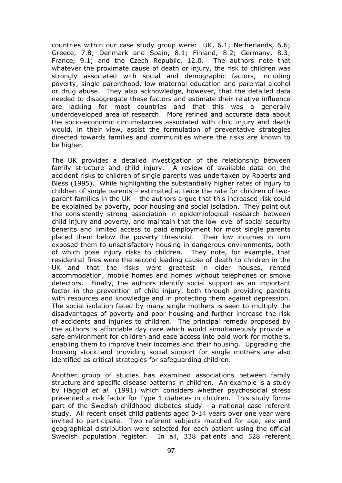countries within our case study group were: UK, 6.1; Netherlands, 6.6; Greece, 7.8; Denmark and Spain, 8.1; Finland, 8.2; Germany, 8.3; France, 9.1; and the Czech Republic, 12.0. The authors note that whatever the proximate cause of death or injury, the risk to children was strongly associated with social and demographic factors, including poverty, single parenthood, low maternal education and parental alcohol or drug abuse. They also acknowledge, however, that the detailed data needed to disaggregate these factors and estimate their relative influence are lacking for most countries and that this was a generally underdeveloped area of research. More refined and accurate data about the socio-economic circumstances associated with child injury and death would, in their view, assist the formulation of preventative strategies directed towards families and communities where the risks are known to be higher.

The UK provides a detailed investigation of the relationship between family structure and child injury. A review of available data on the accident risks to children of single parents was undertaken by Roberts and Bless (1995). While highlighting the substantially higher rates of injury to children of single parents – estimated at twice the rate for children of twoparent families in the UK – the authors argue that this increased risk could be explained by poverty, poor housing and social isolation. They point out the consistently strong association in epidemiological research between child injury and poverty, and maintain that the low level of social security benefits and limited access to paid employment for most single parents placed them below the poverty threshold. Their low incomes in turn exposed them to unsatisfactory housing in dangerous environments, both of which pose injury risks to children. They note, for example, that residential fires were the second leading cause of death to children in the UK and that the risks were greatest in older houses, rented accommodation, mobile homes and homes without telephones or smoke detectors. Finally, the authors identify social support as an important factor in the prevention of child injury, both through providing parents with resources and knowledge and in protecting them against depression. The social isolation faced by many single mothers is seen to multiply the disadvantages of poverty and poor housing and further increase the risk of accidents and injuries to children. The principal remedy proposed by the authors is affordable day care which would simultaneously provide a safe environment for children and ease access into paid work for mothers, enabling them to improve their incomes and their housing. Upgrading the housing stock and providing social support for single mothers are also identified as critical strategies for safeguarding children.

Another group of studies has examined associations between family structure and specific disease patterns in children. An example is a study by Hägglöf *et al.* (1991) which considers whether psychosocial stress presented a risk factor for Type 1 diabetes in children. This study forms part of the Swedish childhood diabetes study - a national case referent study. All recent onset child patients aged 0-14 years over one year were invited to participate. Two referent subjects matched for age, sex and geographical distribution were selected for each patient using the official Swedish population register. In all, 338 patients and 528 referent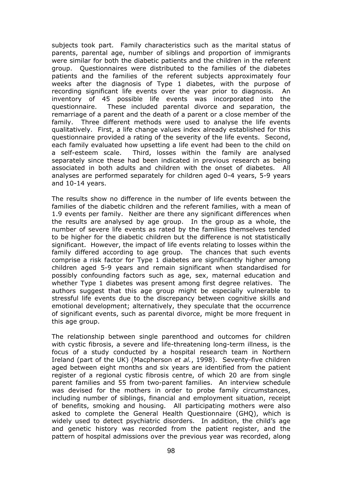subjects took part. Family characteristics such as the marital status of parents, parental age, number of siblings and proportion of immigrants were similar for both the diabetic patients and the children in the referent group. Questionnaires were distributed to the families of the diabetes patients and the families of the referent subjects approximately four weeks after the diagnosis of Type 1 diabetes, with the purpose of recording significant life events over the year prior to diagnosis. An inventory of 45 possible life events was incorporated into the questionnaire. These included parental divorce and separation, the remarriage of a parent and the death of a parent or a close member of the family. Three different methods were used to analyse the life events qualitatively. First, a life change values index already established for this questionnaire provided a rating of the severity of the life events. Second, each family evaluated how upsetting a life event had been to the child on a self-esteem scale. Third, losses within the family are analysed separately since these had been indicated in previous research as being associated in both adults and children with the onset of diabetes. All analyses are performed separately for children aged 0-4 years, 5-9 years and 10-14 years.

The results show no difference in the number of life events between the families of the diabetic children and the referent families, with a mean of 1.9 events per family. Neither are there any significant differences when the results are analysed by age group. In the group as a whole, the number of severe life events as rated by the families themselves tended to be higher for the diabetic children but the difference is not statistically significant. However, the impact of life events relating to losses within the family differed according to age group. The chances that such events comprise a risk factor for Type 1 diabetes are significantly higher among children aged 5-9 years and remain significant when standardised for possibly confounding factors such as age, sex, maternal education and whether Type 1 diabetes was present among first degree relatives. The authors suggest that this age group might be especially vulnerable to stressful life events due to the discrepancy between cognitive skills and emotional development; alternatively, they speculate that the occurrence of significant events, such as parental divorce, might be more frequent in this age group.

The relationship between single parenthood and outcomes for children with cystic fibrosis, a severe and life-threatening long-term illness, is the focus of a study conducted by a hospital research team in Northern Ireland (part of the UK) (Macpherson *et al.*, 1998). Seventy-five children aged between eight months and six years are identified from the patient register of a regional cystic fibrosis centre, of which 20 are from single parent families and 55 from two-parent families. An interview schedule was devised for the mothers in order to probe family circumstances, including number of siblings, financial and employment situation, receipt of benefits, smoking and housing. All participating mothers were also asked to complete the General Health Questionnaire (GHQ), which is widely used to detect psychiatric disorders. In addition, the child's age and genetic history was recorded from the patient register, and the pattern of hospital admissions over the previous year was recorded, along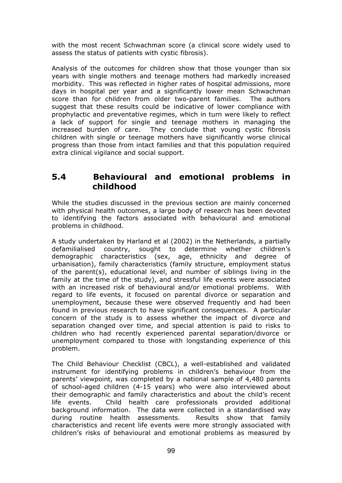with the most recent Schwachman score (a clinical score widely used to assess the status of patients with cystic fibrosis).

Analysis of the outcomes for children show that those younger than six years with single mothers and teenage mothers had markedly increased morbidity. This was reflected in higher rates of hospital admissions, more days in hospital per year and a significantly lower mean Schwachman score than for children from older two-parent families. The authors suggest that these results could be indicative of lower compliance with prophylactic and preventative regimes, which in turn were likely to reflect a lack of support for single and teenage mothers in managing the increased burden of care. They conclude that young cystic fibrosis children with single or teenage mothers have significantly worse clinical progress than those from intact families and that this population required extra clinical vigilance and social support.

## **5.4 Behavioural and emotional problems in childhood**

While the studies discussed in the previous section are mainly concerned with physical health outcomes, a large body of research has been devoted to identifying the factors associated with behavioural and emotional problems in childhood.

A study undertaken by Harland et al (2002) in the Netherlands, a partially defamilialised country, sought to determine whether children's demographic characteristics (sex, age, ethnicity and degree of urbanisation), family characteristics (family structure, employment status of the parent(s), educational level, and number of siblings living in the family at the time of the study), and stressful life events were associated with an increased risk of behavioural and/or emotional problems. With regard to life events, it focused on parental divorce or separation and unemployment, because these were observed frequently and had been found in previous research to have significant consequences. A particular concern of the study is to assess whether the impact of divorce and separation changed over time, and special attention is paid to risks to children who had recently experienced parental separation/divorce or unemployment compared to those with longstanding experience of this problem.

The Child Behaviour Checklist (CBCL), a well-established and validated instrument for identifying problems in children's behaviour from the parents' viewpoint, was completed by a national sample of 4,480 parents of school-aged children (4-15 years) who were also interviewed about their demographic and family characteristics and about the child's recent life events. Child health care professionals provided additional background information. The data were collected in a standardised way during routine health assessments. Results show that family characteristics and recent life events were more strongly associated with children's risks of behavioural and emotional problems as measured by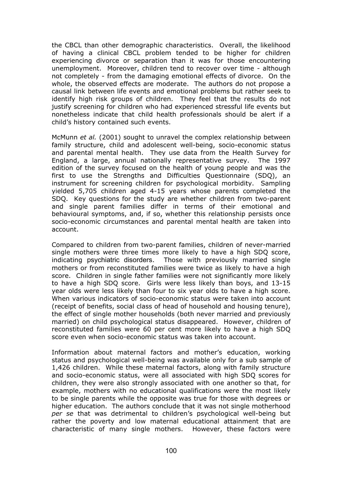the CBCL than other demographic characteristics. Overall, the likelihood of having a clinical CBCL problem tended to be higher for children experiencing divorce or separation than it was for those encountering unemployment. Moreover, children tend to recover over time - although not completely - from the damaging emotional effects of divorce. On the whole, the observed effects are moderate. The authors do not propose a causal link between life events and emotional problems but rather seek to identify high risk groups of children. They feel that the results do not justify screening for children who had experienced stressful life events but nonetheless indicate that child health professionals should be alert if a child's history contained such events.

McMunn *et al.* (2001) sought to unravel the complex relationship between family structure, child and adolescent well-being, socio-economic status and parental mental health. They use data from the Health Survey for England, a large, annual nationally representative survey. The 1997 edition of the survey focused on the health of young people and was the first to use the Strengths and Difficulties Questionnaire (SDQ), an instrument for screening children for psychological morbidity. Sampling yielded 5,705 children aged 4-15 years whose parents completed the SDQ. Key questions for the study are whether children from two-parent and single parent families differ in terms of their emotional and behavioural symptoms, and, if so, whether this relationship persists once socio-economic circumstances and parental mental health are taken into account.

Compared to children from two-parent families, children of never-married single mothers were three times more likely to have a high SDQ score, indicating psychiatric disorders. Those with previously married single mothers or from reconstituted families were twice as likely to have a high score. Children in single father families were not significantly more likely to have a high SDQ score. Girls were less likely than boys, and 13-15 year olds were less likely than four to six year olds to have a high score. When various indicators of socio-economic status were taken into account (receipt of benefits, social class of head of household and housing tenure), the effect of single mother households (both never married and previously married) on child psychological status disappeared. However, children of reconstituted families were 60 per cent more likely to have a high SDQ score even when socio-economic status was taken into account.

Information about maternal factors and mother's education, working status and psychological well-being was available only for a sub sample of 1,426 children. While these maternal factors, along with family structure and socio-economic status, were all associated with high SDQ scores for children, they were also strongly associated with one another so that, for example, mothers with no educational qualifications were the most likely to be single parents while the opposite was true for those with degrees or higher education. The authors conclude that it was not single motherhood *per se* that was detrimental to children's psychological well-being but rather the poverty and low maternal educational attainment that are characteristic of many single mothers. However, these factors were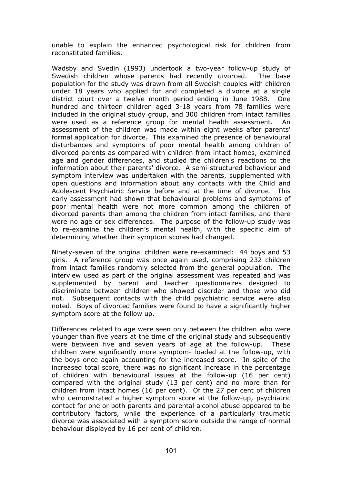unable to explain the enhanced psychological risk for children from reconstituted families.

Wadsby and Svedin (1993) undertook a two-year follow-up study of Swedish children whose parents had recently divorced. The base population for the study was drawn from all Swedish couples with children under 18 years who applied for and completed a divorce at a single district court over a twelve month period ending in June 1988. One hundred and thirteen children aged 3-18 years from 78 families were included in the original study group, and 300 children from intact families were used as a reference group for mental health assessment. An assessment of the children was made within eight weeks after parents' formal application for divorce. This examined the presence of behavioural disturbances and symptoms of poor mental health among children of divorced parents as compared with children from intact homes, examined age and gender differences, and studied the children's reactions to the information about their parents' divorce. A semi-structured behaviour and symptom interview was undertaken with the parents, supplemented with open questions and information about any contacts with the Child and Adolescent Psychiatric Service before and at the time of divorce. This early assessment had shown that behavioural problems and symptoms of poor mental health were not more common among the children of divorced parents than among the children from intact families, and there were no age or sex differences. The purpose of the follow-up study was to re-examine the children's mental health, with the specific aim of determining whether their symptom scores had changed.

Ninety-seven of the original children were re-examined: 44 boys and 53 girls. A reference group was once again used, comprising 232 children from intact families randomly selected from the general population. The interview used as part of the original assessment was repeated and was supplemented by parent and teacher questionnaires designed to discriminate between children who showed disorder and those who did not. Subsequent contacts with the child psychiatric service were also noted. Boys of divorced families were found to have a significantly higher symptom score at the follow up.

Differences related to age were seen only between the children who were younger than five years at the time of the original study and subsequently were between five and seven years of age at the follow-up. These children were significantly more symptom- loaded at the follow-up, with the boys once again accounting for the increased score. In spite of the increased total score, there was no significant increase in the percentage of children with behavioural issues at the follow-up (16 per cent) compared with the original study (13 per cent) and no more than for children from intact homes (16 per cent). Of the 27 per cent of children who demonstrated a higher symptom score at the follow-up, psychiatric contact for one or both parents and parental alcohol abuse appeared to be contributory factors, while the experience of a particularly traumatic divorce was associated with a symptom score outside the range of normal behaviour displayed by 16 per cent of children.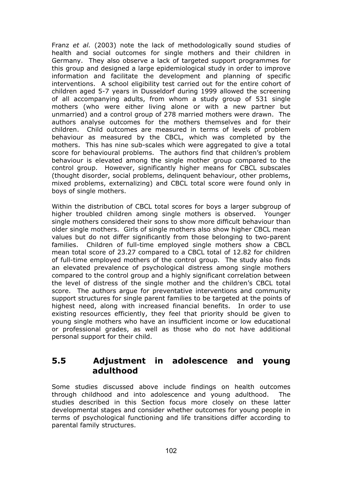Franz *et al.* (2003) note the lack of methodologically sound studies of health and social outcomes for single mothers and their children in Germany. They also observe a lack of targeted support programmes for this group and designed a large epidemiological study in order to improve information and facilitate the development and planning of specific interventions. A school eligibility test carried out for the entire cohort of children aged 5-7 years in Dusseldorf during 1999 allowed the screening of all accompanying adults, from whom a study group of 531 single mothers (who were either living alone or with a new partner but unmarried) and a control group of 278 married mothers were drawn. The authors analyse outcomes for the mothers themselves and for their children. Child outcomes are measured in terms of levels of problem behaviour as measured by the CBCL, which was completed by the mothers. This has nine sub-scales which were aggregated to give a total score for behavioural problems. The authors find that children's problem behaviour is elevated among the single mother group compared to the control group. However, significantly higher means for CBCL subscales (thought disorder, social problems, delinquent behaviour, other problems, mixed problems, externalizing) and CBCL total score were found only in boys of single mothers.

Within the distribution of CBCL total scores for boys a larger subgroup of higher troubled children among single mothers is observed. Younger single mothers considered their sons to show more difficult behaviour than older single mothers. Girls of single mothers also show higher CBCL mean values but do not differ significantly from those belonging to two-parent families. Children of full-time employed single mothers show a CBCL mean total score of 23.27 compared to a CBCL total of 12.82 for children of full-time employed mothers of the control group. The study also finds an elevated prevalence of psychological distress among single mothers compared to the control group and a highly significant correlation between the level of distress of the single mother and the children's CBCL total score. The authors argue for preventative interventions and community support structures for single parent families to be targeted at the points of highest need, along with increased financial benefits. In order to use existing resources efficiently, they feel that priority should be given to young single mothers who have an insufficient income or low educational or professional grades, as well as those who do not have additional personal support for their child.

## **5.5 Adjustment in adolescence and young adulthood**

Some studies discussed above include findings on health outcomes through childhood and into adolescence and young adulthood. The studies described in this Section focus more closely on these latter developmental stages and consider whether outcomes for young people in terms of psychological functioning and life transitions differ according to parental family structures.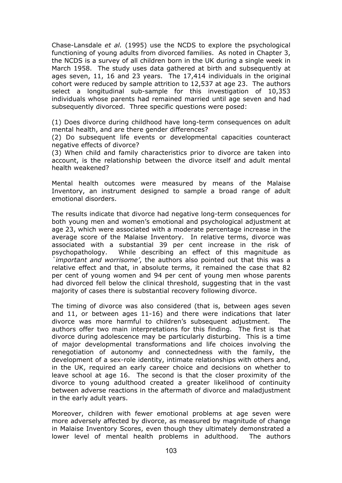Chase-Lansdale *et al.* (1995) use the NCDS to explore the psychological functioning of young adults from divorced families. As noted in Chapter 3, the NCDS is a survey of all children born in the UK during a single week in March 1958. The study uses data gathered at birth and subsequently at ages seven, 11, 16 and 23 years. The 17,414 individuals in the original cohort were reduced by sample attrition to 12,537 at age 23. The authors select a longitudinal sub-sample for this investigation of 10,353 individuals whose parents had remained married until age seven and had subsequently divorced. Three specific questions were posed:

(1) Does divorce during childhood have long-term consequences on adult mental health, and are there gender differences?

(2) Do subsequent life events or developmental capacities counteract negative effects of divorce?

(3) When child and family characteristics prior to divorce are taken into account, is the relationship between the divorce itself and adult mental health weakened?

Mental health outcomes were measured by means of the Malaise Inventory, an instrument designed to sample a broad range of adult emotional disorders.

The results indicate that divorce had negative long-term consequences for both young men and women's emotional and psychological adjustment at age 23, which were associated with a moderate percentage increase in the average score of the Malaise Inventory. In relative terms, divorce was associated with a substantial 39 per cent increase in the risk of psychopathology. While describing an effect of this magnitude as *`important and worrisome'*, the authors also pointed out that this was a relative effect and that, in absolute terms, it remained the case that 82 per cent of young women and 94 per cent of young men whose parents had divorced fell below the clinical threshold, suggesting that in the vast majority of cases there is substantial recovery following divorce.

The timing of divorce was also considered (that is, between ages seven and 11, or between ages 11-16) and there were indications that later divorce was more harmful to children's subsequent adjustment. The authors offer two main interpretations for this finding. The first is that divorce during adolescence may be particularly disturbing. This is a time of major developmental transformations and life choices involving the renegotiation of autonomy and connectedness with the family, the development of a sex-role identity, intimate relationships with others and, in the UK, required an early career choice and decisions on whether to leave school at age 16. The second is that the closer proximity of the divorce to young adulthood created a greater likelihood of continuity between adverse reactions in the aftermath of divorce and maladjustment in the early adult years.

Moreover, children with fewer emotional problems at age seven were more adversely affected by divorce, as measured by magnitude of change in Malaise Inventory Scores, even though they ultimately demonstrated a lower level of mental health problems in adulthood. The authors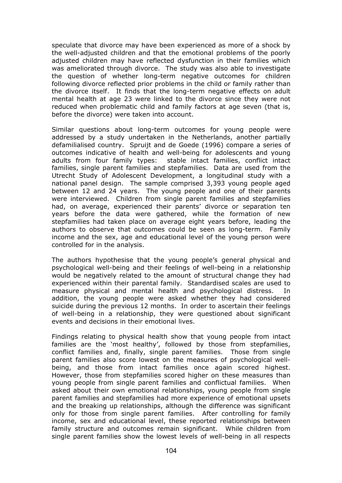speculate that divorce may have been experienced as more of a shock by the well-adjusted children and that the emotional problems of the poorly adjusted children may have reflected dysfunction in their families which was ameliorated through divorce. The study was also able to investigate the question of whether long-term negative outcomes for children following divorce reflected prior problems in the child or family rather than the divorce itself. It finds that the long-term negative effects on adult mental health at age 23 were linked to the divorce since they were not reduced when problematic child and family factors at age seven (that is, before the divorce) were taken into account.

Similar questions about long-term outcomes for young people were addressed by a study undertaken in the Netherlands, another partially defamilialised country. Spruijt and de Goede (1996) compare a series of outcomes indicative of health and well-being for adolescents and young adults from four family types: stable intact families, conflict intact families, single parent families and stepfamilies. Data are used from the Utrecht Study of Adolescent Development, a longitudinal study with a national panel design. The sample comprised 3,393 young people aged between 12 and 24 years. The young people and one of their parents were interviewed. Children from single parent families and stepfamilies had, on average, experienced their parents' divorce or separation ten years before the data were gathered, while the formation of new stepfamilies had taken place on average eight years before, leading the authors to observe that outcomes could be seen as long-term. Family income and the sex, age and educational level of the young person were controlled for in the analysis.

The authors hypothesise that the young people's general physical and psychological well-being and their feelings of well-being in a relationship would be negatively related to the amount of structural change they had experienced within their parental family. Standardised scales are used to measure physical and mental health and psychological distress. In addition, the young people were asked whether they had considered suicide during the previous 12 months. In order to ascertain their feelings of well-being in a relationship, they were questioned about significant events and decisions in their emotional lives.

Findings relating to physical health show that young people from intact families are the 'most healthy', followed by those from stepfamilies, conflict families and, finally, single parent families. Those from single parent families also score lowest on the measures of psychological wellbeing, and those from intact families once again scored highest. However, those from stepfamilies scored higher on these measures than young people from single parent families and conflictual families. When asked about their own emotional relationships, young people from single parent families and stepfamilies had more experience of emotional upsets and the breaking up relationships, although the difference was significant only for those from single parent families. After controlling for family income, sex and educational level, these reported relationships between family structure and outcomes remain significant. While children from single parent families show the lowest levels of well-being in all respects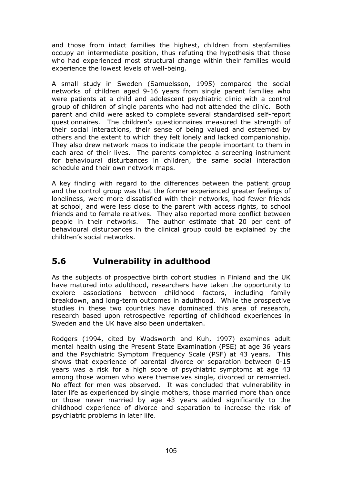and those from intact families the highest, children from stepfamilies occupy an intermediate position, thus refuting the hypothesis that those who had experienced most structural change within their families would experience the lowest levels of well-being.

A small study in Sweden (Samuelsson, 1995) compared the social networks of children aged 9-16 years from single parent families who were patients at a child and adolescent psychiatric clinic with a control group of children of single parents who had not attended the clinic. Both parent and child were asked to complete several standardised self-report questionnaires. The children's questionnaires measured the strength of their social interactions, their sense of being valued and esteemed by others and the extent to which they felt lonely and lacked companionship. They also drew network maps to indicate the people important to them in each area of their lives. The parents completed a screening instrument for behavioural disturbances in children, the same social interaction schedule and their own network maps.

A key finding with regard to the differences between the patient group and the control group was that the former experienced greater feelings of loneliness, were more dissatisfied with their networks, had fewer friends at school, and were less close to the parent with access rights, to school friends and to female relatives. They also reported more conflict between people in their networks. The author estimate that 20 per cent of behavioural disturbances in the clinical group could be explained by the children's social networks.

# **5.6 Vulnerability in adulthood**

As the subjects of prospective birth cohort studies in Finland and the UK have matured into adulthood, researchers have taken the opportunity to explore associations between childhood factors, including family breakdown, and long-term outcomes in adulthood. While the prospective studies in these two countries have dominated this area of research, research based upon retrospective reporting of childhood experiences in Sweden and the UK have also been undertaken.

Rodgers (1994, cited by Wadsworth and Kuh, 1997) examines adult mental health using the Present State Examination (PSE) at age 36 years and the Psychiatric Symptom Frequency Scale (PSF) at 43 years. This shows that experience of parental divorce or separation between 0-15 years was a risk for a high score of psychiatric symptoms at age 43 among those women who were themselves single, divorced or remarried. No effect for men was observed. It was concluded that vulnerability in later life as experienced by single mothers, those married more than once or those never married by age 43 years added significantly to the childhood experience of divorce and separation to increase the risk of psychiatric problems in later life.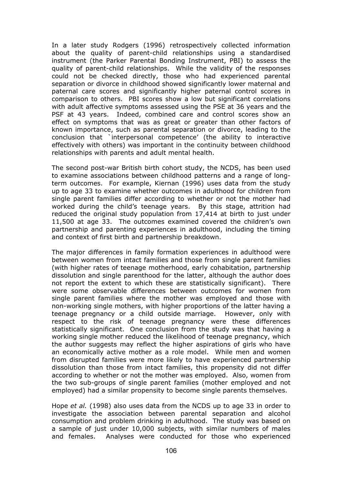In a later study Rodgers (1996) retrospectively collected information about the quality of parent-child relationships using a standardised instrument (the Parker Parental Bonding Instrument, PBI) to assess the quality of parent-child relationships. While the validity of the responses could not be checked directly, those who had experienced parental separation or divorce in childhood showed significantly lower maternal and paternal care scores and significantly higher paternal control scores in comparison to others. PBI scores show a low but significant correlations with adult affective symptoms assessed using the PSE at 36 years and the PSF at 43 years. Indeed, combined care and control scores show an effect on symptoms that was as great or greater than other factors of known importance, such as parental separation or divorce, leading to the conclusion that `interpersonal competence' (the ability to interactive effectively with others) was important in the continuity between childhood relationships with parents and adult mental health.

The second post-war British birth cohort study, the NCDS, has been used to examine associations between childhood patterns and a range of longterm outcomes. For example, Kiernan (1996) uses data from the study up to age 33 to examine whether outcomes in adulthood for children from single parent families differ according to whether or not the mother had worked during the child's teenage years. By this stage, attrition had reduced the original study population from 17,414 at birth to just under 11,500 at age 33. The outcomes examined covered the children's own partnership and parenting experiences in adulthood, including the timing and context of first birth and partnership breakdown.

The major differences in family formation experiences in adulthood were between women from intact families and those from single parent families (with higher rates of teenage motherhood, early cohabitation, partnership dissolution and single parenthood for the latter, although the author does not report the extent to which these are statistically significant). There were some observable differences between outcomes for women from single parent families where the mother was employed and those with non-working single mothers, with higher proportions of the latter having a teenage pregnancy or a child outside marriage. However, only with respect to the risk of teenage pregnancy were these differences statistically significant. One conclusion from the study was that having a working single mother reduced the likelihood of teenage pregnancy, which the author suggests may reflect the higher aspirations of girls who have an economically active mother as a role model. While men and women from disrupted families were more likely to have experienced partnership dissolution than those from intact families, this propensity did not differ according to whether or not the mother was employed. Also, women from the two sub-groups of single parent families (mother employed and not employed) had a similar propensity to become single parents themselves.

Hope *et al.* (1998) also uses data from the NCDS up to age 33 in order to investigate the association between parental separation and alcohol consumption and problem drinking in adulthood. The study was based on a sample of just under 10,000 subjects, with similar numbers of males and females. Analyses were conducted for those who experienced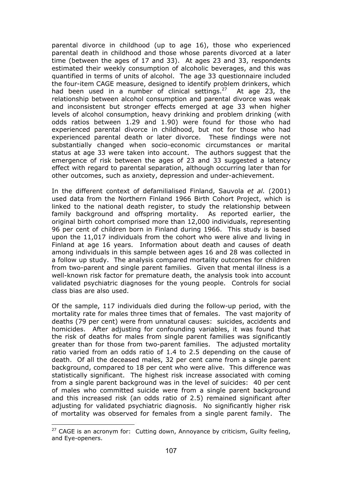parental divorce in childhood (up to age 16), those who experienced parental death in childhood and those whose parents divorced at a later time (between the ages of 17 and 33). At ages 23 and 33, respondents estimated their weekly consumption of alcoholic beverages, and this was quantified in terms of units of alcohol. The age 33 questionnaire included the four-item CAGE measure, designed to identify problem drinkers, which had been used in a number of clinical settings.<sup>27</sup> At age 23, the relationship between alcohol consumption and parental divorce was weak and inconsistent but stronger effects emerged at age 33 when higher levels of alcohol consumption, heavy drinking and problem drinking (with odds ratios between 1.29 and 1.90) were found for those who had experienced parental divorce in childhood, but not for those who had experienced parental death or later divorce. These findings were not substantially changed when socio-economic circumstances or marital status at age 33 were taken into account. The authors suggest that the emergence of risk between the ages of 23 and 33 suggested a latency effect with regard to parental separation, although occurring later than for other outcomes, such as anxiety, depression and under-achievement.

In the different context of defamilialised Finland, Sauvola *et al.* (2001) used data from the Northern Finland 1966 Birth Cohort Project, which is linked to the national death register, to study the relationship between family background and offspring mortality. As reported earlier, the original birth cohort comprised more than 12,000 individuals, representing 96 per cent of children born in Finland during 1966. This study is based upon the 11,017 individuals from the cohort who were alive and living in Finland at age 16 years. Information about death and causes of death among individuals in this sample between ages 16 and 28 was collected in a follow up study. The analysis compared mortality outcomes for children from two-parent and single parent families. Given that mental illness is a well-known risk factor for premature death, the analysis took into account validated psychiatric diagnoses for the young people. Controls for social class bias are also used.

Of the sample, 117 individuals died during the follow-up period, with the mortality rate for males three times that of females. The vast majority of deaths (79 per cent) were from unnatural causes: suicides, accidents and homicides. After adjusting for confounding variables, it was found that the risk of deaths for males from single parent families was significantly greater than for those from two-parent families. The adjusted mortality ratio varied from an odds ratio of 1.4 to 2.5 depending on the cause of death. Of all the deceased males, 32 per cent came from a single parent background, compared to 18 per cent who were alive. This difference was statistically significant. The highest risk increase associated with coming from a single parent background was in the level of suicides: 40 per cent of males who committed suicide were from a single parent background and this increased risk (an odds ratio of 2.5) remained significant after adjusting for validated psychiatric diagnosis. No significantly higher risk of mortality was observed for females from a single parent family. The

 $\overline{a}$ 

 $27$  CAGE is an acronym for: Cutting down, Annoyance by criticism, Guilty feeling, and Eye-openers.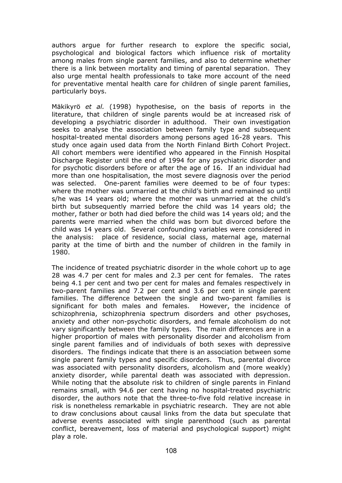authors argue for further research to explore the specific social, psychological and biological factors which influence risk of mortality among males from single parent families, and also to determine whether there is a link between mortality and timing of parental separation. They also urge mental health professionals to take more account of the need for preventative mental health care for children of single parent families, particularly boys.

Mäkikyrö *et al.* (1998) hypothesise, on the basis of reports in the literature, that children of single parents would be at increased risk of developing a psychiatric disorder in adulthood. Their own investigation seeks to analyse the association between family type and subsequent hospital-treated mental disorders among persons aged 16-28 years. This study once again used data from the North Finland Birth Cohort Project. All cohort members were identified who appeared in the Finnish Hospital Discharge Register until the end of 1994 for any psychiatric disorder and for psychotic disorders before or after the age of 16. If an individual had more than one hospitalisation, the most severe diagnosis over the period was selected. One-parent families were deemed to be of four types: where the mother was unmarried at the child's birth and remained so until s/he was 14 years old; where the mother was unmarried at the child's birth but subsequently married before the child was 14 years old; the mother, father or both had died before the child was 14 years old; and the parents were married when the child was born but divorced before the child was 14 years old. Several confounding variables were considered in the analysis: place of residence, social class, maternal age, maternal parity at the time of birth and the number of children in the family in 1980.

The incidence of treated psychiatric disorder in the whole cohort up to age 28 was 4.7 per cent for males and 2.3 per cent for females. The rates being 4.1 per cent and two per cent for males and females respectively in two-parent families and 7.2 per cent and 3.6 per cent in single parent families. The difference between the single and two-parent families is significant for both males and females. However, the incidence of schizophrenia, schizophrenia spectrum disorders and other psychoses, anxiety and other non-psychotic disorders, and female alcoholism do not vary significantly between the family types. The main differences are in a higher proportion of males with personality disorder and alcoholism from single parent families and of individuals of both sexes with depressive disorders. The findings indicate that there is an association between some single parent family types and specific disorders. Thus, parental divorce was associated with personality disorders, alcoholism and (more weakly) anxiety disorder, while parental death was associated with depression. While noting that the absolute risk to children of single parents in Finland remains small, with 94.6 per cent having no hospital-treated psychiatric disorder, the authors note that the three-to-five fold relative increase in risk is nonetheless remarkable in psychiatric research. They are not able to draw conclusions about causal links from the data but speculate that adverse events associated with single parenthood (such as parental conflict, bereavement, loss of material and psychological support) might play a role.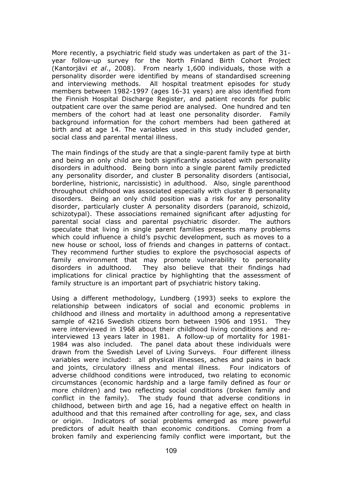More recently, a psychiatric field study was undertaken as part of the 31 year follow-up survey for the North Finland Birth Cohort Project (Kantorjävi *et al*., 2008). From nearly 1,600 individuals, those with a personality disorder were identified by means of standardised screening and interviewing methods. All hospital treatment episodes for study members between 1982-1997 (ages 16-31 years) are also identified from the Finnish Hospital Discharge Register, and patient records for public outpatient care over the same period are analysed. One hundred and ten members of the cohort had at least one personality disorder. Family background information for the cohort members had been gathered at birth and at age 14. The variables used in this study included gender, social class and parental mental illness.

The main findings of the study are that a single-parent family type at birth and being an only child are both significantly associated with personality disorders in adulthood. Being born into a single parent family predicted any personality disorder, and cluster B personality disorders (antisocial, borderline, histrionic, narcissistic) in adulthood. Also, single parenthood throughout childhood was associated especially with cluster B personality disorders. Being an only child position was a risk for any personality disorder, particularly cluster A personality disorders (paranoid, schizoid, schizotypal). These associations remained significant after adjusting for parental social class and parental psychiatric disorder. The authors speculate that living in single parent families presents many problems which could influence a child's psychic development, such as moves to a new house or school, loss of friends and changes in patterns of contact. They recommend further studies to explore the psychosocial aspects of family environment that may promote vulnerability to personality disorders in adulthood. They also believe that their findings had implications for clinical practice by highlighting that the assessment of family structure is an important part of psychiatric history taking.

Using a different methodology, Lundberg (1993) seeks to explore the relationship between indicators of social and economic problems in childhood and illness and mortality in adulthood among a representative sample of 4216 Swedish citizens born between 1906 and 1951. They were interviewed in 1968 about their childhood living conditions and reinterviewed 13 years later in 1981. A follow-up of mortality for 1981- 1984 was also included. The panel data about these individuals were drawn from the Swedish Level of Living Surveys. Four different illness variables were included: all physical illnesses, aches and pains in back and joints, circulatory illness and mental illness. Four indicators of adverse childhood conditions were introduced, two relating to economic circumstances (economic hardship and a large family defined as four or more children) and two reflecting social conditions (broken family and conflict in the family). The study found that adverse conditions in childhood, between birth and age 16, had a negative effect on health in adulthood and that this remained after controlling for age, sex, and class or origin. Indicators of social problems emerged as more powerful predictors of adult health than economic conditions. Coming from a broken family and experiencing family conflict were important, but the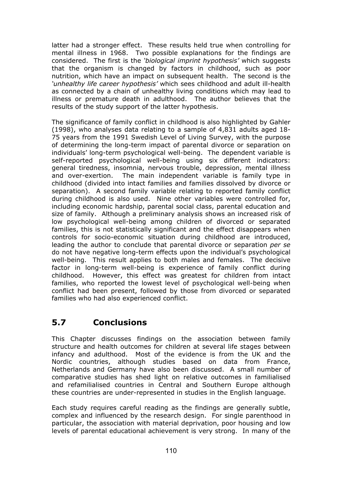latter had a stronger effect. These results held true when controlling for mental illness in 1968. Two possible explanations for the findings are considered. The first is the *'biological imprint hypothesis'* which suggests that the organism is changed by factors in childhood, such as poor nutrition, which have an impact on subsequent health. The second is the *'unhealthy life career hypothesis'* which sees childhood and adult ill-health as connected by a chain of unhealthy living conditions which may lead to illness or premature death in adulthood. The author believes that the results of the study support of the latter hypothesis.

The significance of family conflict in childhood is also highlighted by Gahler (1998), who analyses data relating to a sample of 4,831 adults aged 18- 75 years from the 1991 Swedish Level of Living Survey, with the purpose of determining the long-term impact of parental divorce or separation on individuals' long-term psychological well-being. The dependent variable is self-reported psychological well-being using six different indicators: general tiredness, insomnia, nervous trouble, depression, mental illness and over-exertion. The main independent variable is family type in childhood (divided into intact families and families dissolved by divorce or separation). A second family variable relating to reported family conflict during childhood is also used. Nine other variables were controlled for, including economic hardship, parental social class, parental education and size of family. Although a preliminary analysis shows an increased risk of low psychological well-being among children of divorced or separated families, this is not statistically significant and the effect disappears when controls for socio-economic situation during childhood are introduced, leading the author to conclude that parental divorce or separation *per se* do not have negative long-term effects upon the individual's psychological well-being. This result applies to both males and females. The decisive factor in long-term well-being is experience of family conflict during childhood. However, this effect was greatest for children from intact families, who reported the lowest level of psychological well-being when conflict had been present, followed by those from divorced or separated families who had also experienced conflict.

# **5.7 Conclusions**

This Chapter discusses findings on the association between family structure and health outcomes for children at several life stages between infancy and adulthood. Most of the evidence is from the UK and the Nordic countries, although studies based on data from France, Netherlands and Germany have also been discussed. A small number of comparative studies has shed light on relative outcomes in familialised and refamilialised countries in Central and Southern Europe although these countries are under-represented in studies in the English language.

Each study requires careful reading as the findings are generally subtle, complex and influenced by the research design. For single parenthood in particular, the association with material deprivation, poor housing and low levels of parental educational achievement is very strong. In many of the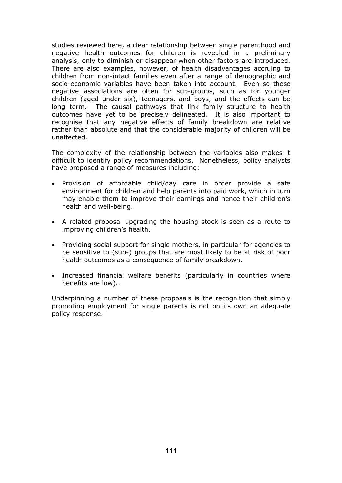studies reviewed here, a clear relationship between single parenthood and negative health outcomes for children is revealed in a preliminary analysis, only to diminish or disappear when other factors are introduced. There are also examples, however, of health disadvantages accruing to children from non-intact families even after a range of demographic and socio-economic variables have been taken into account. Even so these negative associations are often for sub-groups, such as for younger children (aged under six), teenagers, and boys, and the effects can be long term. The causal pathways that link family structure to health outcomes have yet to be precisely delineated. It is also important to recognise that any negative effects of family breakdown are relative rather than absolute and that the considerable majority of children will be unaffected.

The complexity of the relationship between the variables also makes it difficult to identify policy recommendations. Nonetheless, policy analysts have proposed a range of measures including:

- Provision of affordable child/day care in order provide a safe environment for children and help parents into paid work, which in turn may enable them to improve their earnings and hence their children's health and well-being.
- A related proposal upgrading the housing stock is seen as a route to improving children's health.
- Providing social support for single mothers, in particular for agencies to be sensitive to (sub-) groups that are most likely to be at risk of poor health outcomes as a consequence of family breakdown.
- Increased financial welfare benefits (particularly in countries where benefits are low)..

Underpinning a number of these proposals is the recognition that simply promoting employment for single parents is not on its own an adequate policy response.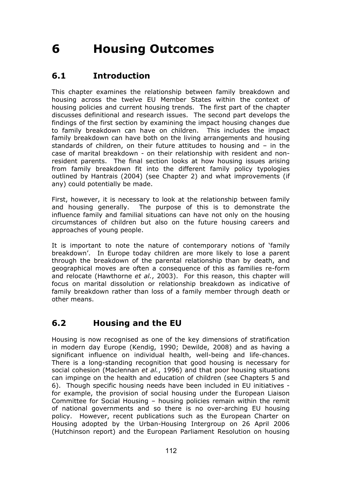# **6 Housing Outcomes**

# **6.1 Introduction**

This chapter examines the relationship between family breakdown and housing across the twelve EU Member States within the context of housing policies and current housing trends. The first part of the chapter discusses definitional and research issues. The second part develops the findings of the first section by examining the impact housing changes due to family breakdown can have on children. This includes the impact family breakdown can have both on the living arrangements and housing standards of children, on their future attitudes to housing and – in the case of marital breakdown - on their relationship with resident and nonresident parents. The final section looks at how housing issues arising from family breakdown fit into the different family policy typologies outlined by Hantrais (2004) (see Chapter 2) and what improvements (if any) could potentially be made.

First, however, it is necessary to look at the relationship between family and housing generally. The purpose of this is to demonstrate the influence family and familial situations can have not only on the housing circumstances of children but also on the future housing careers and approaches of young people.

It is important to note the nature of contemporary notions of 'family breakdown'. In Europe today children are more likely to lose a parent through the breakdown of the parental relationship than by death, and geographical moves are often a consequence of this as families re-form and relocate (Hawthorne *et al.*, 2003). For this reason, this chapter will focus on marital dissolution or relationship breakdown as indicative of family breakdown rather than loss of a family member through death or other means.

# **6.2 Housing and the EU**

Housing is now recognised as one of the key dimensions of stratification in modern day Europe (Kendig, 1990; Dewilde, 2008) and as having a significant influence on individual health, well-being and life-chances. There is a long-standing recognition that good housing is necessary for social cohesion (Maclennan *et al.*, 1996) and that poor housing situations can impinge on the health and education of children (see Chapters 5 and 6). Though specific housing needs have been included in EU initiatives for example, the provision of social housing under the European Liaison Committee for Social Housing – housing policies remain within the remit of national governments and so there is no over-arching EU housing policy. However, recent publications such as the European Charter on Housing adopted by the Urban-Housing Intergroup on 26 April 2006 (Hutchinson report) and the European Parliament Resolution on housing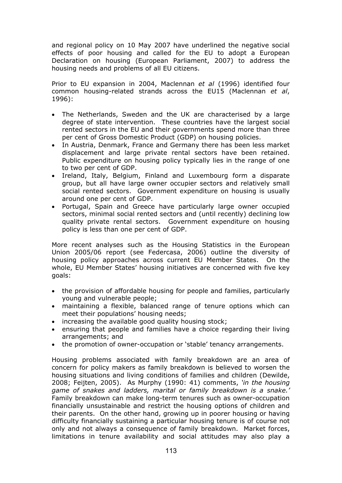and regional policy on 10 May 2007 have underlined the negative social effects of poor housing and called for the EU to adopt a European Declaration on housing (European Parliament, 2007) to address the housing needs and problems of all EU citizens.

Prior to EU expansion in 2004, Maclennan *et al* (1996) identified four common housing-related strands across the EU15 (Maclennan *et al*, 1996):

- The Netherlands, Sweden and the UK are characterised by a large degree of state intervention. These countries have the largest social rented sectors in the EU and their governments spend more than three per cent of Gross Domestic Product (GDP) on housing policies.
- In Austria, Denmark, France and Germany there has been less market displacement and large private rental sectors have been retained. Public expenditure on housing policy typically lies in the range of one to two per cent of GDP.
- Ireland, Italy, Belgium, Finland and Luxembourg form a disparate group, but all have large owner occupier sectors and relatively small social rented sectors. Government expenditure on housing is usually around one per cent of GDP.
- Portugal, Spain and Greece have particularly large owner occupied sectors, minimal social rented sectors and (until recently) declining low quality private rental sectors. Government expenditure on housing policy is less than one per cent of GDP.

More recent analyses such as the Housing Statistics in the European Union 2005/06 report (see Federcasa, 2006) outline the diversity of housing policy approaches across current EU Member States. On the whole, EU Member States' housing initiatives are concerned with five key goals:

- the provision of affordable housing for people and families, particularly young and vulnerable people;
- maintaining a flexible, balanced range of tenure options which can meet their populations' housing needs;
- increasing the available good quality housing stock;
- ensuring that people and families have a choice regarding their living arrangements; and
- the promotion of owner-occupation or 'stable' tenancy arrangements.

Housing problems associated with family breakdown are an area of concern for policy makers as family breakdown is believed to worsen the housing situations and living conditions of families and children (Dewilde, 2008; Feijten, 2005). As Murphy (1990: 41) comments, *'in the housing game of snakes and ladders, marital or family breakdown is a snake.'* Family breakdown can make long-term tenures such as owner-occupation financially unsustainable and restrict the housing options of children and their parents. On the other hand, growing up in poorer housing or having difficulty financially sustaining a particular housing tenure is of course not only and not always a consequence of family breakdown. Market forces, limitations in tenure availability and social attitudes may also play a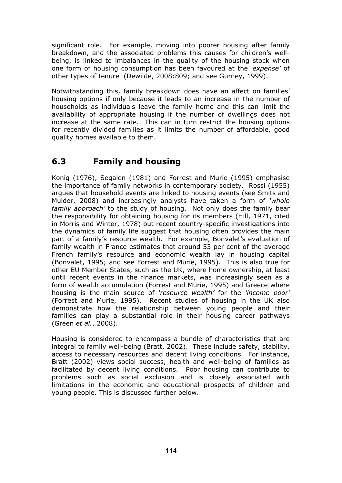significant role. For example, moving into poorer housing after family breakdown, and the associated problems this causes for children's wellbeing, is linked to imbalances in the quality of the housing stock when one form of housing consumption has been favoured at the *'expense'* of other types of tenure (Dewilde, 2008:809; and see Gurney, 1999).

Notwithstanding this, family breakdown does have an affect on families' housing options if only because it leads to an increase in the number of households as individuals leave the family home and this can limit the availability of appropriate housing if the number of dwellings does not increase at the same rate. This can in turn restrict the housing options for recently divided families as it limits the number of affordable, good quality homes available to them.

# **6.3 Family and housing**

Konig (1976), Segalen (1981) and Forrest and Murie (1995) emphasise the importance of family networks in contemporary society. Rossi (1955) argues that household events are linked to housing events (see Smits and Mulder, 2008) and increasingly analysts have taken a form of *'whole family approach'* to the study of housing. Not only does the family bear the responsibility for obtaining housing for its members (Hill, 1971, cited in Morris and Winter, 1978) but recent country-specific investigations into the dynamics of family life suggest that housing often provides the main part of a family's resource wealth. For example, Bonvalet's evaluation of family wealth in France estimates that around 53 per cent of the average French family's resource and economic wealth lay in housing capital (Bonvalet, 1995; and see Forrest and Murie, 1995). This is also true for other EU Member States, such as the UK, where home ownership, at least until recent events in the finance markets, was increasingly seen as a form of wealth accumulation (Forrest and Murie, 1995) and Greece where housing is the main source of *'resource wealth'* for the *'income poor'* (Forrest and Murie, 1995). Recent studies of housing in the UK also demonstrate how the relationship between young people and their families can play a substantial role in their housing career pathways (Green *et al.*, 2008).

Housing is considered to encompass a bundle of characteristics that are integral to family well-being (Bratt, 2002). These include safety, stability, access to necessary resources and decent living conditions. For instance, Bratt (2002) views social success, health and well-being of families as facilitated by decent living conditions. Poor housing can contribute to problems such as social exclusion and is closely associated with limitations in the economic and educational prospects of children and young people. This is discussed further below.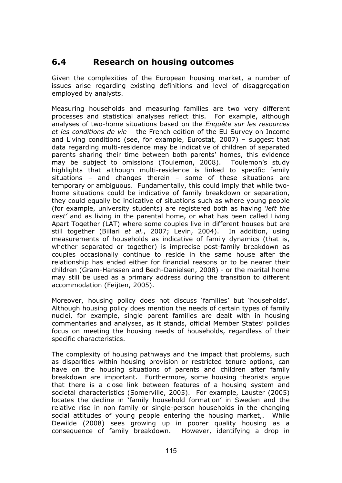## **6.4 Research on housing outcomes**

Given the complexities of the European housing market, a number of issues arise regarding existing definitions and level of disaggregation employed by analysts.

Measuring households and measuring families are two very different processes and statistical analyses reflect this. For example, although analyses of two-home situations based on the *Enquête sur les resources et les conditions de vie* – the French edition of the EU Survey on Income and Living conditions (see, for example, Eurostat, 2007) – suggest that data regarding multi-residence may be indicative of children of separated parents sharing their time between both parents' homes, this evidence may be subject to omissions (Toulemon, 2008). Toulemon's study highlights that although multi-residence is linked to specific family situations – and changes therein – some of these situations are temporary or ambiguous. Fundamentally, this could imply that while twohome situations could be indicative of family breakdown or separation, they could equally be indicative of situations such as where young people (for example, university students) are registered both as having '*left the nest'* and as living in the parental home, or what has been called Living Apart Together (LAT) where some couples live in different houses but are still together (Billari *et al.*, 2007; Levin, 2004). In addition, using measurements of households as indicative of family dynamics (that is, whether separated or together) is imprecise post-family breakdown as couples occasionally continue to reside in the same house after the relationship has ended either for financial reasons or to be nearer their children (Gram-Hanssen and Bech-Danielsen, 2008) - or the marital home may still be used as a primary address during the transition to different accommodation (Feijten, 2005).

Moreover, housing policy does not discuss 'families' but 'households'. Although housing policy does mention the needs of certain types of family nuclei, for example, single parent families are dealt with in housing commentaries and analyses, as it stands, official Member States' policies focus on meeting the housing needs of households, regardless of their specific characteristics.

The complexity of housing pathways and the impact that problems, such as disparities within housing provision or restricted tenure options, can have on the housing situations of parents and children after family breakdown are important. Furthermore, some housing theorists argue that there is a close link between features of a housing system and societal characteristics (Somerville, 2005). For example, Lauster (2005) locates the decline in 'family household formation' in Sweden and the relative rise in non family or single-person households in the changing social attitudes of young people entering the housing market,. While Dewilde (2008) sees growing up in poorer quality housing as a consequence of family breakdown. However, identifying a drop in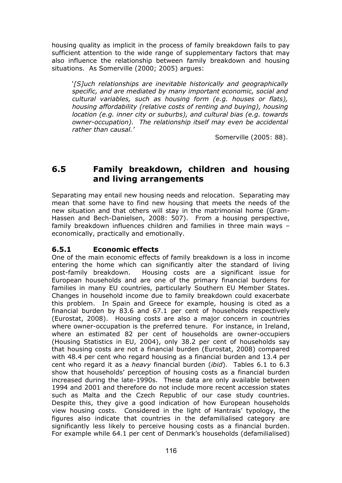housing quality as implicit in the process of family breakdown fails to pay sufficient attention to the wide range of supplementary factors that may also influence the relationship between family breakdown and housing situations. As Somerville (2000; 2005) argues:

'*[S]uch relationships are inevitable historically and geographically specific, and are mediated by many important economic, social and cultural variables, such as housing form (e.g. houses or flats), housing affordability (relative costs of renting and buying), housing location (e.g. inner city or suburbs), and cultural bias (e.g. towards owner-occupation). The relationship itself may even be accidental rather than causal.'* 

Somerville (2005: 88).

## **6.5 Family breakdown, children and housing and living arrangements**

Separating may entail new housing needs and relocation. Separating may mean that some have to find new housing that meets the needs of the new situation and that others will stay in the matrimonial home (Gram-Hassen and Bech-Danielsen, 2008: 507). From a housing perspective, family breakdown influences children and families in three main ways – economically, practically and emotionally.

## **6.5.1 Economic effects**

One of the main economic effects of family breakdown is a loss in income entering the home which can significantly alter the standard of living post-family breakdown. Housing costs are a significant issue for European households and are one of the primary financial burdens for families in many EU countries, particularly Southern EU Member States. Changes in household income due to family breakdown could exacerbate this problem. In Spain and Greece for example, housing is cited as a financial burden by 83.6 and 67.1 per cent of households respectively (Eurostat, 2008). Housing costs are also a major concern in countries where owner-occupation is the preferred tenure. For instance, in Ireland, where an estimated 82 per cent of households are owner-occupiers (Housing Statistics in EU, 2004), only 38.2 per cent of households say that housing costs are not a financial burden (Eurostat, 2008) compared with 48.4 per cent who regard housing as a financial burden and 13.4 per cent who regard it as a *heavy* financial burden (*ibid*). Tables 6.1 to 6.3 show that households' perception of housing costs as a financial burden increased during the late-1990s. These data are only available between 1994 and 2001 and therefore do not include more recent accession states such as Malta and the Czech Republic of our case study countries. Despite this, they give a good indication of how European households view housing costs. Considered in the light of Hantrais' typology, the figures also indicate that countries in the defamilialised category are significantly less likely to perceive housing costs as a financial burden. For example while 64.1 per cent of Denmark's households (defamilialised)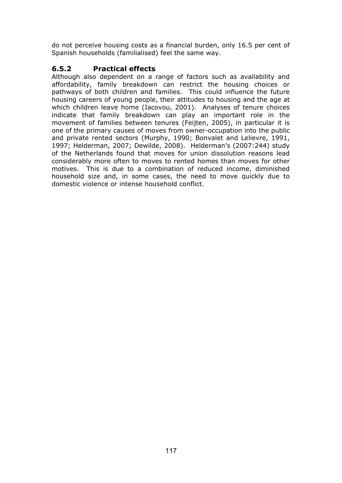do not perceive housing costs as a financial burden, only 16.5 per cent of Spanish households (familialised) feel the same way.

## **6.5.2 Practical effects**

Although also dependent on a range of factors such as availability and affordability, family breakdown can restrict the housing choices or pathways of both children and families. This could influence the future housing careers of young people, their attitudes to housing and the age at which children leave home (Iacovou, 2001). Analyses of tenure choices indicate that family breakdown can play an important role in the movement of families between tenures (Feijten, 2005), in particular it is one of the primary causes of moves from owner-occupation into the public and private rented sectors (Murphy, 1990; Bonvalet and Lelievre, 1991, 1997; Helderman, 2007; Dewilde, 2008). Helderman's (2007:244) study of the Netherlands found that moves for union dissolution reasons lead considerably more often to moves to rented homes than moves for other motives. This is due to a combination of reduced income, diminished household size and, in some cases, the need to move quickly due to domestic violence or intense household conflict.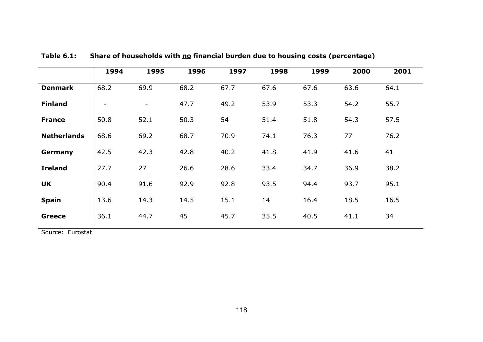|                    | 1994                     | 1995                     | 1996 | 1997 | 1998 | 1999 | 2000 | 2001 |
|--------------------|--------------------------|--------------------------|------|------|------|------|------|------|
| <b>Denmark</b>     | 68.2                     | 69.9                     | 68.2 | 67.7 | 67.6 | 67.6 | 63.6 | 64.1 |
| <b>Finland</b>     | $\overline{\phantom{a}}$ | $\overline{\phantom{a}}$ | 47.7 | 49.2 | 53.9 | 53.3 | 54.2 | 55.7 |
| <b>France</b>      | 50.8                     | 52.1                     | 50.3 | 54   | 51.4 | 51.8 | 54.3 | 57.5 |
| <b>Netherlands</b> | 68.6                     | 69.2                     | 68.7 | 70.9 | 74.1 | 76.3 | 77   | 76.2 |
| Germany            | 42.5                     | 42.3                     | 42.8 | 40.2 | 41.8 | 41.9 | 41.6 | 41   |
| <b>Ireland</b>     | 27.7                     | 27                       | 26.6 | 28.6 | 33.4 | 34.7 | 36.9 | 38.2 |
| <b>UK</b>          | 90.4                     | 91.6                     | 92.9 | 92.8 | 93.5 | 94.4 | 93.7 | 95.1 |
| <b>Spain</b>       | 13.6                     | 14.3                     | 14.5 | 15.1 | 14   | 16.4 | 18.5 | 16.5 |
| <b>Greece</b>      | 36.1                     | 44.7                     | 45   | 45.7 | 35.5 | 40.5 | 41.1 | 34   |

Table 6.1: Share of households with **no financial burden due to housing costs (percentage)** 

Source: Eurostat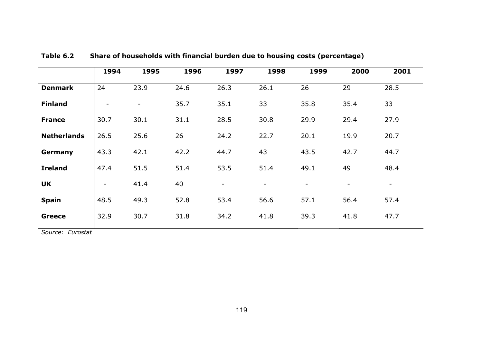|                    | 1994                     | 1995                     | 1996 | 1997                     | 1998                     | 1999                     | 2000                     | 2001   |
|--------------------|--------------------------|--------------------------|------|--------------------------|--------------------------|--------------------------|--------------------------|--------|
| <b>Denmark</b>     | 24                       | 23.9                     | 24.6 | 26.3                     | 26.1                     | 26                       | 29                       | 28.5   |
| <b>Finland</b>     | $\overline{\phantom{a}}$ | $\overline{\phantom{a}}$ | 35.7 | 35.1                     | 33                       | 35.8                     | 35.4                     | 33     |
| <b>France</b>      | 30.7                     | 30.1                     | 31.1 | 28.5                     | 30.8                     | 29.9                     | 29.4                     | 27.9   |
| <b>Netherlands</b> | 26.5                     | 25.6                     | 26   | 24.2                     | 22.7                     | 20.1                     | 19.9                     | 20.7   |
| Germany            | 43.3                     | 42.1                     | 42.2 | 44.7                     | 43                       | 43.5                     | 42.7                     | 44.7   |
| <b>Ireland</b>     | 47.4                     | 51.5                     | 51.4 | 53.5                     | 51.4                     | 49.1                     | 49                       | 48.4   |
| <b>UK</b>          | $\overline{\phantom{a}}$ | 41.4                     | 40   | $\overline{\phantom{a}}$ | $\overline{\phantom{0}}$ | $\overline{\phantom{a}}$ | $\overline{\phantom{a}}$ | $\sim$ |
| <b>Spain</b>       | 48.5                     | 49.3                     | 52.8 | 53.4                     | 56.6                     | 57.1                     | 56.4                     | 57.4   |
| <b>Greece</b>      | 32.9                     | 30.7                     | 31.8 | 34.2                     | 41.8                     | 39.3                     | 41.8                     | 47.7   |

**Table 6.2 Share of households with financial burden due to housing costs (percentage)** 

*Source: Eurostat*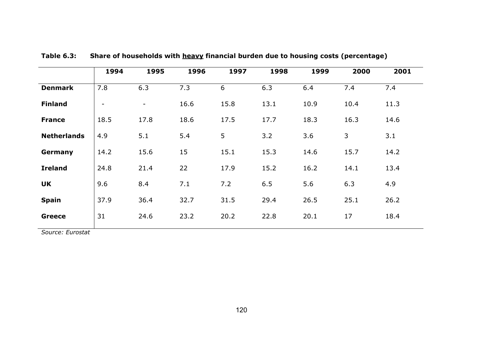|                    | 1994                     | 1995           | 1996 | 1997 | 1998 | 1999 | 2000 | 2001 |
|--------------------|--------------------------|----------------|------|------|------|------|------|------|
| <b>Denmark</b>     | 7.8                      | 6.3            | 7.3  | 6    | 6.3  | 6.4  | 7.4  | 7.4  |
| <b>Finland</b>     | $\overline{\phantom{a}}$ | $\blacksquare$ | 16.6 | 15.8 | 13.1 | 10.9 | 10.4 | 11.3 |
| <b>France</b>      | 18.5                     | 17.8           | 18.6 | 17.5 | 17.7 | 18.3 | 16.3 | 14.6 |
| <b>Netherlands</b> | 4.9                      | 5.1            | 5.4  | 5    | 3.2  | 3.6  | 3    | 3.1  |
| Germany            | 14.2                     | 15.6           | 15   | 15.1 | 15.3 | 14.6 | 15.7 | 14.2 |
| <b>Ireland</b>     | 24.8                     | 21.4           | 22   | 17.9 | 15.2 | 16.2 | 14.1 | 13.4 |
| <b>UK</b>          | 9.6                      | 8.4            | 7.1  | 7.2  | 6.5  | 5.6  | 6.3  | 4.9  |
| <b>Spain</b>       | 37.9                     | 36.4           | 32.7 | 31.5 | 29.4 | 26.5 | 25.1 | 26.2 |
| <b>Greece</b>      | 31                       | 24.6           | 23.2 | 20.2 | 22.8 | 20.1 | 17   | 18.4 |

**Table 6.3: Share of households with heavy financial burden due to housing costs (percentage)** 

*Source: Eurostat*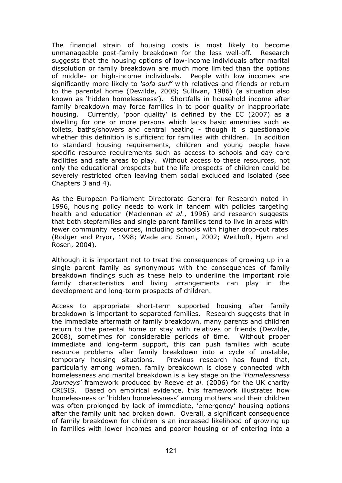The financial strain of housing costs is most likely to become unmanageable post-family breakdown for the less well-off. Research suggests that the housing options of low-income individuals after marital dissolution or family breakdown are much more limited than the options of middle- or high-income individuals. People with low incomes are significantly more likely to *'sofa-surf'* with relatives and friends or return to the parental home (Dewilde, 2008; Sullivan, 1986) (a situation also known as 'hidden homelessness'). Shortfalls in household income after family breakdown may force families in to poor quality or inappropriate housing. Currently, 'poor quality' is defined by the EC (2007) as a dwelling for one or more persons which lacks basic amenities such as toilets, baths/showers and central heating - though it is questionable whether this definition is sufficient for families with children. In addition to standard housing requirements, children and young people have specific resource requirements such as access to schools and day care facilities and safe areas to play. Without access to these resources, not only the educational prospects but the life prospects of children could be severely restricted often leaving them social excluded and isolated (see Chapters 3 and 4).

As the European Parliament Directorate General for Research noted in 1996, housing policy needs to work in tandem with policies targeting health and education (Maclennan *et al*., 1996) and research suggests that both stepfamilies and single parent families tend to live in areas with fewer community resources, including schools with higher drop-out rates (Rodger and Pryor, 1998; Wade and Smart, 2002; Weithoft, Hjern and Rosen, 2004).

Although it is important not to treat the consequences of growing up in a single parent family as synonymous with the consequences of family breakdown findings such as these help to underline the important role family characteristics and living arrangements can play in the development and long-term prospects of children.

Access to appropriate short-term supported housing after family breakdown is important to separated families. Research suggests that in the immediate aftermath of family breakdown, many parents and children return to the parental home or stay with relatives or friends (Dewilde, 2008), sometimes for considerable periods of time. Without proper immediate and long-term support, this can push families with acute resource problems after family breakdown into a cycle of unstable, temporary housing situations. Previous research has found that, particularly among women, family breakdown is closely connected with homelessness and marital breakdown is a key stage on the *'Homelessness Journeys'* framework produced by Reeve *et al.* (2006) for the UK charity CRISIS. Based on empirical evidence, this framework illustrates how homelessness or 'hidden homelessness' among mothers and their children was often prolonged by lack of immediate, 'emergency' housing options after the family unit had broken down. Overall, a significant consequence of family breakdown for children is an increased likelihood of growing up in families with lower incomes and poorer housing or of entering into a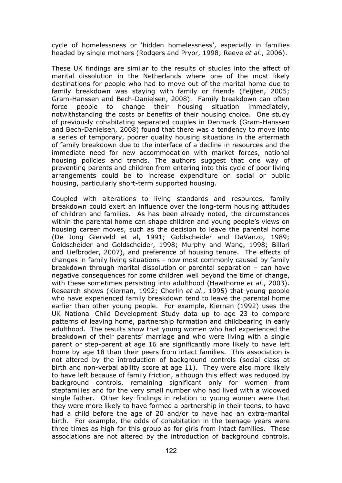cycle of homelessness or 'hidden homelessness', especially in families headed by single mothers (Rodgers and Pryor, 1998; Reeve *et al.*, 2006).

These UK findings are similar to the results of studies into the affect of marital dissolution in the Netherlands where one of the most likely destinations for people who had to move out of the marital home due to family breakdown was staying with family or friends (Feijten, 2005; Gram-Hanssen and Bech-Danielsen, 2008). Family breakdown can often force people to change their housing situation immediately, notwithstanding the costs or benefits of their housing choice. One study of previously cohabitating separated couples in Denmark (Gram-Hanssen and Bech-Danielsen, 2008) found that there was a tendency to move into a series of temporary, poorer quality housing situations in the aftermath of family breakdown due to the interface of a decline in resources and the immediate need for new accommodation with market forces, national housing policies and trends. The authors suggest that one way of preventing parents and children from entering into this cycle of poor living arrangements could be to increase expenditure on social or public housing, particularly short-term supported housing.

Coupled with alterations to living standards and resources, family breakdown could exert an influence over the long-term housing attitudes of children and families. As has been already noted, the circumstances within the parental home can shape children and young people's views on housing career moves, such as the decision to leave the parental home (De Jong Gierveld et al, 1991; Goldscheider and DaVanzo, 1989; Goldscheider and Goldscheider, 1998; Murphy and Wang, 1998; Billari and Liefbroder, 2007), and preference of housing tenure. The effects of changes in family living situations - now most commonly caused by family breakdown through marital dissolution or parental separation – can have negative consequences for some children well beyond the time of change, with these sometimes persisting into adulthood (Hawthorne *et al.*, 2003). Research shows (Kiernan, 1992; Cherlin *et al*., 1995) that young people who have experienced family breakdown tend to leave the parental home earlier than other young people. For example, Kiernan (1992) uses the UK National Child Development Study data up to age 23 to compare patterns of leaving home, partnership formation and childbearing in early adulthood. The results show that young women who had experienced the breakdown of their parents' marriage and who were living with a single parent or step-parent at age 16 are significantly more likely to have left home by age 18 than their peers from intact families. This association is not altered by the introduction of background controls (social class at birth and non-verbal ability score at age 11). They were also more likely to have left because of family friction, although this effect was reduced by background controls, remaining significant only for women from stepfamilies and for the very small number who had lived with a widowed single father. Other key findings in relation to young women were that they were more likely to have formed a partnership in their teens, to have had a child before the age of 20 and/or to have had an extra-marital birth. For example, the odds of cohabitation in the teenage years were three times as high for this group as for girls from intact families. These associations are not altered by the introduction of background controls.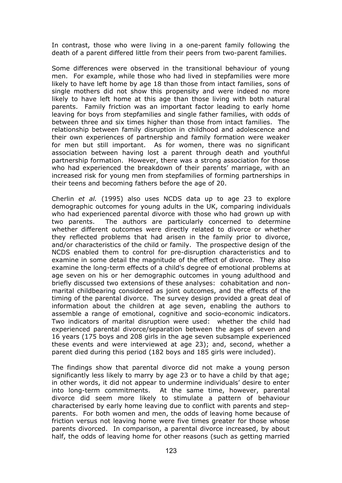In contrast, those who were living in a one-parent family following the death of a parent differed little from their peers from two-parent families.

Some differences were observed in the transitional behaviour of young men. For example, while those who had lived in stepfamilies were more likely to have left home by age 18 than those from intact families, sons of single mothers did not show this propensity and were indeed no more likely to have left home at this age than those living with both natural parents. Family friction was an important factor leading to early home leaving for boys from stepfamilies and single father families, with odds of between three and six times higher than those from intact families. The relationship between family disruption in childhood and adolescence and their own experiences of partnership and family formation were weaker for men but still important. As for women, there was no significant association between having lost a parent through death and youthful partnership formation. However, there was a strong association for those who had experienced the breakdown of their parents' marriage, with an increased risk for young men from stepfamilies of forming partnerships in their teens and becoming fathers before the age of 20.

Cherlin *et al.* (1995) also uses NCDS data up to age 23 to explore demographic outcomes for young adults in the UK, comparing individuals who had experienced parental divorce with those who had grown up with two parents. The authors are particularly concerned to determine whether different outcomes were directly related to divorce or whether they reflected problems that had arisen in the family prior to divorce, and/or characteristics of the child or family. The prospective design of the NCDS enabled them to control for pre-disruption characteristics and to examine in some detail the magnitude of the effect of divorce. They also examine the long-term effects of a child's degree of emotional problems at age seven on his or her demographic outcomes in young adulthood and briefly discussed two extensions of these analyses: cohabitation and nonmarital childbearing considered as joint outcomes, and the effects of the timing of the parental divorce. The survey design provided a great deal of information about the children at age seven, enabling the authors to assemble a range of emotional, cognitive and socio-economic indicators. Two indicators of marital disruption were used: whether the child had experienced parental divorce/separation between the ages of seven and 16 years (175 boys and 208 girls in the age seven subsample experienced these events and were interviewed at age 23); and, second, whether a parent died during this period (182 boys and 185 girls were included).

The findings show that parental divorce did not make a young person significantly less likely to marry by age 23 or to have a child by that age; in other words, it did not appear to undermine individuals' desire to enter into long-term commitments. At the same time, however, parental divorce did seem more likely to stimulate a pattern of behaviour characterised by early home leaving due to conflict with parents and stepparents. For both women and men, the odds of leaving home because of friction versus not leaving home were five times greater for those whose parents divorced. In comparison, a parental divorce increased, by about half, the odds of leaving home for other reasons (such as getting married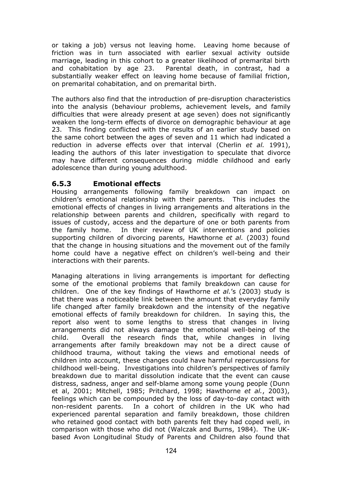or taking a job) versus not leaving home. Leaving home because of friction was in turn associated with earlier sexual activity outside marriage, leading in this cohort to a greater likelihood of premarital birth and cohabitation by age 23. Parental death, in contrast, had a substantially weaker effect on leaving home because of familial friction, on premarital cohabitation, and on premarital birth.

The authors also find that the introduction of pre-disruption characteristics into the analysis (behaviour problems, achievement levels, and family difficulties that were already present at age seven) does not significantly weaken the long-term effects of divorce on demographic behaviour at age 23. This finding conflicted with the results of an earlier study based on the same cohort between the ages of seven and 11 which had indicated a reduction in adverse effects over that interval (Cherlin *et al.* 1991), leading the authors of this later investigation to speculate that divorce may have different consequences during middle childhood and early adolescence than during young adulthood.

## **6.5.3 Emotional effects**

Housing arrangements following family breakdown can impact on children's emotional relationship with their parents. This includes the emotional effects of changes in living arrangements and alterations in the relationship between parents and children, specifically with regard to issues of custody, access and the departure of one or both parents from the family home. In their review of UK interventions and policies supporting children of divorcing parents, Hawthorne *et al.* (2003) found that the change in housing situations and the movement out of the family home could have a negative effect on children's well-being and their interactions with their parents.

Managing alterations in living arrangements is important for deflecting some of the emotional problems that family breakdown can cause for children. One of the key findings of Hawthorne *et al.*'s (2003) study is that there was a noticeable link between the amount that everyday family life changed after family breakdown and the intensity of the negative emotional effects of family breakdown for children. In saying this, the report also went to some lengths to stress that changes in living arrangements did not always damage the emotional well-being of the child. Overall the research finds that, while changes in living arrangements after family breakdown may not be a direct cause of childhood trauma, without taking the views and emotional needs of children into account, these changes could have harmful repercussions for childhood well-being. Investigations into children's perspectives of family breakdown due to marital dissolution indicate that the event can cause distress, sadness, anger and self-blame among some young people (Dunn et al, 2001; Mitchell, 1985; Pritchard, 1998; Hawthorne *et al.*, 2003), feelings which can be compounded by the loss of day-to-day contact with non-resident parents. In a cohort of children in the UK who had experienced parental separation and family breakdown, those children who retained good contact with both parents felt they had coped well, in comparison with those who did not (Walczak and Burns, 1984). The UKbased Avon Longitudinal Study of Parents and Children also found that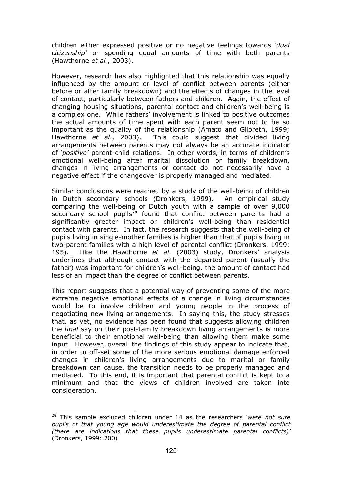children either expressed positive or no negative feelings towards *'dual citizenship'* or spending equal amounts of time with both parents (Hawthorne *et al.*, 2003).

However, research has also highlighted that this relationship was equally influenced by the amount or level of conflict between parents (either before or after family breakdown) and the effects of changes in the level of contact, particularly between fathers and children. Again, the effect of changing housing situations, parental contact and children's well-being is a complex one. While fathers' involvement is linked to positive outcomes the actual amounts of time spent with each parent seem not to be so important as the quality of the relationship (Amato and Gilbreth, 1999; Hawthorne *et al*., 2003). This could suggest that divided living arrangements between parents may not always be an accurate indicator of *'positive'* parent-child relations. In other words, in terms of children's emotional well-being after marital dissolution or family breakdown, changes in living arrangements or contact do not necessarily have a negative effect if the changeover is properly managed and mediated.

Similar conclusions were reached by a study of the well-being of children in Dutch secondary schools (Dronkers, 1999). An empirical study comparing the well-being of Dutch youth with a sample of over 9,000 secondary school pupils<sup>28</sup> found that conflict between parents had a significantly greater impact on children's well-being than residential contact with parents. In fact, the research suggests that the well-being of pupils living in single-mother families is higher than that of pupils living in two-parent families with a high level of parental conflict (Dronkers, 1999: 195). Like the Hawthorne *et al.* (2003) study, Dronkers' analysis underlines that although contact with the departed parent (usually the father) was important for children's well-being, the amount of contact had less of an impact than the degree of conflict between parents.

This report suggests that a potential way of preventing some of the more extreme negative emotional effects of a change in living circumstances would be to involve children and young people in the process of negotiating new living arrangements. In saying this, the study stresses that, as yet, no evidence has been found that suggests allowing children the *final* say on their post-family breakdown living arrangements is more beneficial to their emotional well-being than allowing them make some input. However, overall the findings of this study appear to indicate that, in order to off-set some of the more serious emotional damage enforced changes in children's living arrangements due to marital or family breakdown can cause, the transition needs to be properly managed and mediated. To this end, it is important that parental conflict is kept to a minimum and that the views of children involved are taken into consideration.

 $\overline{a}$ 

<sup>28</sup> This sample excluded children under 14 as the researchers *'were not sure pupils of that young age would underestimate the degree of parental conflict (there are indications that these pupils underestimate parental conflicts)'*  (Dronkers, 1999: 200)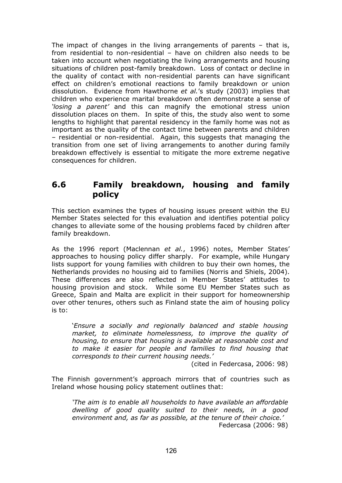The impact of changes in the living arrangements of parents – that is, from residential to non-residential – have on children also needs to be taken into account when negotiating the living arrangements and housing situations of children post-family breakdown. Loss of contact or decline in the quality of contact with non-residential parents can have significant effect on children's emotional reactions to family breakdown or union dissolution. Evidence from Hawthorne *et al.*'s study (2003) implies that children who experience marital breakdown often demonstrate a sense of *'losing a parent'* and this can magnify the emotional stress union dissolution places on them. In spite of this, the study also went to some lengths to highlight that parental residency in the family home was not as important as the quality of the contact time between parents and children – residential or non-residential. Again, this suggests that managing the transition from one set of living arrangements to another during family breakdown effectively is essential to mitigate the more extreme negative consequences for children.

## **6.6 Family breakdown, housing and family policy**

This section examines the types of housing issues present within the EU Member States selected for this evaluation and identifies potential policy changes to alleviate some of the housing problems faced by children after family breakdown.

As the 1996 report (Maclennan *et al.*, 1996) notes, Member States' approaches to housing policy differ sharply. For example, while Hungary lists support for young families with children to buy their own homes, the Netherlands provides no housing aid to families (Norris and Shiels, 2004). These differences are also reflected in Member States' attitudes to housing provision and stock. While some EU Member States such as Greece, Spain and Malta are explicit in their support for homeownership over other tenures, others such as Finland state the aim of housing policy is to:

'*Ensure a socially and regionally balanced and stable housing market, to eliminate homelessness, to improve the quality of housing, to ensure that housing is available at reasonable cost and to make it easier for people and families to find housing that corresponds to their current housing needs.'* 

(cited in Federcasa, 2006: 98)

The Finnish government's approach mirrors that of countries such as Ireland whose housing policy statement outlines that:

*'The aim is to enable all households to have available an affordable dwelling of good quality suited to their needs, in a good environment and, as far as possible, at the tenure of their choice.'*  Federcasa (2006: 98)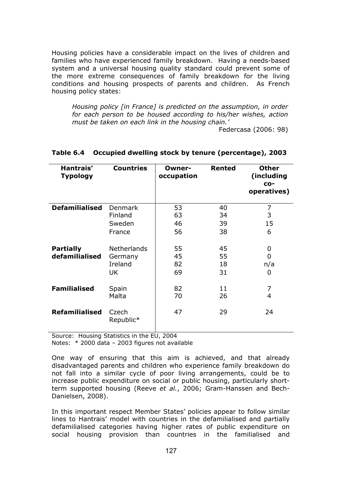Housing policies have a considerable impact on the lives of children and families who have experienced family breakdown. Having a needs-based system and a universal housing quality standard could prevent some of the more extreme consequences of family breakdown for the living conditions and housing prospects of parents and children. As French housing policy states:

*Housing policy [in France] is predicted on the assumption, in order for each person to be housed according to his/her wishes, action must be taken on each link in the housing chain.'* 

Federcasa (2006: 98)

| Hantrais'<br><b>Typology</b> | <b>Countries</b>   | Owner-<br>occupation | <b>Rented</b> | <b>Other</b><br>(including<br>$CO-$<br>operatives) |
|------------------------------|--------------------|----------------------|---------------|----------------------------------------------------|
| <b>Defamilialised</b>        | <b>Denmark</b>     | 53                   | 40            | 7                                                  |
|                              | Finland            | 63                   | 34            | 3                                                  |
|                              | Sweden             | 46                   | 39            | 15                                                 |
|                              | France             | 56                   | 38            | 6                                                  |
| <b>Partially</b>             | <b>Netherlands</b> | 55                   | 45            | 0                                                  |
| defamilialised               | Germany            | 45                   | 55            | 0                                                  |
|                              | Ireland            | 82                   | 18            | n/a                                                |
|                              | UK                 | 69                   | 31            | 0                                                  |
| <b>Familialised</b>          | Spain              | 82                   | 11            | 7                                                  |
|                              | Malta              | 70                   | 26            | 4                                                  |
| <b>Refamilialised</b>        | Czech<br>Republic* | 47                   | 29            | 24                                                 |

#### **Table 6.4 Occupied dwelling stock by tenure (percentage), 2003**

Source: Housing Statistics in the EU, 2004 Notes: \* 2000 data – 2003 figures not available

One way of ensuring that this aim is achieved, and that already disadvantaged parents and children who experience family breakdown do not fall into a similar cycle of poor living arrangements, could be to increase public expenditure on social or public housing, particularly shortterm supported housing (Reeve *et al.*, 2006; Gram-Hanssen and Bech-Danielsen, 2008).

In this important respect Member States' policies appear to follow similar lines to Hantrais' model with countries in the defamilialised and partially defamilialised categories having higher rates of public expenditure on social housing provision than countries in the familialised and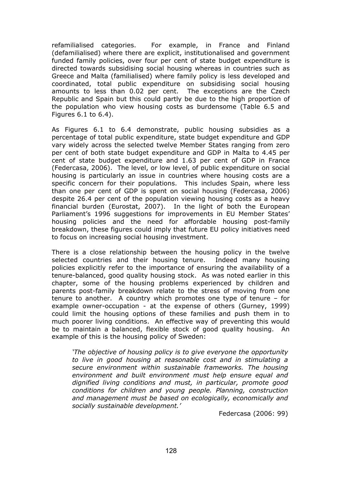refamilialised categories. For example, in France and Finland (defamilialised) where there are explicit, institutionalised and government funded family policies, over four per cent of state budget expenditure is directed towards subsidising social housing whereas in countries such as Greece and Malta (familialised) where family policy is less developed and coordinated, total public expenditure on subsidising social housing amounts to less than 0.02 per cent. The exceptions are the Czech Republic and Spain but this could partly be due to the high proportion of the population who view housing costs as burdensome (Table 6.5 and Figures 6.1 to 6.4).

As Figures 6.1 to 6.4 demonstrate, public housing subsidies as a percentage of total public expenditure, state budget expenditure and GDP vary widely across the selected twelve Member States ranging from zero per cent of both state budget expenditure and GDP in Malta to 4.45 per cent of state budget expenditure and 1.63 per cent of GDP in France (Federcasa, 2006). The level, or low level, of public expenditure on social housing is particularly an issue in countries where housing costs are a specific concern for their populations. This includes Spain, where less than one per cent of GDP is spent on social housing (Federcasa, 2006) despite 26.4 per cent of the population viewing housing costs as a heavy financial burden (Eurostat, 2007). In the light of both the European Parliament's 1996 suggestions for improvements in EU Member States' housing policies and the need for affordable housing post-family breakdown, these figures could imply that future EU policy initiatives need to focus on increasing social housing investment.

There is a close relationship between the housing policy in the twelve selected countries and their housing tenure. Indeed many housing policies explicitly refer to the importance of ensuring the availability of a tenure-balanced, good quality housing stock. As was noted earlier in this chapter, some of the housing problems experienced by children and parents post-family breakdown relate to the stress of moving from one tenure to another. A country which promotes one type of tenure – for example owner-occupation - at the expense of others (Gurney, 1999) could limit the housing options of these families and push them in to much poorer living conditions. An effective way of preventing this would be to maintain a balanced, flexible stock of good quality housing. An example of this is the housing policy of Sweden:

*'The objective of housing policy is to give everyone the opportunity to live in good housing at reasonable cost and in stimulating a secure environment within sustainable frameworks. The housing environment and built environment must help ensure equal and dignified living conditions and must, in particular, promote good conditions for children and young people. Planning, construction and management must be based on ecologically, economically and socially sustainable development.'* 

Federcasa (2006: 99)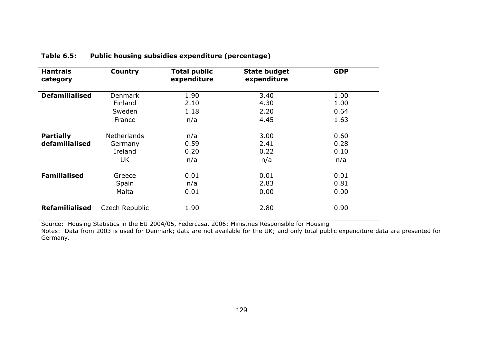| <b>Hantrais</b><br>category        | Country                                        | <b>Total public</b><br>expenditure | <b>State budget</b><br>expenditure | <b>GDP</b>                   |
|------------------------------------|------------------------------------------------|------------------------------------|------------------------------------|------------------------------|
| <b>Defamilialised</b>              | <b>Denmark</b><br>Finland<br>Sweden<br>France  | 1.90<br>2.10<br>1.18<br>n/a        | 3.40<br>4.30<br>2.20<br>4.45       | 1.00<br>1.00<br>0.64<br>1.63 |
| <b>Partially</b><br>defamilialised | <b>Netherlands</b><br>Germany<br>Ireland<br>UK | n/a<br>0.59<br>0.20<br>n/a         | 3.00<br>2.41<br>0.22<br>n/a        | 0.60<br>0.28<br>0.10<br>n/a  |
| <b>Familialised</b>                | Greece<br>Spain<br>Malta                       | 0.01<br>n/a<br>0.01                | 0.01<br>2.83<br>0.00               | 0.01<br>0.81<br>0.00         |
| <b>Refamilialised</b>              | Czech Republic                                 | 1.90                               | 2.80                               | 0.90                         |

#### **Table 6.5: Public housing subsidies expenditure (percentage)**

Source: Housing Statistics in the EU 2004/05, Federcasa, 2006; Ministries Responsible for Housing

Notes: Data from 2003 is used for Denmark; data are not available for the UK; and only total public expenditure data are presented for Germany.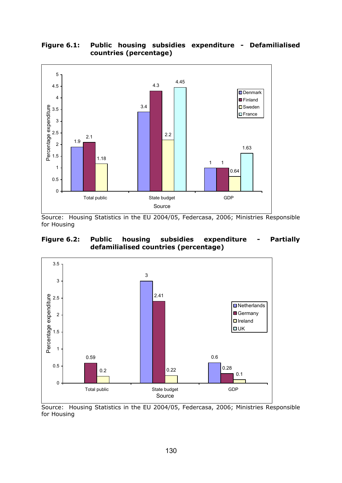

### **Figure 6.1: Public housing subsidies expenditure - Defamilialised countries (percentage)**

Source: Housing Statistics in the EU 2004/05, Federcasa, 2006; Ministries Responsible for Housing

#### **Figure 6.2: Public housing subsidies expenditure - Partially defamilialised countries (percentage)**



Source: Housing Statistics in the EU 2004/05, Federcasa, 2006; Ministries Responsible for Housing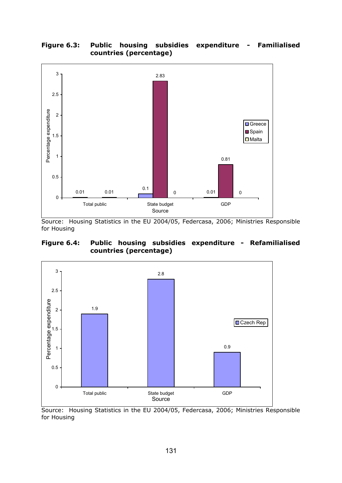#### **Figure 6.3: Public housing subsidies expenditure - Familialised countries (percentage)**



Source: Housing Statistics in the EU 2004/05, Federcasa, 2006; Ministries Responsible for Housing

### **Figure 6.4: Public housing subsidies expenditure - Refamilialised countries (percentage)**



Source: Housing Statistics in the EU 2004/05, Federcasa, 2006; Ministries Responsible for Housing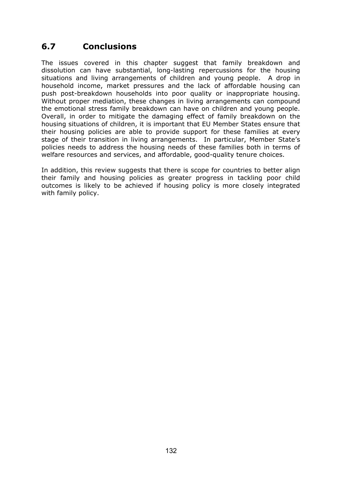# **6.7 Conclusions**

The issues covered in this chapter suggest that family breakdown and dissolution can have substantial, long-lasting repercussions for the housing situations and living arrangements of children and young people. A drop in household income, market pressures and the lack of affordable housing can push post-breakdown households into poor quality or inappropriate housing. Without proper mediation, these changes in living arrangements can compound the emotional stress family breakdown can have on children and young people. Overall, in order to mitigate the damaging effect of family breakdown on the housing situations of children, it is important that EU Member States ensure that their housing policies are able to provide support for these families at every stage of their transition in living arrangements. In particular, Member State's policies needs to address the housing needs of these families both in terms of welfare resources and services, and affordable, good-quality tenure choices.

In addition, this review suggests that there is scope for countries to better align their family and housing policies as greater progress in tackling poor child outcomes is likely to be achieved if housing policy is more closely integrated with family policy.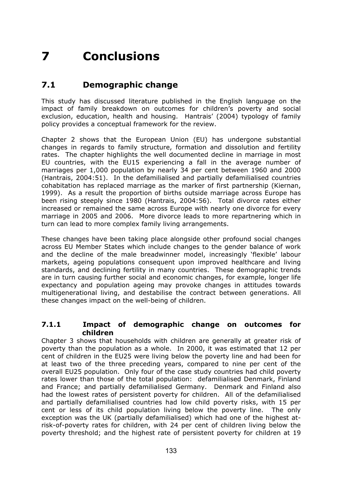# **7 Conclusions**

# **7.1 Demographic change**

This study has discussed literature published in the English language on the impact of family breakdown on outcomes for children's poverty and social exclusion, education, health and housing. Hantrais' (2004) typology of family policy provides a conceptual framework for the review.

Chapter 2 shows that the European Union (EU) has undergone substantial changes in regards to family structure, formation and dissolution and fertility rates. The chapter highlights the well documented decline in marriage in most EU countries, with the EU15 experiencing a fall in the average number of marriages per 1,000 population by nearly 34 per cent between 1960 and 2000 (Hantrais, 2004:51). In the defamilialised and partially defamilialised countries cohabitation has replaced marriage as the marker of first partnership (Kiernan, 1999). As a result the proportion of births outside marriage across Europe has been rising steeply since 1980 (Hantrais, 2004:56). Total divorce rates either increased or remained the same across Europe with nearly one divorce for every marriage in 2005 and 2006. More divorce leads to more repartnering which in turn can lead to more complex family living arrangements.

These changes have been taking place alongside other profound social changes across EU Member States which include changes to the gender balance of work and the decline of the male breadwinner model, increasingly 'flexible' labour markets, ageing populations consequent upon improved healthcare and living standards, and declining fertility in many countries. These demographic trends are in turn causing further social and economic changes, for example, longer life expectancy and population ageing may provoke changes in attitudes towards multigenerational living, and destabilise the contract between generations. All these changes impact on the well-being of children.

### **7.1.1 Impact of demographic change on outcomes for children**

Chapter 3 shows that households with children are generally at greater risk of poverty than the population as a whole. In 2000, it was estimated that 12 per cent of children in the EU25 were living below the poverty line and had been for at least two of the three preceding years, compared to nine per cent of the overall EU25 population. Only four of the case study countries had child poverty rates lower than those of the total population: defamilialised Denmark, Finland and France; and partially defamilialised Germany. Denmark and Finland also had the lowest rates of persistent poverty for children. All of the defamilialised and partially defamilialised countries had low child poverty risks, with 15 per cent or less of its child population living below the poverty line. The only exception was the UK (partially defamilialised) which had one of the highest atrisk-of-poverty rates for children, with 24 per cent of children living below the poverty threshold; and the highest rate of persistent poverty for children at 19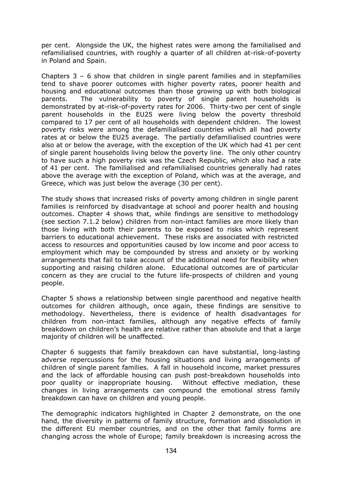per cent. Alongside the UK, the highest rates were among the familialised and refamilialised countries, with roughly a quarter of all children at-risk-of-poverty in Poland and Spain.

Chapters 3 – 6 show that children in single parent families and in stepfamilies tend to shave poorer outcomes with higher poverty rates, poorer health and housing and educational outcomes than those growing up with both biological parents. The vulnerability to poverty of single parent households is demonstrated by at-risk-of-poverty rates for 2006. Thirty-two per cent of single parent households in the EU25 were living below the poverty threshold compared to 17 per cent of all households with dependent children. The lowest poverty risks were among the defamilialised countries which all had poverty rates at or below the EU25 average. The partially defamilialised countries were also at or below the average, with the exception of the UK which had 41 per cent of single parent households living below the poverty line. The only other country to have such a high poverty risk was the Czech Republic, which also had a rate of 41 per cent. The familialised and refamilialised countries generally had rates above the average with the exception of Poland, which was at the average, and Greece, which was just below the average (30 per cent).

The study shows that increased risks of poverty among children in single parent families is reinforced by disadvantage at school and poorer health and housing outcomes. Chapter 4 shows that, while findings are sensitive to methodology (see section 7.1.2 below) children from non-intact families are more likely than those living with both their parents to be exposed to risks which represent barriers to educational achievement. These risks are associated with restricted access to resources and opportunities caused by low income and poor access to employment which may be compounded by stress and anxiety or by working arrangements that fail to take account of the additional need for flexibility when supporting and raising children alone. Educational outcomes are of particular concern as they are crucial to the future life-prospects of children and young people.

Chapter 5 shows a relationship between single parenthood and negative health outcomes for children although, once again, these findings are sensitive to methodology. Nevertheless, there is evidence of health disadvantages for children from non-intact families, although any negative effects of family breakdown on children's health are relative rather than absolute and that a large majority of children will be unaffected.

Chapter 6 suggests that family breakdown can have substantial, long-lasting adverse repercussions for the housing situations and living arrangements of children of single parent families. A fall in household income, market pressures and the lack of affordable housing can push post-breakdown households into poor quality or inappropriate housing. Without effective mediation, these changes in living arrangements can compound the emotional stress family breakdown can have on children and young people.

The demographic indicators highlighted in Chapter 2 demonstrate, on the one hand, the diversity in patterns of family structure, formation and dissolution in the different EU member countries, and on the other that family forms are changing across the whole of Europe; family breakdown is increasing across the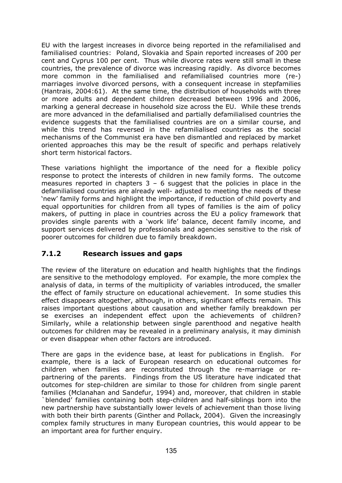EU with the largest increases in divorce being reported in the refamilialised and familialised countries: Poland, Slovakia and Spain reported increases of 200 per cent and Cyprus 100 per cent. Thus while divorce rates were still small in these countries, the prevalence of divorce was increasing rapidly. As divorce becomes more common in the familialised and refamilialised countries more (re-) marriages involve divorced persons, with a consequent increase in stepfamilies (Hantrais, 2004:61). At the same time, the distribution of households with three or more adults and dependent children decreased between 1996 and 2006, marking a general decrease in household size across the EU. While these trends are more advanced in the defamilialised and partially defamilialised countries the evidence suggests that the familialised countries are on a similar course, and while this trend has reversed in the refamilialised countries as the social mechanisms of the Communist era have ben dismantled and replaced by market oriented approaches this may be the result of specific and perhaps relatively short term historical factors.

These variations highlight the importance of the need for a flexible policy response to protect the interests of children in new family forms. The outcome measures reported in chapters  $3 - 6$  suggest that the policies in place in the defamilialised countries are already well- adjusted to meeting the needs of these 'new' family forms and highlight the importance, if reduction of child poverty and equal opportunities for children from all types of families is the aim of policy makers, of putting in place in countries across the EU a policy framework that provides single parents with a 'work life' balance, decent family income, and support services delivered by professionals and agencies sensitive to the risk of poorer outcomes for children due to family breakdown.

# **7.1.2 Research issues and gaps**

The review of the literature on education and health highlights that the findings are sensitive to the methodology employed. For example, the more complex the analysis of data, in terms of the multiplicity of variables introduced, the smaller the effect of family structure on educational achievement. In some studies this effect disappears altogether, although, in others, significant effects remain. This raises important questions about causation and whether family breakdown per se exercises an independent effect upon the achievements of children? Similarly, while a relationship between single parenthood and negative health outcomes for children may be revealed in a preliminary analysis, it may diminish or even disappear when other factors are introduced.

There are gaps in the evidence base, at least for publications in English. For example, there is a lack of European research on educational outcomes for children when families are reconstituted through the re-marriage or repartnering of the parents. Findings from the US literature have indicated that outcomes for step-children are similar to those for children from single parent families (Mclanahan and Sandefur, 1994) and, moreover, that children in stable `blended' families containing both step-children and half-siblings born into the new partnership have substantially lower levels of achievement than those living with both their birth parents (Ginther and Pollack, 2004). Given the increasingly complex family structures in many European countries, this would appear to be an important area for further enquiry.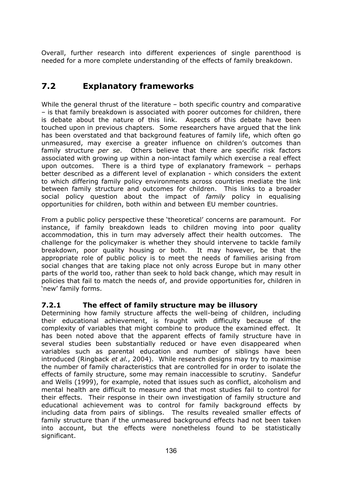Overall, further research into different experiences of single parenthood is needed for a more complete understanding of the effects of family breakdown.

# **7.2 Explanatory frameworks**

While the general thrust of the literature – both specific country and comparative – is that family breakdown is associated with poorer outcomes for children, there is debate about the nature of this link. Aspects of this debate have been touched upon in previous chapters. Some researchers have argued that the link has been overstated and that background features of family life, which often go unmeasured, may exercise a greater influence on children's outcomes than family structure *per se*. Others believe that there are specific risk factors associated with growing up within a non-intact family which exercise a real effect upon outcomes. There is a third type of explanatory framework – perhaps better described as a different level of explanation - which considers the extent to which differing family policy environments across countries mediate the link between family structure and outcomes for children. This links to a broader social policy question about the impact of *family* policy in equalising opportunities for children, both within and between EU member countries.

From a public policy perspective these 'theoretical' concerns are paramount. For instance, if family breakdown leads to children moving into poor quality accommodation, this in turn may adversely affect their health outcomes. The challenge for the policymaker is whether they should intervene to tackle family breakdown, poor quality housing or both. It may however, be that the appropriate role of public policy is to meet the needs of families arising from social changes that are taking place not only across Europe but in many other parts of the world too, rather than seek to hold back change, which may result in policies that fail to match the needs of, and provide opportunities for, children in 'new' family forms.

### **7.2.1 The effect of family structure may be illusory**

Determining how family structure affects the well-being of children, including their educational achievement, is fraught with difficulty because of the complexity of variables that might combine to produce the examined effect. It has been noted above that the apparent effects of family structure have in several studies been substantially reduced or have even disappeared when variables such as parental education and number of siblings have been introduced (Ringback *et al.*, 2004). While research designs may try to maximise the number of family characteristics that are controlled for in order to isolate the effects of family structure, some may remain inaccessible to scrutiny. Sandefur and Wells (1999), for example, noted that issues such as conflict, alcoholism and mental health are difficult to measure and that most studies fail to control for their effects. Their response in their own investigation of family structure and educational achievement was to control for family background effects by including data from pairs of siblings. The results revealed smaller effects of family structure than if the unmeasured background effects had not been taken into account, but the effects were nonetheless found to be statistically significant.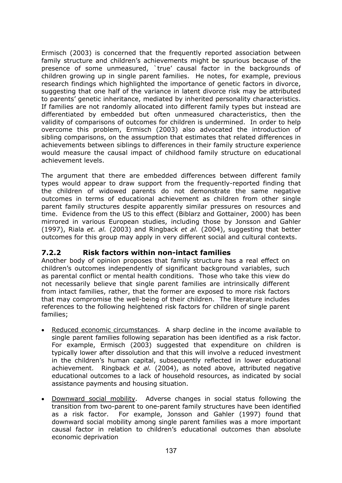Ermisch (2003) is concerned that the frequently reported association between family structure and children's achievements might be spurious because of the presence of some unmeasured, `true' causal factor in the backgrounds of children growing up in single parent families. He notes, for example, previous research findings which highlighted the importance of genetic factors in divorce, suggesting that one half of the variance in latent divorce risk may be attributed to parents' genetic inheritance, mediated by inherited personality characteristics. If families are not randomly allocated into different family types but instead are differentiated by embedded but often unmeasured characteristics, then the validity of comparisons of outcomes for children is undermined. In order to help overcome this problem, Ermisch (2003) also advocated the introduction of sibling comparisons, on the assumption that estimates that related differences in achievements between siblings to differences in their family structure experience would measure the causal impact of childhood family structure on educational achievement levels.

The argument that there are embedded differences between different family types would appear to draw support from the frequently-reported finding that the children of widowed parents do not demonstrate the same negative outcomes in terms of educational achievement as children from other single parent family structures despite apparently similar pressures on resources and time. Evidence from the US to this effect (Biblarz and Gottainer, 2000) has been mirrored in various European studies, including those by Jonsson and Gahler (1997), Riala *et. al.* (2003) and Ringback *et al.* (2004), suggesting that better outcomes for this group may apply in very different social and cultural contexts.

# **7.2.2 Risk factors within non-intact families**

Another body of opinion proposes that family structure has a real effect on children's outcomes independently of significant background variables, such as parental conflict or mental health conditions. Those who take this view do not necessarily believe that single parent families are intrinsically different from intact families, rather, that the former are exposed to more risk factors that may compromise the well-being of their children. The literature includes references to the following heightened risk factors for children of single parent families;

- Reduced economic circumstances. A sharp decline in the income available to single parent families following separation has been identified as a risk factor. For example, Ermisch (2003) suggested that expenditure on children is typically lower after dissolution and that this will involve a reduced investment in the children's human capital, subsequently reflected in lower educational achievement. Ringback *et al.* (2004), as noted above, attributed negative educational outcomes to a lack of household resources, as indicated by social assistance payments and housing situation.
- Downward social mobility. Adverse changes in social status following the transition from two-parent to one-parent family structures have been identified as a risk factor. For example, Jonsson and Gahler (1997) found that downward social mobility among single parent families was a more important causal factor in relation to children's educational outcomes than absolute economic deprivation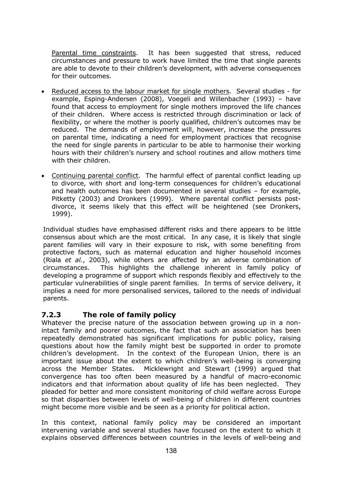Parental time constraints. It has been suggested that stress, reduced circumstances and pressure to work have limited the time that single parents are able to devote to their children's development, with adverse consequences for their outcomes.

- Reduced access to the labour market for single mothers. Several studies for example, Esping-Andersen (2008), Voegeli and Willenbacher (1993) – have found that access to employment for single mothers improved the life chances of their children. Where access is restricted through discrimination or lack of flexibility, or where the mother is poorly qualified, children's outcomes may be reduced. The demands of employment will, however, increase the pressures on parental time, indicating a need for employment practices that recognise the need for single parents in particular to be able to harmonise their working hours with their children's nursery and school routines and allow mothers time with their children.
- Continuing parental conflict. The harmful effect of parental conflict leading up to divorce, with short and long-term consequences for children's educational and health outcomes has been documented in several studies – for example, Pitketty (2003) and Dronkers (1999). Where parental conflict persists postdivorce, it seems likely that this effect will be heightened (see Dronkers, 1999).

Individual studies have emphasised different risks and there appears to be little consensus about which are the most critical. In any case, it is likely that single parent families will vary in their exposure to risk, with some benefiting from protective factors, such as maternal education and higher household incomes (Riala *et al.*, 2003), while others are affected by an adverse combination of circumstances. This highlights the challenge inherent in family policy of developing a programme of support which responds flexibly and effectively to the particular vulnerabilities of single parent families. In terms of service delivery, it implies a need for more personalised services, tailored to the needs of individual parents.

# **7.2.3 The role of family policy**

Whatever the precise nature of the association between growing up in a nonintact family and poorer outcomes, the fact that such an association has been repeatedly demonstrated has significant implications for public policy, raising questions about how the family might best be supported in order to promote children's development. In the context of the European Union, there is an important issue about the extent to which children's well-being is converging across the Member States. Micklewright and Stewart (1999) argued that convergence has too often been measured by a handful of macro-economic indicators and that information about quality of life has been neglected. They pleaded for better and more consistent monitoring of child welfare across Europe so that disparities between levels of well-being of children in different countries might become more visible and be seen as a priority for political action.

In this context, national family policy may be considered an important intervening variable and several studies have focused on the extent to which it explains observed differences between countries in the levels of well-being and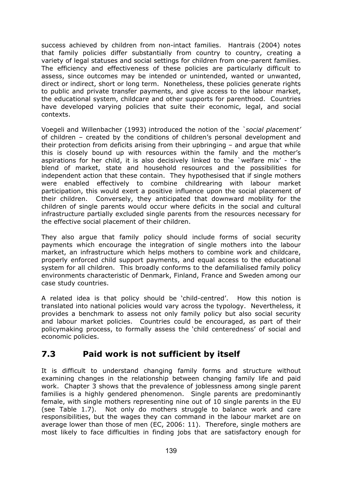success achieved by children from non-intact families. Hantrais (2004) notes that family policies differ substantially from country to country, creating a variety of legal statuses and social settings for children from one-parent families. The efficiency and effectiveness of these policies are particularly difficult to assess, since outcomes may be intended or unintended, wanted or unwanted, direct or indirect, short or long term. Nonetheless, these policies generate rights to public and private transfer payments, and give access to the labour market, the educational system, childcare and other supports for parenthood. Countries have developed varying policies that suite their economic, legal, and social contexts.

Voegeli and Willenbacher (1993) introduced the notion of the *`social placement'* of children – created by the conditions of children's personal development and their protection from deficits arising from their upbringing – and argue that while this is closely bound up with resources within the family and the mother's aspirations for her child, it is also decisively linked to the `welfare mix' - the blend of market, state and household resources and the possibilities for independent action that these contain. They hypothesised that if single mothers were enabled effectively to combine childrearing with labour market participation, this would exert a positive influence upon the social placement of their children. Conversely, they anticipated that downward mobility for the children of single parents would occur where deficits in the social and cultural infrastructure partially excluded single parents from the resources necessary for the effective social placement of their children.

They also argue that family policy should include forms of social security payments which encourage the integration of single mothers into the labour market, an infrastructure which helps mothers to combine work and childcare, properly enforced child support payments, and equal access to the educational system for all children. This broadly conforms to the defamilialised family policy environments characteristic of Denmark, Finland, France and Sweden among our case study countries.

A related idea is that policy should be 'child-centred'. How this notion is translated into national policies would vary across the typology. Nevertheless, it provides a benchmark to assess not only family policy but also social security and labour market policies. Countries could be encouraged, as part of their policymaking process, to formally assess the 'child centeredness' of social and economic policies.

# **7.3 Paid work is not sufficient by itself**

It is difficult to understand changing family forms and structure without examining changes in the relationship between changing family life and paid work. Chapter 3 shows that the prevalence of joblessness among single parent families is a highly gendered phenomenon. Single parents are predominantly female, with single mothers representing nine out of 10 single parents in the EU (see Table 1.7). Not only do mothers struggle to balance work and care responsibilities, but the wages they can command in the labour market are on average lower than those of men (EC, 2006: 11). Therefore, single mothers are most likely to face difficulties in finding jobs that are satisfactory enough for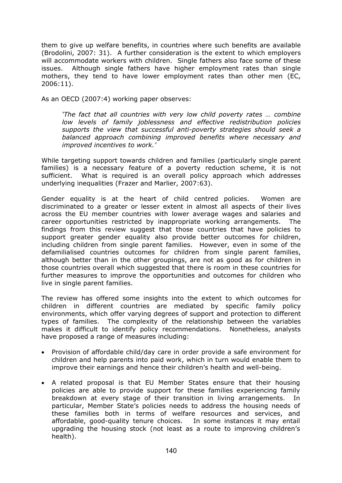them to give up welfare benefits, in countries where such benefits are available (Brodolini, 2007: 31). A further consideration is the extent to which employers will accommodate workers with children. Single fathers also face some of these issues. Although single fathers have higher employment rates than single mothers, they tend to have lower employment rates than other men (EC, 2006:11).

As an OECD (2007:4) working paper observes:

*'The fact that all countries with very low child poverty rates … combine low levels of family joblessness and effective redistribution policies supports the view that successful anti-poverty strategies should seek a balanced approach combining improved benefits where necessary and improved incentives to work.'* 

While targeting support towards children and families (particularly single parent families) is a necessary feature of a poverty reduction scheme, it is not sufficient. What is required is an overall policy approach which addresses underlying inequalities (Frazer and Marlier, 2007:63).

Gender equality is at the heart of child centred policies. Women are discriminated to a greater or lesser extent in almost all aspects of their lives across the EU member countries with lower average wages and salaries and career opportunities restricted by inappropriate working arrangements. The findings from this review suggest that those countries that have policies to support greater gender equality also provide better outcomes for children, including children from single parent families. However, even in some of the defamilialised countries outcomes for children from single parent families, although better than in the other groupings, are not as good as for children in those countries overall which suggested that there is room in these countries for further measures to improve the opportunities and outcomes for children who live in single parent families.

The review has offered some insights into the extent to which outcomes for children in different countries are mediated by specific family policy environments, which offer varying degrees of support and protection to different types of families. The complexity of the relationship between the variables makes it difficult to identify policy recommendations. Nonetheless, analysts have proposed a range of measures including:

- Provision of affordable child/day care in order provide a safe environment for children and help parents into paid work, which in turn would enable them to improve their earnings and hence their children's health and well-being.
- A related proposal is that EU Member States ensure that their housing policies are able to provide support for these families experiencing family breakdown at every stage of their transition in living arrangements. In particular, Member State's policies needs to address the housing needs of these families both in terms of welfare resources and services, and affordable, good-quality tenure choices. In some instances it may entail upgrading the housing stock (not least as a route to improving children's health).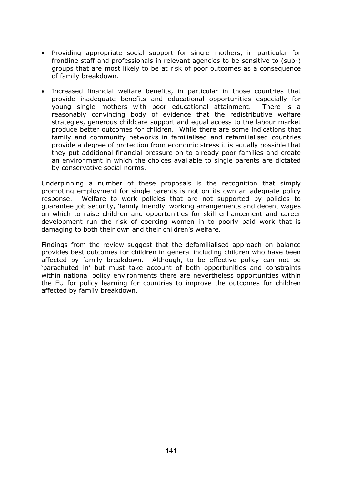- Providing appropriate social support for single mothers, in particular for frontline staff and professionals in relevant agencies to be sensitive to (sub-) groups that are most likely to be at risk of poor outcomes as a consequence of family breakdown.
- Increased financial welfare benefits, in particular in those countries that provide inadequate benefits and educational opportunities especially for young single mothers with poor educational attainment. There is a reasonably convincing body of evidence that the redistributive welfare strategies, generous childcare support and equal access to the labour market produce better outcomes for children. While there are some indications that family and community networks in familialised and refamilialised countries provide a degree of protection from economic stress it is equally possible that they put additional financial pressure on to already poor families and create an environment in which the choices available to single parents are dictated by conservative social norms.

Underpinning a number of these proposals is the recognition that simply promoting employment for single parents is not on its own an adequate policy response. Welfare to work policies that are not supported by policies to guarantee job security, 'family friendly' working arrangements and decent wages on which to raise children and opportunities for skill enhancement and career development run the risk of coercing women in to poorly paid work that is damaging to both their own and their children's welfare.

Findings from the review suggest that the defamilialised approach on balance provides best outcomes for children in general including children who have been affected by family breakdown. Although, to be effective policy can not be 'parachuted in' but must take account of both opportunities and constraints within national policy environments there are nevertheless opportunities within the EU for policy learning for countries to improve the outcomes for children affected by family breakdown.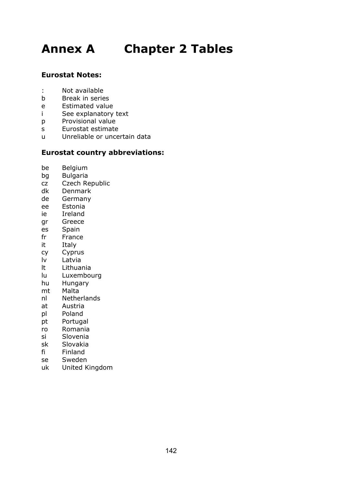# **Annex A Chapter 2 Tables**

# **Eurostat Notes:**

- : Not available
- b Break in series
- e Estimated value
- i See explanatory text
- p Provisional value
- s Eurostat estimate
- u Unreliable or uncertain data

### **Eurostat country abbreviations:**

- be Belgium
- bg Bulgaria
- cz Czech Republic
- dk Denmark
- de Germany
- ee Estonia
- ie Ireland
- gr Greece
- es Spain
- fr France
- it Italy
- cy Cyprus
- lv Latvia
- lt Lithuania
- lu Luxembourg
- hu Hungary
- mt Malta
- nl Netherlands
- at Austria
- pl Poland
- pt Portugal
- ro Romania
- si Slovenia
- sk Slovakia
- fi Finland
- se Sweden
- uk United Kingdom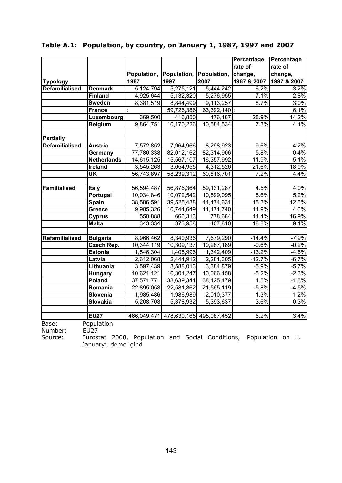|                       |                           |             |                                     |              | <b>Percentage</b> | Percentage  |
|-----------------------|---------------------------|-------------|-------------------------------------|--------------|-------------------|-------------|
|                       |                           |             |                                     |              | rate of           | rate of     |
|                       |                           | Population, | Population,                         | Population,  | change,           | change,     |
| <b>Typology</b>       |                           | 1987        | 1997                                | 2007         | 1987 & 2007       | 1997 & 2007 |
| <b>Defamilialised</b> | <b>Denmark</b>            | 5,124,794   | 5,275,121                           | 5,444,242    | 6.2%              | 3.2%        |
|                       | <b>Finland</b>            | 4,925,644   | 5,132,320                           | 5,276,955    | 7.1%              | 2.8%        |
|                       | <b>Sweden</b>             | 8,381,519   | 8,844,499                           | 9,113,257    | 8.7%              | 3.0%        |
|                       | <b>France</b>             |             | 59,726,386                          | 63,392,140 : |                   | 6.1%        |
|                       | Luxembourg                | 369,500     | 416,850                             | 476,187      | 28.9%             | 14.2%       |
|                       | <b>Belgium</b>            | 9,864,751   | 10,170,226                          | 10,584,534   | 7.3%              | 4.1%        |
| <b>Partially</b>      |                           |             |                                     |              |                   |             |
| <b>Defamilialised</b> | <b>Austria</b>            | 7,572,852   | 7,964,966                           | 8,298,923    | 9.6%              | 4.2%        |
|                       | Germany                   | 77,780,338  | 82,012,162                          | 82,314,906   | 5.8%              | 0.4%        |
|                       | <b>Netherlands</b>        | 14,615,125  | 15,567,107                          | 16,357,992   | 11.9%             | 5.1%        |
|                       | Ireland                   | 3,545,263   | 3,654,955                           | 4,312,526    | 21.6%             | 18.0%       |
|                       | $\overline{\mathsf{UK}}$  | 56,743,897  | 58,239,312                          | 60,816,701   | 7.2%              | 4.4%        |
| Familialised          | <b>Italy</b>              | 56,594,487  | 56,876,364                          | 59, 131, 287 | 4.5%              | 4.0%        |
|                       | Portugal                  | 10,034,846  | 10,072,542                          | 10,599,095   | 5.6%              | 5.2%        |
|                       | <b>Spain</b>              | 38,586,591  | 39,525,438                          | 44,474,631   | 15.3%             | 12.5%       |
|                       | Greece                    | 9,985,326   | 10,744,649                          | 11,171,740   | 11.9%             | 4.0%        |
|                       | <b>Cyprus</b>             | 550,888     | 666,313                             | 778,684      | 41.4%             | 16.9%       |
|                       | <b>Malta</b>              | 343,334     | 373,958                             | 407,810      | 18.8%             | 9.1%        |
| Refamilialised        | <b>Bulgaria</b>           | 8,966,462   | 8,340,936                           | 7,679,290    | $-14.4%$          | $-7.9%$     |
|                       | <b>Czech Rep.</b>         | 10,344,119  | 10,309,137                          | 10,287,189   | $-0.6%$           | $-0.2%$     |
|                       | <b>Estonia</b>            | 1,546,304   | 1,405,996                           | 1,342,409    | $-13.2%$          | $-4.5%$     |
|                       | Latvia                    | 2,612,068   | 2,444,912                           | 2,281,305    | $-12.7%$          | $-6.7%$     |
|                       | Lithuania                 | 3,597,439   | 3,588,013                           | 3,384,879    | $-5.9%$           | $-5.7%$     |
|                       | Hungary                   | 10,621,121  | 10,301,247                          | 10,066,158   | $-5.2%$           | $-2.3%$     |
|                       | Poland                    | 37,571,771  | 38,639,341                          | 38,125,479   | 1.5%              | $-1.3%$     |
|                       | Romania                   | 22,895,058  | 22,581,862                          | 21,565,119   | $-5.8%$           | $-4.5%$     |
|                       | Slovenia                  | 1,985,486   | 1,986,989                           | 2,010,377    | 1.3%              | 1.2%        |
|                       | Slovakia                  | 5,208,708   | 5,378,932                           | 5,393,637    | 3.6%              | 0.3%        |
|                       | <b>EU27</b>               |             | 466,049,471 478,630,165 495,087,452 |              | 6.2%              | 3.4%        |
| Base:<br>N1.1.025     | Population<br><b>FUDZ</b> |             |                                     |              |                   |             |

**Table A.1: Population, by country, on January 1, 1987, 1997 and 2007** 

Number: EU27

Source: Eurostat 2008, Population and Social Conditions, 'Population on 1. January', demo\_gind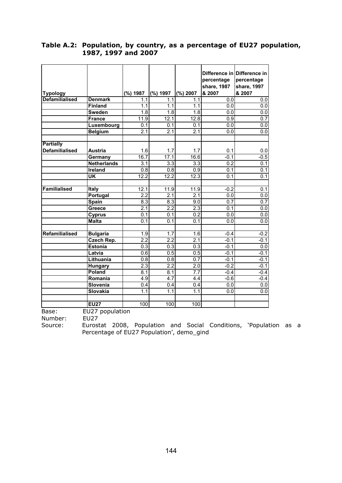|                       |                    |                  |                  |                  |                  | Difference in Difference in |
|-----------------------|--------------------|------------------|------------------|------------------|------------------|-----------------------------|
|                       |                    |                  |                  |                  | percentage       | percentage                  |
|                       |                    |                  |                  |                  | share, 1987      | share, 1997                 |
| <b>Typology</b>       |                    | (%) 1987         | (%) 1997         | $(\%) 2007$      | & 2007           | & 2007                      |
| <b>Defamilialised</b> | <b>Denmark</b>     | 1.1              | 1.1              | 1.1              | 0.0              | 0.0                         |
|                       | <b>Finland</b>     | 1.1              | 1.1              | 1.1              | 0.0              | 0.0                         |
|                       | <b>Sweden</b>      | 1.8              | 1.8              | 1.8              | 0.0              | $\overline{0.0}$            |
|                       | <b>France</b>      | 11.9             | 12.1             | 12.8             | 0.9              | 0.7                         |
|                       | Luxembourg         | 0.1              | 0.1              | 0.1              | 0.0              | 0.0                         |
|                       | <b>Belgium</b>     | 2.1              | 2.1              | 2.1              | 0.0              | $\overline{0.0}$            |
|                       |                    |                  |                  |                  |                  |                             |
| <b>Partially</b>      |                    |                  |                  |                  |                  |                             |
| <b>Defamilialised</b> | <b>Austria</b>     | 1.6              | 1.7              | 1.7              | 0.1              | $0.0\,$                     |
|                       | Germany            | 16.7             | 17.1             | 16.6             | $-0.1$           | $-0.5$                      |
|                       | <b>Netherlands</b> | $\overline{3.1}$ | 3.3              | 3.3              | 0.2              | 0.1                         |
|                       | Ireland            | 0.8              | 0.8              | 0.9              | 0.1              | 0.1                         |
|                       | <b>UK</b>          | 12.2             | 12.2             | 12.3             | 0.1              | $\overline{0.1}$            |
| Familialised          | Italy              | 12.1             | 11.9             | 11.9             | $-0.2$           | 0.1                         |
|                       | Portugal           | 2.2              | 2.1              | 2.1              | 0.0              | 0.0                         |
|                       | <b>Spain</b>       | $\overline{8.3}$ | 8.3              | 9.0              | $\overline{0.7}$ | 0.7                         |
|                       | <b>Greece</b>      | 2.1              | 2.2              | 2.3              | 0.1              | 0.0                         |
|                       | <b>Cyprus</b>      | 0.1              | 0.1              | 0.2              | 0.0              | 0.0                         |
|                       | <b>Malta</b>       | $\overline{0.1}$ | $\overline{0.1}$ | $\overline{0.1}$ | 0.0              | $\overline{0.0}$            |
|                       |                    |                  |                  |                  |                  |                             |
| Refamilialised        | <b>Bulgaria</b>    | 1.9              | 1.7              | 1.6              | $-0.4$           | $-0.2$                      |
|                       | Czech Rep.         | 2.2              | $\overline{2.2}$ | $\overline{2.1}$ | $-0.1$           | $-0.1$                      |
|                       | <b>Estonia</b>     | $\overline{0.3}$ | $\overline{0.3}$ | 0.3              | $-0.1$           | 0.0                         |
|                       | Latvia             | 0.6              | 0.5              | 0.5              | $-0.1$           | $-0.1$                      |
|                       | Lithuania          | $\overline{0.8}$ | $\overline{0.8}$ | 0.7              | $-0.1$           | $-0.1$                      |
|                       | <b>Hungary</b>     | 2.3              | 2.2              | $\overline{2.0}$ | $-0.2$           | $-0.1$                      |
|                       | Poland             | 8.1              | 8.1              | $\overline{7.7}$ | $-0.4$           | $-0.4$                      |
|                       | Romania            | 4.9              | 4.7              | 4.4              | $-0.6$           | $-0.4$                      |
|                       | Slovenia           | 0.4              | 0.4              | $0.\overline{4}$ | 0.0              | 0.0                         |
|                       | Slovakia           | 1.1              | $1.\overline{1}$ | 1.1              | 0.0              | 0.0                         |
|                       |                    |                  |                  |                  |                  |                             |
|                       | <b>EU27</b>        | 100              | 100              | 100              |                  |                             |

#### **Table A.2: Population, by country, as a percentage of EU27 population, 1987, 1997 and 2007**

EU27 population<br>EU27 Base:<br>Number:<br>Source:

Eurostat 2008, Population and Social Conditions, 'Population as a Percentage of EU27 Population', demo\_gind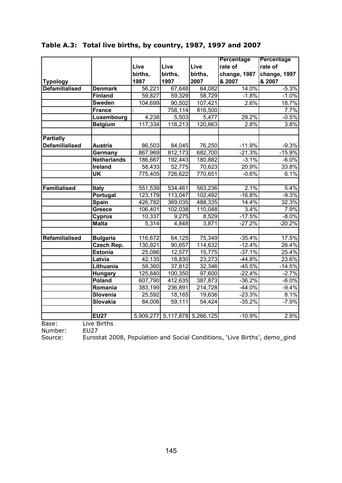|                       |                                   |         |                               |                      | Percentage   | Percentage   |
|-----------------------|-----------------------------------|---------|-------------------------------|----------------------|--------------|--------------|
|                       |                                   | Live    | Live                          | Live                 | rate of      | rate of      |
|                       |                                   | births, | births,                       | births,              | change, 1987 | change, 1997 |
| <b>Typology</b>       |                                   | 1987    | 1997                          | 2007                 | & 2007       | & 2007       |
| <b>Defamilialised</b> | <b>Denmark</b>                    | 56,221  | 67,648                        | 64,082               | 14.0%        | $-5.3%$      |
|                       | <b>Finland</b>                    | 59,827  | 59,329                        | 58,729               | $-1.8%$      | $-1.0%$      |
|                       | <b>Sweden</b>                     | 104,699 | 90,502                        | $\overline{107,}421$ | 2.6%         | 18.7%        |
|                       | France                            |         | 758,114                       | $816,500$ :          |              | 7.7%         |
|                       | Luxembourg                        | 4,238   | 5,503                         | 5,477                | 29.2%        | $-0.5%$      |
|                       | <b>Belgium</b>                    | 117,334 | 116,213                       | 120,663              | 2.8%         | 3.8%         |
| <b>Partially</b>      |                                   |         |                               |                      |              |              |
| <b>Defamilialised</b> | <b>Austria</b>                    | 86,503  | 84,045                        | 76,250               | $-11.9%$     | $-9.3%$      |
|                       | Germany                           | 867,969 | 812,173                       | 682,700              | $-21.3%$     | $-15.9%$     |
|                       | <b>Netherlands</b>                | 186,667 | 192,443                       | 180,882              | $-3.1%$      | $-6.0%$      |
|                       | <b>Ireland</b>                    | 58,433  | 52,775                        | 70,623               | 20.9%        | 33.8%        |
|                       | $\overline{\mathsf{U}\mathsf{K}}$ | 775,405 | 726,622                       | 770,651              | $-0.6%$      | 6.1%         |
|                       |                                   |         |                               |                      |              |              |
| <b>Familialised</b>   | Italy                             | 551,539 | $\overline{534,}461$          | 563,236              | 2.1%         | 5.4%         |
|                       | Portugal                          | 123,179 | 113,047                       | 102,492              | $-16.8%$     | $-9.3%$      |
|                       | <b>Spain</b>                      | 426,782 | 369,035                       | 488,335              | 14.4%        | 32.3%        |
|                       | Greece                            | 106,401 | 102,038                       | 110,048              | 3.4%         | 7.9%         |
|                       | <b>Cyprus</b>                     | 10,337  | 9,275                         | 8,529                | $-17.5%$     | $-8.0\%$     |
|                       | <b>Malta</b>                      | 5,314   | 4,848                         | 3,871                | $-27.2%$     | $-20.2%$     |
|                       |                                   |         |                               |                      |              |              |
| Refamilialised        | <b>Bulgaria</b>                   | 116,672 | 64,125                        | 75,349               | $-35.4%$     | 17.5%        |
|                       | <b>Czech Rep.</b>                 | 130,921 | 90,657                        | 114,632              | $-12.4%$     | 26.4%        |
|                       | <b>Estonia</b>                    | 25,086  | 12,577                        | 15,775               | $-37.1%$     | 25.4%        |
|                       | Latvia                            | 42,135  | 18,830                        | 23,273               | $-44.8%$     | 23.6%        |
|                       | Lithuania                         | 59,360  | 37,812                        | 32,346               | $-45.5%$     | $-14.5%$     |
|                       | <b>Hungary</b>                    | 125,840 | 100,350                       | 97,600               | $-22.4%$     | $-2.7%$      |
|                       | Poland                            | 607,790 | 412,635                       | 387,873              | $-36.2%$     | $-6.0%$      |
|                       | Romania                           | 383,199 | 236,891                       | 214,728              | $-44.0%$     | $-9.4%$      |
|                       | Slovenia                          | 25,592  | 18,165                        | 19,636               | $-23.3%$     | 8.1%         |
|                       | Slovakia                          | 84,006  | 59,111                        | 54,424               | $-35.2%$     | $-7.9%$      |
|                       | <b>EU27</b>                       |         | 5,909,277 5,117,878 5,266,125 |                      | $-10.9%$     | 2.9%         |
| Base:                 | Live Births                       |         |                               |                      |              |              |
|                       |                                   |         |                               |                      |              |              |

# **Table A.3: Total live births, by country, 1987, 1997 and 2007**

Number: EU27<br>Source: Eurost Eurostat 2008, Population and Social Conditions, 'Live Births', demo\_gind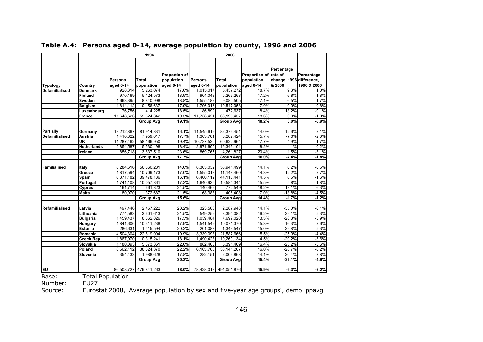|                                   |                           | 1996                                   |                                  |                                                          |                                          | 2006                             |                                                           |                                                          |                                   |
|-----------------------------------|---------------------------|----------------------------------------|----------------------------------|----------------------------------------------------------|------------------------------------------|----------------------------------|-----------------------------------------------------------|----------------------------------------------------------|-----------------------------------|
| <b>Typology</b><br>Defamilialised | Country<br><b>Denmark</b> | <b>Persons</b><br>aged 0-14<br>928,314 | Total<br>population<br>5,263,074 | <b>Proportion of</b><br>population<br>aged 0-14<br>17.6% | <b>Persons</b><br>aged 0-14<br>1,015,017 | Total<br>population<br>5,437,272 | Proportion of rate of<br>population<br>aged 0-14<br>18.7% | Percentage<br>change, 1996 difference,<br>& 2006<br>9.3% | Percentage<br>1996 & 2006<br>1.0% |
|                                   | <b>Finland</b>            | 970,169                                | 5,124,573                        | 18.9%                                                    | 904,043                                  | 5,266,268                        | 17.2%                                                     | $-6.8%$                                                  | $-1.8%$                           |
|                                   | Sweden                    | 1,663,395                              | 8,840,998                        | 18.8%                                                    | 1,555,182                                | 9,080,505                        | 17.1%                                                     | $-6.5%$                                                  | $-1.7%$                           |
|                                   | <b>Belgium</b>            | 1,814,112                              | 10,156,637                       | 17.9%                                                    | 1,796,916                                | 10,547,958                       | 17.0%                                                     | $-0.9%$                                                  | $-0.8%$                           |
|                                   | Luxembourg                | 76,756                                 | 414,225                          | 18.5%                                                    | 86,892                                   | 472,637                          | 18.4%                                                     | 13.2%                                                    | $-0.1%$                           |
|                                   | France                    | 11,648,626                             | 59,624,342                       | 19.5%                                                    | 11,738,421                               | 63, 195, 457                     | 18.6%                                                     | 0.8%                                                     | $-1.0%$                           |
|                                   |                           |                                        | <b>Group Avg</b>                 | 19.1%                                                    |                                          | <b>Group Avg</b>                 | 18.2%                                                     | $0.0\%$                                                  | $-0.9%$                           |
| <b>Partially</b>                  | Germany                   | 13,212,867                             | 81,914,831                       | 16.1%                                                    | 11,545,619                               | 82,376,451                       | 14.0%                                                     | $-12.6%$                                                 | $-2.1%$                           |
| <b>Defamilialised</b>             | Austria                   | 1,410,822                              | 7,959,017                        | 17.7%                                                    | 1,303,701                                | 8,282,424                        | 15.7%                                                     | $-7.6%$                                                  | $-2.0%$                           |
|                                   | UK                        | 11,287,462                             | 58,166,950                       | 19.4%                                                    | 10,737,520                               | 60,622,964                       | 17.7%                                                     | $-4.9%$                                                  | $-1.7%$                           |
|                                   | <b>Netherlands</b>        | 2,854,587                              | 15,530,498                       | 18.4%                                                    | $\overline{2,971,600}$                   | 16,346,101                       | 18.2%                                                     | 4.1%                                                     | $-0.2%$                           |
|                                   | Ireland                   | 856,718                                | 3,637,510                        | 23.6%                                                    | 869,767                                  | 4,261,827                        | 20.4%                                                     | 1.5%                                                     | $-3.1%$                           |
|                                   |                           |                                        | <b>Group Avg</b>                 | 17.7%                                                    |                                          | <b>Group Avg</b>                 | 16.0%                                                     | $-7.4%$                                                  | $-1.8%$                           |
| Familialised                      | Italy                     | 8,284,616                              | 56,860,281                       | 14.6%                                                    | 8,303,032                                | 58,941,499                       | 14.1%                                                     | 0.2%                                                     | $-0.5%$                           |
|                                   | Greece                    | 1,817,594                              | 10,709,173                       | 17.0%                                                    | 1,595,018                                | 11,148,460                       | 14.3%                                                     | $-12.2%$                                                 | $-2.7%$                           |
|                                   | Spain                     | 6,371,182                              | 39,478,186                       | 16.1%                                                    | 6,400,112                                | 44,116,441                       | 14.5%                                                     | 0.5%                                                     | $-1.6%$                           |
|                                   | Portugal                  | 1,741,108                              | 10,057,861                       | 17.3%                                                    | 1,640,935                                | 10,584,344                       | 15.5%                                                     | $-5.8%$                                                  | $-1.8%$                           |
|                                   | Cyprus                    | 161,714                                | 661,323                          | 24.5%                                                    | 140,469                                  | 772,549                          | 18.2%                                                     | $-13.1%$                                                 | $-6.3%$                           |
|                                   | <b>Malta</b>              | 80.070                                 | 372,687                          | 21.5%                                                    | 68,983                                   | 406,408                          | 17.0%                                                     | $-13.8%$                                                 | $-4.5%$                           |
|                                   |                           |                                        | <b>Group Avg</b>                 | 15.6%                                                    |                                          | <b>Group Avg</b>                 | 14.4%                                                     | $-1.7%$                                                  | $-1.2%$                           |
| Refamilialised                    | Latvia                    | 497,446                                | 2,457,222                        | 20.2%                                                    | 323,506                                  | 2,287,948                        | 14.1%                                                     | $-35.0%$                                                 | $-6.1%$                           |
|                                   | Lithuania                 | 774,583                                | 3,601,613                        | 21.5%                                                    | 549,259                                  | 3,394,082                        | 16.2%                                                     | $-29.1%$                                                 | $-5.3%$                           |
|                                   | <b>Bulgaria</b>           | 1.459.437                              | 8.362.826                        | 17.5%                                                    | 1,039,484                                | 7,699,020                        | 13.5%                                                     | $-28.8%$                                                 | $-3.9%$                           |
|                                   | Hungary                   | 1,841,606                              | 10,311,238                       | 17.9%                                                    | 1,541,549                                | 10,071,370                       | 15.3%                                                     | $-16.3%$                                                 | $-2.6%$                           |
|                                   | Estonia                   | 286,631                                | 1,415,594                        | 20.2%                                                    | 201,087                                  | 1,343,547                        | 15.0%                                                     | $-29.8%$                                                 | $-5.3%$                           |
|                                   | Romania                   | 4,504,304                              | 22,619,004                       | 19.9%                                                    | 3,339,093                                | 21,587,666                       | 15.5%                                                     | $-25.9%$                                                 | $-4.4%$                           |
|                                   | Czech Rep.                | 1,867,970                              | 10,315,241                       | 18.1%                                                    | 1.490.423                                | 10,269,134                       | 14.5%                                                     | $-20.2%$                                                 | $-3.6%$                           |
|                                   | Slovakia                  | 1,180,093                              | 5,373,361                        | 22.0%                                                    | 882,466                                  | 5,391,409                        | 16.4%                                                     | $-25.2%$                                                 | $-5.6%$                           |
|                                   | Poland                    | 8,562,112                              | 38,624,370                       | 22.2%                                                    | 6,105,768                                | 38, 141, 267                     | 16.0%                                                     | $-28.7%$                                                 | $-6.2%$                           |
|                                   | Slovenia                  | 354,433                                | 1,988,628                        | 17.8%                                                    | 282,151                                  | 2,006,868                        | 14.1%                                                     | $-20.4%$                                                 | $-3.8%$                           |
|                                   |                           |                                        | <b>Group Avg</b>                 | 20.3%                                                    |                                          | <b>Group Avg</b>                 | 15.4%                                                     | $-26.1%$                                                 | $-4.9%$                           |
| <b>EU</b>                         |                           |                                        | 86,508,727 479,841,263           | 18.0%                                                    | 78,428,013                               | 494,051,876                      | 15.9%                                                     | $-9.3%$                                                  | $-2.2%$                           |
| $D_{2001}$                        | Total Dopulation          |                                        |                                  |                                                          |                                          |                                  |                                                           |                                                          |                                   |

#### **Table A.4: Persons aged 0-14, average population by county, 1996 and 2006**

Base: Total Population

Number: **EU27** 

Source: Eurostat 2008, 'Average population by sex and five-year age groups', demo\_ppavg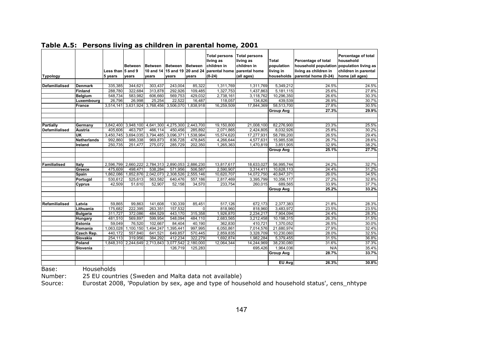|                     |                    |             |                               |                     |                     |                  | <b>Total persons</b><br>living as | <b>Total persons</b><br>living as | <b>Total</b>     | Percentage of total                       | Percentage of total<br>household |
|---------------------|--------------------|-------------|-------------------------------|---------------------|---------------------|------------------|-----------------------------------|-----------------------------------|------------------|-------------------------------------------|----------------------------------|
|                     |                    |             | <b>Between</b>                | <b>Between</b>      | Between Between     |                  | children in                       | children in                       | population       | household population population living as |                                  |
|                     |                    | Less than l | <b>5 and 9</b>                | 10 and 14           | 15 and 19           | <b>20 and 24</b> | parental home                     | parental home                     | living in        | living as children in                     | children in parental             |
| Typology            |                    | 5 years     | vears                         | vears               | vears               | vears            | $(0-24)$                          | (all ages)                        | households       | parental home (0-24)                      | home (all ages)                  |
|                     |                    |             |                               |                     |                     |                  |                                   |                                   |                  |                                           |                                  |
| Defamilialised      | <b>Denmark</b>     | 335,385     | 344,621                       | 303,437             | 243,004             | 85,322           | 1,311,769                         | 1,311,769                         | 5,349,212        | 24.5%                                     | 24.5%                            |
|                     | <b>Finland</b>     | 288,780     | 322,684                       | 313,878             | 292,926             | 109,485          | 1,327,753                         | 1,437,863                         | 5,181,115        | 25.6%                                     | 27.8%                            |
|                     | <b>Belgium</b>     | 548,734     | 583,982                       | 606,660             | 569,753<br>22.522   | 429,032          | 2,738,161                         | 3,118,762                         | 10,296,350       | 26.6%                                     | 30.3%                            |
|                     | Luxembourg         | 26,796      | 26,998                        | 25,254              |                     | 16,487           | 118,057                           | 134,826                           | 439,539          | 26.9%                                     | 30.7%                            |
|                     | <b>France</b>      | 3,514,141   | 3,631,924                     |                     | 3,768,456 3,506,070 | 1,838,918        | 16,259,509                        | 17,844,369                        | 58,513,700       | 27.8%                                     | 30.5%                            |
|                     |                    |             |                               |                     |                     |                  |                                   |                                   | <b>Group Avg</b> | 27.3%                                     | 29.9%                            |
|                     |                    |             |                               |                     |                     |                  |                                   |                                   |                  |                                           |                                  |
| Partially           | Germany            |             | 3,842,400 3,948,100 4,641,300 |                     | 4,275,300           | 2,443,700        | 19,150,800                        | 21,008,100                        | 82,276,900       | 23.3%                                     | 25.5%                            |
| Defamilialised      | <b>Austria</b>     | 405.606     | 463,797                       | 466.114             | 450,456             | 285.892          | 2.071.865                         | 2,424,805                         | 8,032,926        | 25.8%                                     | 30.2%                            |
|                     | UK                 |             | 3,450,745 3,694,035           | 3,794,485           | 3,096,371           | 1,538,984        | 15,574,620                        | 17.277.931                        | 58.789.200       | 26.5%                                     | 29.4%                            |
|                     | <b>Netherlands</b> | 992,860     | 988,338                       | 969,873             | 836,728             | 478,845          | 4,266,644                         | 4,577,631                         | 15,985,538       | 26.7%                                     | 28.6%                            |
|                     | Ireland            | 250.735     | 251,477                       | 275.072             | 285.729             | 202.350          | 1,265,363                         | 1,470,819                         | 3.851.905        | 32.9%                                     | 38.2%                            |
|                     |                    |             |                               |                     |                     |                  |                                   |                                   | <b>Group Avg</b> | 25.1%                                     | 27.7%                            |
|                     |                    |             |                               |                     |                     |                  |                                   |                                   |                  |                                           |                                  |
| <b>Familialised</b> | Italy              |             | 2,596,799 2,660,222           | 2,784,313           | 2.890.053           | 2.886.230        | 13,817,617                        | 18,633,027                        | 56.995.744       | 24.2%                                     | 32.7%                            |
|                     | Greece             | 475,609     | 498,471                       | 538,284             | 571,956             | 506,587          | 2,590,907                         | 3,314,411                         | 10,628,113       | 24.4%                                     | 31.2%                            |
|                     | Spain              | 1,862,086   | ,852,876                      | 2,042,073           | 2,308,526           | 2,555,146        | 10,620,707                        | 14,072,750                        | 40,847,371       | 26.0%                                     | 34.5%                            |
|                     | Portugal           | 530.612     | 525,613                       | 563.582             | 640.476             | 557.186          | 2,817,469                         | 3,395,799                         | 10.356.117       | 27.2%                                     | 32.8%                            |
|                     | Cyprus             | 42,509      | 51,610                        | 52,907              | 52,158              | 34,570           | 233,754                           | 260,015                           | 689.565          | 33.9%                                     | 37.7%                            |
|                     |                    |             |                               |                     |                     |                  |                                   |                                   | <b>Group Avg</b> | 25.2%                                     | 33.2%                            |
|                     |                    |             |                               |                     |                     |                  |                                   |                                   |                  |                                           |                                  |
| Refamilialised      | Latvia             | 59,865      | 99,863                        | 141,608             | 130,339             | 85,451           | 517,126                           | 672,173                           | 2,377,383        | 21.8%                                     | 28.3%                            |
|                     | Lithuania          | 175,682     | 222,395                       | 263,351             | 157,532             | $\Omega$         | 818,960                           | 818,960                           | 3,483,972        | 23.5%                                     | 23.5%                            |
|                     | <b>Bulgaria</b>    | 311.727     | 372.086                       | 484.529             | 443.170             | 315.358          | 1.926.870                         | 2.234.217                         | 7.904.094        | 24.4%                                     | 28.3%                            |
|                     | Hungary            | 481,510     | 569,897                       | 599,954             | 548.094             | 484,110          | 2,683,565                         | 3,212,458                         | 10,198,315       | 26.3%                                     | 31.5%                            |
|                     | Estonia            | 59,049      | 76,520                        | 102,667             | 84,404              | 40,190           | 362,830                           | 410.721                           | 1,370,052        | 26.5%                                     | 30.0%                            |
|                     | Romania            | 1,063,028   | 1,100,150                     | 1,494,247           | 1,395,441           | 997,995          | 6,050,861                         | 7,014,576                         | 21,680,974       | 27.9%                                     | 32.4%                            |
|                     | Czech Rep.         | 440.172     | 557,840                       | 641,521             | 649,857             | 570,445          | 2,859,835                         | 3,328,709                         | 10,230,060       | 28.0%                                     | 32.5%                            |
|                     | Slovakia           | 254,113     | 319,956                       | 384,292             | 412,234             | 322,279          | 1,692,874                         | 1,982,284                         | 5,379,455        | 31.5%                                     | 36.8%                            |
|                     | Poland             | 1,848,310   |                               | 2,244,649 2,713,843 | 3,077,542           | 2,180,000        | 12,064,344                        | 14,244,969                        | 38,230,080       | 31.6%                                     | 37.3%                            |
|                     | Slovenia           |             |                               |                     | 126,719             | 125,283          |                                   | 695.426                           | 1.964.036        | N/A                                       | 35.4%                            |
|                     |                    |             |                               |                     |                     |                  |                                   |                                   | <b>Group Avg</b> | 28.7%                                     | 33.7%                            |
|                     |                    |             |                               |                     |                     |                  |                                   |                                   |                  |                                           |                                  |
|                     |                    |             |                               |                     |                     |                  |                                   |                                   | EU Avg           | 26.3%                                     | 30.8%                            |

**Table A.5: Persons living as children in parental home, 2001** 

Base: Households

Number: 25 EU countries (Sweden and Malta data not available)<br>Source: Eurostat 2008, 'Population by sex, age and type of hous

Eurostat 2008, 'Population by sex, age and type of household and household status', cens\_nhtype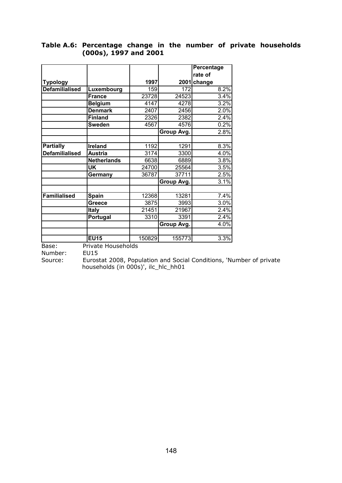|                       |                    |        |            | <b>Percentage</b> |
|-----------------------|--------------------|--------|------------|-------------------|
|                       |                    |        |            | rate of           |
| <b>Typology</b>       |                    | 1997   |            | 2001 change       |
| <b>Defamilialised</b> | Luxembourg         | 159    | 172        | 8.2%              |
|                       | <b>France</b>      | 23728  | 24523      | 3.4%              |
|                       | <b>Belgium</b>     | 4147   | 4278       | 3.2%              |
|                       | <b>Denmark</b>     | 2407   | 2456       | 2.0%              |
|                       | <b>Finland</b>     | 2326   | 2382       | 2.4%              |
|                       | <b>Sweden</b>      | 4567   | 4576       | 0.2%              |
|                       |                    |        | Group Avg. | 2.8%              |
|                       |                    |        |            |                   |
| <b>Partially</b>      | Ireland            | 1192   | 1291       | 8.3%              |
| <b>Defamilialised</b> | <b>Austria</b>     | 3174   | 3300       | 4.0%              |
|                       | <b>Netherlands</b> | 6638   | 6889       | 3.8%              |
|                       | <b>UK</b>          | 24700  | 25564      | 3.5%              |
|                       | Germany            | 36787  | 37711      | 2.5%              |
|                       |                    |        | Group Avg. | 3.1%              |
|                       |                    |        |            |                   |
| <b>Familialised</b>   | <b>Spain</b>       | 12368  | 13281      | 7.4%              |
|                       | Greece             | 3875   | 3993       | 3.0%              |
|                       | <b>Italy</b>       | 21451  | 21967      | 2.4%              |
|                       | Portugal           | 3310   | 3391       | 2.4%              |
|                       |                    |        | Group Avg. | 4.0%              |
|                       |                    |        |            |                   |
|                       | <b>EU15</b>        | 150829 | 155773     | 3.3%              |

#### **Table A.6: Percentage change in the number of private households (000s), 1997 and 2001**

Base: Private Households

Number: EU15

Source: Eurostat 2008, Population and Social Conditions, 'Number of private households (in 000s)', ilc\_hlc\_hh01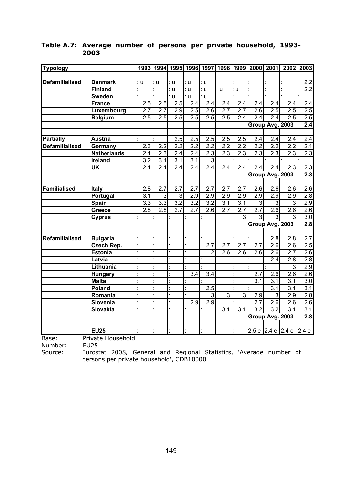| <b>Typology</b>       |                    | 1993             |                  |                  |                  |                  |                  |                  | 1994   1995   1996   1997   1998   1999   2000   2001 |                   | 2002             | 2003             |
|-----------------------|--------------------|------------------|------------------|------------------|------------------|------------------|------------------|------------------|-------------------------------------------------------|-------------------|------------------|------------------|
|                       |                    |                  |                  |                  |                  |                  |                  |                  |                                                       |                   |                  |                  |
| <b>Defamilialised</b> | <b>Denmark</b>     | : u              | : u              | : u              | : u              | : u              |                  |                  |                                                       |                   |                  | $\overline{2.2}$ |
|                       | <b>Finland</b>     |                  |                  | : u              | : u              | : น              | : u              | : u              |                                                       |                   |                  | 2.2              |
|                       | <b>Sweden</b>      |                  |                  | $\cup$           | : u              | : u              |                  |                  |                                                       |                   |                  |                  |
|                       | <b>France</b>      | 2.5              | $2.\overline{5}$ | 2.5              | $\overline{2.4}$ | 2.4              | $\overline{2.4}$ | $\overline{2.4}$ | $\overline{2.4}$                                      | 2.4               | 2.4              | $\overline{2.4}$ |
|                       | Luxembourg         | $\overline{2.7}$ | $\overline{2.7}$ | 2.9              | 2.5              | $\overline{2.6}$ | 2.7              | 2.7              | $\overline{2.6}$                                      | $\overline{2.5}$  | 2.5              | 2.5              |
|                       | <b>Belgium</b>     | 2.5              | 2.5              | 2.5              | 2.5              | 2.5              | 2.5              | 2.4              | 2.4                                                   | 2.4               | $\overline{2.5}$ | $\overline{2.5}$ |
|                       |                    |                  |                  |                  |                  |                  |                  |                  |                                                       | Group Avg. 2003   |                  | $\overline{2.4}$ |
|                       |                    |                  |                  |                  |                  |                  |                  |                  |                                                       |                   |                  |                  |
| <b>Partially</b>      | <b>Austria</b>     |                  |                  | 2.5              | 2.5              | 2.5              | 2.5              | 2.5              | 2.4                                                   | $\overline{2.4}$  | 2.4              | 2.4              |
| <b>Defamilialised</b> | Germany            | 2.3              | $\overline{2.2}$ | 2.2              | 2.2              | $\overline{2.2}$ | 2.2              | 2.2              | 2.2                                                   | 2.2               | $\overline{2.2}$ | 2.1              |
|                       | <b>Netherlands</b> | 2.4              | 2.3              | $\overline{2.4}$ | $\overline{2.4}$ | 2.3              | 2.3              | 2.3              | 2.3                                                   | 2.3               | $\overline{2.3}$ | 2.3              |
|                       | <b>Ireland</b>     | $\overline{3.2}$ | 3.1              | 3.1              | 3.1              | دن               |                  |                  |                                                       |                   |                  |                  |
|                       | UK                 | $\overline{2.4}$ | 2.4              | 2.4              | 2.4              | $\overline{2.4}$ | $\overline{2.4}$ | 2.4              | 2.4                                                   | 2.4               | $\overline{2.3}$ | 2.3              |
|                       |                    |                  |                  |                  |                  |                  |                  |                  |                                                       | Group Avg. 2003   |                  | 2.3              |
|                       |                    |                  |                  |                  |                  |                  |                  |                  |                                                       |                   |                  |                  |
| Familialised          | <b>Italy</b>       | 2.8              | 2.7              | 2.7              | 2.7              | 2.7              | 2.7              | 2.7              | 2.6                                                   | 2.6               | 2.6              | 2.6              |
|                       | Portugal           | $\overline{3.1}$ | 3                | 3                | $\overline{2.9}$ | 2.9              | 2.9              | $\overline{2.9}$ | $\overline{2.9}$                                      | $\overline{2.9}$  | 2.9              | 2.8              |
|                       | <b>Spain</b>       | $\overline{3.3}$ | $\overline{3.3}$ | $\overline{3.2}$ | $\overline{3.2}$ | $\overline{3.2}$ | 3.1              | $\overline{3.1}$ | 3                                                     | 3                 | 3                | 2.9              |
|                       | Greece             | 2.8              | 2.8              | 2.7              | 2.7              | 2.6              | 2.7              | 2.7              | 2.7                                                   | 2.6               | $\overline{2.6}$ | 2.6              |
|                       | Cyprus             |                  |                  |                  |                  |                  |                  | $\overline{3}$   | 3                                                     | $\overline{3}$    | 3                | 3.0              |
|                       |                    |                  |                  |                  |                  |                  |                  |                  |                                                       | Group Avg. 2003   |                  | 2.8              |
| Refamilialised        | <b>Bulgaria</b>    |                  |                  |                  |                  |                  |                  |                  |                                                       | $\overline{2.8}$  | $\overline{2.8}$ | $\overline{2.7}$ |
|                       | Czech Rep.         |                  |                  |                  |                  | 2.7              | $\overline{2.7}$ | $\overline{2.7}$ | $\overline{2.7}$                                      | 2.6               | 2.6              | 2.5              |
|                       | <b>Estonia</b>     |                  |                  |                  |                  | $\overline{2}$   | $\overline{2.6}$ | 2.6              | 2.6                                                   | $\overline{2.6}$  | 2.7              | 2.6              |
|                       | Latvia             |                  |                  |                  |                  |                  |                  |                  |                                                       | 2.4               | $\overline{2.8}$ | 2.8              |
|                       | Lithuania          |                  |                  |                  |                  |                  |                  |                  |                                                       |                   | $\overline{3}$   | 2.9              |
|                       | Hungary            |                  |                  |                  | $\overline{3.4}$ | 3.4              |                  |                  | 2.7                                                   | 2.6               | $\overline{2.6}$ | $\overline{2.6}$ |
|                       | <b>Malta</b>       |                  |                  |                  |                  |                  |                  |                  | $\overline{3.1}$                                      | $\overline{3.1}$  | $\overline{3.1}$ | $\overline{3.0}$ |
|                       | Poland             |                  |                  |                  |                  | 2.5              |                  |                  |                                                       | $\overline{3.1}$  | $\overline{3.1}$ | 3.1              |
|                       | Romania            |                  |                  |                  |                  | 3                | $\overline{3}$   | $\overline{3}$   | 2.9                                                   | $\overline{3}$    | 2.9              | 2.8              |
|                       | Slovenia           |                  |                  |                  | $\overline{2.9}$ | 2.9              |                  |                  | 2.7                                                   | 2.6               | $\overline{2.6}$ | 2.6              |
|                       | <b>Slovakia</b>    |                  |                  |                  |                  |                  | $\overline{3.1}$ | 3.1              | 3.2                                                   | $\overline{3.2}$  | $\overline{3.1}$ | 3.1              |
|                       |                    |                  |                  |                  |                  |                  |                  |                  |                                                       | Group Avg. 2003   |                  | $\overline{2.8}$ |
|                       |                    |                  |                  |                  |                  |                  |                  |                  |                                                       |                   |                  |                  |
|                       | <b>EU25</b>        |                  |                  |                  |                  |                  |                  |                  |                                                       | 2.5 e 2.4 e 2.4 e |                  | 2.4e             |

#### **Table A.7: Average number of persons per private household, 1993- 2003**

Base: Private Household<br>Number: EU25

Number:<br>Source:

Eurostat 2008, General and Regional Statistics, 'Average number of persons per private household', CDB10000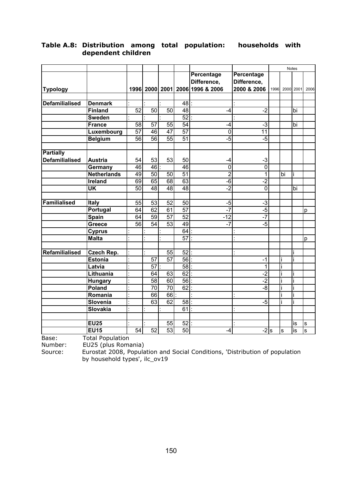|                       |                          |                 |                 |                 |                 |                                 |                   |      |    | Notes     |              |
|-----------------------|--------------------------|-----------------|-----------------|-----------------|-----------------|---------------------------------|-------------------|------|----|-----------|--------------|
|                       |                          |                 |                 |                 |                 | <b>Percentage</b>               | <b>Percentage</b> |      |    |           |              |
|                       |                          |                 |                 |                 |                 | Difference,                     | Difference,       |      |    |           |              |
| <b>Typology</b>       |                          |                 |                 |                 |                 | 1996 2000 2001 2006 1996 & 2006 | 2000 & 2006       | 1996 |    | 2000 2001 | 2006         |
|                       |                          |                 |                 |                 |                 |                                 |                   |      |    |           |              |
| <b>Defamilialised</b> | <b>Denmark</b>           |                 |                 |                 | 48              |                                 |                   |      |    |           |              |
|                       | <b>Finland</b>           | $\overline{52}$ | 50              | 50              | $\overline{48}$ | -4                              | $-2$              |      |    | bi        |              |
|                       | <b>Sweden</b>            |                 |                 |                 | $\overline{52}$ |                                 |                   |      |    |           |              |
|                       | <b>France</b>            | 58              | 57              | 55              | 54              | $-4$                            | $-3$              |      |    | bi        |              |
|                       | Luxembourg               | $\overline{57}$ | 46              | $\overline{47}$ | $\overline{57}$ | $\overline{0}$                  | $\overline{11}$   |      |    |           |              |
|                       | <b>Belgium</b>           | 56              | $\overline{56}$ | $\overline{55}$ | $\overline{51}$ | $-5$                            | $-5$              |      |    |           |              |
|                       |                          |                 |                 |                 |                 |                                 |                   |      |    |           |              |
| <b>Partially</b>      |                          |                 |                 |                 |                 |                                 |                   |      |    |           |              |
| <b>Defamilialised</b> | <b>Austria</b>           | 54              | 53              | 53              | 50              | -4                              | $-3$              |      |    |           |              |
|                       | Germany                  | 46              | 46              |                 | 46              | $\mathbf 0$                     | 0                 |      |    |           |              |
|                       | <b>Netherlands</b>       | 49              | 50              | 50              | 51              | $\overline{2}$                  | 1                 |      | bi |           |              |
|                       | <b>Ireland</b>           | 69              | 65              | $\overline{68}$ | 63              | $-\overline{6}$                 | $-2$              |      |    |           |              |
|                       | $\overline{\mathsf{UK}}$ | 50              | 48              | 48              | 48              | $-2$                            | 0                 |      |    | bi        |              |
|                       |                          |                 |                 |                 |                 |                                 |                   |      |    |           |              |
| <b>Familialised</b>   | <b>Italy</b>             | 55              | $\overline{53}$ | 52              | 50              | $-5$                            | $-3$              |      |    |           |              |
|                       | Portugal                 | 64              | 62              | 61              | 57              | $-7$                            | $-5$              |      |    |           | p            |
|                       | Spain                    | 64              | 59              | $\overline{57}$ | $\overline{52}$ | $-12$                           | $-7$              |      |    |           |              |
|                       | Greece                   | $\overline{56}$ | $\overline{54}$ | $\overline{53}$ | 49              | $-7$                            | $-5$              |      |    |           |              |
|                       | <b>Cyprus</b>            |                 |                 |                 | 64              |                                 |                   |      |    |           |              |
|                       | <b>Malta</b>             |                 |                 |                 | $\overline{57}$ |                                 |                   |      |    |           | p            |
|                       |                          |                 |                 |                 |                 |                                 |                   |      |    |           |              |
| Refamilialised        | Czech Rep.               |                 |                 | 55              | $\overline{52}$ |                                 |                   |      |    |           |              |
|                       | <b>Estonia</b>           |                 | 57              | $\overline{57}$ | $\overline{56}$ |                                 | $-1$              |      |    |           |              |
|                       | Latvia                   |                 | 57              |                 | 58              |                                 | 1                 |      |    |           |              |
|                       | Lithuania                |                 | 64              | 63              | 62              |                                 | $-2$              |      |    |           |              |
|                       | <b>Hungary</b>           |                 | 58              | 60              | 56              |                                 | $-2$              |      |    |           |              |
|                       | Poland                   |                 | 70              | 70              | 62              |                                 | $-8$              |      |    |           |              |
|                       | Romania                  |                 | 66              | 66              |                 |                                 |                   |      |    |           |              |
|                       | Slovenia                 |                 | 63              | 62              | $\overline{58}$ |                                 | $-5$              |      |    |           |              |
|                       | Slovakia                 |                 |                 |                 | 61              |                                 |                   |      |    |           |              |
|                       |                          |                 |                 |                 |                 |                                 |                   |      |    |           |              |
|                       | <b>EU25</b>              |                 |                 | 55              | 52              |                                 |                   |      |    | is        | S            |
|                       | <b>EU15</b>              | 54              | 52              | $\overline{53}$ | $\overline{50}$ | $-4$                            | $-2$ s            |      | S  | is        | $\mathbf{s}$ |

#### **Table A.8: Distribution among total population: households with dependent children**

Base: Total Population

Number: EU25 (plus Romania)<br>Source: Eurostat 2008, Popula

Eurostat 2008, Population and Social Conditions, 'Distribution of population by household types', ilc\_ov19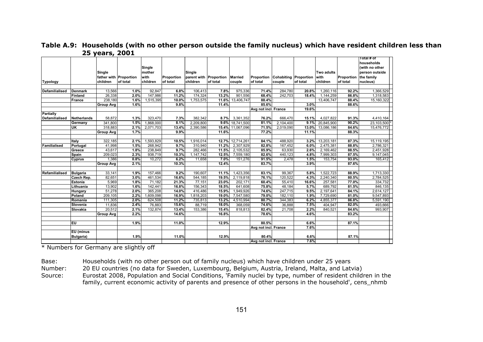|                       |                          |                   |                        |                   |                |                        |                |                      |                      |                       |              |                      |                | Total # of           |  |
|-----------------------|--------------------------|-------------------|------------------------|-------------------|----------------|------------------------|----------------|----------------------|----------------------|-----------------------|--------------|----------------------|----------------|----------------------|--|
|                       |                          |                   |                        |                   |                |                        |                |                      |                      |                       |              |                      |                | households           |  |
|                       |                          |                   |                        | Single            |                |                        |                |                      |                      |                       |              |                      |                | (with no other       |  |
|                       |                          | Single            |                        | mother            |                | Single                 |                |                      |                      |                       |              | <b>Two adults</b>    |                | person outside       |  |
|                       |                          |                   | father with Proportion | with              | Proportion     | parent with Proportion |                | <b>Married</b>       | Proportion           | Cohabiting Proportion |              | with                 | Proportion     | the family           |  |
| <b>Typology</b>       |                          | children          | of total               | children          | of total       | children               | of total       | couple               | of total             | couple                | of total     | children             | of total       | nucleus)             |  |
| <b>Defamilialised</b> | <b>Denmark</b>           | 13,566            | 1.0%                   | 92.847            | 6.8%           | 106,413                | 7.8%           | 975,336              | 71.4%                | 284,780               | 20.8%        | 1,260,116            | 92.2%          | 1,366,529            |  |
|                       | Finland                  | 26,338            | 2.0%                   | 147,986           | 11.2%          | 174,324                | 13.2%          | 901,556              | 68.4%                | 242,703               | 18.4%        | 1,144,259            | 86.8%          | 1,318,583            |  |
|                       | <b>France</b>            | 238,180           | 1.6%                   | 1,515,395         | 10.0%          | 1,753,575              | 11.6%          | 13,406,747           | 88.4%                |                       |              | 13,406,747           | 88.4%          | 15,160,322           |  |
|                       |                          | <b>Group Avg</b>  | 1.6%                   |                   | 9.8%           |                        | 11.4%          |                      | 85.6%                |                       | 3.0%         |                      | 88.6%          |                      |  |
|                       |                          |                   |                        |                   |                |                        |                |                      | Avg not incl. France |                       | 19.6%        |                      |                |                      |  |
| <b>Partially</b>      |                          |                   |                        |                   |                |                        |                |                      |                      |                       |              |                      |                |                      |  |
| Defamilialised        | <b>Netherlands</b>       | 58,872            | 1.3%                   | 323,470           | 7.3%           | 382,342                | 8.7%           | 3,361,352            | 76.2%                | 666,470               | 15.1%        | 4,027,822            | 91.3%          | 4,410,164            |  |
|                       | Germany                  | 341.800           | 1.5%                   | 1,868,000         | 8.1%           | 2.209.800              |                | 9.6% 18,741,500      | 81.1%                | 2.104.400             | 9.1%         | 20,845,900           | 90.2%          | 23,103,500           |  |
|                       | UK                       | 318,883           | 2.1%                   | 2,071,703         | 13.4%          | 2,390,586              | 15.4%          | 11,067,096           | 71.5%                | 2,019,090             | 13.0%        | 13,086,186           | 84.6%          | 15,476,772           |  |
|                       |                          | <b>Group Avg</b>  | 1.7%                   |                   | 9.9%           |                        | 11.6%          |                      | 77.2%                |                       | 11.1%        |                      | 88.3%          |                      |  |
|                       |                          |                   |                        |                   |                |                        |                |                      |                      |                       |              |                      |                |                      |  |
|                       | Italy                    | 322,185           | 2.1%                   | 1,593,829         | 10.5%          | 1,916,014              | 12.7%          | 12,714,261           | 84.1%                | 488,920               | 3.2%         | 13,203,181           | 87.3%          | 15,119,195           |  |
| Familialised          | Portugal                 | 41,998            | 1.5%                   | 268,942           | 9.7%           | 310,940                | 11.2%          | 2,307,929            | 82.8%                | 167,452               | 6.0%         | 2,475,381            | 88.8%          | 2,786,321            |  |
|                       | Greece                   | 43,617            | 1.8%                   | 238,849           | 9.7%           | 282,466                | 11.5%          | 2,105,532            | 85.9%                | 63,930                | 2.6%         | 2,169,462            | 88.5%          | 2,451,928            |  |
|                       | <b>Spain</b>             | 209,023           | 2.3%                   | 938,719           | 10.3%          | 1,147,742              | 12.5%          | 7,559,180            | 82.6%                | 440,123               | 4.8%         | 7,999,303            | 87.5%          | 9,147,045            |  |
|                       | <b>Cyprus</b>            | 1,386             | 0.8%                   | 10,272            | 6.2%           | 11,658                 | 7.0%           | 151,276              | 91.5%                | 2,478                 | 1.5%         | 153,754              | 93.0%          | 165,412              |  |
|                       |                          | <b>Group Avg</b>  | 2.1%                   |                   | 10.3%          |                        | 12.4%          |                      | 83.7%                |                       | 3.9%         |                      | 87.6%          |                      |  |
|                       |                          |                   |                        |                   |                |                        |                |                      |                      |                       |              |                      |                |                      |  |
| Refamilialised        | <b>Bulgaria</b>          | 33,141            | 1.9%                   | 157,466           | 9.2%           | 190,607                | 11.1%          | 1,423,356            | 83.1%                | 99,367                | 5.8%         | 1,522,723            | 88.9%          | 1,713,330            |  |
|                       | Czech Rep.               | 82,651            | 3.0%                   | 461,534           | 16.6%          | 544,185                | 19.5%          | 2,119,818            | 76.1%                | 120,522               | 4.3%         | 2,240,340            | 80.5%          | 2,784,525            |  |
|                       | Estonia                  | 5,969             | 1.8%                   | 71,182            | 21.3%          | 77,151                 | 23.0%          | 202,171              | 60.4%                | 55,410                | 16.6%        | 257,581              | 77.0%          | 334,732              |  |
|                       | Lithuania                | 13,902            | 1.6%                   | 142,441           | 16.8%          | 156,343                | 18.5%          | 641,608              | 75.8%                | 48,184                | 5.7%         | 689,792              | 81.5%          | 846,135              |  |
|                       | <b>Hungary</b><br>Poland | 51,278            | 2.0%                   | 365,208           | 14.0%<br>16.9% | 416,486                | 15.9%<br>19.0% | 1,949,926            | 74.6%<br>79.0%       | 247,715               | 9.5%         | 2,197,641            | 84.1%<br>81.0% | 2,614,127            |  |
|                       |                          | 209,105           | 2.2%                   | ,609,098          |                | 1,818,203              |                | 7,547,580            |                      | 182,110               | 1.9%         | 7,729,690            |                | 9,547,893            |  |
|                       | Romania<br>Slovenia      | 111,305<br>11,836 | 2.0%<br>2.4%           | 624,508<br>76,883 | 11.2%<br>15.6% | 735,813<br>88,719      | 13.2%<br>18.0% | 4,510,994<br>368,059 | 80.7%<br>74.6%       | 344,383<br>36,888     | 6.2%<br>7.5% | 4,855,377<br>404,947 | 86.8%<br>82.0% | 5,591,190<br>493,666 |  |
|                       | Slovakia                 | 20,512            | 2.1%                   | 132,874           | 13.4%          | 153,386                | 15.4%          | 818,813              | 82.4%                | 21,708                | 2.2%         | 840,521              | 84.6%          | 993,907              |  |
|                       |                          | <b>Group Avg</b>  | 2.2%                   |                   | 14.6%          |                        | 16.8%          |                      | 78.6%                |                       | 4.6%         |                      | 83.2%          |                      |  |
|                       |                          |                   |                        |                   |                |                        |                |                      |                      |                       |              |                      |                |                      |  |
|                       | EU                       |                   | 1.9%                   |                   | 11.0%          |                        | 12.9%          |                      | 80.5%                |                       | 6.6%         |                      | 87.1%          |                      |  |
|                       |                          |                   |                        |                   |                |                        |                |                      | Avg not incl. France |                       | 7.6%         |                      |                |                      |  |
|                       | EU (minus                |                   |                        |                   |                |                        |                |                      |                      |                       |              |                      |                |                      |  |
|                       | Bulgaria)                |                   | 1.9%                   |                   | 11.0%          |                        | 12.9%          |                      | 80.4%                |                       | 6.6%         |                      | 87.1%          |                      |  |
|                       |                          |                   |                        |                   |                |                        |                |                      | Avg not incl. France |                       | 7.6%         |                      |                |                      |  |

**Table A.9: Households (with no other person outside the family nucleus) which have resident children less than 25 years, 2001** 

\* Numbers for Germany are slightly off

Base: Households (with no other person out of family nucleus) which have children under 25 years

Number: 20 EU countries (no data for Sweden, Luxembourg, Belgium, Austria, Ireland, Malta, and Latvia)

Source: Eurostat 2008, Population and Social Conditions, 'Family nuclei by type, number of resident children in the family, current economic activity of parents and presence of other persons in the household', cens\_nhmb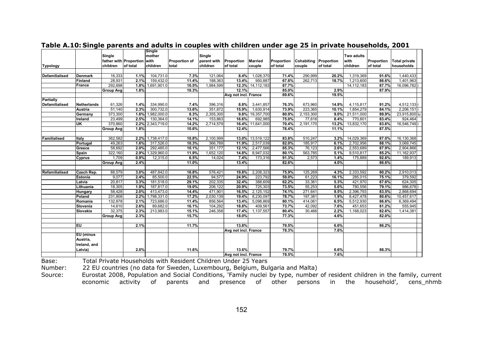|                       |                    |                   |                        | Single                   |                      |                      |                      |                             |                |                       |               |                       |                |                       |  |
|-----------------------|--------------------|-------------------|------------------------|--------------------------|----------------------|----------------------|----------------------|-----------------------------|----------------|-----------------------|---------------|-----------------------|----------------|-----------------------|--|
|                       |                    | Single            |                        | mother                   |                      | Single               |                      |                             |                |                       |               | <b>Two adults</b>     |                |                       |  |
|                       |                    |                   | father with Proportion | with                     | <b>Proportion of</b> | parent with          | Proportion           | <b>Married</b>              | Proportion     | Cohabiting Proportion |               | with                  | Proportion     | <b>Total private</b>  |  |
| <b>Typology</b>       |                    | children          | of total               | children                 | total                | children             | of total             | couple                      | of total       | couple                | of total      | children              | of total       | households            |  |
|                       |                    |                   |                        |                          |                      |                      |                      |                             |                |                       |               |                       |                |                       |  |
| <b>Defamilialised</b> | <b>Denmark</b>     | 16,333            | 1.1%                   | 104,731.0                | 7.3%                 | 121,064              | 8.4%                 | 1,028,370                   | 71.4%          | 290,999               | 20.2%         | 1,319,369             | 91.6%          | 1,440,433             |  |
|                       | <b>Finland</b>     | 28,931            | 2.1%                   | 159,432.0                | 11.4%                | 188,363              | 13.4%                | 950,887                     | 67.8%          | 262,713               | 18.7%         | 1,213,600             | 86.6%          | 1,401,963             |  |
|                       | <b>France</b>      | 292,698           | 1.8%                   | 1,691,901.0              | 10.5%                | 1,984,599            |                      | 12.3% 14,112,183            | 87.7%          |                       |               | 14, 112, 183          | 87.7%          | 16,096,782i           |  |
|                       |                    | <b>Group Avg</b>  | 1.8%                   |                          | 10.3%                |                      | 12.1%                |                             | 85.0%          |                       | 2.9%          |                       | 87.9%          |                       |  |
|                       |                    |                   |                        |                          |                      |                      | Avg not incl. France |                             | 69.6%          |                       | 19.5%         |                       |                |                       |  |
| <b>Partially</b>      |                    |                   |                        |                          |                      |                      |                      |                             |                |                       |               |                       |                |                       |  |
| <b>Defamilialised</b> | <b>Netherlands</b> | 61,326            | 1.4%                   | 334,990.0                | 7.4%                 | 396,316              | 8.8%                 | 3,441,857                   | 76.3%          | 673,960               | 14.9%         | 4,115,817             | 91.2%          | 4,512,133 i           |  |
|                       | <b>Austria</b>     | 51,140            | 2.3%                   | 300,732.0                | 13.6%                | 351.872              | 15.9%                | 1.630.914                   | 73.9%          | 223,365               | 10.1%         | 1.854.279             | 84.1%          | 2,206,151             |  |
|                       | Germany            | 373,300           | 1.6%                   | 1,982,000.0              | 8.3%                 | 2,355,300            | 9.8%                 | 19,357,700                  | 80.9%          | 2,153,300             | 9.0%          | 21,511,000            | 89.9%          | 23,915,800 iu         |  |
|                       | Ireland<br>UK      | 23,499<br>370,860 | 2.5%<br>2.2%           | 130,364.0<br>2,343,719.0 | 14.1%<br>14.2%       | 153,863<br>2,714,579 | 16.6%                | 692,985<br>16.4% 11,641,000 | 75.0%<br>70.4% | 77,616<br>2,191,170   | 8.4%<br>13.2% | 770,601<br>13,832,170 | 83.4%<br>83.6% | 924,464<br>16,546,749 |  |
|                       |                    |                   |                        |                          |                      |                      | 12.4%                |                             | 76.4%          |                       | 11.1%         |                       | 87.5%          |                       |  |
|                       |                    | <b>Group Avg</b>  | 1.8%                   |                          | 10.6%                |                      |                      |                             |                |                       |               |                       |                |                       |  |
| Familialised          | Italy              | 362,582           | 2.2%                   | 1,738,417.0              | 10.8%                | 2,100,999            | 13.0%                | 13,519,122                  | 83.8%          | 510,247               | 3.2%          | 14,029,369            | 87.0%          | 16,130,368            |  |
|                       | Portugal           | 49,263            | 1.6%                   | 317,526.0                | 10.3%                | 366,789              | 11.9%                | 2,517,039                   | 82.0%          | 185,917               | 6.1%          | 2,702,956             | 88.1%          | 3,069,745             |  |
|                       | Greece             | 58,692            | 2.0%                   | 292,485.0                | 10.1%                | 351,177              | 12.1%                | 2,477,566                   | 85.3%          | 76,123                | 2.6%          | 2,553,689             | 87.9%          | 2,904,866             |  |
|                       | Spain              | 322,160           | 2.9%                   | 1,329,960.0              | 11.9%                | 1,652,120            | 14.8%                | 8,947,032                   | 80.1%          | 563,785               | 5.1%          | 9,510,817             | 85.2%          | 11,162,937            |  |
|                       | <b>Cyprus</b>      | 1,709             | 0.9%                   | 12,315.0                 | 6.5%                 | 14,024               | 7.4%                 | 173,316                     | 91.3%          | 2,573                 | 1.4%          | 175,889               | 92.6%          | 189,913               |  |
|                       |                    | <b>Group Avg</b>  | 2.4%                   |                          | 11.0%                |                      | 13.4%                |                             | 82.6%          |                       | 4.0%          |                       | 86.6%          |                       |  |
|                       |                    |                   |                        |                          |                      |                      |                      |                             |                |                       |               |                       |                |                       |  |
| Refamilialised        | Czech Rep.         | 88,579            | 3.0%                   | 487,842.0                | 16.8%                | 576,421              | 19.8%                | 2,208,323                   | 75.9%          | 125,269               | 4.3%          | 2,333,592             | 80.2%          | 2,910,013             |  |
|                       | <b>Estonia</b>     | 9,077             | 2.4%                   | 85,500.0                 | 22.5%                | 94,577               | 24.9%                | 223,792                     | 59.0%          | 61,223                | 16.1%         | 285,015               | 75.1%          | 379,592               |  |
|                       | Latvia             | 20,817            | 3.3%                   | 181,518.0                | 29.1%                | 202,335              | 32.4%                | 388,609                     | 62.2%          | 33,361                | 5.3%          | 421,970               | 67.6%          | 624,305               |  |
|                       | Lithuania          | 18,305            | 1.9%                   | 187,817.0                | 19.0%                | 206,122              | 20.9%                | 725,303                     | 73.5%          | 55,253                | 5.6%          | 780,556               | 79.1%          | 986,678               |  |
|                       | Hungary            | 58,428            | 2.0%                   | 413,473.0                | 14.4%                | 471,901              | 16.5%                | 2,125,152                   | 74.1%          | 271,641               | 9.5%          | 2,396,793             | 83.5%          | 2,868,694             |  |
|                       | Poland             | 231,808           | 2.2%                   | 1,798,331.0              | 17.2%                | 2,030,139            | 19.4%                | 8,230,097                   | 78.7%          | 197,381               | 1.9%          | 8,427,478             | 80.6%          | 10,457,617            |  |
|                       | Romania            | 132,878           | 2.1%                   | 723,686.0                | 11.4%                | 856,564              | 13.4%                | 5,098,869                   | 80.1%          | 414,061               | 6.5%          | 5,512,930             | 86.6%          | 6,369,494             |  |
|                       | Slovenia           | 14,610            | 2.6%                   | 89,682.0                 | 16.1%                | 104,292              | 18.8%                | 409,561                     | 73.7%          | 42,092                | 7.6%          | 451,653               | 81.2%          | 555,945               |  |
|                       | Slovakia           | 32,375            | 2.3%                   | 213,983.0                | 15.1%                | 246,358              | 17.4%                | 1,137,557                   | 80.4%          | 30,466                | 2.2%          | 1,168,023             | 82.6%          | 1,414,381             |  |
|                       |                    | <b>Group Avg</b>  | 2.3%                   |                          | 15.7%                |                      | 18.0%                |                             | 77.3%          |                       | 4.6%          |                       | 82.0%          |                       |  |
|                       |                    |                   |                        |                          |                      |                      |                      |                             |                |                       |               |                       |                |                       |  |
|                       | EU                 |                   | 2.1%                   |                          | 11.7%                |                      | 13.8%                |                             | 79.5%          |                       | 6.6%          |                       | 86.2%          |                       |  |
|                       |                    |                   |                        |                          |                      |                      | Avg not incl. France |                             | 78.3%          |                       | 7.6%          |                       |                |                       |  |
|                       | EU (minus          |                   |                        |                          |                      |                      |                      |                             |                |                       |               |                       |                |                       |  |
|                       | Austria,           |                   |                        |                          |                      |                      |                      |                             |                |                       |               |                       |                |                       |  |
|                       | Ireland, and       |                   |                        |                          |                      |                      |                      |                             |                |                       |               |                       |                |                       |  |
|                       | Latvia)            |                   | 2.0%                   |                          | 11.6%                |                      | 13.6%                |                             | 79.7%          |                       | 6.6%          |                       | 86.3%          |                       |  |
|                       |                    |                   |                        |                          |                      |                      | Avg not incl. France |                             | 78.5%          |                       | 7.6%          |                       |                |                       |  |

#### **Table A.10: Single parents and adults in couples with children under age 25 in private households, 2001**

Base: Total Private Households with Resident Children Under 25 Years

Number: 22 EU countries (no data for Sweden, Luxembourg, Belgium, Bulgaria and Malta)

Source: Eurostat 2008, Population and Social Conditions, 'Family nuclei by type, number of resident children in the family, current economic activity of parents and presence of other persons in the household', cens\_nhmb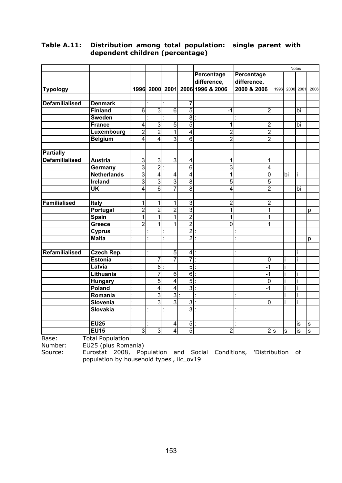|                       |                    |                |                 |                         |                 |                                 |                |      |    | Notes     |      |
|-----------------------|--------------------|----------------|-----------------|-------------------------|-----------------|---------------------------------|----------------|------|----|-----------|------|
|                       |                    |                |                 |                         |                 | Percentage                      | Percentage     |      |    |           |      |
|                       |                    |                |                 |                         |                 | difference,                     | difference,    |      |    |           |      |
| <b>Typology</b>       |                    |                |                 |                         |                 | 1996 2000 2001 2006 1996 & 2006 | 2000 & 2006    | 1996 |    | 2000 2001 | 2006 |
|                       |                    |                |                 |                         |                 |                                 |                |      |    |           |      |
| <b>Defamilialised</b> | <b>Denmark</b>     |                |                 |                         | 7               |                                 |                |      |    |           |      |
|                       | <b>Finland</b>     | $\overline{6}$ | 3               | $\overline{6}$          | $\overline{5}$  | $-1$                            | $\overline{c}$ |      |    | bi        |      |
|                       | <b>Sweden</b>      |                |                 |                         | $\overline{8}$  |                                 |                |      |    |           |      |
|                       | <b>France</b>      | 4              | $\overline{3}$  | 5                       | $\overline{5}$  | 1                               | $\overline{2}$ |      |    | bi        |      |
|                       | Luxembourg         | $\overline{2}$ | $\overline{2}$  | $\overline{1}$          | $\overline{4}$  | $\overline{2}$                  | $\overline{2}$ |      |    |           |      |
|                       | <b>Belgium</b>     | 4              | 4               | $\overline{3}$          | $\overline{6}$  | $\overline{2}$                  | $\overline{2}$ |      |    |           |      |
|                       |                    |                |                 |                         |                 |                                 |                |      |    |           |      |
| <b>Partially</b>      |                    |                |                 |                         |                 |                                 |                |      |    |           |      |
| <b>Defamilialised</b> | <b>Austria</b>     | 3              | $\mathsf 3$     | 3                       | 4               | 1                               | 1              |      |    |           |      |
|                       | Germany            | $\overline{3}$ | $\overline{2}$  |                         | $\overline{6}$  | 3                               | 4              |      |    |           |      |
|                       | <b>Netherlands</b> | $\overline{3}$ | $\overline{4}$  | $\overline{4}$          | 4               | 1                               | 0              |      | bi | j         |      |
|                       | <b>Ireland</b>     | $\overline{3}$ | $\overline{3}$  | 3                       | $\overline{8}$  | 5                               | 5              |      |    |           |      |
|                       | UK                 | 4              | $\overline{6}$  | 7                       | $\overline{8}$  | 4                               | $\overline{2}$ |      |    | bi        |      |
|                       |                    |                |                 |                         |                 |                                 |                |      |    |           |      |
| <b>Familialised</b>   | Italy              | 1              | 1               | 1                       | 3               | $\overline{2}$                  | $\overline{2}$ |      |    |           |      |
|                       | Portugal           | $\overline{2}$ | $\overline{2}$  | $\overline{2}$          | $\overline{3}$  | 1                               | 1              |      |    |           | p    |
|                       | Spain              | 1              | $\mathbf{1}$    | 1                       | $\overline{2}$  | 1                               | 1              |      |    |           |      |
|                       | Greece             | $\overline{2}$ | 1               | 1                       | $\overline{2}$  | 0                               | 1              |      |    |           |      |
|                       | <b>Cyprus</b>      |                |                 |                         | $\overline{2}$  |                                 |                |      |    |           |      |
|                       | <b>Malta</b>       |                |                 |                         | $\overline{2}$  |                                 |                |      |    |           | p    |
| Refamilialised        | Czech Rep.         |                |                 | $\overline{5}$          | $\vert 4 \vert$ |                                 |                |      |    |           |      |
|                       | <b>Estonia</b>     |                | 7               | $\overline{7}$          | 7               |                                 | 0              |      |    |           |      |
|                       | Latvia             |                | $6 \overline{}$ |                         | $\overline{5}$  |                                 | $-1$           |      |    |           |      |
|                       | Lithuania          |                | 7               | $\overline{6}$          | 6               |                                 | $-1$           |      |    |           |      |
|                       | Hungary            |                | $\overline{5}$  | $\overline{4}$          | $\overline{5}$  |                                 | 0              |      |    |           |      |
|                       | Poland             |                | $\overline{4}$  | $\overline{4}$          | $\overline{3}$  |                                 | $-1$           |      |    |           |      |
|                       | Romania            |                | $\overline{3}$  | $\overline{3}$          |                 |                                 |                |      |    |           |      |
|                       | Slovenia           |                | $\overline{3}$  | $\overline{3}$          | $\overline{3}$  |                                 | $\overline{0}$ |      |    |           |      |
|                       | <b>Slovakia</b>    |                |                 |                         | $\overline{3}$  |                                 |                |      |    |           |      |
|                       |                    |                |                 |                         |                 |                                 |                |      |    |           |      |
|                       | <b>EU25</b>        |                |                 | $\overline{\mathbf{4}}$ | 5 <sub>l</sub>  |                                 |                |      |    | is        | S    |
|                       | <b>EU15</b>        | 3              | $\overline{3}$  | $\overline{4}$          | $\overline{5}$  | $\overline{c}$                  | 2s             |      | ls | is        | ø    |

#### **Table A.11: Distribution among total population: single parent with dependent children (percentage)**

Base: Total Population<br>Number: EU25 (plus Roma

Number: EU25 (plus Romania)<br>Source: Eurostat 2008, Por

Eurostat 2008, Population and Social Conditions, 'Distribution of population by household types', ilc\_ov19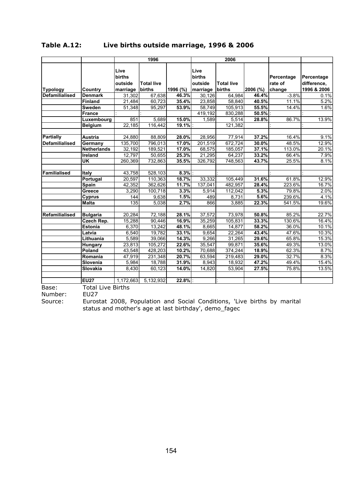| Table A.12: | Live births outside marriage, 1996 & 2006 |  |  |
|-------------|-------------------------------------------|--|--|
|-------------|-------------------------------------------|--|--|

|                       |                    |                                  | 1996              |          |                           | 2006              |          |                       |                           |
|-----------------------|--------------------|----------------------------------|-------------------|----------|---------------------------|-------------------|----------|-----------------------|---------------------------|
|                       |                    | Live<br><b>births</b><br>outside | <b>Total live</b> |          | Live<br>births<br>outside | <b>Total live</b> |          | Percentage<br>rate of | Percentage<br>difference, |
| <b>Typology</b>       | Country            | marriage                         | births            | 1996 (%) | marriage                  | births            | 2006 (%) | change                | 1996 & 2006               |
| <b>Defamilialised</b> | <b>Denmark</b>     | 31,302                           | 67,638            | 46.3%    | 30,126                    | 64,984            | 46.4%    | $-3.8%$               | 0.1%                      |
|                       | <b>Finland</b>     | 21,484                           | 60,723            | 35.4%    | 23,858                    | 58,840            | 40.5%    | 11.1%                 | 5.2%                      |
|                       | <b>Sweden</b>      | 51,348                           | 95,297            | 53.9%    | 58,749                    | 105,913           | 55.5%    | 14.4%                 | 1.6%                      |
|                       | <b>France</b>      |                                  |                   |          | 419,192                   | 830,288           | 50.5%    |                       |                           |
|                       | Luxembourg         | 851                              | 5,689             | 15.0%    | 1,589                     | 5,514             | 28.8%    | 86.7%                 | 13.9%                     |
|                       | <b>Belgium</b>     | 22,185                           | 116,442           | 19.1%    |                           | 121,382           |          |                       |                           |
|                       |                    |                                  |                   |          |                           |                   |          |                       |                           |
| <b>Partially</b>      | <b>Austria</b>     | 24,880                           | 88,809            | 28.0%    | 28,956                    | 77,914            | 37.2%    | 16.4%                 | 9.1%                      |
| <b>Defamilialised</b> | Germany            | 135,700                          | 796,013           | 17.0%    | 201,519                   | 672,724           | 30.0%    | 48.5%                 | 12.9%                     |
|                       | <b>Netherlands</b> | 32,192                           | 189,521           | 17.0%    | 68,575                    | 185,057           | 37.1%    | 113.0%                | 20.1%                     |
|                       | Ireland            | 12,797                           | 50,655            | 25.3%    | 21,295                    | 64,237            | 33.2%    | 66.4%                 | 7.9%                      |
|                       | UK                 | 260,369                          | 732,863           | 35.5%    | 326,792                   | 748,563           | 43.7%    | 25.5%                 | 8.1%                      |
|                       |                    |                                  |                   |          |                           |                   |          |                       |                           |
| Familialised          | <b>Italy</b>       | 43,758                           | 528,103           | 8.3%     |                           |                   |          |                       |                           |
|                       | Portugal           | 20,597                           | 110,363           | 18.7%    | 33,332                    | 105,449           | 31.6%    | 61.8%                 | 12.9%                     |
|                       | Spain              | 42,352                           | 362,626           | 11.7%    | 137,041                   | 482,957           | 28.4%    | 223.6%                | 16.7%                     |
|                       | Greece             | 3,290                            | 100,718           | 3.3%     | 5,914                     | 112,042           | 5.3%     | 79.8%                 | 2.0%                      |
|                       | <b>Cyprus</b>      | 144                              | 9,638             | 1.5%     | 489                       | 8,731             | 5.6%     | 239.6%                | 4.1%                      |
|                       | <b>Malta</b>       | 135                              | 5,038             | 2.7%     | 866                       | 3,885             | 22.3%    | 541.5%                | 19.6%                     |
|                       |                    |                                  |                   |          |                           |                   |          |                       |                           |
| Refamilialised        | <b>Bulgaria</b>    | 20,284                           | 72,188            | 28.1%    | 37,572                    | 73,978            | 50.8%    | 85.2%                 | 22.7%                     |
|                       | Czech Rep.         | 15,288                           | 90,446            | 16.9%    | 35,259                    | 105.831           | 33.3%    | 130.6%                | 16.4%                     |
|                       | <b>Estonia</b>     | 6,370                            | 13,242            | 48.1%    | 8,665                     | 14,877            | 58.2%    | 36.0%                 | 10.1%                     |
|                       | Latvia             | 6,540                            | 19,782            | 33.1%    | 9,654                     | 22,264            | 43.4%    | 47.6%                 | 10.3%                     |
|                       | Lithuania          | 5,589                            | 39,066            | 14.3%    | 9,266                     | 31,265            | 29.6%    | 65.8%                 | 15.3%                     |
|                       | <b>Hungary</b>     | 23,813                           | 105,272           | 22.6%    | 35,547                    | 99,871            | 35.6%    | 49.3%                 | 13.0%                     |
|                       | Poland             | 43,548                           | 428,203           | 10.2%    | 70,688                    | 374,244           | 18.9%    | 62.3%                 | 8.7%                      |
|                       | Romania            | 47,919                           | 231,348           | 20.7%    | 63,594                    | 219,483           | 29.0%    | 32.7%                 | 8.3%                      |
|                       | Slovenia           | 5,984                            | 18,788            | 31.9%    | 8,943                     | 18,932            | 47.2%    | 49.4%                 | 15.4%                     |
|                       | Slovakia           | 8,430                            | 60,123            | 14.0%    | 14,820                    | 53,904            | 27.5%    | 75.8%                 | 13.5%                     |
|                       |                    |                                  |                   |          |                           |                   |          |                       |                           |
|                       | <b>EU27</b>        | 1,172,663                        | 5,132,932         | 22.8%    |                           |                   |          |                       |                           |

Base: Total Live Births<br>Number: EU27

Number:

Source: Eurostat 2008, Population and Social Conditions, 'Live births by marital status and mother's age at last birthday', demo\_fagec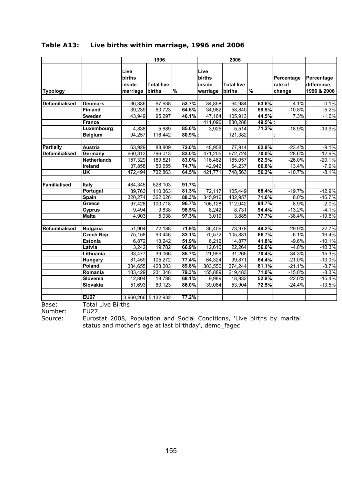|                       |                    |                                      | 1996                        |       |                                      | 2006                        |       |                                 |                                          |
|-----------------------|--------------------|--------------------------------------|-----------------------------|-------|--------------------------------------|-----------------------------|-------|---------------------------------|------------------------------------------|
| <b>Typology</b>       |                    | Live<br>births<br>inside<br>marriage | <b>Total live</b><br>births | $\%$  | Live<br>births<br>inside<br>warriage | <b>Total live</b><br>births | $\%$  | Percentage<br>rate of<br>change | Percentage<br>difference,<br>1996 & 2006 |
| <b>Defamilialised</b> | <b>Denmark</b>     | 36,336                               | 67,638                      | 53.7% | 34,858                               | 64,984                      | 53.6% | $-4.1%$                         | $-0.1%$                                  |
|                       | Finland            | 39,239                               | 60,723                      | 64.6% | 34,982                               | 58,840                      | 59.5% | $-10.8%$                        | $-5.2%$                                  |
|                       | <b>Sweden</b>      | 43,949                               | 95,297                      | 46.1% | 47,164                               | 105,913                     | 44.5% | 7.3%                            | $-1.6%$                                  |
|                       | <b>France</b>      |                                      |                             |       | 411,096                              | 830,288                     | 49.5% |                                 |                                          |
|                       | Luxembourg         | 4,838                                | 5,689                       | 85.0% | 3,925                                | 5,514                       | 71.2% | $-18.9%$                        | $-13.9%$                                 |
|                       | Belgium            | 94,257                               | 116,442                     | 80.9% |                                      | 121,382                     |       |                                 |                                          |
|                       |                    |                                      |                             |       |                                      |                             |       |                                 |                                          |
| <b>Partially</b>      | Austria            | 63,929                               | 88,809                      | 72.0% | 48,958                               | 77,914                      | 62.8% | $-23.4%$                        | $-9.1%$                                  |
| <b>Defamilialised</b> | Germany            | 660,313                              | 796,013                     | 83.0% | 471,205                              | 672,724                     | 70.0% | $-28.6%$                        | $-12.9%$                                 |
|                       | <b>Netherlands</b> | 157,329                              | 189,521                     | 83.0% | 116,482                              | 185,057                     | 62.9% | $-26.0%$                        | $-20.1%$                                 |
|                       | Ireland            | 37,858                               | 50,655                      | 74.7% | 42,942                               | 64,237                      | 66.8% | 13.4%                           | $-7.9%$                                  |
|                       | UK                 | 472,494                              | 732,863                     | 64.5% | 421,771                              | 748,563                     | 56.3% | $-10.7%$                        | $-8.1%$                                  |
|                       |                    |                                      |                             |       |                                      |                             |       |                                 |                                          |
| <b>Familialised</b>   | Italy              | 484,345                              | 528,103                     | 91.7% |                                      |                             |       |                                 |                                          |
|                       | Portugal           | 89,763                               | 110,363                     | 81.3% | 72,117                               | 105,449                     | 68.4% | $-19.7%$                        | $-12.9%$                                 |
|                       | Spain              | 320,274                              | 362,626                     | 88.3% | 345,916                              | 482,957                     | 71.6% | 8.0%                            | $-16.7%$                                 |
|                       | Greece             | 97,428                               | 100,718                     | 96.7% | 106,128                              | 112,042                     | 94.7% | 8.9%                            | $-2.0%$                                  |
|                       | <b>Cyprus</b>      | 9,494                                | 9,638                       | 98.5% | 8,242                                | 8,731                       | 94.4% | $-13.2%$                        | $-4.1%$                                  |
|                       | <b>Malta</b>       | 4,903                                | 5,038                       | 97.3% | 3,019                                | 3,885                       | 77.7% | $-38.4%$                        | $-19.6%$                                 |
|                       |                    |                                      |                             |       |                                      |                             |       |                                 |                                          |
| Refamilialised        | <b>Bulgaria</b>    | 51,904                               | 72,188                      | 71.9% | 36,406                               | 73,978                      | 49.2% | $-29.9%$                        | $-22.7%$                                 |
|                       | <b>Czech Rep.</b>  | 75,158                               | 90,446                      | 83.1% | 70,572                               | 105,831                     | 66.7% | $-6.1%$                         | $-16.4%$                                 |
|                       | Estonia            | 6,872                                | 13,242                      | 51.9% | 6,212                                | 14,877                      | 41.8% | $-9.6%$                         | $-10.1%$                                 |
|                       | Latvia             | 13,242                               | 19,782                      | 66.9% | 12,610                               | 22,264                      | 56.6% | $-4.8%$                         | $-10.3%$                                 |
|                       | Lithuania          | 33,477                               | 39,066                      | 85.7% | 21,999                               | 31,265                      | 70.4% | $-34.3%$                        | $-15.3%$                                 |
|                       | <b>Hungary</b>     | 81,459                               | 105,272                     | 77.4% | 64,324                               | 99,871                      | 64.4% | $-21.0%$                        | $-13.0%$                                 |
|                       | Poland             | 384,655                              | 428,203                     | 89.8% | 303,556                              | 374,244                     | 81.1% | $-21.1%$                        | $-8.7%$                                  |
|                       | Romania            | 183,429                              | 231,348                     | 79.3% | 155,889                              | 219,483                     | 71.0% | $-15.0%$                        | $-8.3%$                                  |
|                       | Slovenia           | 12,804                               | 18,788                      | 68.1% | 9,989                                | 18,932                      | 52.8% | $-22.0%$                        | $-15.4%$                                 |
|                       | Slovakia           | 51,693                               | 60,123                      | 86.0% | 39,084                               | 53,904                      | 72.5% | $-24.4%$                        | $-13.5%$                                 |
|                       |                    |                                      |                             |       |                                      |                             |       |                                 |                                          |
|                       | <b>EU27</b>        |                                      | 3,960,266 5,132,932         | 77.2% |                                      |                             |       |                                 |                                          |

## **Table A13: Live births within marriage, 1996 and 2006**

Base: Total Live Births<br>Number: EU27

Number:<br>Source:

Source: Eurostat 2008, Population and Social Conditions, 'Live births by marital status and mother's age at last birthday', demo\_fagec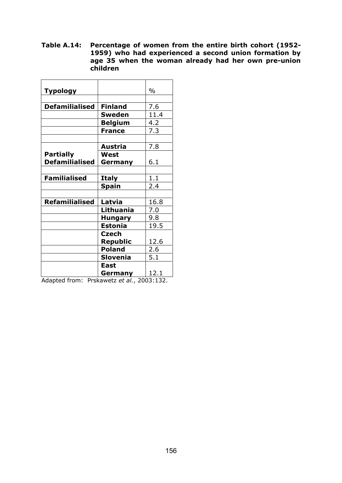**Table A.14: Percentage of women from the entire birth cohort (1952- 1959) who had experienced a second union formation by age 35 when the woman already had her own pre-union children** 

| <b>Typology</b>       |                 | $\%$ |
|-----------------------|-----------------|------|
|                       |                 |      |
| <b>Defamilialised</b> | <b>Finland</b>  | 7.6  |
|                       | <b>Sweden</b>   | 11.4 |
|                       | <b>Belgium</b>  | 4.2  |
|                       | <b>France</b>   | 7.3  |
|                       |                 |      |
|                       | Austria         | 7.8  |
| <b>Partially</b>      | West            |      |
| <b>Defamilialised</b> | Germany         | 6.1  |
|                       |                 |      |
| <b>Familialised</b>   | <b>Italy</b>    | 1.1  |
|                       | <b>Spain</b>    | 2.4  |
|                       |                 |      |
| <b>Refamilialised</b> | Latvia          | 16.8 |
|                       | Lithuania       | 7.0  |
|                       | <b>Hungary</b>  | 9.8  |
|                       | <b>Estonia</b>  | 19.5 |
|                       | <b>Czech</b>    |      |
|                       | <b>Republic</b> | 12.6 |
|                       | <b>Poland</b>   | 2.6  |
|                       | <b>Slovenia</b> | 5.1  |
|                       | East            |      |
|                       | Germany         | 12.1 |

Adapted from: Prskawetz *et al.*, 2003:132.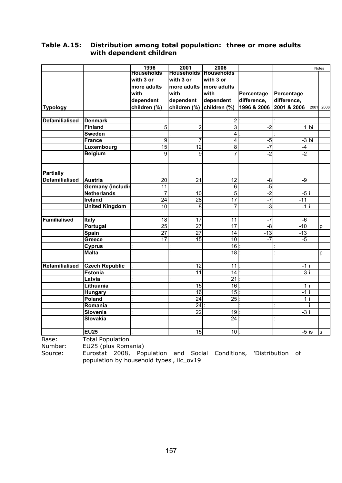#### **Table A.15: Distribution among total population: three or more adults with dependent children**

|                       |                          | 1996              | 2001                         | 2006            |                  |                |         | <b>Notes</b> |
|-----------------------|--------------------------|-------------------|------------------------------|-----------------|------------------|----------------|---------|--------------|
|                       |                          | <b>Households</b> | <b>Households Households</b> |                 |                  |                |         |              |
|                       |                          | with 3 or         | with 3 or                    | with 3 or       |                  |                |         |              |
|                       |                          | more adults       | more adults                  | more adults     |                  |                |         |              |
|                       |                          | with              | with                         | with            | Percentage       | Percentage     |         |              |
|                       |                          | dependent         | dependent                    | dependent       | difference,      | difference,    |         |              |
| <b>Typology</b>       |                          | children (%)      | children (%)                 | children (%)    | 1996 & 2006      | 2001 & 2006    | 2001    | 2006         |
|                       |                          |                   |                              |                 |                  |                |         |              |
| <b>Defamilialised</b> | <b>Denmark</b>           |                   |                              | $\overline{2}$  |                  |                |         |              |
|                       | <b>Finland</b>           | 5                 | $\overline{2}$               | 3               | $-2$             |                | 1 bi    |              |
|                       | <b>Sweden</b>            |                   |                              | $\overline{4}$  |                  |                |         |              |
|                       | <b>France</b>            | $\overline{9}$    | $\overline{7}$               | $\overline{4}$  | لم.<br>ا         |                | $-3$ bi |              |
|                       | Luxembourg               | 15                | 12                           | 8               | $-7$             | $-4$           |         |              |
|                       | <b>Belgium</b>           | $\overline{9}$    | $\overline{9}$               | 7               | $-2$             | $-2$           |         |              |
|                       |                          |                   |                              |                 |                  |                |         |              |
| <b>Partially</b>      |                          |                   |                              |                 |                  |                |         |              |
| <b>Defamilialised</b> | Austria                  | 20                | 21                           | 12              | -8               | $-9$           |         |              |
|                       | <b>Germany (includir</b> | $\overline{11}$   |                              | 6               | $-5$             |                |         |              |
|                       | <b>Netherlands</b>       | 7                 | 10                           | $\overline{5}$  | $-2$             | -5             |         |              |
|                       | <b>Ireland</b>           | $\overline{24}$   | 28                           | 17              | $-7$             | $-11$          |         |              |
|                       | <b>United Kingdom</b>    | 10                | $\overline{8}$               | 7               | $-3$             | $-1$           |         |              |
|                       |                          |                   |                              |                 |                  |                |         |              |
| <b>Familialised</b>   | <b>Italy</b>             | 18                | $\overline{17}$              | $\overline{11}$ | $-7$             | $-6$           |         |              |
|                       | Portugal                 | $\overline{25}$   | $\overline{27}$              | $\overline{17}$ | $-8$             | $-10$          |         | D            |
|                       | Spain                    | $\overline{27}$   | $\overline{27}$              | 14              | $\overline{-13}$ | $-13$          |         |              |
|                       | Greece                   | 17                | 15                           | 10              | $-7$             | $-5$           |         |              |
|                       | <b>Cyprus</b>            |                   |                              | 16              |                  |                |         |              |
|                       | <b>Malta</b>             |                   |                              | 18              |                  |                |         | p            |
|                       |                          |                   |                              |                 |                  |                |         |              |
| Refamilialised        | <b>Czech Republic</b>    |                   | $\overline{12}$              | 11              |                  | $-1$           |         |              |
|                       | <b>Estonia</b>           |                   | 11                           | $\overline{14}$ |                  | 3              |         |              |
|                       | Latvia                   |                   |                              | $\overline{21}$ |                  |                |         |              |
|                       | Lithuania                |                   | 15                           | 16              |                  | $\overline{1}$ |         |              |
|                       | <b>Hungary</b>           |                   | 16                           | 15              |                  | $-1$           |         |              |
|                       | Poland                   |                   | $\overline{24}$              | 25              |                  | $\mathbf{1}$   |         |              |
|                       | Romania                  |                   | $\overline{24}$              |                 |                  |                |         |              |
|                       | Slovenia                 |                   | $\overline{22}$              | 19              |                  | د.<br>ا        |         |              |
|                       | <b>Slovakia</b>          |                   |                              | 24              |                  |                |         |              |
|                       |                          |                   |                              |                 |                  |                |         |              |
|                       | <b>EU25</b>              |                   | $\overline{15}$              | 10              |                  | $-5$ is        |         | s            |

Base: Total Population

Number: EU25 (plus Romania)

Source: Eurostat 2008, Population and Social Conditions, 'Distribution of population by household types', ilc\_ov19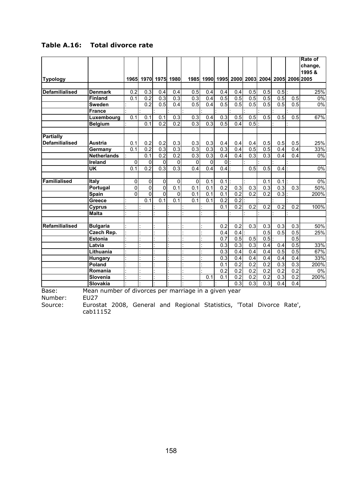| <b>Denmark</b><br><b>Finland</b><br><b>Sweden</b><br><b>France</b><br>Luxembourg | 0.2<br>0.1                                                                                                                                 | 0.3              |                  | 1965 1970 1975 1980 |                  | 1985 1990 1995 2000 2003 2004 2005 2006 2005 |                  |                  |                  |                  |                  |                  | change,<br>1995&                              |
|----------------------------------------------------------------------------------|--------------------------------------------------------------------------------------------------------------------------------------------|------------------|------------------|---------------------|------------------|----------------------------------------------|------------------|------------------|------------------|------------------|------------------|------------------|-----------------------------------------------|
|                                                                                  |                                                                                                                                            |                  |                  |                     |                  |                                              |                  |                  |                  |                  |                  |                  |                                               |
|                                                                                  |                                                                                                                                            |                  |                  |                     |                  |                                              |                  |                  |                  |                  |                  |                  |                                               |
|                                                                                  |                                                                                                                                            |                  |                  |                     |                  |                                              |                  |                  |                  |                  |                  |                  |                                               |
|                                                                                  |                                                                                                                                            |                  |                  |                     |                  |                                              |                  |                  |                  |                  |                  |                  |                                               |
|                                                                                  |                                                                                                                                            |                  | 0.4              | 0.4                 | 0.5              | 0.4                                          | 0.4              | 0.4              | 0.5              | 0.5              | 0.5              |                  | 25%                                           |
|                                                                                  |                                                                                                                                            | 0.2              | 0.3              | 0.3                 | $\overline{0.3}$ | 0.4                                          | 0.5              | 0.5              | 0.5              | 0.5              | 0.5              | 0.5              | 0%                                            |
|                                                                                  |                                                                                                                                            | 0.2              | 0.5              | 0.4                 | 0.5              | 0.4                                          | 0.5              | 0.5              | 0.5              | 0.5              | 0.5              | 0.5              | 0%                                            |
|                                                                                  |                                                                                                                                            |                  |                  |                     |                  |                                              |                  |                  |                  |                  |                  |                  |                                               |
|                                                                                  | 0.1                                                                                                                                        | $0.\overline{1}$ | 0.1              | 0.3                 | 0.3              | 0.4                                          | 0.3              | 0.5              | 0.5              | 0.5              | 0.5              | 0.5              | 67%                                           |
| <b>Belgium</b>                                                                   |                                                                                                                                            | 0.1              | 0.2              | 0.2                 | $\overline{0.3}$ | 0.3                                          | 0.5              | 0.4              | 0.5              |                  |                  |                  |                                               |
|                                                                                  |                                                                                                                                            |                  |                  |                     |                  |                                              |                  |                  |                  |                  |                  |                  |                                               |
|                                                                                  |                                                                                                                                            |                  |                  |                     |                  |                                              |                  |                  |                  |                  |                  |                  |                                               |
| Austria                                                                          | 0.1                                                                                                                                        | 0.2              | 0.2              | 0.3                 | 0.3              | 0.3                                          | 0.4              | 0.4              | 0.4              | 0.5              | 0.5              | 0.5              | 25%                                           |
| Germany                                                                          | 0.1                                                                                                                                        | $\overline{0.2}$ | $\overline{0.3}$ | 0.3                 | 0.3              | 0.3                                          | $\overline{0.3}$ | 0.4              | 0.5              | 0.5              | 0.4              | 0.4              | 33%                                           |
| <b>Netherlands</b>                                                               |                                                                                                                                            | 0.1              | 0.2              | 0.2                 | 0.3              | $\overline{0.3}$                             | 0.4              | 0.4              | 0.3              | 0.3              | 0.4              | 0.4              | $0\%$                                         |
| <b>Ireland</b>                                                                   | $\mathbf 0$                                                                                                                                | $\overline{0}$   | 0                | $\mathbf{0}$        | 0                | $\mathbf{0}$                                 | 0                |                  |                  |                  |                  |                  |                                               |
|                                                                                  | 0.1                                                                                                                                        | $\overline{0.2}$ | $\overline{0.3}$ | $\overline{0.3}$    | 0.4              | 0.4                                          | 0.4              |                  | 0.5              | 0.5              | 0.4              |                  | 0%                                            |
|                                                                                  |                                                                                                                                            |                  |                  |                     |                  |                                              |                  |                  |                  |                  |                  |                  |                                               |
|                                                                                  | 0                                                                                                                                          | $\overline{0}$   | 0                | $\pmb{0}$           | $\overline{0}$   | 0.1                                          | 0.1              |                  |                  | 0.1              | 0.1              |                  | $0\%$                                         |
|                                                                                  | 0                                                                                                                                          | $\overline{0}$   | $\overline{0}$   | 0.1                 | 0.1              | 0.1                                          | 0.2              | 0.3              | $\overline{0.3}$ | 0.3              | 0.3              | 0.3              | 50%                                           |
|                                                                                  | $\mathbf{0}$                                                                                                                               | $\overline{0}$   | $\overline{0}$   | 0                   | 0.1              | 0.1                                          | $\overline{0.1}$ | $\overline{0.2}$ | $\overline{0.2}$ | $\overline{0.2}$ | $\overline{0.3}$ |                  | 200%                                          |
|                                                                                  |                                                                                                                                            | 0.1              | $\overline{0.1}$ | 0.1                 | 0.1              | 0.1                                          | $\overline{0.2}$ | 0.2              |                  |                  |                  |                  |                                               |
|                                                                                  |                                                                                                                                            |                  |                  |                     |                  |                                              | 0.1              | 0.2              | $\overline{0.2}$ | $\overline{0.2}$ | 0.2              | 0.2              | 100%                                          |
|                                                                                  |                                                                                                                                            |                  |                  |                     |                  |                                              |                  |                  |                  |                  |                  |                  |                                               |
|                                                                                  |                                                                                                                                            |                  |                  |                     |                  |                                              |                  |                  |                  |                  |                  |                  |                                               |
|                                                                                  |                                                                                                                                            |                  |                  |                     |                  |                                              | 0.2              | 0.2              | 0.3              | 0.3              | 0.3              | 0.3              | 50%                                           |
|                                                                                  |                                                                                                                                            |                  |                  |                     |                  |                                              | 0.4              |                  |                  | 0.5              | 0.5              | 0.5              | 25%                                           |
|                                                                                  |                                                                                                                                            |                  |                  |                     |                  |                                              | 0.7              | $\overline{0.5}$ | 0.5              | 0.5              |                  | 0.5              |                                               |
|                                                                                  |                                                                                                                                            |                  |                  |                     |                  |                                              | 0.3              | 0.3              | 0.3              | 0.4              | 0.4              | 0.5              | 33%                                           |
|                                                                                  |                                                                                                                                            |                  |                  |                     |                  |                                              | 0.3              | 0.4              | 0.4              | 0.4              | 0.5              | 0.5              | 67%                                           |
|                                                                                  |                                                                                                                                            |                  |                  |                     |                  |                                              | 0.3              | 0.4              | 0.4              | 0.4              | 0.4              | 0.4              | 33%                                           |
|                                                                                  |                                                                                                                                            |                  |                  |                     |                  |                                              | 0.1              | $\overline{0.2}$ | $\overline{0.2}$ | $\overline{0.2}$ | $\overline{0.3}$ | $\overline{0.3}$ | 200%                                          |
|                                                                                  |                                                                                                                                            |                  |                  |                     |                  |                                              | 0.2              | 0.2              | 0.2              | 0.2              | $\overline{0.2}$ | 0.2              | 0%                                            |
|                                                                                  |                                                                                                                                            |                  |                  |                     |                  |                                              |                  |                  |                  |                  |                  |                  | 200%                                          |
| Slovenia                                                                         |                                                                                                                                            |                  |                  |                     |                  |                                              |                  |                  |                  |                  |                  |                  |                                               |
|                                                                                  | Portugal<br>Greece<br><b>Cyprus</b><br><b>Bulgaria</b><br>Czech Rep.<br><b>Estonia</b><br>Lithuania<br><b>Hungary</b><br>Poland<br>Romania |                  |                  |                     |                  |                                              |                  |                  |                  | 0.4              |                  |                  | 0.1<br>0.1<br>0.2<br>0.2<br>0.2<br>0.3<br>0.2 |

# **Table A.16: Total divorce rate**

Number: EU27

Source: Eurostat 2008, General and Regional Statistics, 'Total Divorce Rate', cab11152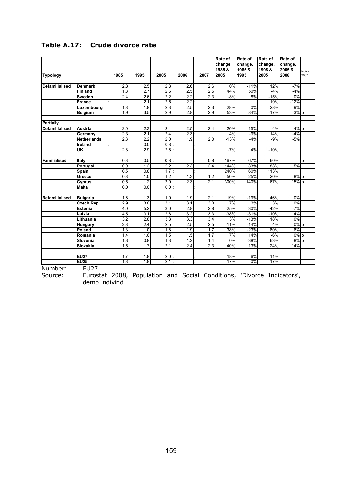| <b>Typology</b>       |                    |                  |                  |                  |                  |                  |         |         |         |                    |              |
|-----------------------|--------------------|------------------|------------------|------------------|------------------|------------------|---------|---------|---------|--------------------|--------------|
|                       |                    |                  |                  |                  |                  |                  | change, | change, | change, | change,            |              |
|                       |                    |                  |                  |                  |                  |                  | 1985&   | 1985&   | 1995 &  | 2005 &             | <b>Notes</b> |
|                       |                    | 1985             | 1995             | 2005             | 2006             | 2007             | 2005    | 1995    | 2005    | 2006               | 2007         |
|                       |                    |                  |                  |                  |                  |                  |         |         |         |                    |              |
| Defamilialised        | <b>Denmark</b>     | 2.8              | 2.5              | 2.8              | 2.6              | 2.6              | 0%      | $-11%$  | 12%     | $-7%$              |              |
|                       | <b>Finland</b>     | 1.8              | $\overline{2.7}$ | $\overline{2.6}$ | 2.5              | 2.5              | 44%     | 50%     | $-4%$   | $-4%$              |              |
|                       | Sweden             | $\overline{2.4}$ | 2.6              | $\overline{2.2}$ | $\overline{2.2}$ | 2.3              | $-8%$   | 8%      | $-15%$  | 0%                 |              |
|                       | <b>France</b>      |                  | 2.1              | 2.5              | $\overline{2.2}$ |                  |         |         | 19%     | $-12%$             |              |
|                       | Luxembourg         | 1.8              | 1.8              | 2.3              | 2.5              | 2.3              | 28%     | 0%      | 28%     | 9%                 |              |
|                       | <b>Belgium</b>     | 1.9              | 3.5              | 2.9              | 2.8              | 2.9              | 53%     | 84%     | $-17%$  | $-3%p$             |              |
|                       |                    |                  |                  |                  |                  |                  |         |         |         |                    |              |
| Partially             |                    |                  |                  |                  |                  |                  |         |         |         |                    |              |
| <b>Defamilialised</b> | Austria            | 2.0              | 2.3              | 2.4              | 2.5              | 2.4              | 20%     | 15%     | 4%      | 4% p               |              |
|                       | Germany            | 2.3              | 2.1              | 2.4              | 2.3              |                  | 4%      | $-9%$   | 14%     | $-4%$              |              |
|                       | <b>Netherlands</b> | 2.3              | $\overline{2.2}$ | $\overline{2.0}$ | 1.9              | 2.0              | $-13%$  | $-4%$   | $-9%$   | $-5%$              |              |
|                       | Ireland            |                  | 0.0              | 0.8              |                  |                  |         |         |         |                    |              |
|                       | UK                 | 2.8              | 2.9              | 2.6              |                  |                  | $-7%$   | 4%      | $-10%$  |                    |              |
|                       |                    |                  |                  |                  |                  |                  |         |         |         |                    |              |
| <b>Familialised</b>   | Italy              | 0.3              | 0.5              | 0.8:             |                  | 0.8              | 167%    | 67%     | 60%     |                    | p            |
|                       | Portugal           | 0.9              | 1.2              | 2.2              | 2.3              | 2.4              | 144%    | 33%     | 83%     | 5%                 |              |
|                       | Spain              | 0.5              | 0.8              | 1.7              |                  |                  | 240%    | 60%     | 113%    |                    |              |
|                       | Greece             | 0.8              | 1.0              | $\overline{1.2}$ | 1.3              | 1.2              | 50%     | 25%     | 20%     | 8%p                |              |
|                       | Cyprus             | 0.5              | 1.2              | 2.0              | 2.3              | 2.1              | 300%    | 140%    | 67%     | 15% p              |              |
|                       | <b>Malta</b>       | 0.0              | 0.0              | 0.0              |                  |                  |         |         |         |                    |              |
|                       |                    |                  |                  |                  |                  |                  |         |         |         |                    |              |
| <b>Refamilialised</b> | <b>Bulgaria</b>    | 1.6              | 1.3              | 1.9              | 1.9              | 2.1              | 19%     | $-19%$  | 46%     | 0%                 |              |
|                       | Czech Rep.         | 2.9              | $\overline{3.0}$ | $\overline{3.1}$ | $\overline{3.1}$ | $\overline{3.0}$ | 7%      | 3%      | 3%      | $0\%$              |              |
|                       | <b>Estonia</b>     | 4.0              | 5.2              | 3.0              | $\overline{2.8}$ | 2.8              | $-25%$  | 30%     | $-42%$  | $-7%$              |              |
|                       | Latvia             | 4.5              | 3.1              | 2.8              | 3.2              | 3.3              | $-38%$  | $-31%$  | $-10%$  | 14%                |              |
|                       | Lithuania          | 3.2              | 2.8              | 3.3              | 3.3              | 3.4              | 3%      | $-13%$  | 18%     | 0%                 |              |
|                       | Hungary            | $\overline{2.8}$ | $\overline{2.4}$ | 2.5              | 2.5              | 2.5              | $-11%$  | $-14%$  | 4%      | $0\%$ p            |              |
|                       | Poland             | 1.3              | 1.0              | $\overline{1.8}$ | 1.9              | 1.7              | 38%     | $-23%$  | 80%     | 6%                 |              |
|                       | Romania            | 1.4              | 1.6              | 1.5              | 1.5              | 1.7              | 7%      | 14%     | $-6%$   | $0\%$ <sub>p</sub> |              |
|                       | Slovenia           | 1.3              | 0.8              | 1.3              | 1.2              | 1.4              | 0%      | $-38%$  | 63%     | $-8%$ p            |              |
|                       | Slovakia           | 1.5              | $\overline{1.7}$ | 2.1              | $\overline{2.4}$ | 2.3              | 40%     | 13%     | 24%     | 14%                |              |
|                       |                    |                  |                  |                  |                  |                  |         |         |         |                    |              |
|                       | <b>EU27</b>        | 1.7              | 1.8              | 2.0:             |                  |                  | 18%     | 6%      | 11%     |                    |              |
|                       | EU25<br>F1127      | 1.8              | $\overline{1.8}$ | 2.1              |                  |                  | 17%     | 0%      | 17%     |                    |              |

# **Table A.17: Crude divorce rate**

Number: EU27

Source: Eurostat 2008, Population and Social Conditions, 'Divorce Indicators', demo\_ndivind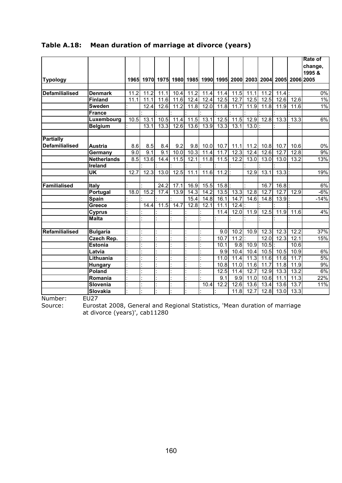|                       |                    |      |                   |      |                   |      |      |          |                                                                  |                   |                   |                   |      | <b>Rate of</b> |
|-----------------------|--------------------|------|-------------------|------|-------------------|------|------|----------|------------------------------------------------------------------|-------------------|-------------------|-------------------|------|----------------|
|                       |                    |      |                   |      |                   |      |      |          |                                                                  |                   |                   |                   |      | change,        |
|                       |                    |      |                   |      |                   |      |      |          |                                                                  |                   |                   |                   |      | 1995 &         |
| <b>Typology</b>       |                    |      |                   |      |                   |      |      |          | 1965 1970 1975 1980 1985 1990 1995 2000 2003 2004 2005 2006 2005 |                   |                   |                   |      |                |
|                       |                    |      |                   |      |                   |      |      |          |                                                                  |                   |                   |                   |      |                |
| <b>Defamilialised</b> | <b>Denmark</b>     | 11.2 | 11.2              | 11.1 | 10.4              | 11.2 | 11.4 | 11.4     | 11.5                                                             | 11.1              | 11.2              | $11.4$ :          |      | $0\%$          |
|                       | <b>Finland</b>     | 11.1 | 11.1              | 11.6 | 11.6              | 12.4 | 12.4 | 12.5     | 12.7                                                             | 12.5              | 12.5              | 12.6              | 12.6 | 1%             |
|                       | <b>Sweden</b>      |      | 12.4              | 12.6 | 11.2              | 11.8 | 12.0 | 11.8     | 11.7                                                             | 11.9              | 11.8              | 11.9              | 11.6 | 1%             |
|                       | <b>France</b>      |      |                   |      |                   |      |      |          |                                                                  |                   |                   |                   |      |                |
|                       | Luxembourg         | 10.5 | 13.1              | 10.5 | $\overline{1}1.4$ | 11.5 | 13.1 | 12.5     | 11.5                                                             | 12.9              | 12.8              | 13.3              | 13.3 | 6%             |
|                       | <b>Belgium</b>     |      | 13.1              | 13.3 | 12.6              | 13.6 | 13.9 | 13.3     | 13.1                                                             | 13.0              |                   |                   |      |                |
|                       |                    |      |                   |      |                   |      |      |          |                                                                  |                   |                   |                   |      |                |
| <b>Partially</b>      |                    |      |                   |      |                   |      |      |          |                                                                  |                   |                   |                   |      |                |
| <b>Defamilialised</b> | <b>Austria</b>     | 8.6  | 8.5               | 8.4  | 9.2               | 9.8  | 10.0 | 10.7     | 11.1                                                             | 11.2              | 10.8              | 10.7              | 10.6 | 0%             |
|                       | Germany            | 9.0  | $\overline{9}$ .1 | 9.1  | 10.0              | 10.3 | 11.4 | 11.7     | 12.3                                                             | 12.4              | 12.6              | 12.7              | 12.8 | 9%             |
|                       | <b>Netherlands</b> | 8.5  | 13.6              | 14.4 | 11.5              | 12.1 | 11.8 | 11.5     | 12.2                                                             | 13.0              | 13.0              | 13.0              | 13.2 | 13%            |
|                       | Ireland            |      |                   |      |                   |      |      |          |                                                                  |                   |                   |                   |      |                |
|                       | UK                 | 12.7 | 12.3              | 13.0 | 12.5              | 11.1 | 11.6 | $11.2$ : |                                                                  | 12.9              | 13.1              | $13.3$ :          |      | 19%            |
|                       |                    |      |                   |      |                   |      |      |          |                                                                  |                   |                   |                   |      |                |
| <b>Familialised</b>   | Italy              |      |                   | 24.2 | 17.1              | 16.9 | 15.5 | 15.8:    |                                                                  |                   | 16.7              | 16.8              |      | 6%             |
|                       | Portugal           | 18.0 | 15.2              | 17.4 | 13.9              | 14.3 | 14.2 | 13.5     | 13.3                                                             | 12.8              | 12.7              | 12.7              | 12.9 | $-6%$          |
|                       | <b>Spain</b>       |      |                   |      |                   | 15.4 | 14.8 | 16.1     | 14.7                                                             | 14.6              | 14.8              | 13.9:             |      | $-14%$         |
|                       | Greece             |      | 14.4              | 11.5 | 14.7              | 12.8 | 12.1 | 11.1     | 12.4                                                             |                   |                   |                   |      |                |
|                       | <b>Cyprus</b>      |      |                   |      |                   |      |      | 11.4     | 12.0                                                             | 11.9              | 12.5              | 11.9              | 11.6 | 4%             |
|                       | <b>Malta</b>       |      |                   |      |                   |      |      |          |                                                                  |                   |                   |                   |      |                |
|                       |                    |      |                   |      |                   |      |      |          |                                                                  |                   |                   |                   |      |                |
| <b>Refamilialised</b> | <b>Bulgaria</b>    |      |                   |      |                   |      |      | 9.0      | 10.2                                                             | 10.9              | 12.3              | 12.3              | 12.2 | 37%            |
|                       | Czech Rep.         |      |                   |      |                   |      |      | 10.7     | 11.2                                                             |                   | 12.0              | 12.3              | 12.1 | 15%            |
|                       | <b>Estonia</b>     |      |                   |      |                   |      |      | 10.1     | 9.8                                                              | 10.9              | 10.5              |                   | 10.6 |                |
|                       | Latvia             |      |                   |      |                   |      |      | 9.9      | 10.4                                                             | 10.4              | 10.5              | 10.5              | 10.9 | 6%             |
|                       | Lithuania          |      |                   |      |                   |      |      | 11.0     | 11.4                                                             | $\overline{11}.3$ | $\overline{11.6}$ | $\overline{11.6}$ | 11.7 | 5%             |
|                       | <b>Hungary</b>     |      |                   |      |                   |      |      | 10.8     | 11.0                                                             | 11.6              | 11.7              | 11.8              | 11.9 | 9%             |
|                       | Poland             |      |                   |      |                   |      |      | 12.5     | 11.4                                                             | 12.7              | 12.9              | 13.3              | 13.2 | 6%             |
|                       | Romania            |      |                   |      |                   |      |      | 9.1      | 9.9                                                              | 11.0              | 10.6              | 11.1              | 11.3 | 22%            |
|                       | Slovenia           |      |                   |      |                   |      | 10.4 | 12.2     | 12.6                                                             | 13.6              | 13.4              | 13.6              | 13.7 | 11%            |
|                       | <b>Slovakia</b>    |      |                   |      |                   |      |      |          | 11.8                                                             | 12.7              | 12.8              | 13.0              | 13.3 |                |

## **Table A.18: Mean duration of marriage at divorce (years)**

Number: EU27<br>Source: Eurost

Source: Eurostat 2008, General and Regional Statistics, 'Mean duration of marriage at divorce (years)', cab11280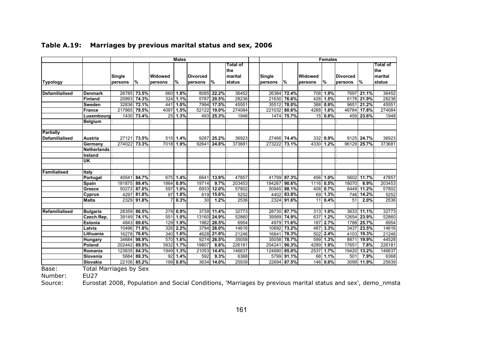|                       |                 | <b>Males</b>      |            |                           |           |                            |       | <b>Females</b>                       |  |                   |             |                    |           |                            |             |                                       |
|-----------------------|-----------------|-------------------|------------|---------------------------|-----------|----------------------------|-------|--------------------------------------|--|-------------------|-------------|--------------------|-----------|----------------------------|-------------|---------------------------------------|
| <b>Typology</b>       |                 | Single<br>persons | %          | <b>Widowed</b><br>persons | %         | <b>Divorced</b><br>persons | $\%$  | Total of<br>the<br>marital<br>status |  | Single<br>persons | %           | Widowed<br>persons | <b>%</b>  | <b>Divorced</b><br>persons | ℅           | Total of<br>Ithe<br>marital<br>status |
|                       |                 |                   |            |                           |           |                            |       |                                      |  |                   |             |                    |           |                            |             |                                       |
| <b>Defamilialised</b> | <b>IDenmark</b> | 26785             | 73.5%      | 660                       | 1.8%      | 8085                       | 22.2% | 36452                                |  | 26384             | 72.4%       | 708                | 1.9%      | 7697                       | 21.1%       | 36452                                 |
|                       | Finland         | 20993             | 74.3%      | 324                       | 1.1%      | 5787                       | 20.5% | 28236                                |  | 21630             | 76.6%       | 428                | 1.5%      |                            | 6178 21.9%  | 28236                                 |
|                       | <b>Sweden</b>   | 32836             | 72.1%      | 441                       | 1.0%      | 7994                       | 17.5% | 45551                                |  | 35512             | 78.0%       | 388                | 0.9%      | 9651                       | 21.2%       | 45551                                 |
|                       | France          | 217865            | 79.5%      | 4097                      | 1.5%      | 52122                      | 19.0% | 274084                               |  | 221032            | 80.6%       | 4268               | 1.6%      |                            | 48784 17.8% | 274084                                |
|                       | Luxembourg      | 1430              | 73.4%      | 25                        | 1.3%      | 493                        | 25.3% | 1948                                 |  | 1474              | 75.7%       | 15                 | 0.8%      | 459                        | 23.6%       | 1948                                  |
|                       | <b>Belgium</b>  |                   |            |                           |           |                            |       |                                      |  |                   |             |                    |           |                            |             |                                       |
| Partially             |                 |                   |            |                           |           |                            |       |                                      |  |                   |             |                    |           |                            |             |                                       |
| <b>Defamilialised</b> | Austria         | 27121             | 73.5%      |                           | 515 1.4%  | 9287                       | 25.2% | 36923                                |  |                   | 27466 74.4% | 332                | 0.9%      |                            | 9125 24.7%  | 36923                                 |
|                       | Germany         | 274022            | 73.3%      |                           | 7018 1.9% | 92641                      | 24.8% | 373681                               |  | 273222            | 73.1%       |                    | 4330 1.2% | 96129                      | 25.7%       | 373681                                |
|                       | Netherlands     |                   |            |                           |           |                            |       |                                      |  |                   |             |                    |           |                            |             |                                       |
|                       | Ireland         |                   |            |                           |           |                            |       |                                      |  |                   |             |                    |           |                            |             |                                       |
|                       | <b>UK</b>       |                   |            |                           |           |                            |       |                                      |  |                   |             |                    |           |                            |             |                                       |
|                       |                 |                   |            |                           |           |                            |       |                                      |  |                   |             |                    |           |                            |             |                                       |
| Familialised          | Italy           |                   |            |                           |           |                            |       |                                      |  |                   |             |                    |           |                            |             |                                       |
|                       | Portugal        | 40541             | 84.7%      | 675                       | 1.4%      | 6641                       | 13.9% | 47857                                |  |                   | 41799 87.3% | 456                | 1.0%      | 5602                       | 11.7%       | 47857                                 |
|                       | <b>Spain</b>    | 181875            | 89.4%      | 1864                      | 0.9%      | 19714                      | 9.7%  | 203453                               |  | 184267            | 90.6%       | 1116               | 0.5%      | 18070                      | 8.9%        | 203453                                |
|                       | Greece          | 50272             | 87.0%      | 597                       | 1.0%      | 6933                       | 12.0% | 57802                                |  | 50945             | 88.1%       | 408                | 0.7%      | 6449                       | 11.2%       | 57802                                 |
|                       | <b>Cyprus</b>   | 4297              | 81.8%      | 97                        | 1.8%      | 819                        | 15.6% | 5252                                 |  | 4402              | 83.8%       | 69                 | 1.3%      |                            | 746 14.2%   | 5252                                  |
|                       | <b>Malta</b>    |                   | 2329 91.8% |                           | 0.3%      | 30                         | 1.2%  | 2536                                 |  |                   | 2324 91.6%  | 11                 | 0.4%      | 51                         | 2.0%        | 2536                                  |
| Refamilialised        | <b>Bulgaria</b> | 28359             | 86.5%      | 279                       | 0.9%      | 3739                       | 11.4% | 32773                                |  | 28730             | 87.7%       | 313                | 1.0%      | 3633                       | 11.1%       | 32773                                 |
|                       | Czech Rep.      | 39149             | 74.1%      | 551                       | 1.0%      | 13160                      | 24.9% | 52860                                |  | 39569             | 74.9%       | 637                | 1.2%      | 12654                      | 23.9%       | 52860                                 |
|                       | <b>Estonia</b>  | 4843              | 69.6%      | 129                       | 1.9%      | 1982                       | 28.5% | 6954                                 |  | 4979              | 71.6%       | 187                | 2.7%      | 1788                       | 25.7%       | 6954                                  |
|                       | Latvia          | 10496             | 71.8%      | 326                       | 2.2%      | 3794                       | 26.0% | 14616                                |  | 10692             | 73.2%       | 487                | 3.3%      | 3437                       | 23.5%       | 14616                                 |
|                       | Lithuania       | 16278             | 76.6%      | 340                       | 1.6%      | 4628                       | 21.8% | 21246                                |  | 16641             | 78.3%       | 502                | 2.4%      | 4103                       | 19.3%       | 21246                                 |
|                       | <b>Hungary</b>  | 34684             | 98.9%      | 570                       | 1.6%      | 9274                       | 26.5% | 35058                                |  | 35058             | 78.7%       | 599                | 1.3%      | 8871                       | 19.9%       | 44528                                 |
|                       | Poland          | 202442            | 89.5%      | 3932                      | 1.7%      | 19807                      | 8.8%  | 226181                               |  | 204241            | 90.3%       | 4289               | 1.9%      | 17651                      | 7.8%        | 226181                                |
|                       | Romania         | 123635            | 84.3%      | 1949                      | 1.3%      | 21053                      | 14.4% | 146637                               |  | 124680            | 85.0%       | 2537               | 1.7%      | 19420                      | 13.2%       | 146637                                |
|                       | Slovenia        | 5684              | 89.3%      | 92                        | 1.4%      | 592                        | 9.3%  | 6368                                 |  |                   | 5799 91.1%  | 68                 | 1.1%      | 501                        | 7.9%        | 6368                                  |
|                       | Slovakia        | 22106             | 85.2%      | 199                       | 0.8%      | 3634                       | 14.0% | 25939                                |  | 22694             | 87.5%       | 146                | 0.6%      | 3099                       | 11.9%       | 25939                                 |

#### **Table A.19: Marriages by previous marital status and sex, 2006**

Base: Total Marriages by Sex

Number: **EU27** 

Source: Eurostat 2008, Population and Social Conditions, 'Marriages by previous marital status and sex', demo\_nmsta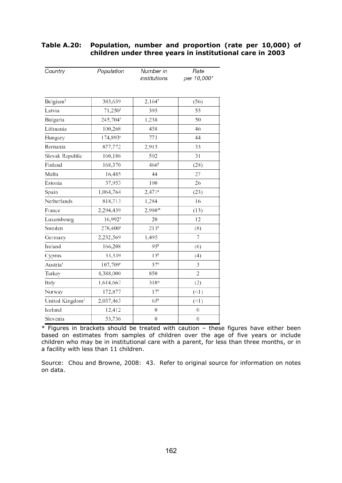| Country                     | Population          | Number in<br>institutions | Rate<br>per 10,000* |
|-----------------------------|---------------------|---------------------------|---------------------|
|                             |                     |                           |                     |
| Belgium <sup>2</sup>        | 383,639             | 2,1647                    | (56)                |
| Latvia                      | 71,250 <sup>5</sup> | 395                       | 55                  |
| Bulgaria                    | 245,7045            | 1,238                     | 50                  |
| Lithuania                   | 100,268             | 458                       | 46                  |
| Hungary                     | 174,8934            | 773                       | 44                  |
| Romania                     | 877,772             | 2,915                     | 33                  |
| Slovak Republic             | 160,186             | 502                       | 31                  |
| Finland                     | 168,370             | $466^{\circ}$             | (28)                |
| Malta                       | 16,485              | 44                        | 27                  |
| Estonia                     | 37,953              | 100                       | 26                  |
| Spain                       | 1,064,764           | $2,471$ <sup>8</sup>      | (23)                |
| Netherlands                 | 818,713             | 1,284                     | 16                  |
| France                      | 2,294,439           | 2,98010                   | (13)                |
| Luxembourg                  | 16,992 <sup>5</sup> | 20                        | 12                  |
| Sweden                      | 278,4005            | $213^9$                   | (8)                 |
| Germany                     | 2,232,569           | 1,495                     | 7                   |
| Ireland                     | 166,208             | $95^{\circ}$              | (6)                 |
| Cyprus                      | 33,339              | 15 <sup>8</sup>           | (4)                 |
| Austria <sup>1</sup>        | 107,7094            | 376                       | 3                   |
| Turkey                      | 4,388,000           | 850                       | $\overline{2}$      |
| Italy                       | 1,614,667           | $310^{11}$                | (2)                 |
| Norway                      | 172,877             | 17 <sup>9</sup>           | $($ < 1)            |
| United Kingdom <sup>3</sup> | 2,037,463           | $65^{\circ}$              | $($ < 1 $)$         |
| Iceland                     | 12,412              | $\boldsymbol{0}$          | $\boldsymbol{0}$    |
| Slovenia                    | 53,736              | $\boldsymbol{0}$          | 0                   |

#### **Table A.20: Population, number and proportion (rate per 10,000) of children under three years in institutional care in 2003**

\* Figures in brackets should be treated with caution – these figures have either been based on estimates from samples of children over the age of five years or include children who may be in institutional care with a parent, for less than three months, or in a facility with less than 11 children.

Source: Chou and Browne, 2008: 43. Refer to original source for information on notes on data.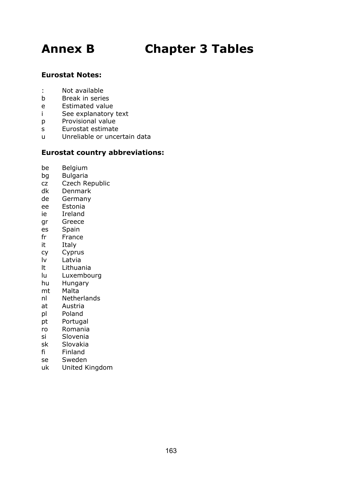# **Annex B Chapter 3 Tables**

# **Eurostat Notes:**

- : Not available
- b Break in series
- e Estimated value
- i See explanatory text
- p Provisional value
- s Eurostat estimate
- u Unreliable or uncertain data

### **Eurostat country abbreviations:**

- be Belgium
- bg Bulgaria
- cz Czech Republic
- dk Denmark
- de Germany
- ee Estonia
- ie Ireland
- gr Greece
- es Spain
- fr France
- it Italy
- cy Cyprus
- lv Latvia
- lt Lithuania
- lu Luxembourg
- hu Hungary
- mt Malta
- nl Netherlands
- at Austria
- pl Poland
- pt Portugal
- ro Romania
- si Slovenia
- sk Slovakia
- fi Finland
- se Sweden
- uk United Kingdom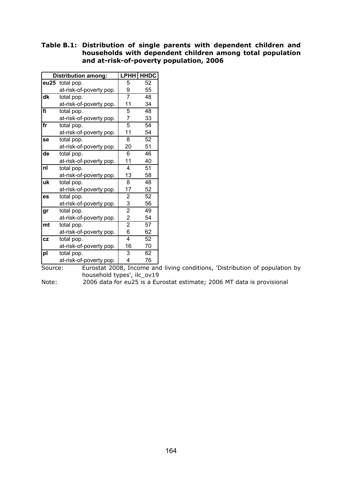#### **Table B.1: Distribution of single parents with dependent children and households with dependent children among total population and at-risk-of-poverty population, 2006**

|           | <b>Distribution among:</b> | LPHH                    | <b>HHDC</b> |
|-----------|----------------------------|-------------------------|-------------|
| eu25      | total pop.                 | 5                       | 52          |
|           | at-risk-of-poverty pop.    | 9                       | 55          |
| dk        | total pop.                 | 7                       | 48          |
|           | at-risk-of-poverty pop.    | 11                      | 34          |
| fi        | total pop.                 | 5                       | 48          |
|           | at-risk-of-poverty pop.    | 7                       | 33          |
| fr        | total pop.                 | $\overline{5}$          | 54          |
|           | at-risk-of-poverty pop.    | 11                      | 54          |
| se        | total pop.                 | 8                       | 52          |
|           | at-risk-of-poverty pop.    | 20                      | 51          |
| de        | total pop.                 | 6                       | 46          |
|           | at-risk-of-poverty pop.    | 11                      | 40          |
| nl        | total pop.                 | 4                       | 51          |
|           | at-risk-of-poverty pop.    | 13                      | 58          |
| uk        | total pop.                 | 8                       | 48          |
|           | at-risk-of-poverty pop.    | 17                      | 52          |
| es        | total pop.                 | $\overline{2}$          | 52          |
|           | at-risk-of-poverty pop.    | 3                       | 56          |
| gr        | total pop.                 | $\overline{2}$          | 49          |
|           | at-risk-of-poverty pop.    | $\overline{2}$          | 54          |
| mt        | total pop.                 | $\overline{2}$          | 57          |
|           | at-risk-of-poverty pop.    | 6                       | 62          |
| <b>CZ</b> | total pop.                 | $\overline{\mathbf{4}}$ | 52          |
|           | at-risk-of-poverty pop.    | 16                      | 70          |
| pl        | total pop.                 | 3                       | 62          |
|           | at-risk-of-poverty pop.    | 4                       | 76          |

Source: Eurostat 2008, Income and living conditions, 'Distribution of population by household types', ilc\_ov19

Note: 2006 data for eu25 is a Eurostat estimate; 2006 MT data is provisional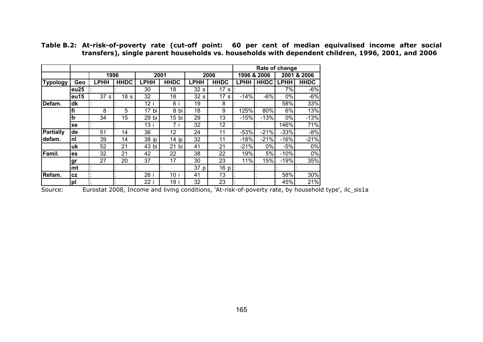|                  |           |                 |                 |             |                  |                 |                 |             |             | Rate of change |             |
|------------------|-----------|-----------------|-----------------|-------------|------------------|-----------------|-----------------|-------------|-------------|----------------|-------------|
|                  |           | 1996            |                 |             | 2001             |                 | 2006            |             | 1996 & 2006 | 2001           | & 2006      |
| <b>Typology</b>  | Geo       | <b>LPHH</b>     | <b>HHDC</b>     | <b>LPHH</b> | <b>HHDC</b>      | <b>LPHH</b>     | <b>HHDC</b>     | <b>LPHH</b> | <b>HHDC</b> | <b>LPHH</b>    | <b>HHDC</b> |
|                  | eu25      |                 |                 | 30          | 18               | 32 <sub>s</sub> | 17 <sub>s</sub> |             |             | 7%             | $-6%$       |
|                  | eu15      | 37 <sub>s</sub> | 18 <sub>s</sub> | 32          | 18               | 32s             | 17 <sub>s</sub> | $-14%$      | $-6%$       | 0%             | $-6%$       |
| Defam.           | dk        |                 |                 | 12 i        | 6i               | 19              | 8               |             |             | 58%            | 33%         |
|                  | fi        | 8               | 5               | 17 bi       | 8 bi             | 18              | 9               | 125%        | 80%         | 6%             | 13%         |
|                  | fr        | 34              | 15              | 29 bi       | 15 <sub>bi</sub> | 29              | 13              | $-15%$      | $-13%$      | 0%             | $-13%$      |
|                  | se        |                 |                 | 13i         | 7 i              | 32              | 12              |             |             | 146%           | 71%         |
| <b>Partially</b> | de        | 51              | 14              | 36          | 12               | 24              | 11              | $-53%$      | $-21%$      | $-33%$         | $-8%$       |
| defam.           | nl        | 39              | 14              | 38 ip       | $14$ ip          | 32              | 11              | $-18%$      | $-21%$      | $-16%$         | $-21%$      |
|                  | uk        | 52              | 21              | 43 bi       | $21$ bi          | 41              | 21              | $-21%$      | 0%          | $-5%$          | 0%          |
| Famil.           | es        | 32              | 21              | 42          | 22               | 38              | 22              | 19%         | 5%          | $-10%$         | 0%          |
|                  | <u>gr</u> | 27              | 20              | 37          | 17               | 30              | 23              | 11%         | 15%         | $-19%$         | 35%         |
|                  | mt        |                 |                 |             |                  | 37 p            | 16 p            |             |             |                |             |
| Refam.           | <b>CZ</b> |                 |                 | 26 i        | 10 i             | 41              | 13              |             |             | 58%            | 30%         |
|                  | pl        |                 |                 | 22 i        | 19 i             | 32              | 23              |             |             | 45%            | 21%         |

**Table B.2: At-risk-of-poverty rate (cut-off point: 60 per cent of median equivalised income after social transfers), single parent households vs. households with dependent children, 1996, 2001, and 2006** 

Source: Eurostat 2008, Income and living conditions, 'At-risk-of-poverty rate, by household type', ilc\_sis1a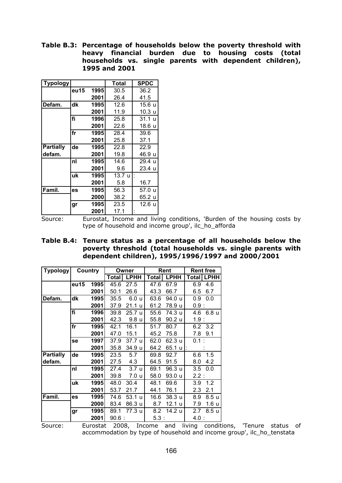**Table B.3: Percentage of households below the poverty threshold with heavy financial burden due to housing costs (total households vs. single parents with dependent children), 1995 and 2001** 

| <b>Typology</b>  |      |      | Total             | <b>SPDC</b> |
|------------------|------|------|-------------------|-------------|
|                  | eu15 | 1995 | 30.5              | 36.2        |
|                  |      | 2001 | 26.4              | 41.5        |
| Defam.           | dk   | 1995 | 12.6              | 15.6 u      |
|                  |      | 2001 | 11.9              | 10.3 u      |
|                  | fi   | 1996 | 25.8              | 31.1 u      |
|                  |      | 2001 | 22.6              | 18.6 u      |
|                  | fr   | 1995 | 28.4              | 39.6        |
|                  |      | 2001 | 25.8              | 37.1        |
| <b>Partially</b> | de   | 1995 | 22.8              | 22.9        |
| defam.           |      | 2001 | 19.8              | 46.9 u      |
|                  | nl   | 1995 | 14.6              | 29.4 u      |
|                  |      | 2001 | 9.6               | 23.4 u      |
|                  | uk   | 1995 | $13.7 \mathrm{u}$ |             |
|                  |      | 2001 | 5.8               | 16.7        |
| Famil.           | es   | 1995 | 56.3              | 57.0 u      |
|                  |      | 2000 | 38.2              | 65.2 u      |
|                  | gr   | 1995 | 23.5              | 12.6 u      |
|                  |      | 2001 | 17.1              |             |

Source: Eurostat, Income and living conditions, 'Burden of the housing costs by type of household and income group', ilc\_ho\_afforda

#### **Table B.4: Tenure status as a percentage of all households below the poverty threshold (total households vs. single parents with dependent children), 1995/1996/1997 and 2000/2001**

| <b>Typology</b>  |      | Country |          | Owner               |         | Rent              | <b>Rent free</b> |                  |  |
|------------------|------|---------|----------|---------------------|---------|-------------------|------------------|------------------|--|
|                  |      |         | Total    | <b>LPHH</b>         | Total   | <b>LPHH</b>       | <b>Total</b>     | <b>LPHH</b>      |  |
|                  | eu15 | 1995    | 45.6     | 27.5                | 47.6    | 67.9              | 6.9              | 4.6              |  |
|                  |      | 2001    | 50.1     | 26.6                | 43.3    | 66.7              | 6.5              | 6.7              |  |
| Defam.           | dk   | 1995    | 35.5     | 6.0<br>$\mathbf{u}$ | 63.6    | 94.0 u            | 0.9              | 0.0              |  |
|                  |      | 2001    | 37.9     | 21.1<br>-u          | 61.2    | 78.9 u            | 0.9:             |                  |  |
|                  | fi   | 1996    | 39.8     | 25.7 u              | 55.6    | 74.3 u            | 4.6              | 6.8 <sub>u</sub> |  |
|                  |      | 2001    | 42.3     | 9.8 <sub>u</sub>    | 55.8    | 90.2 u            | 1.9:             |                  |  |
|                  | fr   | 1995    | 42.1     | 16.1                | 51.7    | 80.7              | 6.2              | 3.2              |  |
|                  |      | 2001    | 47.0     | 15.1                | 45.2    | 75.8              | 7.8              | 9.1              |  |
|                  | se   | 1997    | 37.9     | 37.7 <sub>u</sub>   | 62.0    | 62.3 u            | $0.1$ :          |                  |  |
|                  |      | 2001    | 35.8     | 34.9 u              | 64.2    | 65.1 u            | ÷.               |                  |  |
| <b>Partially</b> | de   | 1995    | 23.5     | 5.7                 | 69.8    | 92.7              | 6.6              | 1.5              |  |
| defam.           |      | 2001    | 27.5     | 4.3                 | 64.5    | 91.5              | 8.0              | 4.2              |  |
|                  | nl   | 1995    | 27.4     | 3.7 <sub>u</sub>    | 69.1    | 96.3u             | 3.5              | 0.0              |  |
|                  |      | 2001    | 39.8     | 7.0 u               | 58.0    | 93.0 u            | 2.2:             |                  |  |
|                  | uk   | 1995    | 48.0     | 30.4                | 48.1    | 69.6              | 3.9              | 1.2              |  |
|                  |      | 2001    | 53.7     | 21.7                | 44.1    | 76.1              | 2.3              | 2.1              |  |
| Famil.           | es   | 1995    | 74.6     | 53.1<br><b>u</b>    | 16.6    | 38.3 <sub>u</sub> | 8.9              | 8.5 u            |  |
|                  |      | 2000    | 83.4     | 86.3 u              | 8.7     | 12.1 u            | 7.9              | 1.6 <sub>u</sub> |  |
|                  | gr   | 1995    | 89.1     | 77.3 u              | 8.2     | 14.2 u            | 2.7              | 8.5 <sub>u</sub> |  |
|                  |      | 2001    | $90.6$ : |                     | $5.3$ : |                   | 4.0 :            |                  |  |

Source: Eurostat 2008, Income and living conditions, 'Tenure status of accommodation by type of household and income group', ilc\_ho\_tenstata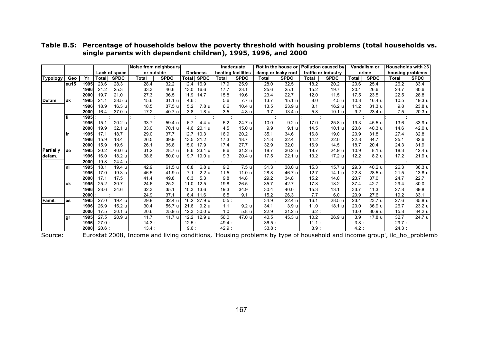|                  |       |      |          | Noise from neighbours |              |             | Inadequate<br>Rot in the house or |                   |        | <b>Pollution caused by</b> |                    | Vandalism or        |                     | Households with ≥3 |              |             |                  |             |
|------------------|-------|------|----------|-----------------------|--------------|-------------|-----------------------------------|-------------------|--------|----------------------------|--------------------|---------------------|---------------------|--------------------|--------------|-------------|------------------|-------------|
|                  |       |      |          | Lack of space         | or outside   |             |                                   | <b>Darkness</b>   |        | heating facilities         | damp or leaky roof |                     | traffic or industry |                    | crime        |             | housing problems |             |
| <b>Typology</b>  | Geo   | Yr   | Total    | <b>SPDC</b>           | <b>Total</b> | <b>SPDC</b> | Total                             | <b>SPDC</b>       | Total  | <b>SPDC</b>                | <b>Total</b>       | <b>SPDC</b>         | <b>Total</b>        | <b>SPDC</b>        | <b>Total</b> | <b>SPDC</b> | <b>Total</b>     | <b>SPDC</b> |
|                  | leu15 | 1995 | 23.6     | 28.3                  | 28.4         | 32.2        | 12.4                              | 16.9              | 17.9   | 25.9                       | 28.0               | 32.5                | 18.2                | 20.2               | 20.6         | 25.4        | 26.2             | 33.4        |
|                  |       | 1996 | 21.2     | 25.3                  | 33.3         | 46.6        | 13.0                              | 16.6              | 17.7   | 23.1                       | 25.6               | 25.1                | 15.2                | 19.7               | 20.4         | 26.6        | 24.7             | 30.6        |
|                  |       | 2000 | 19.7     | 21.0                  | 27.3         | 36.5        | 11.9                              | 14.7              | 15.8   | 19.6                       | 23.4               | 22.7                | 12.0                | 11.5               | 17.5         | 23.5        | 22.5             | 28.8        |
| Defam.           | ldk   | 1995 | 21.1     | 38.5 u                | 15.6         | 31.1 u      | 4.6:                              |                   | 5.6    | 7.7 u                      | 13.7               | 15.1 <sub>u</sub>   | 8.0                 | 4.5 u              | 10.3         | 16.4 u      | 10.5             | 19.3 u      |
|                  |       | 1996 | 18.9     | 16.3 u                | 18.5         | 37.5 u      | 5.2                               | 7.8 u             | 6.6    | 10.4 u                     | 13.5               | 23.9 u              | 8.1                 | 16.2 u             | 11.2         | 31.3u       | 9.8              | 23.8 u      |
|                  |       | 2000 | 16.4     | 37.0 u                | 17.2         | 40.7 u      | 3.8                               | 1.8 <sub>u</sub>  | 3.5    | 4.8 u                      | 9.7                | 13.4 u              | 5.8                 | 10.1 <sub>u</sub>  | 9.2          | 23.4 u      | 7.5              | 20.3 u      |
|                  | lfi   | 1995 |          |                       |              |             |                                   |                   |        |                            |                    |                     |                     |                    |              |             |                  |             |
|                  |       | 1996 | 15.1     | 20.2 u                | 33.7         | 59.4 u      | 6.7                               | 4.4 u             | 5.2    | 24.7 u                     | 10.0               | 9.2 <sub>u</sub>    | 17.0                | 25.8 u             | 19.3         | 45.5 u      | 13.6             | 33.9 u      |
|                  |       | 2000 | 19.9     | 32.1 u                | 33.0         | 70.1 u      | 4.6                               | 20.1 <sub>u</sub> | 4.5    | 15.0 u                     | 9.9                | 9.1 <sub>u</sub>    | 14.5                | 10.1 <sub>u</sub>  | 23.6         | 40.3 u      | 14.6             | 42.0 u      |
|                  | lfr   | 1995 | 17.1     | 18.7                  | 29.0         | 37.7        | 12.7                              | 10.3              | 16.9   | 20.2                       | 35.1               | 34.6                | 16.8                | 19.0               | 20.9         | 31.8        | 27.4             | 32.8        |
|                  |       | 1996 | 15.9     | 18.4                  | 26.5         | 39.9        | 13.5                              | 21.2              | 17.3   | 18.7                       | 31.8               | 32.4                | 14.2                | 22.0               | 22.8         | 34.7        | 25.1             | 32.6        |
|                  |       | 2000 | 15.9     | 19.5                  | 26.1         | 35.8        | 15.0                              | 17.9              | 17.4   | 27.7                       | 32.9               | 32.0                | 16.9                | 14.5               | 18.7         | 20.4        | 24.3             | 31.9        |
| <b>Partially</b> | lde   | 1995 | 20.2     | 40.6 u                | 31.2         | 28.7 u      | 8.6                               | 23.1 u            | 8.6    | 31.2 u                     | 18.7               | 36.2 u              | 18.7                | 24.9 u             | 10.9         | 8.1 u       | 18.3             | 42.4 u      |
| defam.           |       | 1996 | 16.0     | 18.2 u                | 38.6         | 50.0 u      | 9.7                               | 19.0 u            | 9.3    | 20.4 u                     | 17.5               | 22.1 u              | 13.2                | 17.2 u             | 12.2         | 8.2 u       | 17.2             | 21.9 u      |
|                  |       | 2000 | 19.8     | 24.4 u                |              |             |                                   |                   |        |                            |                    |                     |                     |                    |              |             |                  |             |
|                  | Inl   | 1995 | 18.1     | 19.4 u                | 42.9         | 61.5 u      | 6.8                               | 6.8 u             | 9.2    | 7.5 u                      | 31.3               | 38.0 u              | 15.3                | 15.7 u             | 29.3         | 40.2 u      | 26.3             | 36.3u       |
|                  |       | 1996 | 17.0     | 19.3 u                | 46.5         | 41.9 u      | 7.1                               | 2.2 <sub>u</sub>  | 11.5   | 11.0 u                     | 28.8               | 46.7 u              | 12.7                | 14.1 u             | 22.8         | 28.5 u      | 21.5             | 13.8 u      |
|                  |       | 2000 | 17.1     | 17.5                  | 41.4         | 49.8        | 6.3                               | 5.3               | 9.8    | 14.8                       | 29.2               | 34.8                | 15.2                | 14.8               | 23.7         | 37.0        | 24.7             | 22.7        |
|                  | luk   | 1995 | 25.2     | 30.7                  | 24.6         | 25.2        | 11.0                              | 12.5              | 19.8   | 26.5                       | 35.7               | 42.7                | 17.8                | 18.2               | 37.4         | 42.7        | 29.4             | 30.0        |
|                  |       | 1996 | 23.6     | 34.6                  | 32.3         | 35.1        | 10.3                              | 13.6              | 19.3   | 34.9                       | 30.4               | 40.0                | 15.3                | 13.1               | 33.7         | 41.3        | 27.8             | 39.8        |
|                  |       | 2000 |          |                       | 24.9         | 37.1        | 6.4                               | 11.6              | 6.5    | 9.1                        | 15.2               | 26.3                | 7.7                 | 6.0                | 20.9         | 27.6        | 19.2             | 33.1        |
| Famil.           | les   | 1995 | 27.0     | 19.4 u                | 29.8         | 32.4 u      | 16.2                              | 27.9 u            | 0.5:   |                            | 34.9               | $\overline{22.4}$ u | 16.1                | 28.5 u             | 23.4         | 23.7 u      | 27.6             | 35.8 u      |
|                  |       | 1996 | 26.9     | 15.2 u                | 30.4         | 55.7 u      | 21.6                              | 9.2 <sub>u</sub>  | 1.1    | 9.2 <sub>u</sub>           | 34.1               | 3.9 <sub>u</sub>    | 11.0                | 18.1 u             | 20.0         | 36.9 u      | 26.7             | 23.2 u      |
|                  |       | 2000 | 17.5     | 30.1 u                | 20.6         | 25.9 u      | 12.3                              | 30.0 u            | 1.0    | 5.8 u                      | 22.9               | 31.2 u              | $6.2$ :             |                    | 13.0         | 30.9 u      | 15.8             | 34.2 u      |
|                  | lgr   | 1995 | 27.5     | 20.9 u                | 11.7         | 11.7 u      | 12.2                              | 12.9 u            | 56.0   | 47.0 u                     | 40.5               | 45.3 u              | 10.2                | 26.9 u             | 3.9          | 17.8 u      | 32.7             | 24.7u       |
|                  |       | 1996 | $27.0$ : |                       | 14.3:        |             | 12.5:                             |                   | 49.4 : |                            | 36.5               |                     | 11.1:               |                    | 3.8          |             | 29.7:            |             |
|                  |       | 2000 | 20.6:    |                       | 13.4:        |             | 9.6:                              |                   | 42.9 : |                            | 33.8               |                     | 8.9:                |                    | 4.2:         |             | 24.3:            |             |

#### **Table B.5: Percentage of households below the poverty threshold with housing problems (total households vs. single parents with dependent children), 1995, 1996, and 2000**

Source: Eurostat 2008, Income and living conditions, 'Housing problems by type of household and income group', ilc\_ho\_problemb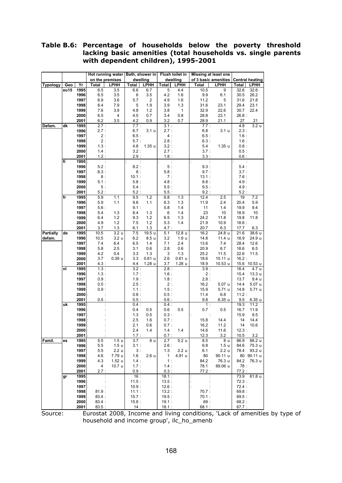#### **Table B.6: Percentage of households below the poverty threshold lacking basic amenities (total households vs. single parents with dependent children), 1995-2001**

|                  |         |              |                |                   | Hot running water   Bath, shower in   Flush toilet in |                  |                |                  | <b>Missing at least one</b> |                         |               |                        |
|------------------|---------|--------------|----------------|-------------------|-------------------------------------------------------|------------------|----------------|------------------|-----------------------------|-------------------------|---------------|------------------------|
|                  |         |              |                | on the premises   | dwelling                                              |                  |                | dwelling         |                             | of 3 basic amenities    |               | <b>Central heating</b> |
| Typology         | Geo     | Yr           | Total          | <b>LPHH</b>       | <b>Total</b>                                          | <b>LPHH</b>      | Total          | LPHH             | Total                       | LPHH                    | Total         | <b>LPHH</b>            |
|                  | $e$ u15 | 1995         | 6.5            | 3.5               | 6.6                                                   | 6.7              | $\overline{5}$ | 4.4              | 10.5                        | 9                       | 32.6          | 32.6                   |
|                  |         | 1996         | 6.5            | 3.5               | 6                                                     | 3.5              | 4.2            | 1.6              | 9.9                         | 6.1                     | 30.5          | 26.2                   |
|                  |         | 1997         | 6.9            | 3.6               | 5.7                                                   | $\overline{c}$   | 4.9            | 1.6              | 11.2                        | 5                       | 31.6          | 21.8                   |
|                  |         | 1998         | 8.4            | 7.9               | 5                                                     | 1.9              | 3.9            | 1.3              | 31.6                        | 23.1                    | 29.4          | 23.1                   |
|                  |         | 1999         | 7.6            | 3.9               | 4.8                                                   | 1.2              | 3.8            | 1                | 32.9                        | 22.6                    | 30.7          | 22.4                   |
|                  |         | 2000         | 6.5            | 4                 | 4.5                                                   | 0.7              | 3.4            | 0.8              | 28.8                        | 23.1                    | 26.8:         |                        |
|                  |         | 2001         | 6.2            | 3.5               | 4.2                                                   | 0.9              | 3.2            | 0.7              | 28.9                        | 21.1                    | 27            | 21                     |
| Defam.           | dk      | 1995         | 2.7:           |                   | 7.7:                                                  |                  | 3.1:           |                  | 7.7:                        |                         | 4.8           | 3.2 <sub>u</sub>       |
|                  |         | 1996         | 2.7:           |                   | 6.7                                                   | 3.1 <sub>u</sub> | 2.7:           |                  | 6.8                         | 3.1 u                   | 2.3:          |                        |
|                  |         | 1997         | 2:             |                   | 6.5:                                                  |                  | 4:             |                  | 6.5:                        |                         | 1.6:          |                        |
|                  |         | 1998         | 2:             |                   | 5.7:                                                  |                  | 2.8:           |                  | 6.3:                        |                         | 1.6:          |                        |
|                  |         | 1999         | 1.3:           |                   | 4.8                                                   | 1.35u            | 3.2:           |                  | 5.4                         | 1.35u                   | 0.8:          |                        |
|                  |         | 2000         | 1.4:           |                   | 3.2:                                                  |                  | 2.7:           |                  | 3.7:                        |                         | 0.5:          |                        |
|                  |         | 2001         | 1.2:           |                   | 2.9:                                                  |                  | 1.8:           |                  | 3.3:                        |                         | 0.6:          |                        |
|                  | fi      | 1995         | ÷              |                   | ÷                                                     |                  | ÷              |                  | $\ddot{\phantom{a}}$        |                         |               |                        |
|                  |         | 1996         | 5.2:           |                   | 8.2:                                                  |                  | 5:             |                  | 9.3:                        |                         | 5.4:          |                        |
|                  |         | 1997         | 6.3:           |                   | 8 :                                                   |                  | 5.8:           |                  | 9.7:                        |                         | 3.7:          |                        |
|                  |         | 1998         | $8\,$ :        |                   | 10.1:                                                 |                  | 7:             |                  | 13.1:                       |                         | 7.6:          |                        |
|                  |         | 1999         | 5.1:           |                   | 5.8:                                                  |                  | 4.8:           |                  | 8.8:                        |                         | 4.9:          |                        |
|                  |         | 2000         | 5:             |                   | 5.4:                                                  |                  | 5.5:           |                  | 9.5:                        |                         | 4.9:          |                        |
|                  |         | 2001         | 5.2:           |                   | 5.2:                                                  |                  | 5.5:           |                  | 9.2:                        |                         | 5.2:          |                        |
|                  | fr      | 1995         | 5.9            | 1.1               | 9.5                                                   | $1.2$            | 6.8            | 1.3              | 12.4                        | 2.5                     | 19            | 7.2                    |
|                  |         | 1996         | 5.9            | 1.1               | 9.6                                                   | 1.1              | 6.3            | 1.3              | 11.9                        | 2.4                     | 20.4          | 5.9                    |
|                  |         | 1997         | 5.6:           |                   | 9.1:                                                  |                  | 5.8            | 1.4              | 11                          | 1.4                     | 19.9          | 9.4                    |
|                  |         | 1998         | 5.4            | 1.3               | 8.4                                                   | 1.3              | 6              | 1.4              | 23                          | 10                      | 18.9          | 10                     |
|                  |         | 1999<br>2000 | 6.4<br>4.9     | 1.2<br>1.2        | 9.3<br>7.5                                            | 1.2<br>1.2       | 6.5<br>5.3     | 1.3<br>1.4       | 24.2<br>21.9                | 11.8<br>10.9            | 19.8<br>18.6: | 11.8                   |
|                  |         | 2001         | 3.7            | 1.3               | 6.1                                                   | 1.3              | 4.7:           |                  | 20.7                        | 6.3                     | 17.7          | 6.3                    |
| <b>Partially</b> | de      | 1995         | 10.5           | 3.2 <sub>u</sub>  | 7.5                                                   | 19.5 u           | 5.1            | 12.8u            | 16.2                        | 24.8 u                  | 21.6          | 38.6 u                 |
| defam.           |         | 1996         | 10.5           | 3.2 <sub>u</sub>  | 6.2                                                   | 8.5 <sub>u</sub> | 3.2            | 1.9 <sub>u</sub> | 14.8                        | 11.4 u                  | 18.9          | 24.9 u                 |
|                  |         | 1997         | 7.4            | 6.4               | 6.5                                                   | 1.4              | 7.1            | 2.4              | 13.6                        | 7.4                     | 28.4          | 12.6                   |
|                  |         | 1998         | 5.8            | 2.5               | 3.1                                                   | 0.6              | 2.8            | 0.6              | 20.9                        | 6.7                     | 18.6          | 6.5                    |
|                  |         | 1999         | 4.2            | 0.4               | 3.3                                                   | 1.3              | 3              | 1.3              | 25.2                        | 11.5                    | 22.6          | 11.5                   |
|                  |         | 2000         | 3.7            | 0.39 <sub>u</sub> | 3.3                                                   | 0.61u            | 2.6            | 0.61u            | 18.6                        | 10.11 u                 | 16.2:         |                        |
|                  |         | 2001         | 4.3:           |                   | 4.4                                                   | 1.28 u           | 3.7            | 1.28u            | 18.9                        | 10.53 u                 |               | 15.6 10.53 u           |
|                  | nl      | 1995         | 1.3:           |                   | 3.2:                                                  |                  | 2.8:           |                  | 3.9:                        |                         | 16.4          | 4.7 u                  |
|                  |         | 1996         | 1.3:           |                   | 1.7:                                                  |                  | 1.6:           |                  | 2:                          |                         | 15.4          | 13.3u                  |
|                  |         | 1997         | 0.9:           |                   | 1.9:                                                  |                  | 1.8:           |                  | 2.8:                        |                         | 13.7          | 9.4 u                  |
|                  |         | 1998         | 0.5:           |                   | 2.5:                                                  |                  | 2:             |                  | 16.2                        | 5.07 u                  | 14.4          | 5.07 u                 |
|                  |         | 1999         | 0.9:           |                   | 1.1:                                                  |                  | 1.5:           |                  | 15.9                        | 5.71 u                  | 14.8          | 5.71 u                 |
|                  |         | 2000         |                |                   | 0.8:                                                  |                  | 0.5:           |                  | 11.4                        | 6.8                     | 11.2:         |                        |
|                  |         | 2001         | 0.5:           |                   | 0.5:                                                  |                  | 0.6:           |                  | 9.8                         | 6.35 u                  | 9.5           | 6.35 u                 |
|                  | uk      | 1995         |                |                   | 0.4:                                                  |                  | 0.4:           |                  | 1:                          |                         | 19.3          | 11.2                   |
|                  |         | 1996         |                |                   | 0.4                                                   | 0.5              | 0.6            | 0.5              | 0.7                         | 0.5                     | 16.7          | 11.9                   |
|                  |         | 1997         |                |                   | 1.3                                                   | 0.5              | 0.3:           |                  |                             |                         | 15.9          | 9.5                    |
|                  |         | 1998         |                |                   | 2.5                                                   | 1.6              | 0.7:           |                  | 15.8                        | 14.4                    | 14            | 14.4                   |
|                  |         | 1999         |                |                   | 2.1                                                   | 0.6              | 0.7:           |                  | 16.2                        | 11.2                    | 14            | 10.6                   |
|                  |         | 2000 :       | ÷              |                   | 2.4                                                   | 1.4              | 1.4            | 1.4              | 14.6                        | 11.6                    | 12.3:         |                        |
| Famil.           |         | 2001<br>1995 |                | 1.5 <sub>u</sub>  | 1.7:                                                  | 8 u              | 0.7:           | 5.2 <sub>u</sub> | 12.3                        | 3.2                     | 10.5          | 3.2                    |
|                  | es      | 1996         | 5.5<br>5.5     | 1.5 <sub>u</sub>  | 3.7<br>3.1:                                           |                  | 2.7<br>2.6:    |                  | 8.5                         | 8 u<br>1.5 <sub>u</sub> | 86.9          | 88.2 u<br>75.3 u       |
|                  |         | 1997         | 5.5            | 2.2u              | 3:                                                    |                  | 1.3            | 2.2u             | 6.8<br>6.1                  | 2.2 <sub>u</sub>        | 84.6<br>78.4  | 93.2 u                 |
|                  |         | 1998         | 4.6            | 7.79 u            | 1.6                                                   | 2.6 <sub>u</sub> | $\mathbf{1}$   | 4.91 u           | 80                          | 90.11 u                 |               | 80 90.11 u             |
|                  |         | 1999         | 4.3            | 1.52 u            | 1.4:                                                  |                  | 1:             |                  | 84.2                        | 76.3 u                  | 84.2          | 76.3 u                 |
|                  |         | 2000         | $\overline{4}$ | 10.7 u            | 1.7:                                                  |                  | 1.4:           |                  | 78.1                        | 89.06 u                 | 78 :          |                        |
|                  |         | 2001         | 2.7:           |                   | 0.9:                                                  |                  | 0.3:           |                  | 77.2:                       |                         | 77.2:         |                        |
|                  | gr      | 1995         | $\cdot$ :      |                   | 16:                                                   |                  | 18.1:          |                  | ÷                           |                         | 73.9          | 61.8 u                 |
|                  |         | 1996         |                |                   | 11.5:                                                 |                  | 13.5:          |                  |                             |                         | 72.3:         |                        |
|                  |         | 1997         |                |                   | 10.9:                                                 |                  | 12.6:          |                  |                             |                         | 72.4:         |                        |
|                  |         | 1998         | 81.9:          |                   | 11.1:                                                 |                  | 13.2:          |                  | 70.7:                       |                         | 69.8 :        |                        |
|                  |         | 1999         | 83.4:          |                   | 15.7:                                                 |                  | 19.5:          |                  | 70.1:                       |                         | 69.5:         |                        |
|                  |         | 2000         | 83.4 :         |                   | 15.8:                                                 |                  | 19.1:          |                  | 69:                         |                         | 68.2:         |                        |
|                  |         | 2001         | 83.5:          |                   | 14:                                                   |                  | 18.1:          |                  | 68.1:                       |                         | 67.7 :        |                        |

Source: Eurostat 2008, Income and living conditions, 'Lack of amenities by type of household and income group', ilc\_ho\_amenb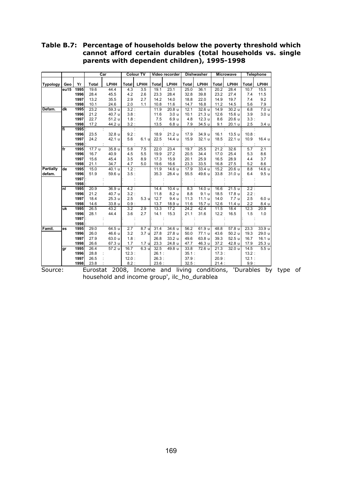#### **Table B.7: Percentage of households below the poverty threshold which cannot afford certain durables (total households vs. single parents with dependent children), 1995-1998**

|                  |      |                 | Car    |                   | <b>Colour TV</b> |                  | Video recorder |                   | <b>Dishwasher</b> |                   | <b>Microwave</b>  |        | <b>Telephone</b> |                  |
|------------------|------|-----------------|--------|-------------------|------------------|------------------|----------------|-------------------|-------------------|-------------------|-------------------|--------|------------------|------------------|
| <b>Typology</b>  | Geo  | Yr              | Total  | LPHH              | <b>Total</b>     | LPHH             | Total          | LPHH              | Total             | LPHH              | Total             | LPHH   | <b>Total</b>     | LPHH             |
|                  | eu15 | 1995            | 19.6   | 44.4              | 4.3              | 3.5              | 19.1           | 23.1              | 25.0              | 36.1              | 20.2              | 28.4   | 10.7             | 15.5             |
|                  |      | 1996            | 28.4   | 45.5              | 4.2              | 2.6              | 23.3           | 28.4              | 32.8              | 39.8              | 23.2              | 27.4   | 7.4              | 11.5             |
|                  |      | 1997            | 13.2   | 35.5              | 2.9              | 2.7              | 14.2           | 14.0              | 18.8              | 22.0              | 14.9              | 19.7   | 7.4              | 9.2              |
|                  |      | 1998            | 10.1   | 24.6              | 2.0              | 1.1              | 10.8           | 11.6              | 14.7              | 16.8              | 11.2              | 14.5   | 5.6              | 7.9              |
| Defam.           | dk   | 1995            | 23.2   | 59.3 u            | 3.2:             |                  | 11.9           | 20.8 u            | 12.1              | 32.6 u            | 14.9              | 30.2 u | 6.8              | 7.0 <sub>u</sub> |
|                  |      | 1996            | 21.2   | 40.7 u            | 3.8:             |                  | 11.6           | 3.0 <sub>u</sub>  | 10.1              | 21.3 u            | 12.6              | 15.6 u | 3.9              | 3.0 <sub>u</sub> |
|                  |      | 1997            | 22.7   | 51.2 u            | 1.8:             |                  | 7.5            | 6.9 u             | 4.8               | 12.3 u            | 8.6               | 20.6 u | 3.3:             |                  |
|                  |      | 1998            | 17.2   | 44.2 u            | 3.2:             |                  | 13.5           | 6.8 <sub>u</sub>  | 7.9               | 34.5 u            | 9.1               | 20.1 u | 2.5              | 3.4 <sub>u</sub> |
|                  | lfi  | 1995 <b> </b> : |        |                   |                  |                  |                |                   |                   |                   |                   |        |                  |                  |
|                  |      | 1996            | 23.5   | 32.8 u            | 9.2:             |                  | 18.9           | 21.2 u            | 17.9              | 34.9 u            | 16.1              | 13.5 u | 10.8:            |                  |
|                  |      | 1997            | 24.2   | 42.1 u            | 5.6              | 6.1 u            | 22.5           | 14.4 u            | 15.9              | 32.1 u            | 18.5              | 22.1 u | 10.9             | 16.4 u           |
|                  |      | 1998            |        |                   |                  |                  |                |                   |                   |                   |                   |        |                  |                  |
|                  | lfr  | 1995            | 17.7 u | 35.8 u            | 5.8              | 7.5              | 22.0           | 23.4              | 19.7              | 25.5              | 21.2              | 32.6   | 5.7              | 2.1              |
|                  |      | 1996            | 16.7   | 40.9              | 4.5              | 5.5              | 19.9           | 27.2              | 20.5              | 34.4              | 17.0              | 25.4   | 5.3              | 8.6              |
|                  |      | 1997            | 15.6   | 45.4              | 3.5              | 8.9              | 17.3           | 15.9              | 20.1              | 25.9              | 16.5              | 28.9   | 4.4              | 3.7              |
|                  |      | 1998            | 21.1   | 34.7              | 4.7              | 5.0              | 19.6           | 16.6              | 23.3              | 33.5              | 16.8              | 27.5   | 5.2              | 8.6              |
| <b>Partially</b> | de   | 1995            | 15.0   | 40.1 u            | 1.2:             |                  | 11.9           | 14.6 u            | 17.9              | 33.4 u            | 15.2              | 20.6 u | 8.8              | 14.6 u           |
| defam.           |      | 1996            | 51.9   | 59.6 u            | 3.5:             |                  | 35.3           | 28.4 u            | 55.5              | 49.6 u            | 33.8              | 31.0 u | 6.4              | 9.5 <sub>u</sub> |
|                  |      | 1997 :          |        |                   |                  |                  |                |                   |                   |                   |                   |        |                  |                  |
|                  |      | 1998            |        |                   |                  |                  |                |                   |                   |                   |                   |        |                  |                  |
|                  | Inl  | 1995            | 20.9   | 36.9 <sub>u</sub> | 4.2:             |                  | 14.4           | 10.4 <sub>u</sub> | 8.3               | 14.0 u            | 16.6              | 21.5u  | 2.2:             |                  |
|                  |      | 1996            | 21.2   | 40.7 u            | 3.2:             |                  | 11.8           | 8.2 u             | 8.8               | 9.1 <sub>u</sub>  | 18.5              | 17.8 u | 2.2:             |                  |
|                  |      | 1997            | 18.4   | 25.3 u            | 2.5              | 5.3 <sub>u</sub> | 12.7           | 9.4 <sub>u</sub>  | 11.3              | 11.1 <sub>u</sub> | 14.0              | 7.7 u  | 2.5              | 6.0 <sub>u</sub> |
|                  |      | 1998            | 14.6   | 33.8 u            | 0.9:             |                  | 13.7           | 18.9 u            | 11.6              | 15.7 <sub>u</sub> | 12.6              | 11.4 u | 2.2              | 8.4 u            |
|                  | uk   | 1995            | 26.5   | 43.2              | 3.2              | 2.9              | 13.3           | 17.2              | 24.2              | 42.4              | 11.5              | 18.4   | 12.3             | 20.9             |
|                  |      | 1996            | 28.1   | 44.4              | 3.6              | 2.7              | 14.1           | 15.3              | 21.1              | 31.6              | 12.2              | 16.5   | 1.5              | 1.0              |
|                  |      | 1997            |        |                   |                  |                  |                |                   |                   |                   |                   |        |                  |                  |
|                  |      | 1998            |        |                   |                  |                  |                |                   |                   |                   |                   |        |                  |                  |
| Famil.           | es   | 1995            | 29.0   | 64.5u             | 2.7              | 8.7u             | 31.4           | 34.6u             | 56.2              | 61.9 u            | 48.8              | 57.8 u | 23.3             | 33.9u            |
|                  |      | 1996            | 26.0   | 46.6 u            | 3.2              | 3.7 u            | 27.8           | 27.8 u            | 50.0              | 77.1 u            | 43.6              | 50.2 u | 19.3             | 29.0 u           |
|                  |      | 1997            | 27.9   | 63.0 u            | 1.8:             |                  | 26.8           | 33.2 u            | 49.6              | 63.8 u            | 39.3              | 52.5 u | 16.7             | 16.1 u           |
|                  |      | 1998            | 26.6   | 67.3 u            | 1.7              | 1.7 <sub>u</sub> | 23.3           | 24.8 u            | 47.7              | 46.3 u            | 37.2              | 42.8 u | 17.9             | 25.3 u           |
|                  | gr   | 1995            | 26.4   | 57.2 u            | 16.7             | 6.3 <sub>u</sub> | 32.5           | 49.8 u            | 33.8              | 72.6 u            | $\overline{21.3}$ | 32.0 u | 14.5             | 5.5u             |
|                  |      | 1996            | 28.8   |                   | 12.3:            |                  | 26.1:          |                   | 35.1:             |                   | 17.3:             |        | 13.2:            |                  |
|                  |      | 1997            | 26.5   |                   | 12.0:            |                  | 26.3:          |                   | 37.9:             |                   | 20.9:             |        | 12.1:            |                  |
|                  |      | 1998            | 23.8   |                   | 8.2:             |                  | 23.6:          |                   | 32.5:             |                   | 21.4:             |        | 9.9:             |                  |

Source: Eurostat 2008, Income and living conditions, 'Durables by type of household and income group', ilc\_ho\_durablea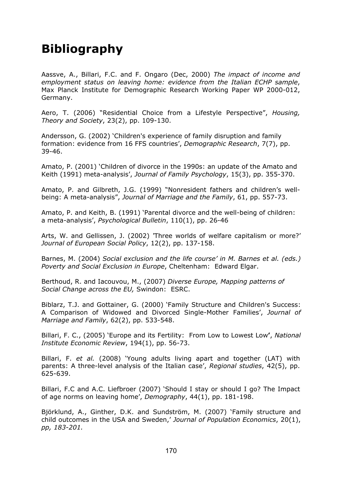## **Bibliography**

Aassve, A., Billari, F.C. and F. Ongaro (Dec, 2000) *The impact of income and employment status on leaving home: evidence from the Italian ECHP sample*, Max Planck Institute for Demographic Research Working Paper WP 2000-012, Germany.

Aero, T. (2006) "Residential Choice from a Lifestyle Perspective", *Housing, Theory and Society*, 23(2), pp. 109-130.

Andersson, G. (2002) 'Children's experience of family disruption and family formation: evidence from 16 FFS countries', *Demographic Research*, 7(7), pp. 39-46.

Amato, P. (2001) 'Children of divorce in the 1990s: an update of the Amato and Keith (1991) meta-analysis', *Journal of Family Psychology*, 15(3), pp. 355-370.

Amato, P. and Gilbreth, J.G. (1999) "Nonresident fathers and children's wellbeing: A meta-analysis", *Journal of Marriage and the Family*, 61, pp. 557-73.

Amato, P. and Keith, B. (1991) 'Parental divorce and the well-being of children: a meta-analysis', *Psychological Bulletin*, 110(1), pp. 26-46

Arts, W. and Gellissen, J. (2002) *'*Three worlds of welfare capitalism or more?' *Journal of European Social Policy*, 12(2), pp. 137-158.

Barnes, M. (2004) *Social exclusion and the life course' in M. Barnes et al. (eds.) Poverty and Social Exclusion in Europe*, Cheltenham: Edward Elgar.

Berthoud, R. and Iacouvou, M., (2007) *Diverse Europe, Mapping patterns of Social Change across the EU,* Swindon: ESRC.

Biblarz, T.J. and Gottainer, G. (2000) 'Family Structure and Children's Success: A Comparison of Widowed and Divorced Single-Mother Families', *Journal of Marriage and Family*, 62(2), pp. 533-548.

Billari, F. C., (2005) 'Europe and its Fertility: From Low to Lowest Low**'**, *National Institute Economic Review*, 194(1), pp. 56-73.

Billari, F. *et al.* (2008) 'Young adults living apart and together (LAT) with parents: A three-level analysis of the Italian case', *Regional studies*, 42(5), pp. 625-639.

Billari, F.C and A.C. Liefbroer (2007) 'Should I stay or should I go? The Impact of age norms on leaving home', *Demography*, 44(1), pp. 181-198.

Björklund, A., Ginther, D.K. and Sundström, M. (2007) 'Family structure and child outcomes in the USA and Sweden,' *[Journal of Population Economics](http://www.springerlink.com/content/100520/?p=641e180d029c4aa3859f94aa6dd2d756&pi=0)*[, 20\(1\),](http://www.springerlink.com/content/q862877w7257/?p=641e180d029c4aa3859f94aa6dd2d756&pi=0) *pp, 183-201.*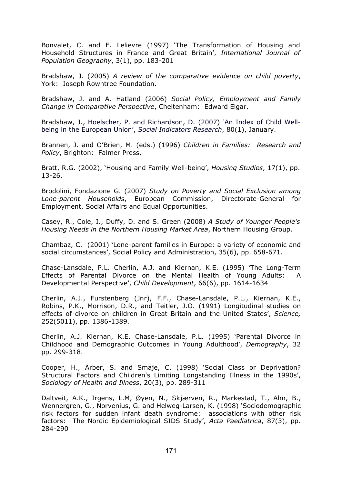Bonvalet, C. and E. Lelievre (1997) 'The Transformation of Housing and Household Structures in France and Great Britain', *International Journal of Population Geography*, 3(1), pp. 183-201

Bradshaw, J. (2005) *A review of the comparative evidence on child poverty*, York: Joseph Rowntree Foundation.

Bradshaw, J. and A. Hatland (2006) *Social Policy, Employment and Family Change in Comparative Perspective*, Cheltenham: Edward Elgar.

Bradshaw, J., Hoelscher, P. and Richardson, D. (2007) *'*An Index of Child Wellbeing in the European Union', *Social Indicators Research*, 80(1), January.

Brannen, J. and O'Brien, M. (eds.) (1996) *Children in Families: Research and Policy*, Brighton: Falmer Press.

Bratt, R.G. (2002), 'Housing and Family Well-being', *Housing Studies*, 17(1), pp. 13-26.

Brodolini, Fondazione G. (2007) *Study on Poverty and Social Exclusion among Lone-parent Households*, European Commission, Directorate-General for Employment, Social Affairs and Equal Opportunities.

Casey, R., Cole, I., Duffy, D. and S. Green (2008) *A Study of Younger People's Housing Needs in the Northern Housing Market Area*, Northern Housing Group.

Chambaz, C. (2001) 'Lone-parent families in Europe: a variety of economic and social circumstances', Social Policy and Administration, 35(6), pp. 658-671.

Chase-Lansdale, P.L. Cherlin, A.J. and Kiernan, K.E. (1995) 'The Long-Term Effects of Parental Divorce on the Mental Health of Young Adults: A Developmental Perspective', *Child Development*, 66(6), pp. 1614-1634

Cherlin, A.J., Furstenberg (Jnr), F.F., Chase-Lansdale, P.L., Kiernan, K.E., Robins, P.K., Morrison, D.R., and Teitler, J.O. (1991) Longitudinal studies on effects of divorce on children in Great Britain and the United States', *[Science,](http://find.galegroup.com.ezproxy.lib.le.ac.uk/itx/publicationSearch.do?queryType=PH&inPS=true&type=getIssues&prodId=EAIM¤tPosition=0&userGroupName=leicester&searchTerm=Science&index=JX&tabID=T002&contentSet=IAC-Documents)* 252(5011), pp. 1386-1389.

Cherlin, A.J. Kiernan, K.E. Chase-Lansdale, P.L. (1995) 'Parental Divorce in Childhood and Demographic Outcomes in Young Adulthood', *Demography*, 32 pp. 299-318.

Cooper, H., Arber, S. and Smaje, C. (1998) 'Social Class or Deprivation? Structural Factors and Children's Limiting Longstanding Illness in the 1990s', *Sociology of Health and Illness*, 20(3), pp. 289-311

Daltveit, A.K., Irgens, L.M, Øyen, N., Skjærven, R., Markestad, T., Alm, B., Wennergren, G., Norvenius, G. and Helweg-Larsen, K. (1998) 'Sociodemographic risk factors for sudden infant death syndrome: associations with other risk factors: The Nordic Epidemiological SIDS Study', *Acta Paediatrica*, 87(3), pp. 284-290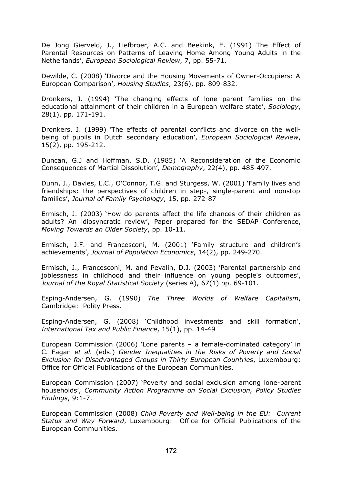De Jong Gierveld, J., Liefbroer, A.C. and Beekink, E. (1991) The Effect of Parental Resources on Patterns of Leaving Home Among Young Adults in the Netherlands', *European Sociological Review*, 7, pp. 55-71.

Dewilde, C. (2008) 'Divorce and the Housing Movements of Owner-Occupiers: A European Comparison', *Housing Studies*, 23(6), pp. 809-832.

Dronkers, J. (1994) 'The changing effects of lone parent families on the educational attainment of their children in a European welfare state', *Sociology*, 28(1), pp. 171-191.

Dronkers, J. (1999) 'The effects of parental conflicts and divorce on the wellbeing of pupils in Dutch secondary education', *European Sociological Review*, 15(2), pp. 195-212.

Duncan, G.J and Hoffman, S.D. (1985) 'A Reconsideration of the Economic Consequences of Martial Dissolution', *Demography*, 22(4), pp. 485-497.

Dunn, J., Davies, L.C., O'Connor, T.G. and Sturgess, W. (2001) 'Family lives and friendships: the perspectives of children in step-, single-parent and nonstop families', *Journal of Family Psychology*, 15, pp. 272-87

Ermisch, J. (2003) 'How do parents affect the life chances of their children as adults? An idiosyncratic review', Paper prepared for the SEDAP Conference, *Moving Towards an Older Society*, pp. 10-11.

Ermisch, J.F. and Francesconi, M. (2001) 'Family structure and children's achievements', *Journal of Population Economics*, 14(2), pp. 249-270.

Ermisch, J., Francesconi, M. and Pevalin, D.J. (2003) 'Parental partnership and joblessness in childhood and their influence on young people's outcomes', *Journal of the Royal Statistical Society* (series A), 67(1) pp. 69-101.

Esping-Andersen, G. (1990) *The Three Worlds of Welfare Capitalism*, Cambridge: Polity Press.

Esping-Andersen, G. (2008) 'Childhood investments and skill formation', *International Tax and Public Finance*, 15(1), pp. 14-49

European Commission (2006) 'Lone parents – a female-dominated category' in C. Fagan *et al.* (eds.) *Gender Inequalities in the Risks of Poverty and Social Exclusion for Disadvantaged Groups in Thirty European Countries*, Luxembourg: Office for Official Publications of the European Communities.

European Commission (2007) 'Poverty and social exclusion among lone-parent households', *Community Action Programme on Social Exclusion, Policy Studies Findings*, 9:1-7.

European Commission (2008) *Child Poverty and Well-being in the EU: Current Status and Way Forward*, Luxembourg: Office for Official Publications of the European Communities.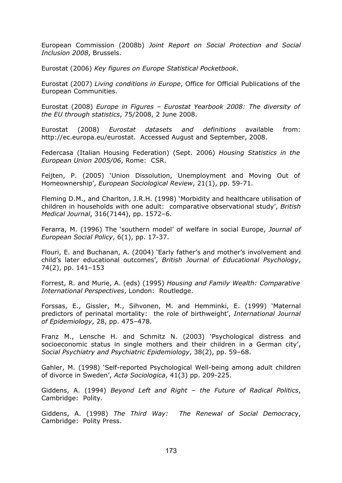European Commission (2008b) *Joint Report on Social Protection and Social Inclusion 2008*, Brussels.

Eurostat (2006) *Key figures on Europe Statistical Pocketbook*.

Eurostat (2007) *Living conditions in Europe*, Office for Official Publications of the European Communities.

Eurostat (2008) *Europe in Figures – Eurostat Yearbook 2008: The diversity of the EU through statistics*, 75/2008, 2 June 2008.

Eurostat (2008) *Eurostat datasets and definitions* available from: http://ec.europa.eu/eurostat. Accessed August and September, 2008.

Federcasa (Italian Housing Federation) (Sept. 2006) *Housing Statistics in the European Union 2005/06*, Rome: CSR.

Feijten, P. (2005) 'Union Dissolution, Unemployment and Moving Out of Homeownership', *European Sociological Review*, 21(1), pp. 59-71.

Fleming D.M., and Charlton, J.R.H. (1998) 'Morbidity and healthcare utilisation of children in households with one adult: comparative observational study', *British Medical Journal*, 316(7144), pp. 1572–6.

Ferarra, M. (1996) The 'southern model' of welfare in social Europe, *Journal of European Social Policy*, 6(1), pp. 17-37.

Flouri, E. and Buchanan, A. (2004) 'Early father's and mother's involvement and child's later educational outcomes', *British Journal of Educational Psychology*, 74(2), pp. 141–153

Forrest, R. and Murie, A. (eds) (1995) *Housing and Family Wealth: Comparative International Perspectives*, London: Routledge.

Forssas, E., Gissler, M., Sihvonen, M. and Hemminki, E. (1999) 'Maternal predictors of perinatal mortality: the role of birthweight', *International Journal of Epidemiology*, 28, pp. 475–478.

Franz M., Lensche H. and Schmitz N. (2003) 'Psychological distress and socioeconomic status in single mothers and their children in a German city', *Social Psychiatry and Psychiatric Epidemiology*, 38(2), pp. 59–68.

Gahler, M. (1998) 'Self-reported Psychological Well-being among adult children of divorce in Sweden', *Acta Sociologica*, 41(3) pp. 209-225.

Giddens, A. (1994) *Beyond Left and Right – the Future of Radical Politics*, Cambridge: Polity.

Giddens, A. (1998) *The Third Way: The Renewal of Social Democrac*y, Cambridge: Polity Press.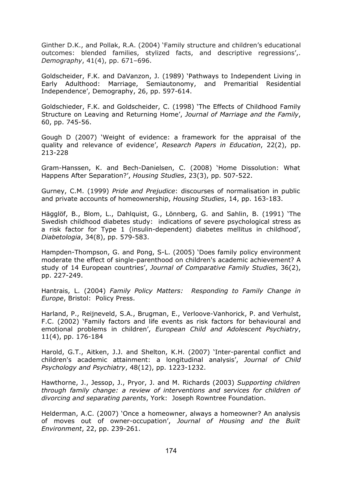Ginther D.K., and Pollak, R.A. (2004) 'Family structure and children's educational outcomes: blended families, stylized facts, and descriptive regressions',. *Demography*, 41(4), pp. 671–696.

Goldscheider, F.K. and DaVanzon, J. (1989) 'Pathways to Independent Living in Early Adulthood: Marriage, Semiautonomy, and Premaritial Residential Independence', Demography, 26, pp. 597-614.

Goldschieder, F.K. and Goldscheider, C. (1998) 'The Effects of Childhood Family Structure on Leaving and Returning Home', *Journal of Marriage and the Family*, 60, pp. 745-56.

Gough D (2007) 'Weight of evidence: a framework for the appraisal of the quality and relevance of evidence', *Research Papers in Education*, 22(2), pp. 213-228

Gram-Hanssen, K. and Bech-Danielsen, C. (2008) 'Home Dissolution: What Happens After Separation?', *Housing Studies*, 23(3), pp. 507-522.

Gurney, C.M. (1999) *Pride and Prejudice*: discourses of normalisation in public and private accounts of homeownership, *Housing Studies*, 14, pp. 163-183.

Hägglöf, B., Blom, L., Dahlquist, G., Lönnberg, G. and Sahlin, B. (1991) 'The Swedish childhood diabetes study: indications of severe psychological stress as a risk factor for Type 1 (insulin-dependent) diabetes mellitus in childhood', *Diabetologia*, 34(8), pp. 579-583.

Hampden-Thompson, G. and Pong, S-L. (2005) 'Does family policy environment moderate the effect of single-parenthood on children's academic achievement? A study of 14 European countries', *Journal of Comparative Family Studies*, 36(2), pp. 227-249.

Hantrais, L. (2004) *Family Policy Matters: Responding to Family Change in Europe*, Bristol: Policy Press.

Harland, P., Reijneveld, S.A., Brugman, E., Verloove-Vanhorick, P. and Verhulst, F.C. (2002) 'Family factors and life events as risk factors for behavioural and emotional problems in children', *European Child and Adolescent Psychiatry*, 11(4), pp. 176-184

Harold, G.T., Aitken, J.J. and Shelton, K.H. (2007) 'Inter-parental conflict and children's academic attainment: a longitudinal analysis', *Journal of Child Psychology and Psychiatry*, 48(12), pp. 1223-1232.

Hawthorne, J., Jessop, J., Pryor, J. and M. Richards (2003) *Supporting children through family change: a review of interventions and services for children of divorcing and separating parents*, York: Joseph Rowntree Foundation.

Helderman, A.C. (2007) 'Once a homeowner, always a homeowner? An analysis of moves out of owner-occupation', *Journal of Housing and the Built Environment*, 22, pp. 239-261.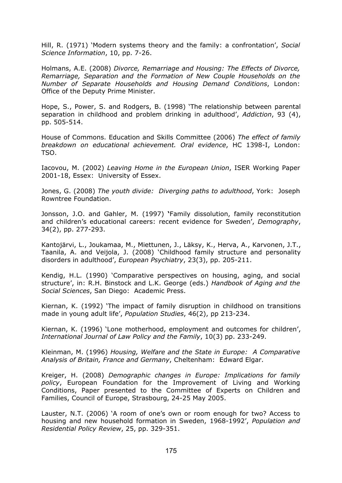Hill, R. (1971) 'Modern systems theory and the family: a confrontation', *Social Science Information*, 10, pp. 7-26.

Holmans, A.E. (2008) *Divorce, Remarriage and Housing: The Effects of Divorce, Remarriage, Separation and the Formation of New Couple Households on the Number of Separate Households and Housing Demand Conditions*, London: Office of the Deputy Prime Minister.

Hope, S., Power, S. and Rodgers, B. (1998) 'The relationship between parental separation in childhood and problem drinking in adulthood', *Addiction*, 93 (4), pp. 505-514.

House of Commons. Education and Skills Committee (2006) *The effect of family breakdown on educational achievement. Oral evidence*, HC 1398-I, London: TSO.

Iacovou, M. (2002) *Leaving Home in the European Union*, ISER Working Paper 2001-18, Essex: University of Essex.

Jones, G. (2008) *The youth divide: Diverging paths to adulthood*, York: Joseph Rowntree Foundation.

Jonsson, J.O. and Gahler, M. (1997) **'**Family dissolution, family reconstitution and children's educational careers: recent evidence for Sweden', *Demography*, 34(2), pp. 277-293.

Kantojärvi, L., Joukamaa, M., Miettunen, J., Läksy, K., Herva, A., Karvonen, J.T., Taanila, A. and Veijola, J. (2008) 'Childhood family structure and personality disorders in adulthood', *European Psychiatry*, 23(3), pp. 205-211.

Kendig, H.L. (1990) 'Comparative perspectives on housing, aging, and social structure', in: R.H. Binstock and L.K. George (eds.) *Handbook of Aging and the Social Sciences*, San Diego: Academic Press.

Kiernan, K. (1992) 'The impact of family disruption in childhood on transitions made in young adult life', *Population Studies*, 46(2), pp 213-234.

Kiernan, K. (1996) 'Lone motherhood, employment and outcomes for children', *International Journal of Law Policy and the Family*, 10(3) pp. 233-249.

Kleinman, M. (1996) *Housing, Welfare and the State in Europe: A Comparative Analysis of Britain, France and Germany*, Cheltenham: Edward Elgar.

Kreiger, H. (2008) *Demographic changes in Europe: Implications for family policy*, European Foundation for the Improvement of Living and Working Conditions, Paper presented to the Committee of Experts on Children and Families, Council of Europe, Strasbourg, 24-25 May 2005.

Lauster, N.T. (2006) 'A room of one's own or room enough for two? Access to housing and new household formation in Sweden, 1968-1992', *Population and Residential Policy Review*, 25, pp. 329-351.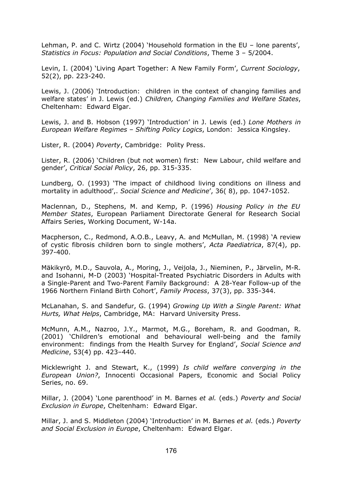Lehman, P. and C. Wirtz (2004) 'Household formation in the EU – lone parents', *Statistics in Focus: Population and Social Conditions*, Theme 3 – 5/2004.

Levin, I. (2004) 'Living Apart Together: A New Family Form', *Current Sociology*, 52(2), pp. 223-240.

Lewis, J. (2006) 'Introduction: children in the context of changing families and welfare states' in J. Lewis (ed.) *Children, Changing Families and Welfare States*, Cheltenham: Edward Elgar.

Lewis, J. and B. Hobson (1997) 'Introduction' in J. Lewis (ed.) *Lone Mothers in European Welfare Regimes – Shifting Policy Logics*, London: Jessica Kingsley.

Lister, R. (2004) *Poverty*, Cambridge: Polity Press.

Lister, R. (2006) 'Children (but not women) first: New Labour, child welfare and gender', *Critical Social Policy*, 26, pp. 315-335.

Lundberg, O. (1993) 'The impact of childhood living conditions on illness and mortality in adulthood',. *Social Science and Medicine*', 36( 8), pp. 1047-1052.

Maclennan, D., Stephens, M. and Kemp, P. (1996) *Housing Policy in the EU Member States*, European Parliament Directorate General for Research Social Affairs Series, Working Document, W-14a.

Macpherson, C., Redmond, A.O.B., Leavy, A. and McMullan, M. (1998) 'A review of cystic fibrosis children born to single mothers', *Acta Paediatrica*, 87(4), pp. 397-400.

Mäkikyrö, M.D., Sauvola, A., Moring, J., Veijola, J., Nieminen, P., Järvelin, M-R. and Isohanni, M-D (2003) 'Hospital-Treated Psychiatric Disorders in Adults with a Single-Parent and Two-Parent Family Background: A 28-Year Follow-up of the 1966 Northern Finland Birth Cohor[t',](http://www3.interscience.wiley.com.ezproxy.lib.le.ac.uk/journal/119940076/abstract#fn1#fn1) *Family Process*, 37(3), pp. 335-344.

McLanahan, S. and Sandefur, G. (1994) *Growing Up With a Single Parent: What Hurts, What Helps*, Cambridge, MA: Harvard University Press.

McMunn, A.M., Nazroo, J.Y., Marmot, M.G., Boreham, R. and Goodman, R. (2001) 'Children's emotional and behavioural well-being and the family environment: findings from the Health Survey for England', *Social Science and Medicine*, 53(4) pp. 423–440.

Micklewright J. and Stewart, K., (1999) *Is child welfare converging in the European Union?*, Innocenti Occasional Papers, Economic and Social Policy Series, no. 69.

Millar, J. (2004) 'Lone parenthood' in M. Barnes *et al.* (eds.) *Poverty and Social Exclusion in Europe*, Cheltenham: Edward Elgar.

Millar, J. and S. Middleton (2004) 'Introduction' in M. Barnes *et al.* (eds.) *Poverty and Social Exclusion in Europe*, Cheltenham: Edward Elgar.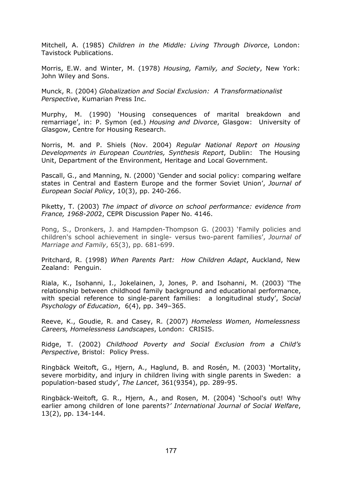Mitchell, A. (1985) *Children in the Middle: Living Through Divorce*, London: Tavistock Publications.

Morris, E.W. and Winter, M. (1978) *Housing, Family, and Society*, New York: John Wiley and Sons.

Munck, R. (2004) *Globalization and Social Exclusion: A Transformationalist Perspective*, Kumarian Press Inc.

Murphy, M. (1990) 'Housing consequences of marital breakdown and remarriage', in: P. Symon (ed.) *Housing and Divorce*, Glasgow: University of Glasgow, Centre for Housing Research.

Norris, M. and P. Shiels (Nov. 2004) *Regular National Report on Housing Developments in European Countries, Synthesis Report*, Dublin: The Housing Unit, Department of the Environment, Heritage and Local Government.

Pascall, G., and Manning, N. (2000) 'Gender and social policy: comparing welfare states in Central and Eastern Europe and the former Soviet Union', *Journal of European Social Policy*, 10(3), pp. 240-266.

Piketty, T. (2003) *The impact of divorce on school performance: evidence from France, 1968-200*2, CEPR Discussion Paper No. 4146.

Pong, S., Dronkers, J. and Hampden-Thompson G. (2003) 'Family policies and children's school achievement in single- versus two-parent families', *Journal of Marriage and Family*, 65(3), pp. 681-699.

Pritchard, R. (1998) *When Parents Part: How Children Adapt*, Auckland, New Zealand: Penguin.

Riala, K., Isohanni, I., Jokelainen, J, Jones, P. and Isohanni, M. (2003) 'The relationship between childhood family background and educational performance, with special reference to single-parent families: a longitudinal study', *Social Psychology of Education*, 6(4), pp. 349–365.

Reeve, K., Goudie, R. and Casey, R. (2007) *Homeless Women, Homelessness Careers, Homelessness Landscapes*, London: CRISIS.

Ridge, T. (2002) *Childhood Poverty and Social Exclusion from a Child's Perspective*, Bristol: Policy Press.

Ringbäck Weitoft, G., Hjern, A., Haglund, B. and Rosén, M. (2003) 'Mortality, severe morbidity, and injury in children living with single parents in Sweden: a population-based study', *The Lancet*, 361(9354), pp. 289-95.

Ringbäck-Weitoft, G. R., Hjern, A., and Rosen, M. (2004) 'School's out! Why earlier among children of lone parents?*' International Journal of Social Welfare*, 13(2), pp. 134-144.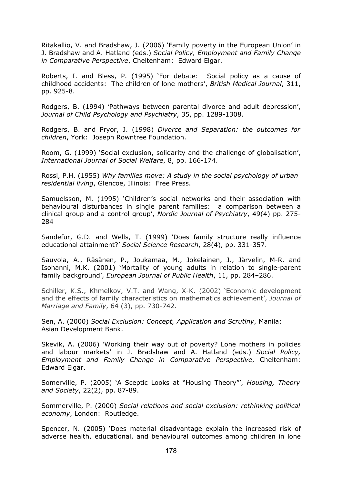Ritakallio, V. and Bradshaw, J. (2006) 'Family poverty in the European Union' in J. Bradshaw and A. Hatland (eds.) *Social Policy, Employment and Family Change in Comparative Perspective*, Cheltenham: Edward Elgar.

Roberts, I. and Bless, P. (1995) 'For debate: Social policy as a cause of childhood accidents: The children of lone mothers', *British Medical Journal*, 311, pp. 925-8.

Rodgers, B. (1994) 'Pathways between parental divorce and adult depression', *Journal of Child Psychology and Psychiatry*, 35, pp. 1289-1308.

Rodgers, B. and Pryor, J. (1998) *Divorce and Separation: the outcomes for children*, York: Joseph Rowntree Foundation.

Room, G. (1999) 'Social exclusion, solidarity and the challenge of globalisation', *International Journal of Social Welfare*, 8, pp. 166-174.

Rossi, P.H. (1955) *Why families move: A study in the social psychology of urban residential living*, Glencoe, Illinois: Free Press.

Samuelsson, M. (1995) 'Children's social networks and their association with behavioural disturbances in single parent families: a comparison between a clinical group and a control group', *Nordic Journal of Psychiatry*, 49(4) pp. 275- 284

Sandefur, G.D. and Wells, T. (1999) 'Does family structure really influence educational attainment?' *Social Science Research*, 28(4), pp. 331-357.

Sauvola, A., Räsänen, P., Joukamaa, M., Jokelainen, J., Järvelin, M-R. and Isohanni, M.K. (2001) 'Mortality of young adults in relation to single-parent family background', *European Journal of Public Health*, 11, pp. 284–286.

Schiller, K.S., Khmelkov, V.T. and Wang, X-K. (2002) 'Economic development and the effects of family characteristics on mathematics achievement', *Journal of Marriage and Family*, 64 (3), pp. 730-742.

Sen, A. (2000) *Social Exclusion: Concept, Application and Scrutiny*, Manila: Asian Development Bank.

Skevik, A. (2006) 'Working their way out of poverty? Lone mothers in policies and labour markets' in J. Bradshaw and A. Hatland (eds.) *Social Policy, Employment and Family Change in Comparative Perspective*, Cheltenham: Edward Elgar.

Somerville, P. (2005) 'A Sceptic Looks at "Housing Theory"', *Housing, Theory and Society*, 22(2), pp. 87-89.

Sommerville, P. (2000) *Social relations and social exclusion: rethinking political economy*, London: Routledge.

Spencer, N. (2005) 'Does material disadvantage explain the increased risk of adverse health, educational, and behavioural outcomes among children in lone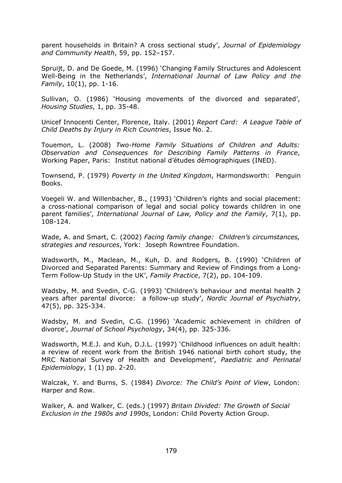parent households in Britain? A cross sectional study', *Journal of Epidemiology and Community Health*, 59, pp. 152–157.

Spruijt, D. and De Goede, M. (1996) 'Changing Family Structures and Adolescent Well-Being in the Netherlands', *International Journal of Law Policy and the Family*, 10(1), pp. 1-16.

Sullivan, O. (1986) 'Housing movements of the divorced and separated', *Housing Studies*, 1, pp. 35-48.

Unicef Innocenti Center, Florence, Italy. (2001) *Report Card: A League Table of Child Deaths by Injury in Rich Countries*, Issue No. 2.

Touemon, L. (2008) *Two-Home Family Situations of Children and Adults: Observation and Consequences for Describing Family Patterns in France*, Working Paper, Paris: Institut national d'études démographiques (INED).

Townsend, P. (1979) *Poverty in the United Kingdom*, Harmondsworth: Penguin Books.

Voegeli W. and Willenbacher, B., (1993) 'Children's rights and social placement: a cross-national comparison of legal and social policy towards children in one parent families', *International Journal of Law, Policy and the Family*, 7(1), pp. 108-124.

Wade, A. and Smart, C. (2002) *Facing family change: Children's circumstances, strategies and resources*, York: Joseph Rowntree Foundation.

Wadsworth, M., Maclean, M., Kuh, D. and Rodgers, B. (1990) 'Children of Divorced and Separated Parents: Summary and Review of Findings from a Long-Term Follow-Up Study in the UK', *Family Practice*, 7(2), pp. 104-109.

Wadsby, M. and Svedin, C-G. (1993) 'Children's behaviour and mental health 2 years after parental divorce: a follow-up study', *Nordic Journal of Psychiatry*, 47(5), pp. 325-334.

Wadsby, M. and Svedin, C.G. (1996) 'Academic achievement in children of divorce', *[Journal of School Psychology](http://www.sciencedirect.com.ezproxy.lib.le.ac.uk/science/journal/00224405)*, 34(4), pp. 325-336.

Wadsworth, M.E.J. and Kuh, D.J.L. (1997) 'Childhood influences on adult health: a review of recent work from the British 1946 national birth cohort study, the MRC National Survey of Health and Development', *Paediatric and Perinatal Epidemiology*, 1 (1) pp. 2-20.

Walczak, Y. and Burns, S. (1984) *Divorce: The Child's Point of View*, London: Harper and Row.

Walker, A. and Walker, C. (eds.) (1997) *Britain Divided: The Growth of Social Exclusion in the 1980s and 1990s*, London: Child Poverty Action Group.